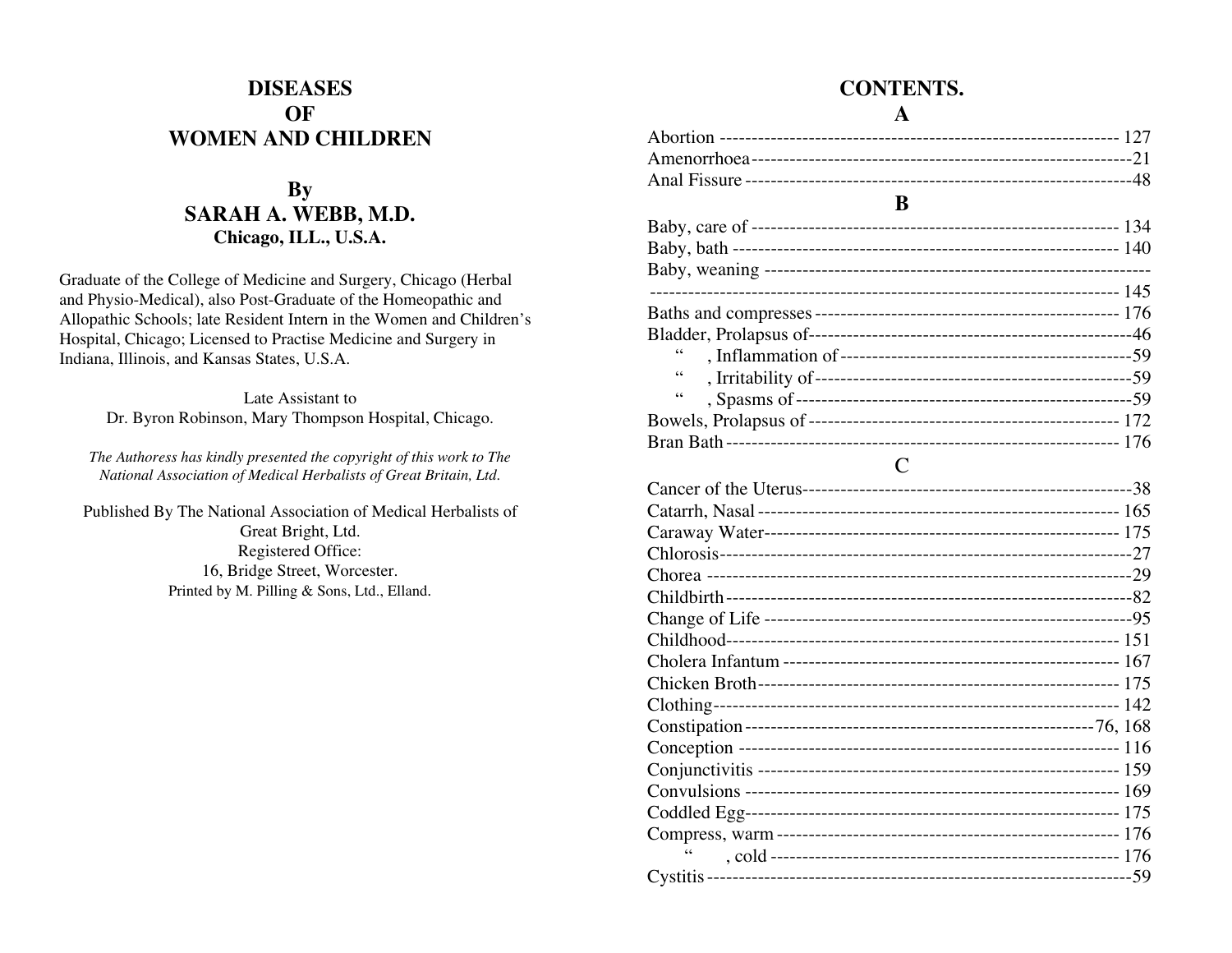## **DISEASES OF WOMEN AND CHILDREN**

## **By SARAH A. WEBB, M.D. Chicago, ILL., U.S.A.**

Graduate of the College of Medicine and Surgery, Chicago (Herbal and Physio-Medical), also Post-Graduate of the Homeopathic and Allopathic Schools; late Resident Intern in the Women and Children's Hospital, Chicago; Licensed to Practise Medicine and Surgery in Indiana, Illinois, and Kansas States, U.S.A.

Late Assistant to Dr. Byron Robinson, Mary Thompson Hospital, Chicago.

*The Authoress has kindly presented the copyright of this work to The National Association of Medical Herbalists of Great Britain, Ltd.*

Published By The National Association of Medical Herbalists of Great Bright, Ltd. Registered Office: 16, Bridge Street, Worcester. Printed by M. Pilling & Sons, Ltd., Elland.

## **CONTENTS.**

## **A**

| B              |  |
|----------------|--|
|                |  |
|                |  |
|                |  |
|                |  |
|                |  |
|                |  |
| $\,$ 6 $\,$    |  |
| $\mbox{\bf 6}$ |  |
| $\,$ 6 6 $\,$  |  |
|                |  |
|                |  |
|                |  |

## C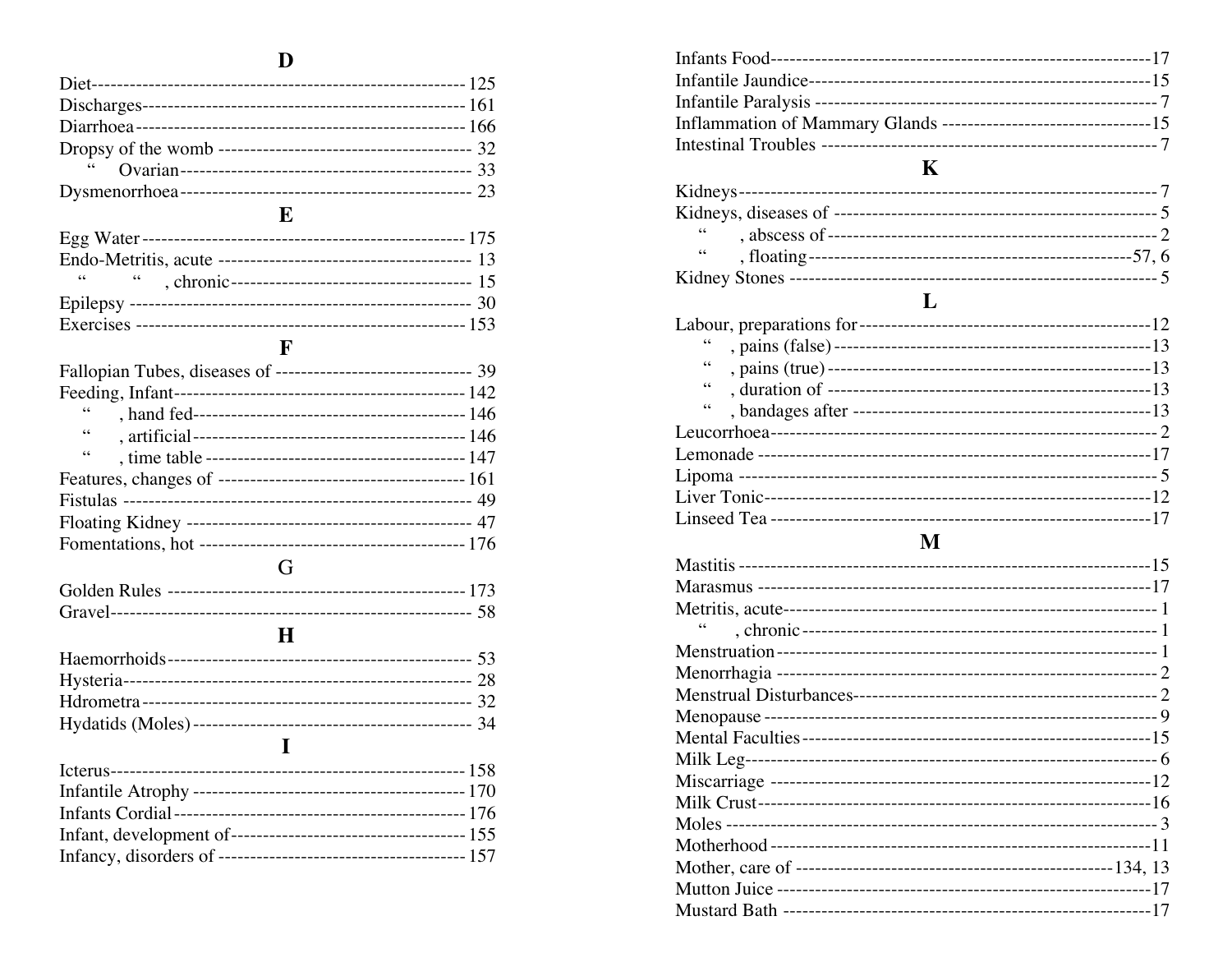| I<br>۰.<br>۰, |
|---------------|

| IJ                                                              |
|-----------------------------------------------------------------|
|                                                                 |
|                                                                 |
|                                                                 |
|                                                                 |
|                                                                 |
|                                                                 |
| $\bf{E}$                                                        |
|                                                                 |
|                                                                 |
|                                                                 |
|                                                                 |
|                                                                 |
| F                                                               |
| Fallopian Tubes, diseases of ------------------------------- 39 |
|                                                                 |
| $\zeta$ $\zeta$                                                 |
| $\epsilon$                                                      |
| 66                                                              |
|                                                                 |
|                                                                 |
|                                                                 |
|                                                                 |
| G                                                               |
|                                                                 |
|                                                                 |
| $\mathbf{H}$                                                    |
|                                                                 |
|                                                                 |
|                                                                 |
|                                                                 |
| $\mathbf{I}$                                                    |
|                                                                 |
|                                                                 |
|                                                                 |
|                                                                 |
|                                                                 |

# $\mathbf K$

| $66 -$ |  |
|--------|--|
|        |  |
|        |  |

# $\mathbf{L}$

| $\,66$                  |  |
|-------------------------|--|
| $\,$ 6 6 $\,$           |  |
| $\sqrt{6}$ G $_{\odot}$ |  |
| $\,$ 6 6 $\,$           |  |
|                         |  |
|                         |  |
|                         |  |
|                         |  |
|                         |  |
|                         |  |

# $\mathbf M$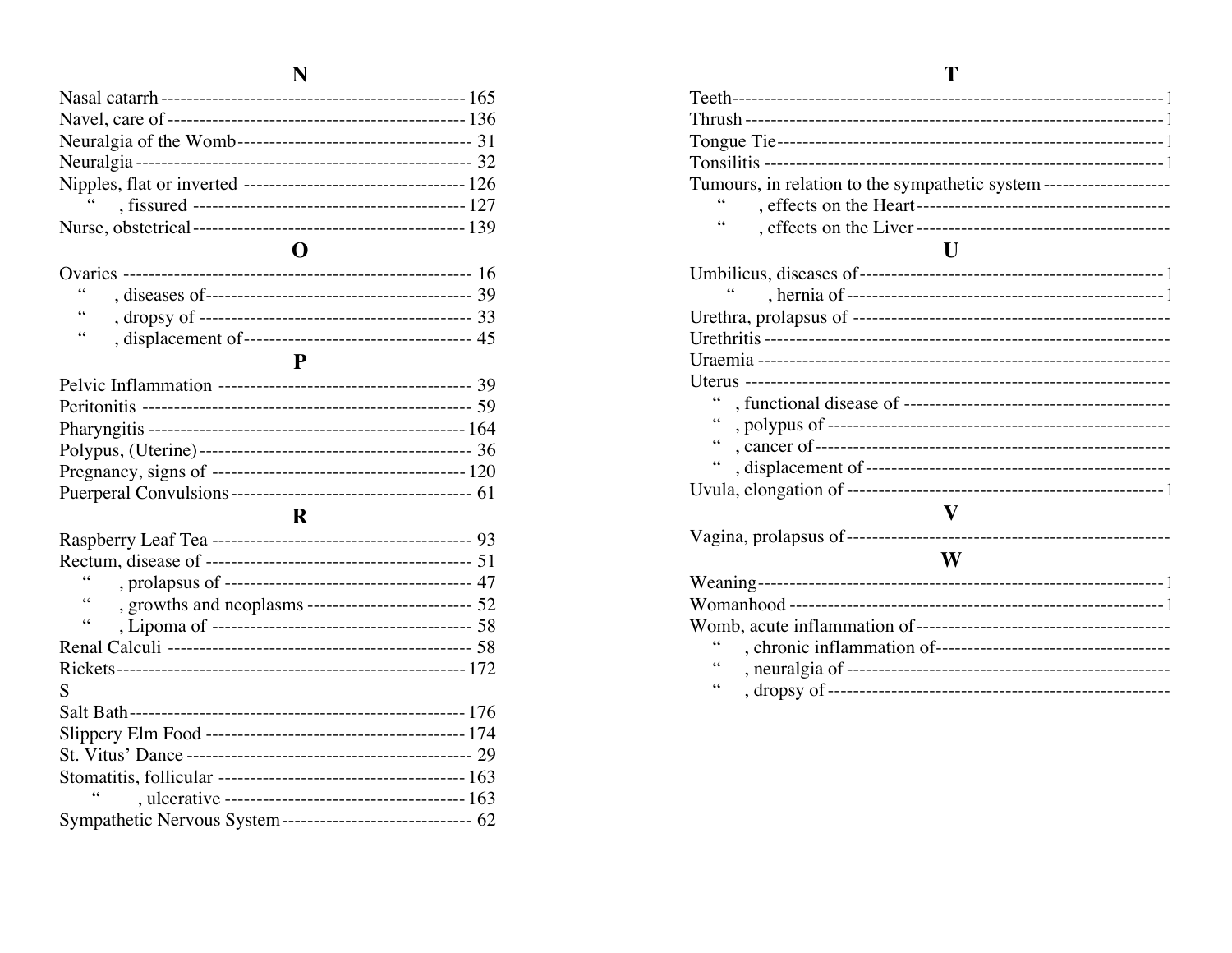| Nipples, flat or inverted ----------------------------------- 126       |
|-------------------------------------------------------------------------|
|                                                                         |
|                                                                         |
| O                                                                       |
|                                                                         |
|                                                                         |
| 66                                                                      |
| 66                                                                      |
| P                                                                       |
|                                                                         |
|                                                                         |
|                                                                         |
|                                                                         |
|                                                                         |
|                                                                         |
| R                                                                       |
|                                                                         |
|                                                                         |
|                                                                         |
| $\zeta \zeta$<br>, growths and neoplasms --------------------------- 52 |
| $\zeta$ $\zeta$                                                         |
|                                                                         |
|                                                                         |
| S                                                                       |
|                                                                         |
|                                                                         |
|                                                                         |
|                                                                         |
|                                                                         |
| Sympathetic Nervous System------------------------------- 62            |

| $\,$ 6 6 $\,$  |  |
|----------------|--|
| $\mbox{\bf 6}$ |  |
|                |  |
|                |  |

| 66 |
|----|
|    |
|    |
|    |
|    |
|    |

|  | Vagina, prolapsus of--------------- |
|--|-------------------------------------|
|--|-------------------------------------|

## $\mathbf W$

----------

| $66 -$ |
|--------|
| $\,66$ |
| 66     |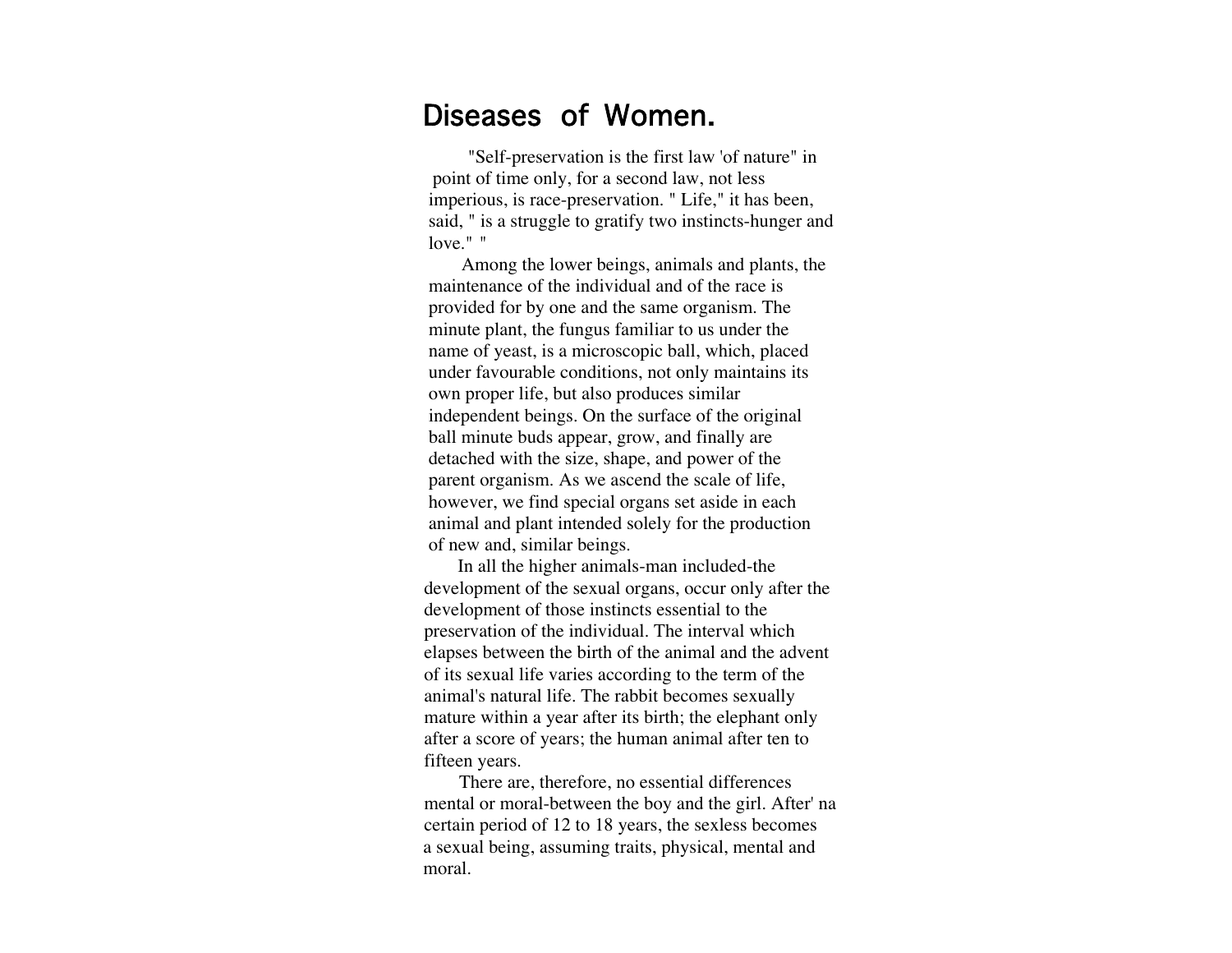# Diseases of Women.

"Self-preservation is the first law 'of nature" in point of time only, for a second law, not less imperious, is race-preservation. " Life," it has been, said, " is a struggle to gratify two instincts-hunger and love." "

Among the lower beings, animals and plants, the maintenance of the individual and of the race is provided for by one and the same organism. The minute plant, the fungus familiar to us under the name of yeast, is a microscopic ball, which, placed under favourable conditions, not only maintains its own proper life, but also produces similar independent beings. On the surface of the original ball minute buds appear, grow, and finally are detached with the size, shape, and power of the parent organism. As we ascend the scale of life, however, we find special organs set aside in each animal and plant intended solely for the production of new and, similar beings.

In all the higher animals-man included-the development of the sexual organs, occur only after the development of those instincts essential to the preservation of the individual. The interval which elapses between the birth of the animal and the advent of its sexual life varies according to the term of the animal's natural life. The rabbit becomes sexually mature within a year after its birth; the elephant only after a score of years; the human animal after ten to fifteen years.

There are, therefore, no essential differences mental or moral-between the boy and the girl. After' na certain period of 12 to 18 years, the sexless becomes a sexual being, assuming traits, physical, mental and moral.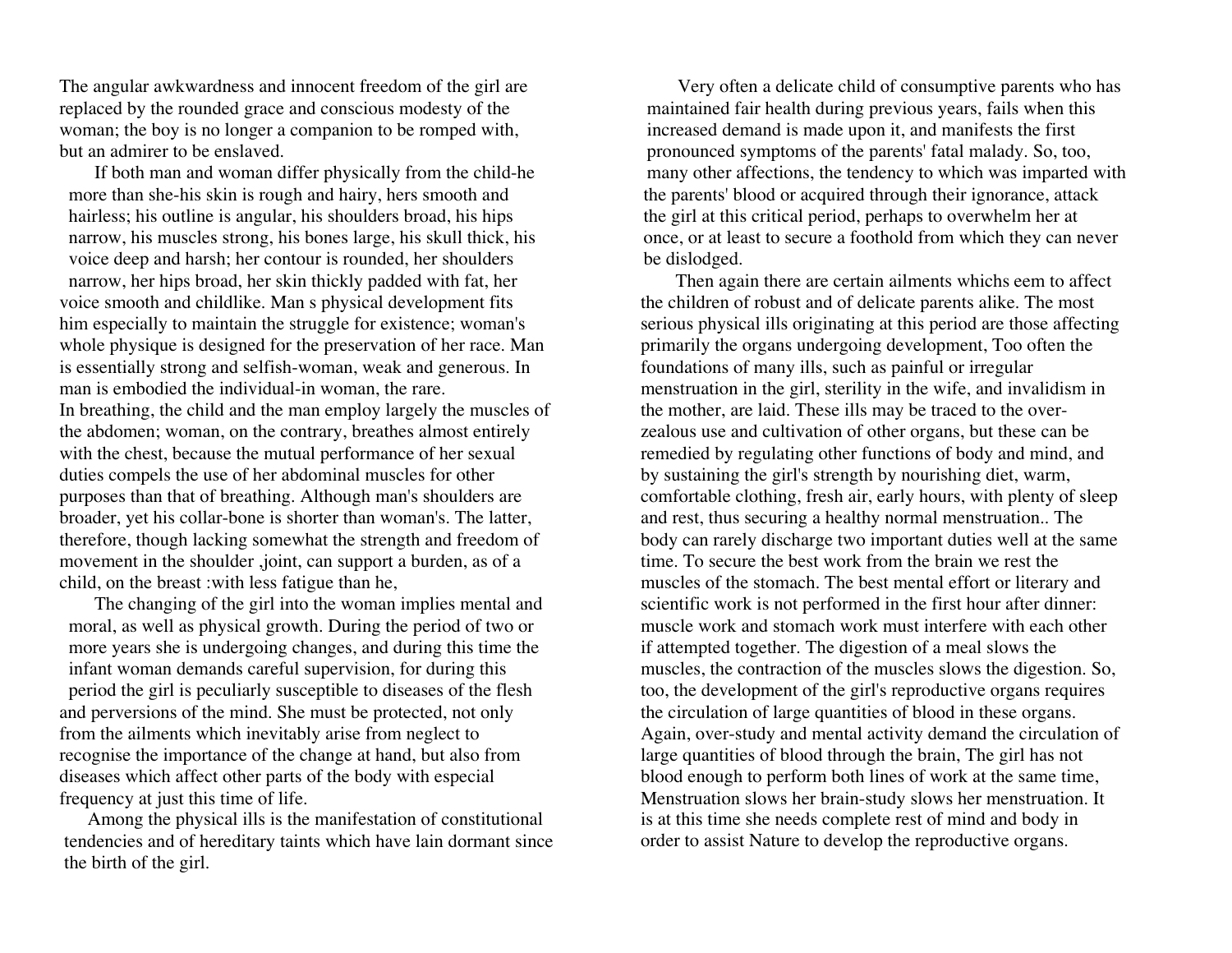The angular awkwardness and innocent freedom of the girl are replaced by the rounded grace and conscious modesty of the woman; the boy is no longer a companion to be romped with, but an admirer to be enslaved.

If both man and woman differ physically from the child-he more than she-his skin is rough and hairy, hers smooth and hairless; his outline is angular, his shoulders broad, his hips narrow, his muscles strong, his bones large, his skull thick, his voice deep and harsh; her contour is rounded, her shoulders narrow, her hips broad, her skin thickly padded with fat, her voice smooth and childlike. Man s physical development fits him especially to maintain the struggle for existence; woman's whole physique is designed for the preservation of her race. Man is essentially strong and selfish-woman, weak and generous. In man is embodied the individual-in woman, the rare. In breathing, the child and the man employ largely the muscles of the abdomen; woman, on the contrary, breathes almost entirely with the chest, because the mutual performance of her sexual duties compels the use of her abdominal muscles for other purposes than that of breathing. Although man's shoulders are broader, yet his collar-bone is shorter than woman's. The latter, therefore, though lacking somewhat the strength and freedom of movement in the shoulder ,joint, can support a burden, as of a child, on the breast :with less fatigue than he,

The changing of the girl into the woman implies mental and moral, as well as physical growth. During the period of two or more years she is undergoing changes, and during this time the infant woman demands careful supervision, for during this period the girl is peculiarly susceptible to diseases of the flesh and perversions of the mind. She must be protected, not only from the ailments which inevitably arise from neglect to recognise the importance of the change at hand, but also from diseases which affect other parts of the body with especial frequency at just this time of life.

 Among the physical ills is the manifestation of constitutional tendencies and of hereditary taints which have lain dormant since the birth of the girl.

Very often a delicate child of consumptive parents who has maintained fair health during previous years, fails when this increased demand is made upon it, and manifests the first pronounced symptoms of the parents' fatal malady. So, too, many other affections, the tendency to which was imparted with the parents' blood or acquired through their ignorance, attack the girl at this critical period, perhaps to overwhelm her at once, or at least to secure a foothold from which they can never be dislodged.

Then again there are certain ailments whichs eem to affect the children of robust and of delicate parents alike. The most serious physical ills originating at this period are those affecting primarily the organs undergoing development, Too often the foundations of many ills, such as painful or irregular menstruation in the girl, sterility in the wife, and invalidism in the mother, are laid. These ills may be traced to the overzealous use and cultivation of other organs, but these can be remedied by regulating other functions of body and mind, and by sustaining the girl's strength by nourishing diet, warm, comfortable clothing, fresh air, early hours, with plenty of sleep and rest, thus securing a healthy normal menstruation.. The body can rarely discharge two important duties well at the same time. To secure the best work from the brain we rest the muscles of the stomach. The best mental effort or literary and scientific work is not performed in the first hour after dinner: muscle work and stomach work must interfere with each other if attempted together. The digestion of a meal slows the muscles, the contraction of the muscles slows the digestion. So, too, the development of the girl's reproductive organs requires the circulation of large quantities of blood in these organs. Again, over-study and mental activity demand the circulation of large quantities of blood through the brain, The girl has not blood enough to perform both lines of work at the same time, Menstruation slows her brain-study slows her menstruation. It is at this time she needs complete rest of mind and body in order to assist Nature to develop the reproductive organs.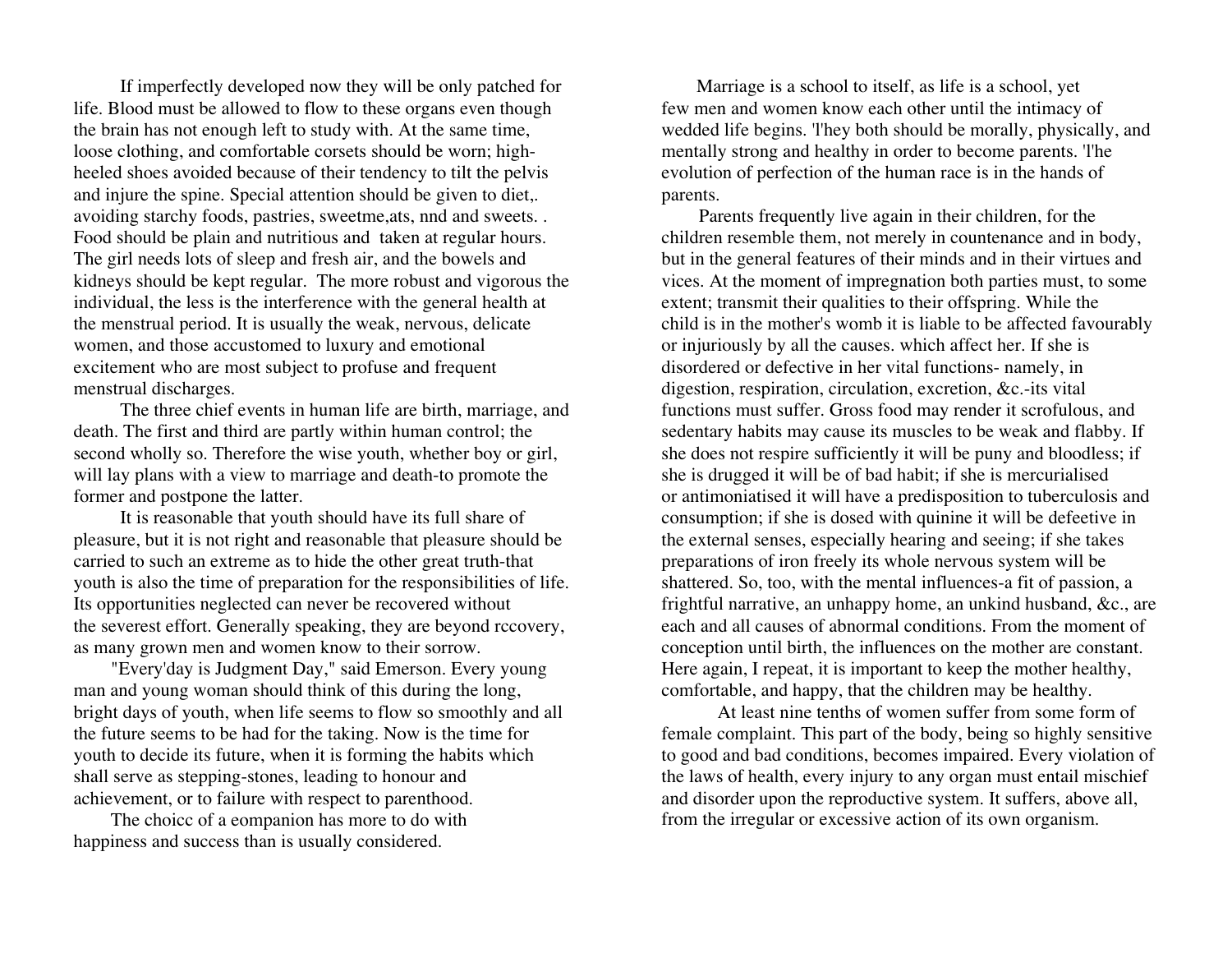If imperfectly developed now they will be only patched for life. Blood must be allowed to flow to these organs even though the brain has not enough left to study with. At the same time, loose clothing, and comfortable corsets should be worn; highheeled shoes avoided because of their tendency to tilt the pelvis and injure the spine. Special attention should be given to diet,. avoiding starchy foods, pastries, sweetme,ats, nnd and sweets. . Food should be plain and nutritious and taken at regular hours. The girl needs lots of sleep and fresh air, and the bowels and kidneys should be kept regular. The more robust and vigorous the individual, the less is the interference with the general health at the menstrual period. It is usually the weak, nervous, delicate women, and those accustomed to luxury and emotional excitement who are most subject to profuse and frequent menstrual discharges.

The three chief events in human life are birth, marriage, an d death. The first and third are partly within human control; the second wholly so. Therefore the wise youth, whether boy or girl, will lay plans with a view to marriage and death-to promote the former and postpone the latter.

It is reasonable that youth should have its full share of pleasure, but it is not right and reasonable that pleasure should be carried to such an extreme as to hide the other great truth-that youth is also the time of preparation for the responsibilities of life. Its opportunities neglected can never be recovered without the severest effort. Generally speaking, they are beyond rccovery, as many grown men and women know to their sorrow.

"Every'day is Judgment Day," said Emerson. Every young man and young woman should think of this during the long, bright days of youth, when life seems to flow so smoothly and all the future seems to be had for the taking. Now is the time for youth to decide its future, when it is forming the habits which shall serve as stepping-stones, leading to honour and achievement, or to failure with respect to parenthood.

The choicc of a eompanion has more to do with happiness and success than is usually considered.

Marriage is a school to itself, as life is a school, yet few men and women know each other until the intimacy of wedded life begins. 'l'hey both should be morally, physically, and mentally strong and healthy in order to become parents. 'l'he evolution of perfection of the human race is in the hands of parents.

Parents frequently live again in their children, for the children resemble them, not merely in countenance and in body, but in the general features of their minds and in their virtues and vices. At the moment of impregnation both parties must, to some extent; transmit their qualities to their offspring. While the child is in the mother's womb it is liable to be affected favourably or injuriously by all the causes. which affect her. If she is disordered or defective in her vital functions- namely, in digestion, respiration, circulation, excretion, &c.-its vital functions must suffer. Gross food may render it scrofulous, and sedentary habits may cause its muscles to be weak and flabby. If she does not respire sufficiently it will be puny and bloodless; if she is drugged it will be of bad habit; if she is mercurialised or antimoniatised it will have a predisposition to tuberculosis and consumption; if she is dosed with quinine it will be defeetive in the external senses, especially hearing and seeing; if she takes preparations of iron freely its whole nervous system will be shattered. So, too, with the mental influences-a fit of passion, a frightful narrative, an unhappy home, an unkind husband, &c., are each and all causes of abnormal conditions. From the moment of conception until birth, the influences on the mother are constant. Here again, I repeat, it is important to keep the mother healthy, comfortable, and happy, that the children may be healthy.

At least nine tenths of women suffer from some form of female complaint. This part of the body, being so highly sensitive to good and bad conditions, becomes impaired. Every violation of the laws of health, every injury to any organ must entail mischief and disorder upon the reproductive system. It suffers, above all, from the irregular or excessive action of its own organism.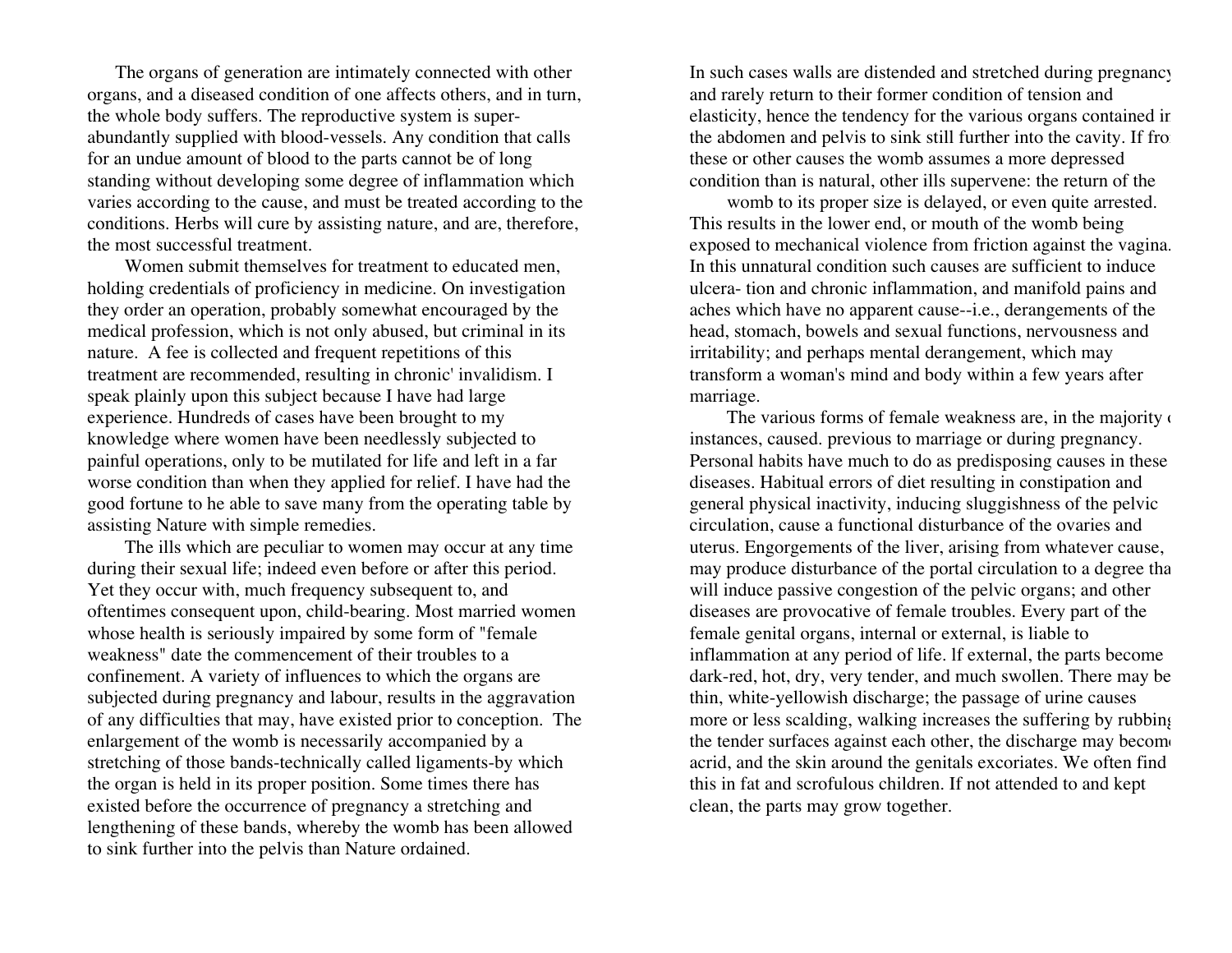The organs of generation are intimately connected with other organs, and a diseased condition of one affects others, and in turn, the whole body suffers. The reproductive system is superabundantly supplied with blood-vessels. Any condition that calls for an undue amount of blood to the parts cannot be of long standing without developing some degree of inflammation which varies according to the cause, and must be treated according to the conditions. Herbs will cure by assisting nature, and are, therefore, the most successful treatment.

Women submit themselves for treatment to educated men, holding credentials of proficiency in medicine. On investigation they order an operation, probably somewhat encouraged by the medical profession, which is not only abused, but criminal in its nature. A fee is collected and frequent repetitions of this treatment are recommended, resulting in chronic' invalidism. I speak plainly upon this subject because I have had large experience. Hundreds of cases have been brought to my knowledge where women have been needlessly subjected to painful operations, only to be mutilated for life and left in a far worse condition than when they applied for relief. I have had the good fortune to he able to save many from the operating table by assisting Nature with simple remedies.

The ills which are peculiar to women may occur at any time during their sexual life; indeed even before or after this period. Yet they occur with, much frequency subsequent to, and oftentimes consequent upon, child-bearing. Most married women whose health is seriously impaired by some form of "female weakness" date the commencement of their troubles to a confinement. A variety of influences to which the organs are subjected during pregnancy and labour, results in the aggravation of any difficulties that may, have existed prior to conception. The enlargement of the womb is necessarily accompanied by a stretching of those bands-technically called ligaments-by which the organ is held in its proper position. Some times there has existed before the occurrence of pregnancy a stretching and lengthening of these bands, whereby the womb has been allowed to sink further into the pelvis than Nature ordained.

In such cases walls are distended and stretched during pregnancy and rarely return to their former condition of tension and elasticity, hence the tendency for the various organs contained i n the abdomen and pelvis to sink still further into the cavity. If fro m these or other causes the womb assumes a more depressed condition than is natural, other ills supervene: the return of the

womb to its proper size is delayed, or even quite arrested. This results in the lower end, or mouth of the womb being exposed to mechanical violence from friction against the vagina. In this unnatural condition such causes are sufficient to induce ulcera- tion and chronic inflammation, and manifold pains and aches which have no apparent cause--i.e., derangements of the head, stomach, bowels and sexual functions, nervousness and irritability; and perhaps mental derangement, which may transform a woman's mind and body within a few years after marriage.

The various forms of female weakness are, in the majority of instances, caused. previous to marriage or during pregnancy. Personal habits have much to do as predisposing causes in these diseases. Habitual errors of diet resulting in constipation and general physical inactivity, inducing sluggishness of the pelvic circulation, cause a functional disturbance of the ovaries and uterus. Engorgements of the liver, arising from whatever cause, may produce disturbance of the portal circulation to a degree th a will induce passive congestion of the pelvic organs; and other diseases are provocative of female troubles. Every part of the female genital organs, internal or external, is liable to inflammation at any period of life. lf external, the parts become dark-red, hot, dry, very tender, and much swollen. There may b e thin, white-yellowish discharge; the passage of urine causes more or less scalding, walking increases the suffering by rubbin g the tender surfaces against each other, the discharge may become acrid, and the skin around the genitals excoriates. We often find this in fat and scrofulous children. If not attended to and kept clean, the parts may grow together.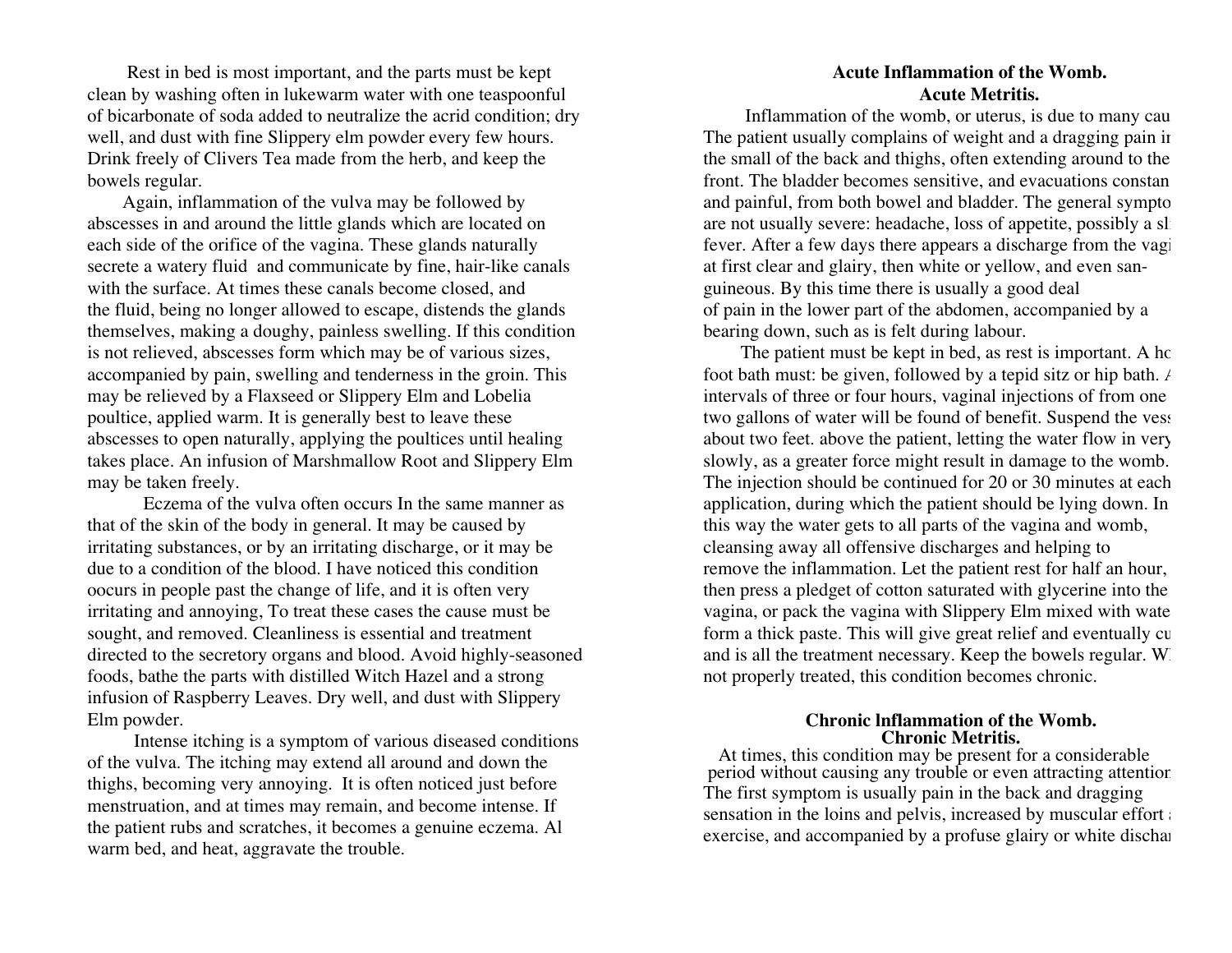Rest in bed is most important, and the parts must be kept clean by washing often in lukewarm water with one teaspoonful of bicarbonate of soda added to neutralize the acrid condition; dry well, and dust with fine Slippery elm powder every few hours. Drink freely of Clivers Tea made from the herb, and keep the bowels regular.

Again, inflammation of the vulva may be followed by abscesses in and around the little glands which are located on each side of the orifice of the vagina. These glands naturally secrete a watery fluid and communicate by fine, hair-like canals with the surface. At times these canals become closed, and the fluid, being no longer allowed to escape, distends the glands themselves, making a doughy, painless swelling. If this condition is not relieved, abscesses form which may be of various sizes, accompanied by pain, swelling and tenderness in the groin. This may be relieved by a Flaxseed or Slippery Elm and Lobelia poultice, applied warm. It is generally best to leave these abscesses to open naturally, applying the poultices until healing takes place. An infusion of Marshmallow Root and Slippery Elm may be taken freely.

Eczema of the vulva often occurs In the same manner as that of the skin of the body in general. It may be caused by irritating substances, or by an irritating discharge, or it may be due to a condition of the blood. I have noticed this condition oocurs in people past the change of life, and it is often very irritating and annoying, To treat these cases the cause must be sought, and removed. Cleanliness is essential and treatment directed to the secretory organs and blood. Avoid highly-seasoned foods, bathe the parts with distilled Witch Hazel and a strong infusion of Raspberry Leaves. Dry well, and dust with Slippery Elm powder.

Intense itching is a symptom of various diseased conditions of the vulva. The itching may extend all around and down the thighs, becoming very annoying. It is often noticed just before menstruation, and at times may remain, and become intense. If the patient rubs and scratches, it becomes a genuine eczema. Al warm bed, and heat, aggravate the trouble.

## **Acute Inflammation of the Womb. Acute Metritis.**

Inflammation of the womb, or uterus, is due to many ca u The patient usually complains of weight and a dragging pain i n the small of the back and thighs, often extending around to the front. The bladder becomes sensitive, and evacuations constan and painful, from both bowel and bladder. The general sympt o are not usually severe: headache, loss of appetite, possibly a sli fever. After a few days there appears a discharge from the vagi at first clear and glairy, then white or yellow, and even sanguineous. By this time there is usually a good deal of pain in the lower part of the abdomen, accompanied by a bearing down, such as is felt during labour.

The patient must be kept in bed, as rest is important. A hc foot bath must: be given, followed by a tepid sitz or hip bath. A intervals of three or four hours, vaginal injections of from one two gallons of water will be found of benefit. Suspend the vess about two feet. above the patient, letting the water flow in very slowly, as a greater force might result in damage to the womb. The injection should be continued for 20 or 30 minutes at eac h application, during which the patient should be lying down. In this way the water gets to all parts of the vagina and womb, cleansing away all offensive discharges and helping to remove the inflammation. Let the patient rest for half an hour, then press a pledget of cotton saturated with glycerine into the vagina, or pack the vagina with Slippery Elm mixed with wat e form a thick paste. This will give great relief and eventually c u and is all the treatment necessary. Keep the bowels regular. W h not properly treated, this condition becomes chronic.

#### **Chronic lnflammation of the Womb. Chronic Metritis.**

At times, this condition may be present for a considerable period without causing any trouble or even attracting attentio n The first symptom is usually pain in the back and dragging sensation in the loins and pelvis, increased by muscular effort exercise, and accompanied by a profuse glairy or white discharance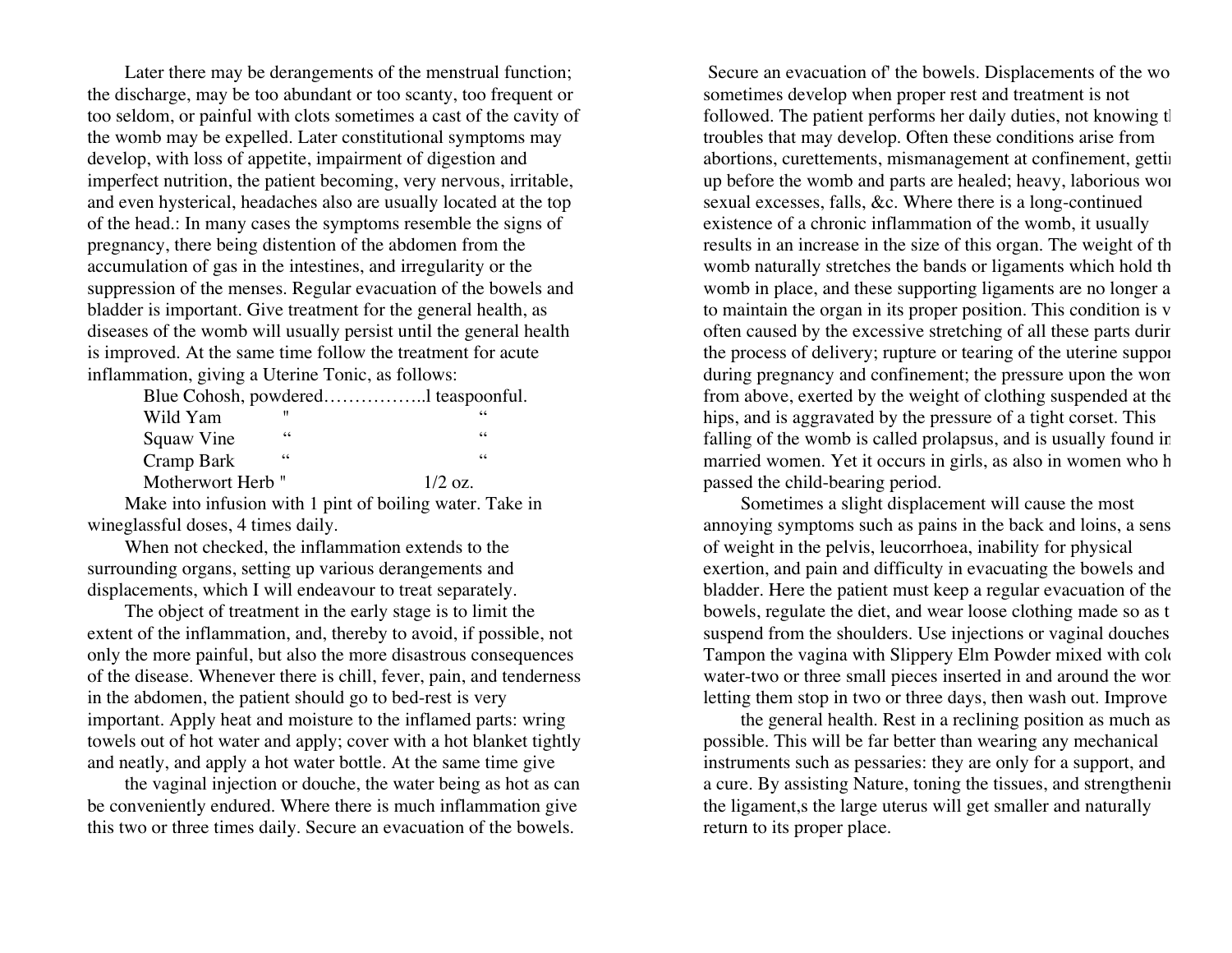Later there may be derangements of the menstrual function; the discharge, may be too abundant or too scanty, too frequent or too seldom, or painful with clots sometimes a cast of the cavity of the womb may be expelled. Later constitutional symptoms may develop, with loss of appetite, impairment of digestion and imperfect nutrition, the patient becoming, very nervous, irritable, and even hysterical, headaches also are usually located at the top of the head.: In many cases the symptoms resemble the signs of pregnancy, there being distention of the abdomen from the accumulation of gas in the intestines, and irregularity or the suppression of the menses. Regular evacuation of the bowels and bladder is important. Give treatment for the general health, as diseases of the womb will usually persist until the general health is improved. At the same time follow the treatment for acute inflammation, giving a Uterine Tonic, as follows:

| Wild Yam          | "  | 66        |
|-------------------|----|-----------|
| Squaw Vine        | 66 | 66        |
| Cramp Bark        | 66 | 66        |
| Motherwort Herb " |    | $1/2$ oz. |

Make into infusion with 1 pint of boiling water. Take in wineglassful doses, 4 times daily.

When not checked, the inflammation extends to the surrounding organs, setting up various derangements and displacements, which I will endeavour to treat separately.

 The object of treatment in the early stage is to limit the extent of the inflammation, and, thereby to avoid, if possible, not only the more painful, but also the more disastrous consequences of the disease. Whenever there is chill, fever, pain, and tenderness in the abdomen, the patient should go to bed-rest is very important. Apply heat and moisture to the inflamed parts: wring towels out of hot water and apply; cover with a hot blanket tightly and neatly, and apply a hot water bottle. At the same time give

the vaginal injection or douche, the water being as hot as can be conveniently endured. Where there is much inflammation give this two or three times daily. Secure an evacuation of the bowels.

Secure an evacuation of' the bowels. Displacements of the wo sometimes develop when proper rest and treatment is not followed. The patient performs her daily duties, not knowing t h troubles that may develop. Often these conditions arise from abortions, curettements, mismanagement at confinement, getti n up before the womb and parts are healed; heavy, laborious wor sexual excesses, falls, &c. Where there is a long-continued existence of a chronic inflammation of the womb, it usually results in an increase in the size of this organ. The weight of t h womb naturally stretches the bands or ligaments which hold t h womb in place, and these supporting ligaments are no longer a to maintain the organ in its proper position. This condition is v often caused by the excessive stretching of all these parts duri n the process of delivery; rupture or tearing of the uterine suppor during pregnancy and confinement; the pressure upon the wo m from above, exerted by the weight of clothing suspended at th e hips, and is aggravated by the pressure of a tight corset. This falling of the womb is called prolapsus, and is usually found i n married women. Yet it occurs in girls, as also in women who h passed the child-bearing period.

Sometimes a slight displacement will cause the most annoying symptoms such as pains in the back and loins, a sens of weight in the pelvis, leucorrhoea, inability for physical exertion, and pain and difficulty in evacuating the bowels and bladder. Here the patient must keep a regular evacuation of th e bowels, regulate the diet, and wear loose clothing made so as t suspend from the shoulders. Use injections or vaginal douches Tampon the vagina with Slippery Elm Powder mixed with col d water-two or three small pieces inserted in and around the wor letting them stop in two or three days, then wash out. Improve

the general health. Rest in a reclining position as much as possible. This will be far better than wearing any mechanical instruments such as pessaries: they are only for a support, and a cure. By assisting Nature, toning the tissues, and strengtheni n the ligament,s the large uterus will get smaller and naturally return to its proper place.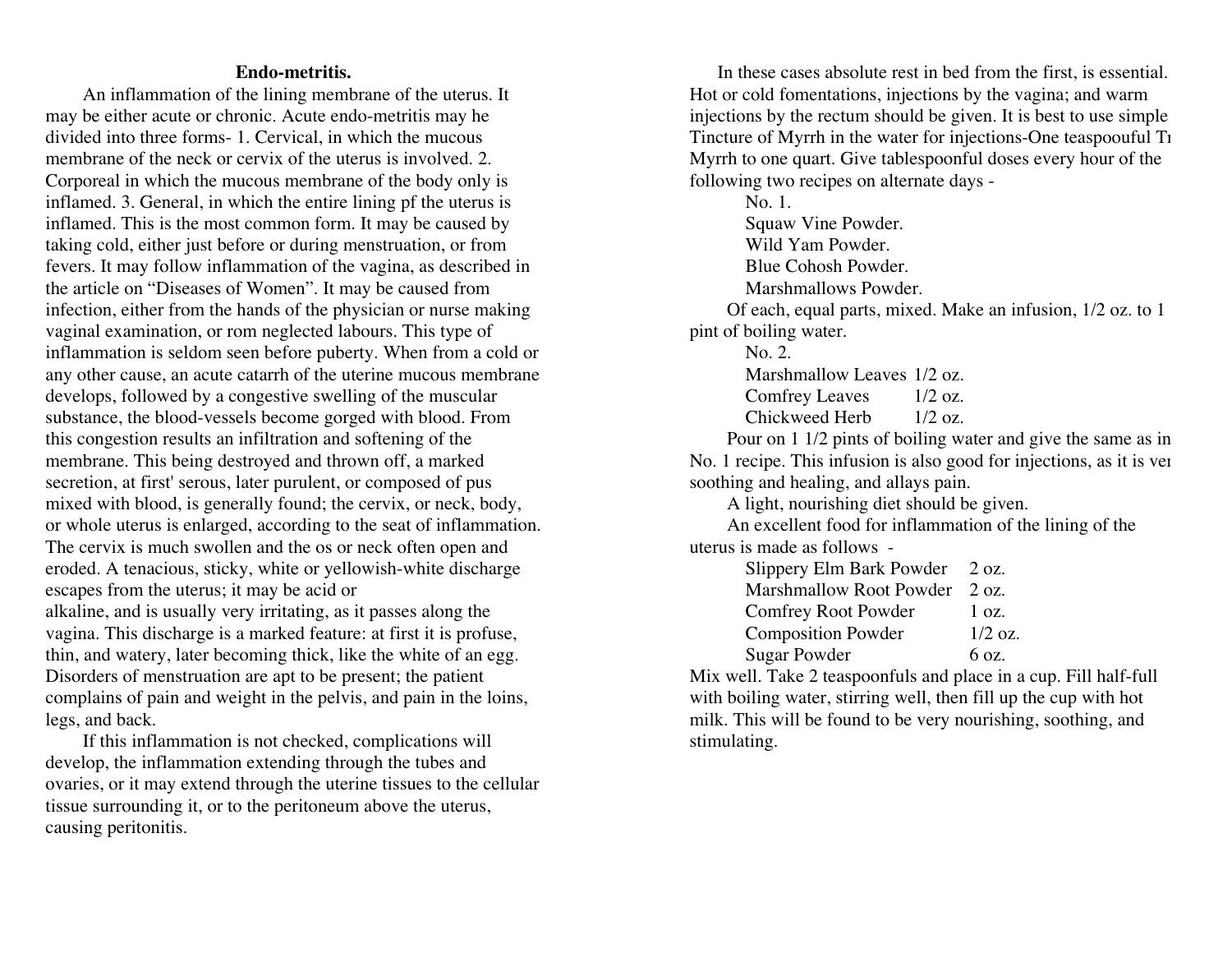## **Endo-metritis.**

An inflammation of the lining membrane of the uterus. It may be either acute or chronic. Acute endo-metritis may he divided into three forms- 1. Cervical, in which the mucous membrane of the neck or cervix of the uterus is involved. 2. Corporeal in which the mucous membrane of the body only is inflamed. 3. General, in which the entire lining pf the uterus is inflamed. This is the most common form. It may be caused by taking cold, either just before or during menstruation, or from fevers. It may follow inflammation of the vagina, as described in the article on "Diseases of Women". It may be caused from infection, either from the hands of the physician or nurse making vaginal examination, or rom neglected labours. This type of inflammation is seldom seen before puberty. When from a cold or any other cause, an acute catarrh of the uterine mucous membrane develops, followed by a congestive swelling of the muscular substance, the blood-vessels become gorged with blood. From this congestion results an infiltration and softening of the membrane. This being destroyed and thrown off, a marked secretion, at first' serous, later purulent, or composed of pus mixed with blood, is generally found; the cervix, or neck, body, or whole uterus is enlarged, according to the seat of inflammation. The cervix is much swollen and the os or neck often open and eroded. A tenacious, sticky, white or yellowish-white discharge escapes from the uterus; it may be acid or alkaline, and is usually very irritating, as it passes along the vagina. This discharge is a marked feature: at first it is profuse, thin, and watery, later becoming thick, like the white of an egg. Disorders of menstruation are apt to be present; the patient complains of pain and weight in the pelvis, and pain in the loins, legs, and back.

If this inflammation is not checked, complications will develop, the inflammation extending through the tubes and ovaries, or it may extend through the uterine tissues to the cellular tissue surrounding it, or to the peritoneum above the uterus, causing peritonitis.

 In these cases absolute rest in bed from the first, is essential. Hot or cold fomentations, injections by the vagina; and warm injections by the rectum should be given. It is best to use simple Tincture of Myrrh in the water for injections-One teaspoouful Tr Myrrh to one quart. Give tablespoonful doses every hour of the following two recipes on alternate days -

No. 1. Squaw Vine Powder. Wild Yam Powder. Blue Cohosh Powder. Marshmallows Powder. Of each, equal parts, mixed. Make an infusion, 1/2 oz. to 1 pint of boiling water. No. 2. Marshmallow Leaves 1/2 oz. Comfrey Leaves 1/2 oz. Chickweed Herb 1/2 oz.

Pour on 1 1/2 pints of boiling water and give the same as i n No. 1 recipe. This infusion is also good for injections, as it is ver soothing and healing, and allays pain.

A light, nourishing diet should be given.

An excellent food for inflammation of the lining of the uterus is made as follows -

| Slippery Elm Bark Powder 2 oz. |                 |
|--------------------------------|-----------------|
| Marshmallow Root Powder 2 oz.  |                 |
| Comfrey Root Powder            | $1 \text{ oz.}$ |
| <b>Composition Powder</b>      | $1/2$ oz.       |
| <b>Sugar Powder</b>            | 6 oz.           |

Mix well. Take 2 teaspoonfuls and place in a cup. Fill half-full with boiling water, stirring well, then fill up the cup with hot milk. This will be found to be very nourishing, soothing, and stimulating.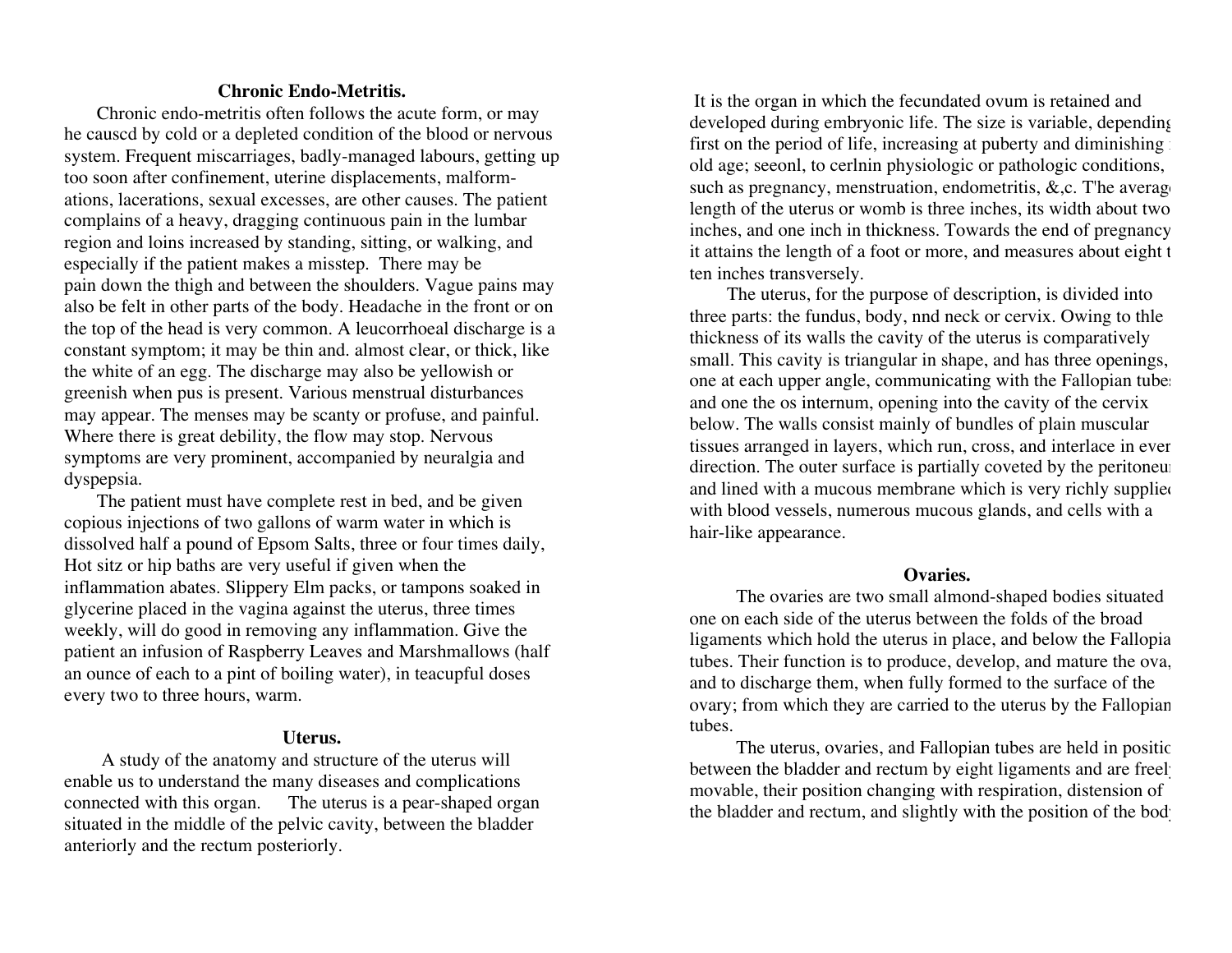#### **Chronic Endo-Metritis.**

 Chronic endo-metritis often follows the acute form, or may he causcd by cold or a depleted condition of the blood or nervous system. Frequent miscarriages, badly-managed labours, getting up too soon after confinement, uterine displacements, malformations, lacerations, sexual excesses, are other causes. The patient complains of a heavy, dragging continuous pain in the lumbar region and loins increased by standing, sitting, or walking, and especially if the patient makes a misstep. There may be pain down the thigh and between the shoulders. Vague pains may also be felt in other parts of the body. Headache in the front or on the top of the head is very common. A leucorrhoeal discharge is a constant symptom; it may be thin and. almost clear, or thick, like the white of an egg. The discharge may also be yellowish or greenish when pus is present. Various menstrual disturbances may appear. The menses may be scanty or profuse, and painful. Where there is great debility, the flow may stop. Nervous symptoms are very prominent, accompanied by neuralgia and dyspepsia.

 The patient must have complete rest in bed, and be given copious injections of two gallons of warm water in which is dissolved half a pound of Epsom Salts, three or four times daily, Hot sitz or hip baths are very useful if given when the inflammation abates. Slippery Elm packs, or tampons soaked in glycerine placed in the vagina against the uterus, three times weekly, will do good in removing any inflammation. Give the patient an infusion of Raspberry Leaves and Marshmallows (half an ounce of each to a pint of boiling water), in teacupful doses every two to three hours, warm.

## **Uterus.**

A study of the anatomy and structure of the uterus will enable us to understand the many diseases and complications connected with this organ. The uterus is a pear-shaped organ situated in the middle of the pelvic cavity, between the bladder anteriorly and the rectum posteriorly.

It is the organ in which the fecundated ovum is retained and developed during embryonic life. The size is variable, dependin g first on the period of life, increasing at puberty and diminishing i old age; seeonl, to cerlnin physiologic or pathologic conditions, such as pregnancy, menstruation, endometritis, &,c. The average length of the uterus or womb is three inches, its width about tw o inches, and one inch in thickness. Towards the end of pregnanc y it attains the length of a foot or more, and measures about eight t ten inches transversely.

The uterus, for the purpose of description, is divided into three parts: the fundus, body, nnd neck or cervix. Owing to thle thickness of its walls the cavity of the uterus is comparatively small. This cavity is triangular in shape, and has three openings, one at each upper angle, communicating with the Fallopian tubes and one the os internum, opening into the cavity of the cervix below. The walls consist mainly of bundles of plain muscular tissues arranged in layers, which run, cross, and interlace in ever direction. The outer surface is partially coveted by the peritoneu m and lined with a mucous membrane which is very richly supplie d with blood vessels, numerous mucous glands, and cells with a hair-like appearance.

#### **Ovaries.**

 The ovaries are two small almond-shaped bodies situated one on each side of the uterus between the folds of the broad ligaments which hold the uterus in place, and below the Fallopi a tubes. Their function is to produce, develop, and mature the ova, and to discharge them, when fully formed to the surface of the ovary; from which they are carried to the uterus by the Fallopia n tubes.

The uterus, ovaries, and Fallopian tubes are held in positic between the bladder and rectum by eight ligaments and are freel movable, their position changing with respiration, distension of the bladder and rectum, and slightly with the position of the bod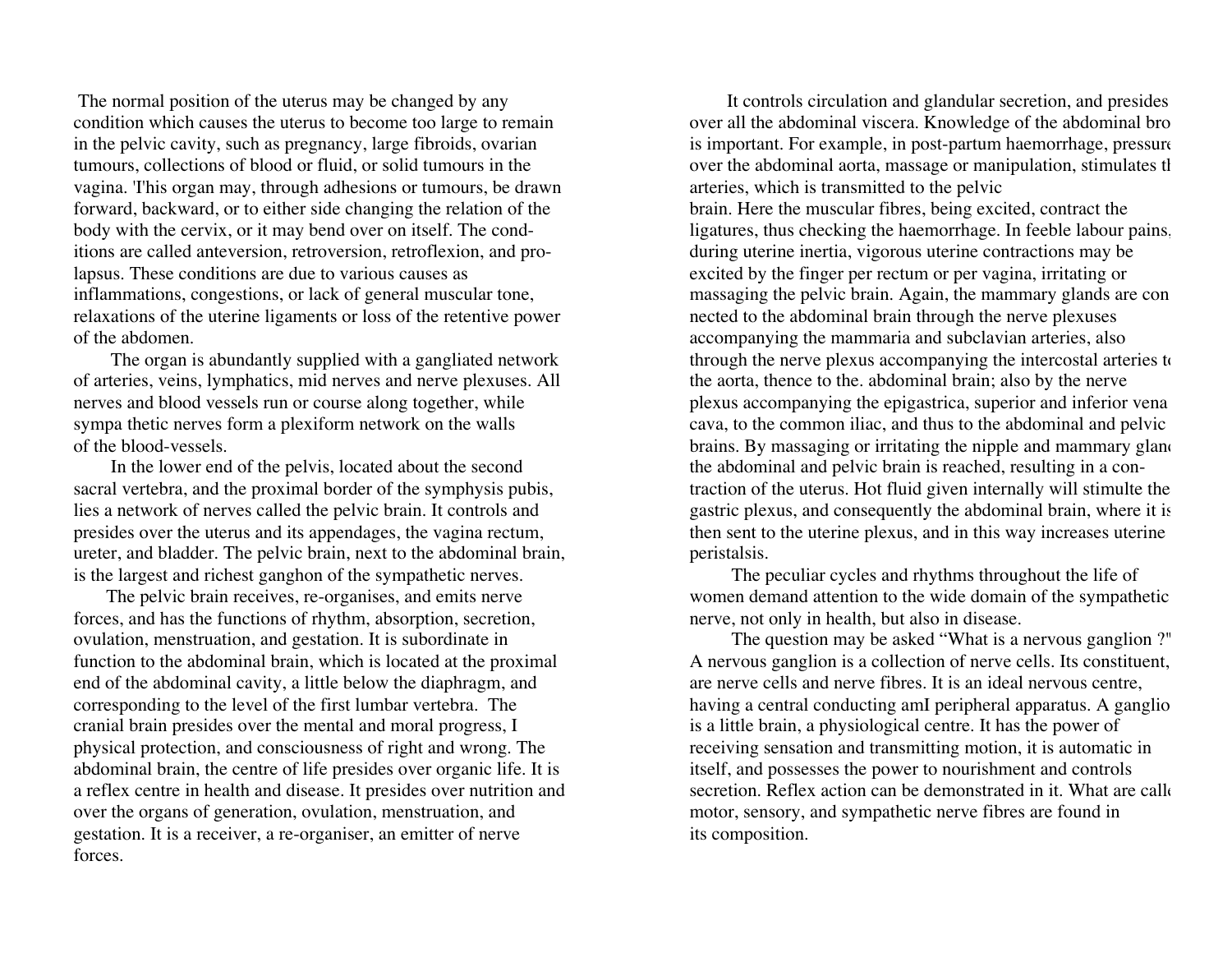The normal position of the uterus may be changed by any condition which causes the uterus to become too large to remain in the pelvic cavity, such as pregnancy, large fibroids, ovarian tumours, collections of blood or fluid, or solid tumours in the vagina. 'I'his organ may, through adhesions or tumours, be drawn forward, backward, or to either side changing the relation of the body with the cervix, or it may bend over on itself. The conditions are called anteversion, retroversion, retroflexion, and prolapsus. These conditions are due to various causes as inflammations, congestions, or lack of general muscular tone, relaxations of the uterine ligaments or loss of the retentive power of the abdomen.

 The organ is abundantly supplied with a gangliated network of arteries, veins, lymphatics, mid nerves and nerve plexuses. All nerves and blood vessels run or course along together, while sympa thetic nerves form a plexiform network on the walls of the blood-vessels.

 In the lower end of the pelvis, located about the second sacral vertebra, and the proximal border of the symphysis pubis, lies a network of nerves called the pelvic brain. It controls and presides over the uterus and its appendages, the vagina rectum, ureter, and bladder. The pelvic brain, next to the abdominal brain, is the largest and richest ganghon of the sympathetic nerves.

 The pelvic brain receives, re-organises, and emits nerve forces, and has the functions of rhythm, absorption, secretion, ovulation, menstruation, and gestation. It is subordinate in function to the abdominal brain, which is located at the proximal end of the abdominal cavity, a little below the diaphragm, and corresponding to the level of the first lumbar vertebra. The cranial brain presides over the mental and moral progress, I physical protection, and consciousness of right and wrong. The abdominal brain, the centre of life presides over organic life. It is a reflex centre in health and disease. It presides over nutrition and over the organs of generation, ovulation, menstruation, and gestation. It is a receiver, a re-organiser, an emitter of nerve forces.

It controls circulation and glandular secretion, and presides over all the abdominal viscera. Knowledge of the abdominal bro is important. For example, in post-partum haemorrhage, pressure over the abdominal aorta, massage or manipulation, stimulates th arteries, which is transmitted to the pelvic brain. Here the muscular fibres, being excited, contract the ligatures, thus checking the haemorrhage. In feeble labour pains, during uterine inertia, vigorous uterine contractions may be excited by the finger per rectum or per vagina, irritating or massaging the pelvic brain. Again, the mammary glands are con nected to the abdominal brain through the nerve plexuses accompanying the mammaria and subclavian arteries, also through the nerve plexus accompanying the intercostal arteries to the aorta, thence to the. abdominal brain; also by the nerve plexus accompanying the epigastrica, superior and inferior vena cava, to the common iliac, and thus to the abdominal and pelvic brains. By massaging or irritating the nipple and mammary gland the abdominal and pelvic brain is reached, resulting in a contraction of the uterus. Hot fluid given internally will stimulte the gastric plexus, and consequently the abdominal brain, where it is then sent to the uterine plexus, and in this way increases uterine peristalsis.

 The peculiar cycles and rhythms throughout the life of women demand attention to the wide domain of the sympathetic nerve, not only in health, but also in disease.

 The question may be asked "What is a nervous ganglion ?" A nervous ganglion is a collection of nerve cells. Its constituent, are nerve cells and nerve fibres. It is an ideal nervous centre, having a central conducting amI peripheral apparatus. A ganglio is a little brain, a physiological centre. It has the power of receiving sensation and transmitting motion, it is automatic in itself, and possesses the power to nourishment and controls secretion. Reflex action can be demonstrated in it. What are called motor, sensory, and sympathetic nerve fibres are found in its composition.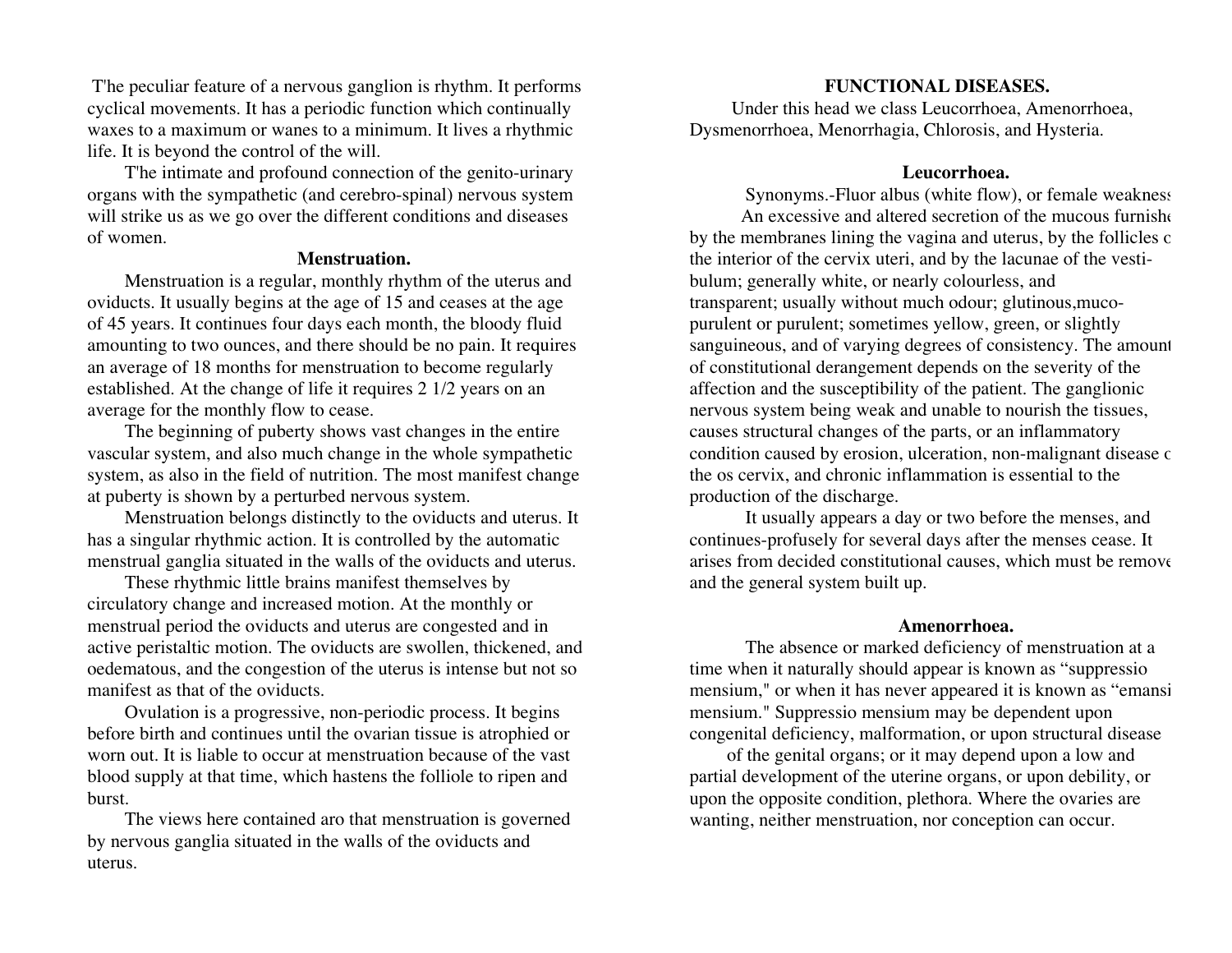T'he peculiar feature of a nervous ganglion is rhythm. It performs cyclical movements. It has a periodic function which continually waxes to a maximum or wanes to a minimum. It lives a rhythmic life. It is beyond the control of the will.

T'he intimate and profound connection of the genito-urinary organs with the sympathetic (and cerebro-spinal) nervous system will strike us as we go over the different conditions and diseases of women.

#### **Menstruation.**

Menstruation is a regular, monthly rhythm of the uterus and oviducts. It usually begins at the age of 15 and ceases at the age of 45 years. It continues four days each month, the bloody fluid amounting to two ounces, and there should be no pain. It requires an average of 18 months for menstruation to become regularly established. At the change of life it requires 2 1/2 years on an average for the monthly flow to cease.

The beginning of puberty shows vast changes in the entire vascular system, and also much change in the whole sympathetic system, as also in the field of nutrition. The most manifest change at puberty is shown by a perturbed nervous system.

Menstruation belongs distinctly to the oviducts and uterus. It has a singular rhythmic action. It is controlled by the automatic menstrual ganglia situated in the walls of the oviducts and uterus.

These rhythmic little brains manifest themselves by circulatory change and increased motion. At the monthly or menstrual period the oviducts and uterus are congested and in active peristaltic motion. The oviducts are swollen, thickened, and oedematous, and the congestion of the uterus is intense but not so manifest as that of the oviducts.

Ovulation is a progressive, non-periodic process. It begins before birth and continues until the ovarian tissue is atrophied or worn out. It is liable to occur at menstruation because of the vast blood supply at that time, which hastens the folliole to ripen and burst.

The views here contained aro that menstruation is governed by nervous ganglia situated in the walls of the oviducts and uterus.

## **FUNCTIONAL DISEASES.**

 Under this head we class Leucorrhoea, Amenorrhoea, Dysmenorrhoea, Menorrhagia, Chlorosis, and Hysteria.

#### **Leucorrhoea.**

Synonyms.-Fluor albus (white flow), or female weakness An excessive and altered secretion of the mucous furnish e by the membranes lining the vagina and uterus, by the follicles c the interior of the cervix uteri, and by the lacunae of the vestibulum; generally white, or nearly colourless, and transparent; usually without much odour; glutinous,mucopurulent or purulent; sometimes yellow, green, or slightly sanguineous, and of varying degrees of consistency. The amount of constitutional derangement depends on the severity of the affection and the susceptibility of the patient. The ganglionic nervous system being weak and unable to nourish the tissues, causes structural changes of the parts, or an inflammatory condition caused by erosion, ulceration, non-malignant disease o the os cervix, and chronic inflammation is essential to the production of the discharge.

It usually appears a day or two before the menses, and continues-profusely for several days after the menses cease. It arises from decided constitutional causes, which must be remov e and the general system built up.

#### **Amenorrhoea.**

The absence or marked deficiency of menstruation at a time when it naturally should appear is known as "suppressio mensium," or when it has never appeared it is known as "emansi mensium." Suppressio mensium may be dependent upon congenital deficiency, malformation, or upon structural disease

of the genital organs; or it may depend upon a low and partial development of the uterine organs, or upon debility, or upon the opposite condition, plethora. Where the ovaries are wanting, neither menstruation, nor conception can occur.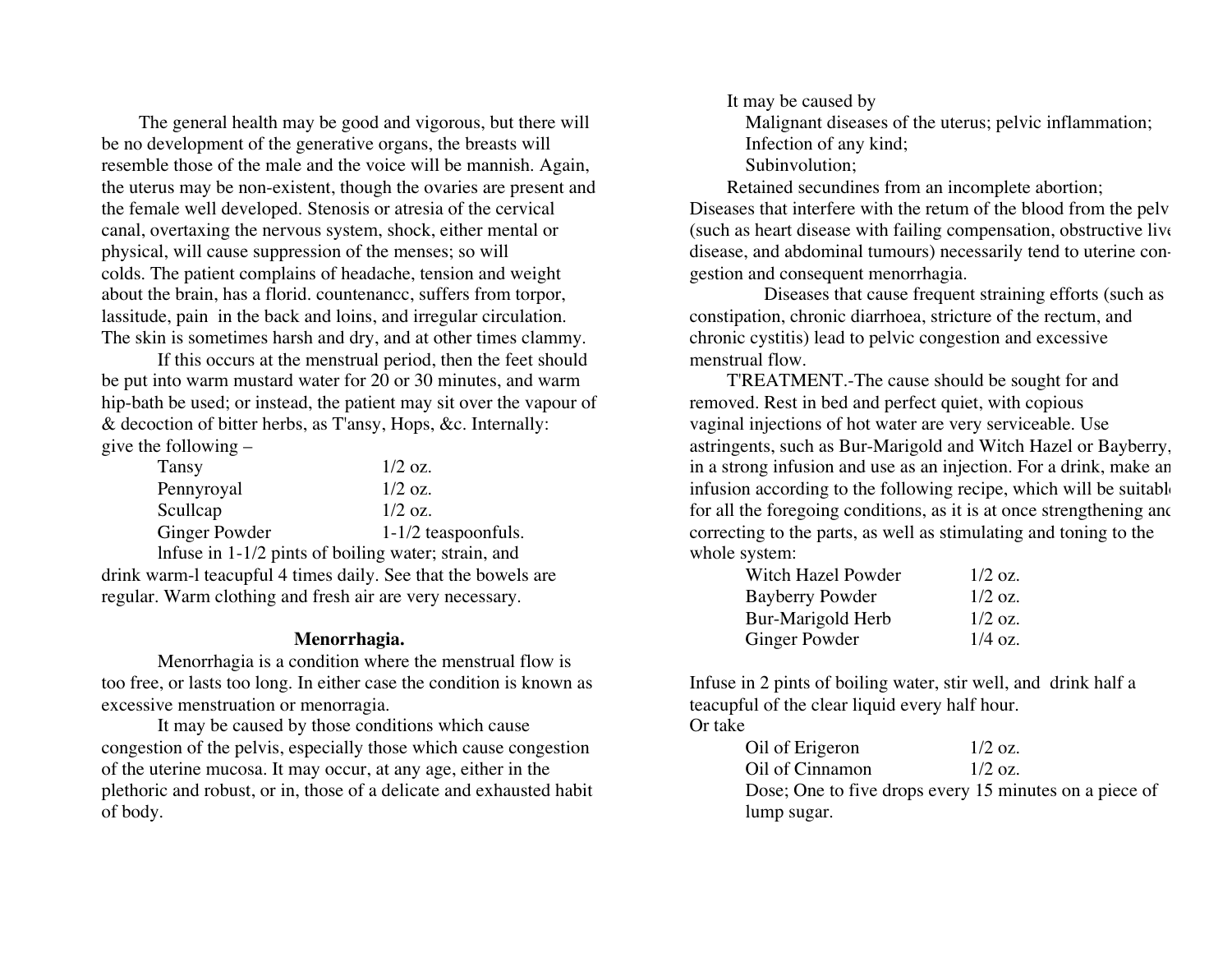The general health may be good and vigorous, but there will be no development of the generative organs, the breasts will resemble those of the male and the voice will be mannish. Again, the uterus may be non-existent, though the ovaries are present and the female well developed. Stenosis or atresia of the cervical canal, overtaxing the nervous system, shock, either mental or physical, will cause suppression of the menses; so will colds. The patient complains of headache, tension and weight about the brain, has a florid. countenancc, suffers from torpor, lassitude, pain in the back and loins, and irregular circulation. The skin is sometimes harsh and dry, and at other times clammy.

If this occurs at the menstrual period, then the feet should be put into warm mustard water for 20 or 30 minutes, and warm hip-bath be used; or instead, the patient may sit over the vapour of & decoction of bitter herbs, as T'ansy, Hops, &c. Internally: give the following –

| Tansy                                                                                                                                                                                                                                                                                                                                                                                                                                                                                      | $1/2$ oz.                                                                                                       |
|--------------------------------------------------------------------------------------------------------------------------------------------------------------------------------------------------------------------------------------------------------------------------------------------------------------------------------------------------------------------------------------------------------------------------------------------------------------------------------------------|-----------------------------------------------------------------------------------------------------------------|
| Pennyroyal                                                                                                                                                                                                                                                                                                                                                                                                                                                                                 | $1/2$ oz.                                                                                                       |
| Scullcap                                                                                                                                                                                                                                                                                                                                                                                                                                                                                   | $1/2$ oz.                                                                                                       |
| <b>Ginger Powder</b>                                                                                                                                                                                                                                                                                                                                                                                                                                                                       | 1-1/2 teaspoonfuls.                                                                                             |
| $\blacksquare$ $\blacksquare$ $\blacksquare$ $\blacksquare$ $\blacksquare$ $\blacksquare$ $\blacksquare$ $\blacksquare$ $\blacksquare$ $\blacksquare$ $\blacksquare$ $\blacksquare$ $\blacksquare$ $\blacksquare$ $\blacksquare$ $\blacksquare$ $\blacksquare$ $\blacksquare$ $\blacksquare$ $\blacksquare$ $\blacksquare$ $\blacksquare$ $\blacksquare$ $\blacksquare$ $\blacksquare$ $\blacksquare$ $\blacksquare$ $\blacksquare$ $\blacksquare$ $\blacksquare$ $\blacksquare$ $\blacks$ | the contract of the contract of the contract of the contract of the contract of the contract of the contract of |

lnfuse in 1-1/2 pints of boiling water; strain, and drink warm-l teacupful 4 times daily. See that the bowels are regular. Warm clothing and fresh air are very necessary.

## **Menorrhagia.**

 Menorrhagia is a condition where the menstrual flow is too free, or lasts too long. In either case the condition is known as excessive menstruation or menorragia.

It may be caused by those conditions which cause congestion of the pelvis, especially those which cause congestion of the uterine mucosa. It may occur, at any age, either in the plethoric and robust, or in, those of a delicate and exhausted habit of body.

It may be caused by

Malignant diseases of the uterus; pelvic inflammation; Infection of any kind;

Subinvolution;

Retained secundines from an incomplete abortion; Diseases that interfere with the retum of the blood from the pelv (such as heart disease with failing compensation, obstructive liv e disease, and abdominal tumours) necessarily tend to uterine congestion and consequent menorrhagia.

 Diseases that cause frequent straining efforts (such as constipation, chronic diarrhoea, stricture of the rectum, and chronic cystitis) lead to pelvic congestion and excessive menstrual flow.

T'REATMENT.-The cause should be sought for and removed. Rest in bed and perfect quiet, with copious vaginal injections of hot water are very serviceable. Use astringents, such as Bur-Marigold and Witch Hazel or Bayberry, in a strong infusion and use as an injection. For a drink, make a n infusion according to the following recipe, which will be suitabl e for all the foregoing conditions, as it is at once strengthening and correcting to the parts, as well as stimulating and toning to the whole system:

| Witch Hazel Powder     | $1/2$ oz. |
|------------------------|-----------|
| <b>Bayberry Powder</b> | $1/2$ oz. |
| Bur-Marigold Herb      | $1/2$ oz. |
| <b>Ginger Powder</b>   | $1/4$ oz. |

Infuse in 2 pints of boiling water, stir well, and drink half a teacupful of the clear liquid every half hour. Or take

| Oil of Erigeron                                        | $1/2$ oz. |
|--------------------------------------------------------|-----------|
| Oil of Cinnamon                                        | $1/2$ oz. |
| Dose; One to five drops every 15 minutes on a piece of |           |
| lump sugar.                                            |           |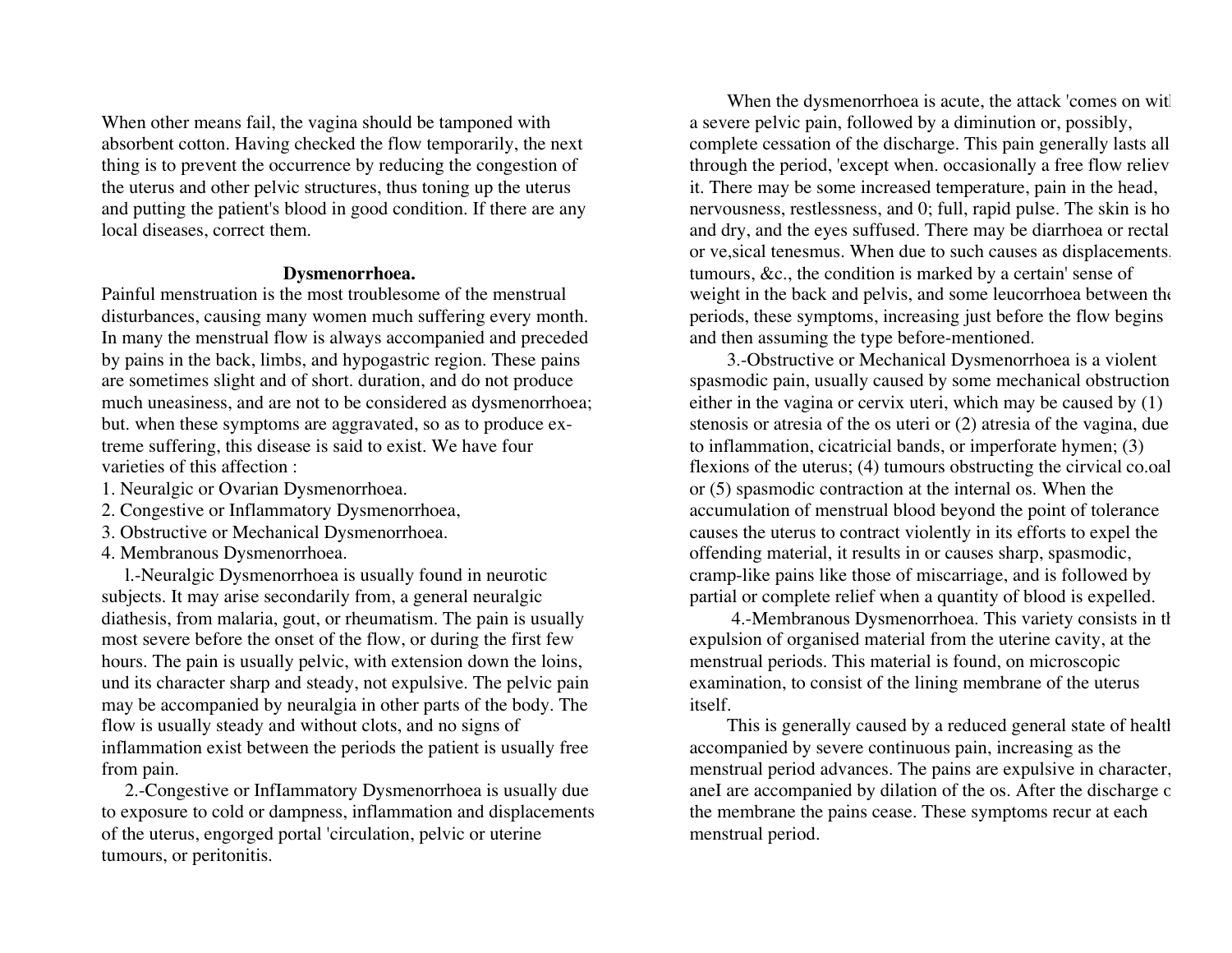When other means fail, the vagina should be tamponed with absorbent cotton. Having checked the flow temporarily, the next thing is to prevent the occurrence by reducing the congestion of the uterus and other pelvic structures, thus toning up the uterus and putting the patient's blood in good condition. If there are any local diseases, correct them.

## **Dysmenorrhoea.**

Painful menstruation is the most troublesome of the menstrual disturbances, causing many women much suffering every month. In many the menstrual flow is always accompanied and preceded by pains in the back, limbs, and hypogastric region. These pains are sometimes slight and of short. duration, and do not produce much uneasiness, and are not to be considered as dysmenorrhoea; but. when these symptoms are aggravated, so as to produce extreme suffering, this disease is said to exist. We have four varieties of this affection :

- 1. Neuralgic or Ovarian Dysmenorrhoea.
- 2. Congestive or Inflammatory Dysmenorrhoea,
- 3. Obstructive or Mechanical Dysmenorrhoea.
- 4. Membranous Dysmenorrhoea.

 l.-Neuralgic Dysmenorrhoea is usually found in neurotic subjects. It may arise secondarily from, a general neuralgic diathesis, from malaria, gout, or rheumatism. The pain is usually most severe before the onset of the flow, or during the first few hours. The pain is usually pelvic, with extension down the loins, und its character sharp and steady, not expulsive. The pelvic pain may be accompanied by neuralgia in other parts of the body. The flow is usually steady and without clots, and no signs of inflammation exist between the periods the patient is usually free from pain.

 2.-Congestive or InfIammatory Dysmenorrhoea is usually due to exposure to cold or dampness, inflammation and displacements of the uterus, engorged portal 'circulation, pelvic or uterine tumours, or peritonitis.

When the dysmenorrhoea is acute, the attack 'comes on with a severe pelvic pain, followed by a diminution or, possibly, complete cessation of the discharge. This pain generally lasts all through the period, 'except when. occasionally a free flow reliev it. There may be some increased temperature, pain in the head, nervousness, restlessness, and 0; full, rapid pulse. The skin is ho and dry, and the eyes suffused. There may be diarrhoea or rectal or ve,sical tenesmus. When due to such causes as displacements, tumours, &c., the condition is marked by a certain' sense of weight in the back and pelvis, and some leucorrhoea between the periods, these symptoms, increasing just before the flow begins and then assuming the type before-mentioned.

3.-Obstructive or Mechanical Dysmenorrhoea is a violent spasmodic pain, usually caused by some mechanical obstruction either in the vagina or cervix uteri, which may be caused by (1) stenosis or atresia of the os uteri or (2) atresia of the vagina, due to inflammation, cicatricial bands, or imperforate hymen; (3) flexions of the uterus; (4) tumours obstructing the cirvical co.oal or (5) spasmodic contraction at the internal os. When the accumulation of menstrual blood beyond the point of tolerance causes the uterus to contract violently in its efforts to expel the offending material, it results in or causes sharp, spasmodic, cramp-like pains like those of miscarriage, and is followed by partial or complete relief when a quantity of blood is expelled.

 4.-Membranous Dysmenorrhoea. This variety consists in th expulsion of organised material from the uterine cavity, at the menstrual periods. This material is found, on microscopic examination, to consist of the lining membrane of the uterus itself.

This is generally caused by a reduced general state of health accompanied by severe continuous pain, increasing as the menstrual period advances. The pains are expulsive in character, aneI are accompanied by dilation of the os. After the discharge c the membrane the pains cease. These symptoms recur at each menstrual period.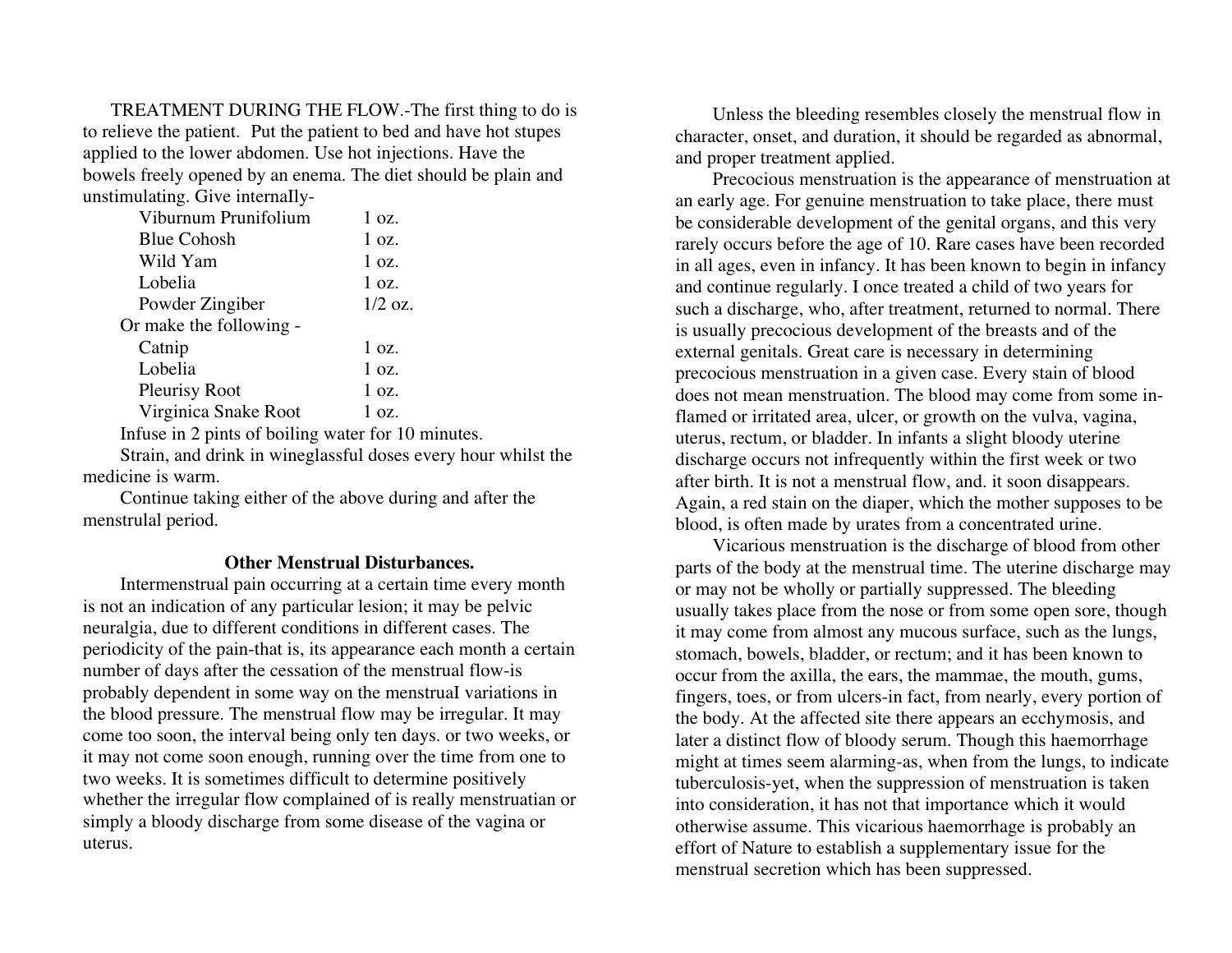TREATMENT DURING THE FLOW.-The first thing to do is to relieve the patient. Put the patient to bed and have hot stupes applied to the lower abdomen. Use hot injections. Have the bowels freely opened by an enema. The diet should be plain and unstimulating. Give internaIly-

| Viburnum Prunifolium    | $1 \Omega$ .    |
|-------------------------|-----------------|
| <b>Blue Cohosh</b>      | $1 \Omega$ .    |
| Wild Yam                | $1 \Omega$ .    |
| Lobelia                 | $1 \Omega$ .    |
| Powder Zingiber         | $1/2$ oz.       |
| Or make the following - |                 |
| Catnip                  | $1 \Omega$ .    |
| Lobelia                 | $1 \text{ oz.}$ |
| <b>Pleurisy Root</b>    | $1 \text{ oz.}$ |
| Virginica Snake Root    | 1 oz.           |

Infuse in 2 pints of boiling water for 10 minutes.

Strain, and drink in wineglassful doses every hour whilst the medicine is warm.

Continue taking either of the above during and after the menstrulal period.

## **Other Menstrual Disturbances.**

Intermenstrual pain occurring at a certain time every month is not an indication of any particular lesion; it may be pelvic neuralgia, due to different conditions in different cases. The periodicity of the pain-that is, its appearance each month a certain number of days after the cessation of the menstrual flow-is probably dependent in some way on the menstruaI variations in the blood pressure. The menstrual flow may be irregular. It may come too soon, the interval being only ten days. or two weeks, or it may not come soon enough, running over the time from one to two weeks. It is sometimes difficult to determine positively whether the irregular flow complained of is really menstruatian or simply a bloody discharge from some disease of the vagina or uterus.

Unless the bleeding resembles closely the menstrual flow in character, onset, and duration, it should be regarded as abnormal, and proper treatment applied.

Precocious menstruation is the appearance of menstruation at an early age. For genuine menstruation to take place, there must be considerable development of the genital organs, and this very rarely occurs before the age of 10. Rare cases have been recorded in all ages, even in infancy. It has been known to begin in infancy and continue regularly. I once treated a child of two years for such a discharge, who, after treatment, returned to normal. There is usually precocious development of the breasts and of the external genitals. Great care is necessary in determining precocious menstruation in a given case. Every stain of blood does not mean menstruation. The blood may come from some inflamed or irritated area, ulcer, or growth on the vulva, vagina, uterus, rectum, or bladder. In infants a slight bloody uterine discharge occurs not infrequently within the first week or two after birth. It is not a menstrual flow, and. it soon disappears. Again, a red stain on the diaper, which the mother supposes to be blood, is often made by urates from a concentrated urine.

Vicarious menstruation is the discharge of blood from other parts of the body at the menstrual time. The uterine discharge ma y or may not be wholly or partially suppressed. The bleeding usually takes place from the nose or from some open sore, though it may come from almost any mucous surface, such as the lungs, stomach, bowels, bladder, or rectum; and it has been known to occur from the axilla, the ears, the mammae, the mouth, gums, fingers, toes, or from ulcers-in fact, from nearly, every portion of the body. At the affected site there appears an ecchymosis, and later a distinct flow of bloody serum. Though this haemorrhage might at times seem alarming-as, when from the lungs, to indicate tuberculosis-yet, when the suppression of menstruation is taken into consideration, it has not that importance which it would otherwise assume. This vicarious haemorrhage is probably an effort of Nature to establish a supplementary issue for the menstrual secretion which has been suppressed.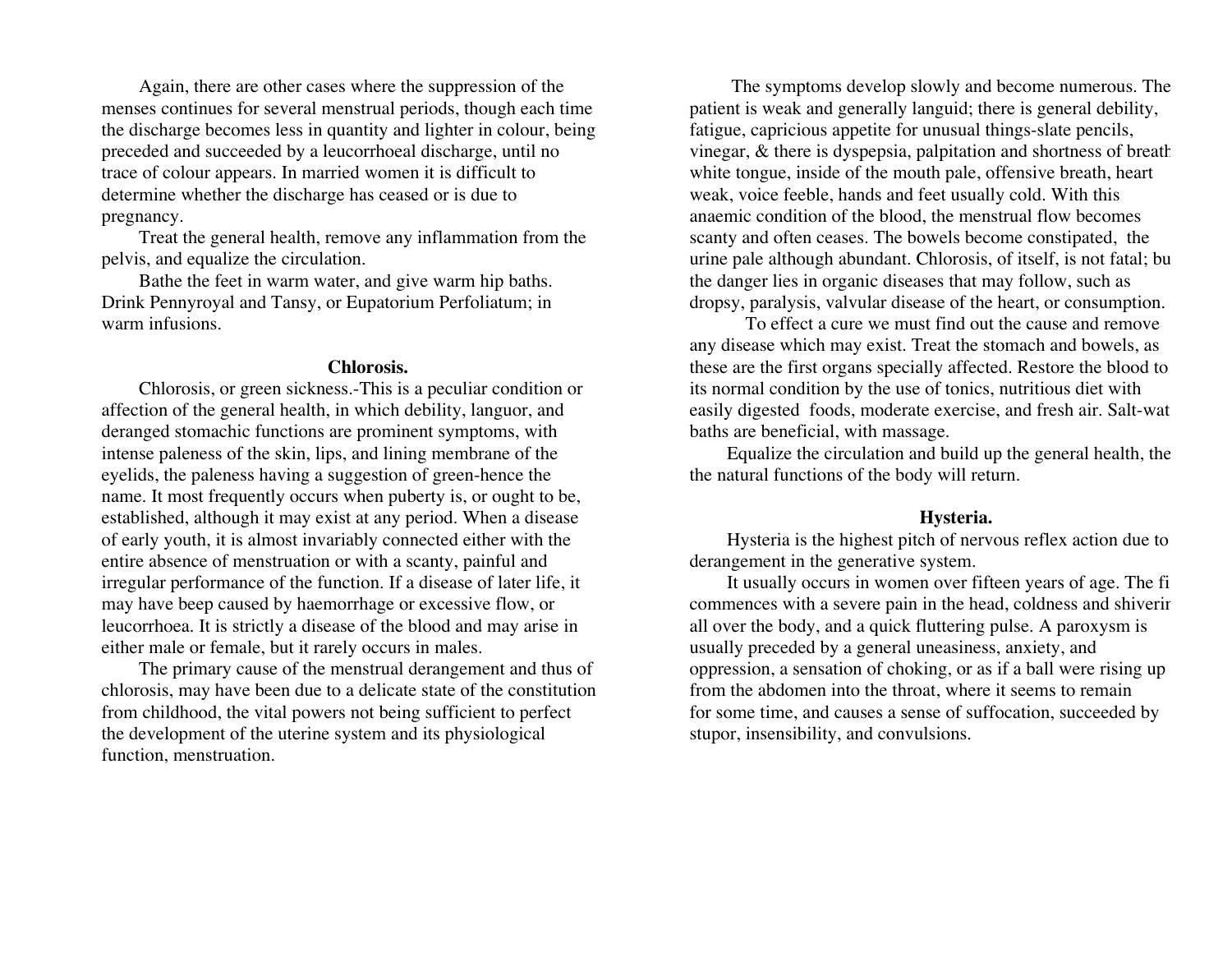Again, there are other cases where the suppression of the menses continues for several menstrual periods, though each time the discharge becomes less in quantity and lighter in colour, being preceded and succeeded by a leucorrhoeal discharge, until no trace of colour appears. In married women it is difficult to determine whether the discharge has ceased or is due to pregnancy.

Treat the general health, remove any inflammation from the pelvis, and equalize the circulation.

Bathe the feet in warm water, and give warm hip baths. Drink Pennyroyal and Tansy, or Eupatorium Perfoliatum; in warm infusions.

#### **Chlorosis.**

Chlorosis, or green sickness.-This is a peculiar condition or affection of the general health, in which debility, languor, and deranged stomachic functions are prominent symptoms, with intense paleness of the skin, lips, and lining membrane of the eyelids, the paleness having a suggestion of green-hence the name. It most frequently occurs when puberty is, or ought to be, established, although it may exist at any period. When a disease of early youth, it is almost invariably connected either with the entire absence of menstruation or with a scanty, painful and irregular performance of the function. If a disease of later life, it may have beep caused by haemorrhage or excessive flow, or leucorrhoea. It is strictly a disease of the blood and may arise in either male or female, but it rarely occurs in males.

The primary cause of the menstrual derangement and thus of chlorosis, may have been due to a delicate state of the constitution from childhood, the vital powers not being sufficient to perfect the development of the uterine system and its physiological function, menstruation.

 The symptoms develop slowly and become numerous. The patient is weak and generally languid; there is general debility, fatigue, capricious appetite for unusual things-slate pencils, vinegar, & there is dyspepsia, palpitation and shortness of breath white tongue, inside of the mouth pale, offensive breath, heart weak, voice feeble, hands and feet usually cold. With this anaemic condition of the blood, the menstrual flow becomes scanty and often ceases. The bowels become constipated, the urine pale although abundant. Chlorosis, of itself, is not fatal; bu the danger lies in organic diseases that may follow, such as dropsy, paralysis, valvular disease of the heart, or consumption.

To effect a cure we must find out the cause and remove any disease which may exist. Treat the stomach and bowels, as these are the first organs specially affected. Restore the blood to its normal condition by the use of tonics, nutritious diet with easily digested foods, moderate exercise, and fresh air. Salt-wat baths are beneficial, with massage.

Equalize the circulation and build up the general health, the the natural functions of the body will return.

#### **Hysteria.**

Hysteria is the highest pitch of nervous reflex action due to derangement in the generative system.

It usually occurs in women over fifteen years of age. The fi commences with a severe pain in the head, coldness and shiverin all over the body, and a quick fluttering pulse. A paroxysm is usually preceded by a general uneasiness, anxiety, and oppression, a sensation of choking, or as if a ball were rising up from the abdomen into the throat, where it seems to remain for some time, and causes a sense of suffocation, succeeded by stupor, insensibility, and convulsions.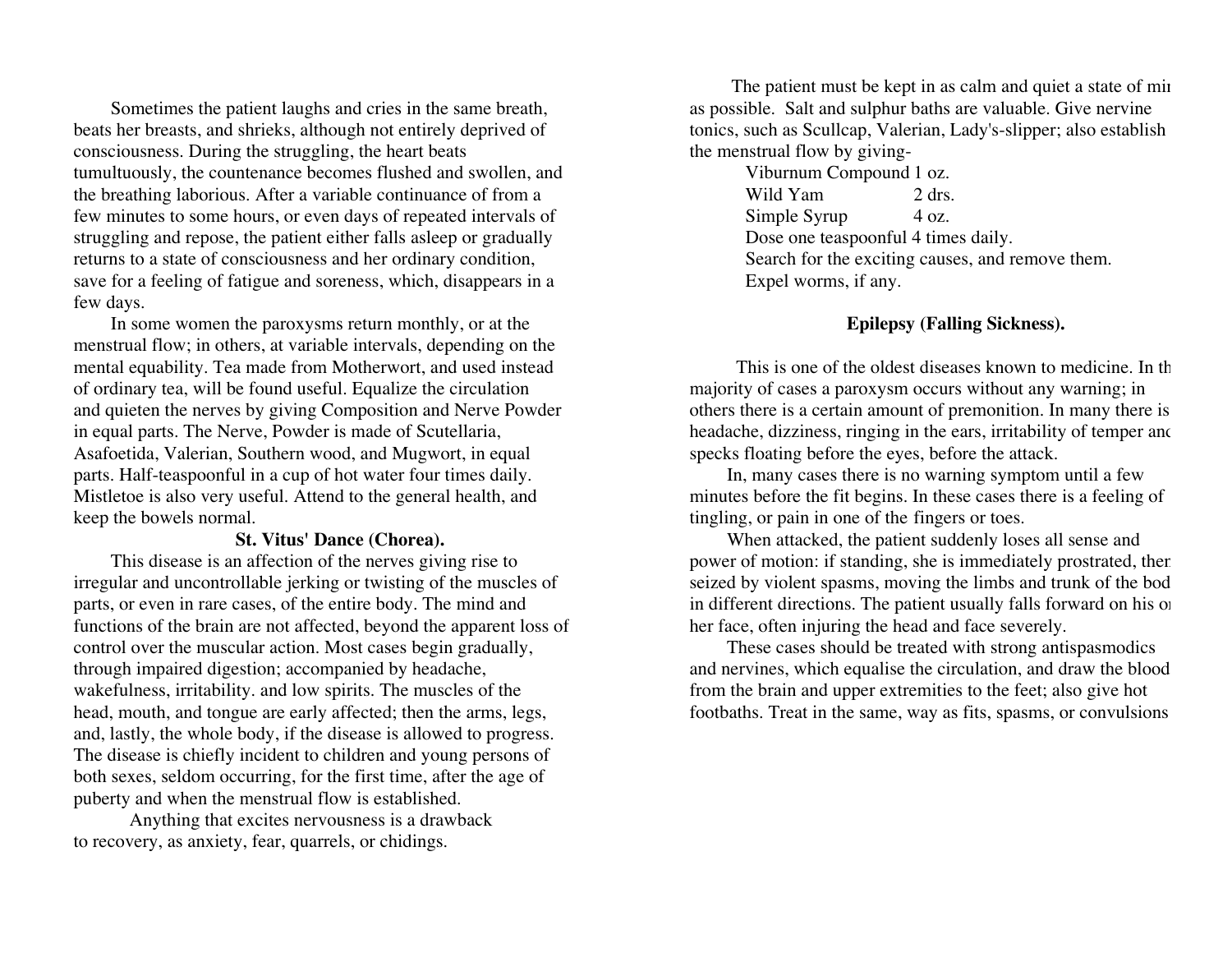Sometimes the patient laughs and cries in the same breath, beats her breasts, and shrieks, although not entirely deprived of consciousness. During the struggling, the heart beats tumultuously, the countenance becomes flushed and swollen, and the breathing laborious. After a variable continuance of from a few minutes to some hours, or even days of repeated intervals of struggling and repose, the patient either falls asleep or gradually returns to a state of consciousness and her ordinary condition, save for a feeling of fatigue and soreness, which, disappears in a few days.

In some women the paroxysms return monthly, or at the menstrual flow; in others, at variable intervals, depending on the mental equability. Tea made from Motherwort, and used instead of ordinary tea, will be found useful. Equalize the circulation and quieten the nerves by giving Composition and Nerve Powder in equal parts. The Nerve, Powder is made of Scutellaria, Asafoetida, Valerian, Southern wood, and Mugwort, in equal parts. Half-teaspoonful in a cup of hot water four times daily. Mistletoe is also very useful. Attend to the general health, and keep the bowels normal.

## **St. Vitus' Dance (Chorea).**

This disease is an affection of the nerves giving rise to irregular and uncontrollable jerking or twisting of the muscles of parts, or even in rare cases, of the entire body. The mind and functions of the brain are not affected, beyond the apparent loss of control over the muscular action. Most cases begin gradually, through impaired digestion; accompanied by headache, wakefulness, irritability. and low spirits. The muscles of the head, mouth, and tongue are early affected; then the arms, legs, and, lastly, the whole body, if the disease is allowed to progress. The disease is chiefly incident to children and young persons of both sexes, seldom occurring, for the first time, after the age of puberty and when the menstrual flow is established.

Anything that excites nervousness is a drawback to recovery, as anxiety, fear, quarrels, or chidings.

The patient must be kept in as calm and quiet a state of min as possible. Salt and sulphur baths are valuable. Give nervine tonics, such as Scullcap, Valerian, Lady's-slipper; also establish the menstrual flow by giving-

> Viburnum Compound 1 oz. Wild Yam 2 drs. Simple Syrup 4 oz. Dose one teaspoonful 4 times daily. Search for the exciting causes, and remove them. Expel worms, if any.

## **Epilepsy (Falling Sickness).**

 This is one of the oldest diseases known to medicine. In th majority of cases a paroxysm occurs without any warning; in others there is a certain amount of premonition. In many there is headache, dizziness, ringing in the ears, irritability of temper and specks floating before the eyes, before the attack.

In, many cases there is no warning symptom until a few minutes before the fit begins. In these cases there is a feeling of tingling, or pain in one of the fingers or toes.

When attacked, the patient suddenly loses all sense and power of motion: if standing, she is immediately prostrated, then seized by violent spasms, moving the limbs and trunk of the bod in different directions. The patient usually falls forward on his or her face, often injuring the head and face severely.

These cases should be treated with strong antispasmodics and nervines, which equalise the circulation, and draw the blood from the brain and upper extremities to the feet; also give hot footbaths. Treat in the same, way as fits, spasms, or convulsions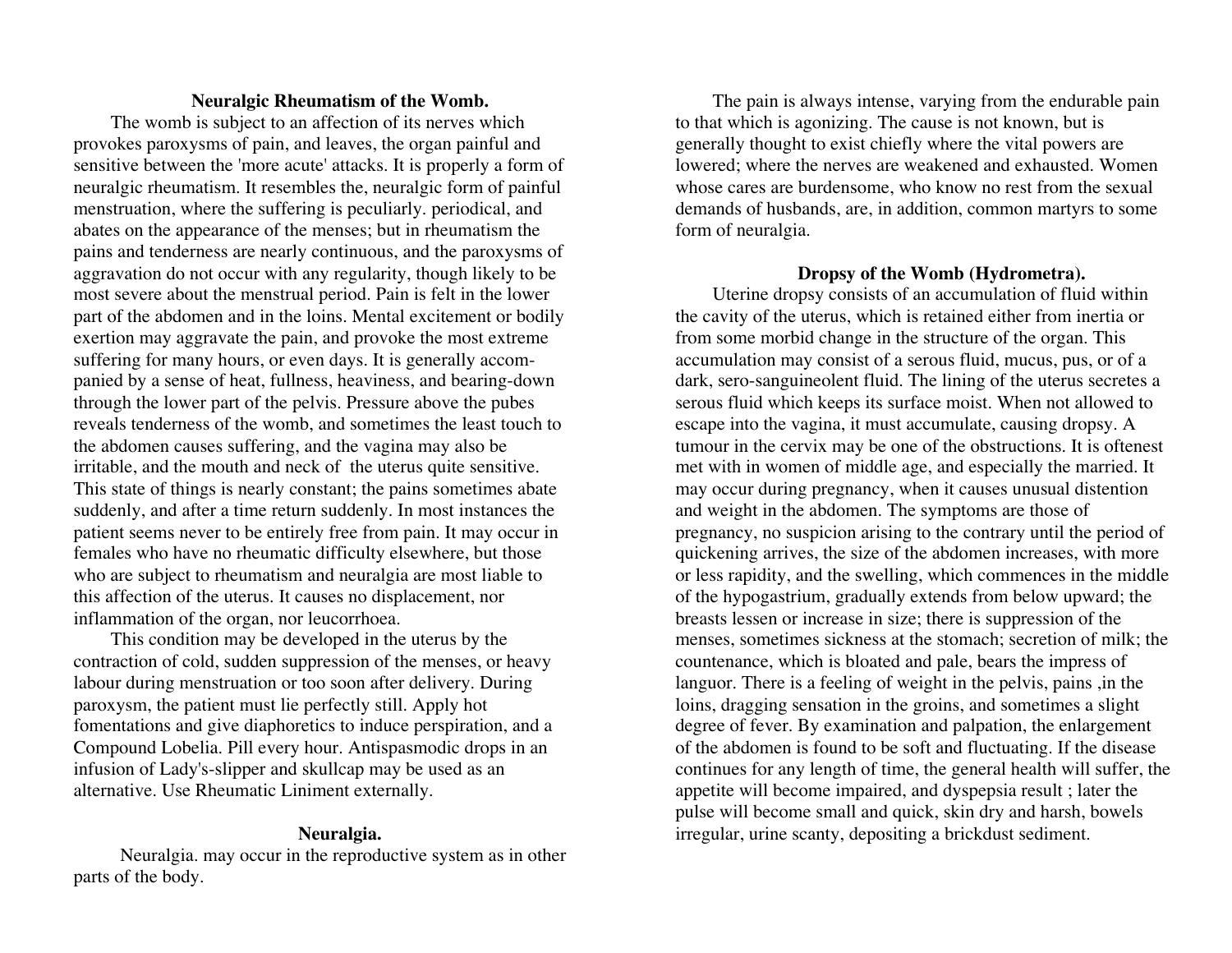## **Neuralgic Rheumatism of the Womb.**

The womb is subject to an affection of its nerves which provokes paroxysms of pain, and leaves, the organ painful and sensitive between the 'more acute' attacks. It is properly a form of neuralgic rheumatism. It resembles the, neuralgic form of painful menstruation, where the suffering is peculiarly. periodical, and abates on the appearance of the menses; but in rheumatism the pains and tenderness are nearly continuous, and the paroxysms of aggravation do not occur with any regularity, though likely to be most severe about the menstrual period. Pain is felt in the lower part of the abdomen and in the loins. Mental excitement or bodily exertion may aggravate the pain, and provoke the most extreme suffering for many hours, or even days. It is generally accompanied by a sense of heat, fullness, heaviness, and bearing-down through the lower part of the pelvis. Pressure above the pubes reveals tenderness of the womb, and sometimes the least touch to the abdomen causes suffering, and the vagina may also be irritable, and the mouth and neck of the uterus quite sensitive. This state of things is nearly constant; the pains sometimes abate suddenly, and after a time return suddenly. In most instances the patient seems never to be entirely free from pain. It may occur in females who have no rheumatic difficulty elsewhere, but those who are subject to rheumatism and neuralgia are most liable to this affection of the uterus. It causes no displacement, nor inflammation of the organ, nor leucorrhoea.

This condition may be developed in the uterus by the contraction of cold, sudden suppression of the menses, or heavy labour during menstruation or too soon after delivery. During paroxysm, the patient must lie perfectly still. Apply hot fomentations and give diaphoretics to induce perspiration, and a Compound Lobelia. Pill every hour. Antispasmodic drops in an infusion of Lady's-slipper and skullcap may be used as an alternative. Use Rheumatic Liniment externally.

## **Neuralgia.**

 Neuralgia. may occur in the reproductive system as in other parts of the body.

The pain is always intense, varying from the endurable pain to that which is agonizing. The cause is not known, but is generally thought to exist chiefly where the vital powers are lowered; where the nerves are weakened and exhausted. Women whose cares are burdensome, who know no rest from the sexual demands of husbands, are, in addition, common martyrs to some form of neuralgia.

## **Dropsy of the Womb (Hydrometra).**

Uterine dropsy consists of an accumulation of fluid within the cavity of the uterus, which is retained either from inertia or from some morbid change in the structure of the organ. This accumulation may consist of a serous fluid, mucus, pus, or of a dark, sero-sanguineolent fluid. The lining of the uterus secretes a serous fluid which keeps its surface moist. When not allowed to escape into the vagina, it must accumulate, causing dropsy. A tumour in the cervix may be one of the obstructions. It is oftenest met with in women of middle age, and especially the married. It may occur during pregnancy, when it causes unusual distention and weight in the abdomen. The symptoms are those of pregnancy, no suspicion arising to the contrary until the period of quickening arrives, the size of the abdomen increases, with more or less rapidity, and the swelling, which commences in the middle of the hypogastrium, gradually extends from below upward; the breasts lessen or increase in size; there is suppression of the menses, sometimes sickness at the stomach; secretion of milk; the countenance, which is bloated and pale, bears the impress of languor. There is a feeling of weight in the pelvis, pains ,in the loins, dragging sensation in the groins, and sometimes a slight degree of fever. By examination and palpation, the enlargement of the abdomen is found to be soft and fluctuating. If the disease continues for any length of time, the general health will suffer, the appetite will become impaired, and dyspepsia result ; later the pulse will become small and quick, skin dry and harsh, bowels irregular, urine scanty, depositing a brickdust sediment.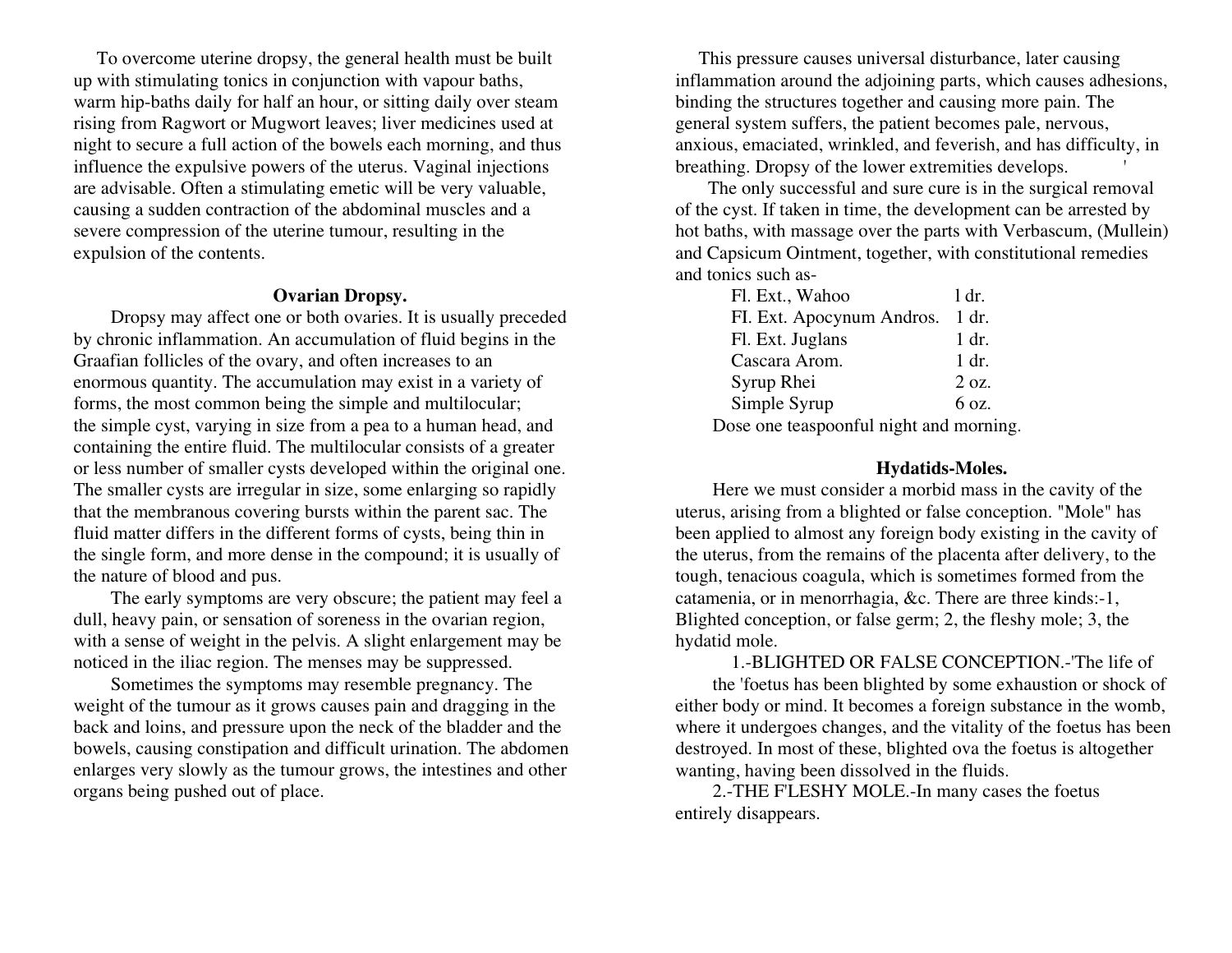To overcome uterine dropsy, the general health must be built up with stimulating tonics in conjunction with vapour baths, warm hip-baths daily for half an hour, or sitting daily over steam rising from Ragwort or Mugwort leaves; liver medicines used at night to secure a full action of the bowels each morning, and thus influence the expulsive powers of the uterus. Vaginal injections are advisable. Often a stimulating emetic will be very valuable, causing a sudden contraction of the abdominal muscles and a severe compression of the uterine tumour, resulting in the expulsion of the contents.

## **Ovarian Dropsy.**

Dropsy may affect one or both ovaries. It is usually preceded by chronic inflammation. An accumulation of fluid begins in the Graafian follicles of the ovary, and often increases to an enormous quantity. The accumulation may exist in a variety of forms, the most common being the simple and multilocular; the simple cyst, varying in size from a pea to a human head, and containing the entire fluid. The multilocular consists of a greater or less number of smaller cysts developed within the original one. The smaller cysts are irregular in size, some enlarging so rapidly that the membranous covering bursts within the parent sac. The fluid matter differs in the different forms of cysts, being thin in the single form, and more dense in the compound; it is usually of the nature of blood and pus.

The early symptoms are very obscure; the patient may feel a dull, heavy pain, or sensation of soreness in the ovarian region, with a sense of weight in the pelvis. A slight enlargement may be noticed in the iliac region. The menses may be suppressed.

Sometimes the symptoms may resemble pregnancy. The weight of the tumour as it grows causes pain and dragging in the back and loins, and pressure upon the neck of the bladder and the bowels, causing constipation and difficult urination. The abdomen enlarges very slowly as the tumour grows, the intestines and other organs being pushed out of place.

 This pressure causes universal disturbance, later causing inflammation around the adjoining parts, which causes adhesions, binding the structures together and causing more pain. The general system suffers, the patient becomes pale, nervous, anxious, emaciated, wrinkled, and feverish, and has difficulty, in breathing. Dropsy of the lower extremities develops. '

 The only successful and sure cure is in the surgical removal of the cyst. If taken in time, the development can be arrested by hot baths, with massage over the parts with Verbascum, (Mullein) and Capsicum Ointment, together, with constitutional remedies and tonics such as-

| Fl. Ext., Wahoo                     | 1 dr.           |
|-------------------------------------|-----------------|
| FI. Ext. Apocynum Andros.           | 1 dr.           |
| Fl. Ext. Juglans                    | 1 dr.           |
| Cascara Arom.                       | $1 dr$ .        |
| Syrup Rhei                          | $2 \text{ oz.}$ |
| Simple Syrup                        | 6 oz.           |
| ass are toograpping night and mount |                 |

Dose one teaspoonful night and morning.

#### **Hydatids-Moles.**

Here we must consider a morbid mass in the cavity of the uterus, arising from a blighted or false conception. "Mole" has been applied to almost any foreign body existing in the cavity of the uterus, from the remains of the placenta after delivery, to the tough, tenacious coagula, which is sometimes formed from the catamenia, or in menorrhagia, &c. There are three kinds:-1, Blighted conception, or false germ; 2, the fleshy mole; 3, the hydatid mole.

#### 1.-BLIGHTED OR FALSE CONCEPTION.-'The life of

the 'foetus has been blighted by some exhaustion or shock of either body or mind. It becomes a foreign substance in the womb, where it undergoes changes, and the vitality of the foetus has bee n destroyed. In most of these, blighted ova the foetus is altogether wanting, having been dissolved in the fluids.

2.-THE F'LESHY MOLE.-In many cases the foetus entirely disappears.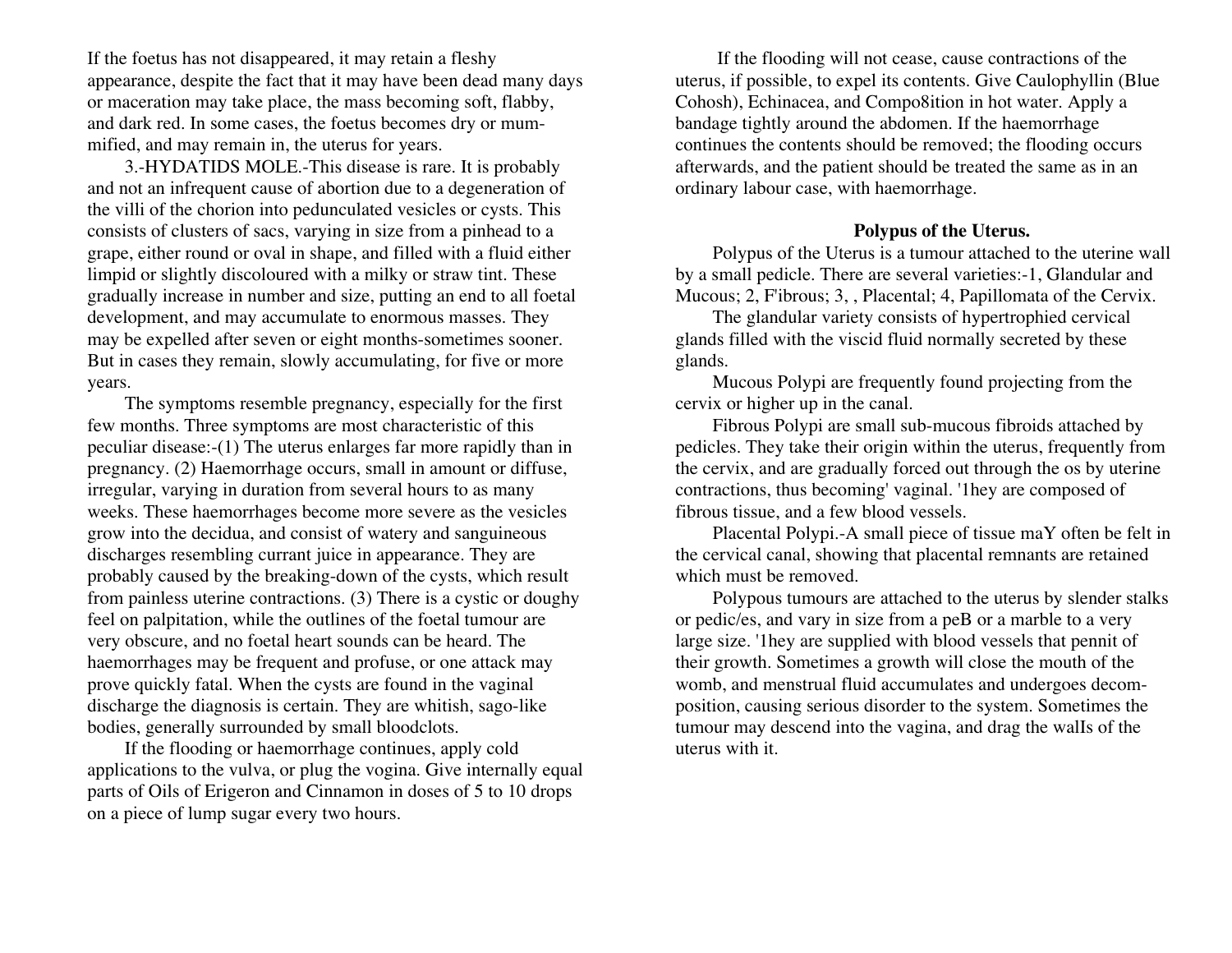If the foetus has not disappeared, it may retain a fleshy appearance, despite the fact that it may have been dead many days or maceration may take place, the mass becoming soft, flabby, and dark red. In some cases, the foetus becomes dry or mummified, and may remain in, the uterus for years.

3.-HYDATIDS MOLE.-This disease is rare. It is probably and not an infrequent cause of abortion due to a degeneration of the villi of the chorion into pedunculated vesicles or cysts. This consists of clusters of sacs, varying in size from a pinhead to a grape, either round or oval in shape, and filled with a fluid either limpid or slightly discoloured with a milky or straw tint. These gradually increase in number and size, putting an end to all foetal development, and may accumulate to enormous masses. They may be expelled after seven or eight months-sometimes sooner. But in cases they remain, slowly accumulating, for five or more years.

The symptoms resemble pregnancy, especially for the first few months. Three symptoms are most characteristic of this peculiar disease:-(1) The uterus enlarges far more rapidly than in pregnancy. (2) Haemorrhage occurs, small in amount or diffuse, irregular, varying in duration from several hours to as many weeks. These haemorrhages become more severe as the vesicles grow into the decidua, and consist of watery and sanguineous discharges resembling currant juice in appearance. They are probably caused by the breaking-down of the cysts, which result from painless uterine contractions. (3) There is a cystic or doughy feel on palpitation, while the outlines of the foetal tumour are very obscure, and no foetal heart sounds can be heard. The haemorrhages may be frequent and profuse, or one attack may prove quickly fatal. When the cysts are found in the vaginal discharge the diagnosis is certain. They are whitish, sago-like bodies, generally surrounded by small bloodclots.

If the flooding or haemorrhage continues, apply cold applications to the vulva, or plug the vogina. Give internally equal parts of Oils of Erigeron and Cinnamon in doses of 5 to 10 drops on a piece of lump sugar every two hours.

 If the flooding will not cease, cause contractions of the uterus, if possible, to expel its contents. Give Caulophyllin (Blue Cohosh), Echinacea, and Compo8ition in hot water. Apply a bandage tightly around the abdomen. If the haemorrhage continues the contents should be removed; the flooding occurs afterwards, and the patient should be treated the same as in an ordinary labour case, with haemorrhage.

## **Polypus of the Uterus.**

Polypus of the Uterus is a tumour attached to the uterine wall by a small pedicle. There are several varieties:-1, Glandular and Mucous; 2, F'ibrous; 3, , Placental; 4, Papillomata of the Cervix.

The glandular variety consists of hypertrophied cervical glands filled with the viscid fluid normally secreted by these glands.

 Mucous Polypi are frequently found projecting from the cervix or higher up in the canal.

 Fibrous Polypi are small sub-mucous fibroids attached by pedicles. They take their origin within the uterus, frequently from the cervix, and are gradually forced out through the os by uterine contractions, thus becoming' vaginal. '1hey are composed of fibrous tissue, and a few blood vessels.

Placental Polypi.-A small piece of tissue maY often be felt in the cervical canal, showing that placental remnants are retained which must be removed.

Polypous tumours are attached to the uterus by slender stalks or pedic/es, and vary in size from a peB or a marble to a very large size. '1hey are supplied with blood vessels that pennit of their growth. Sometimes a growth will close the mouth of the womb, and menstrual fluid accumulates and undergoes decomposition, causing serious disorder to the system. Sometimes the tumour may descend into the vagina, and drag the walIs of the uterus with it.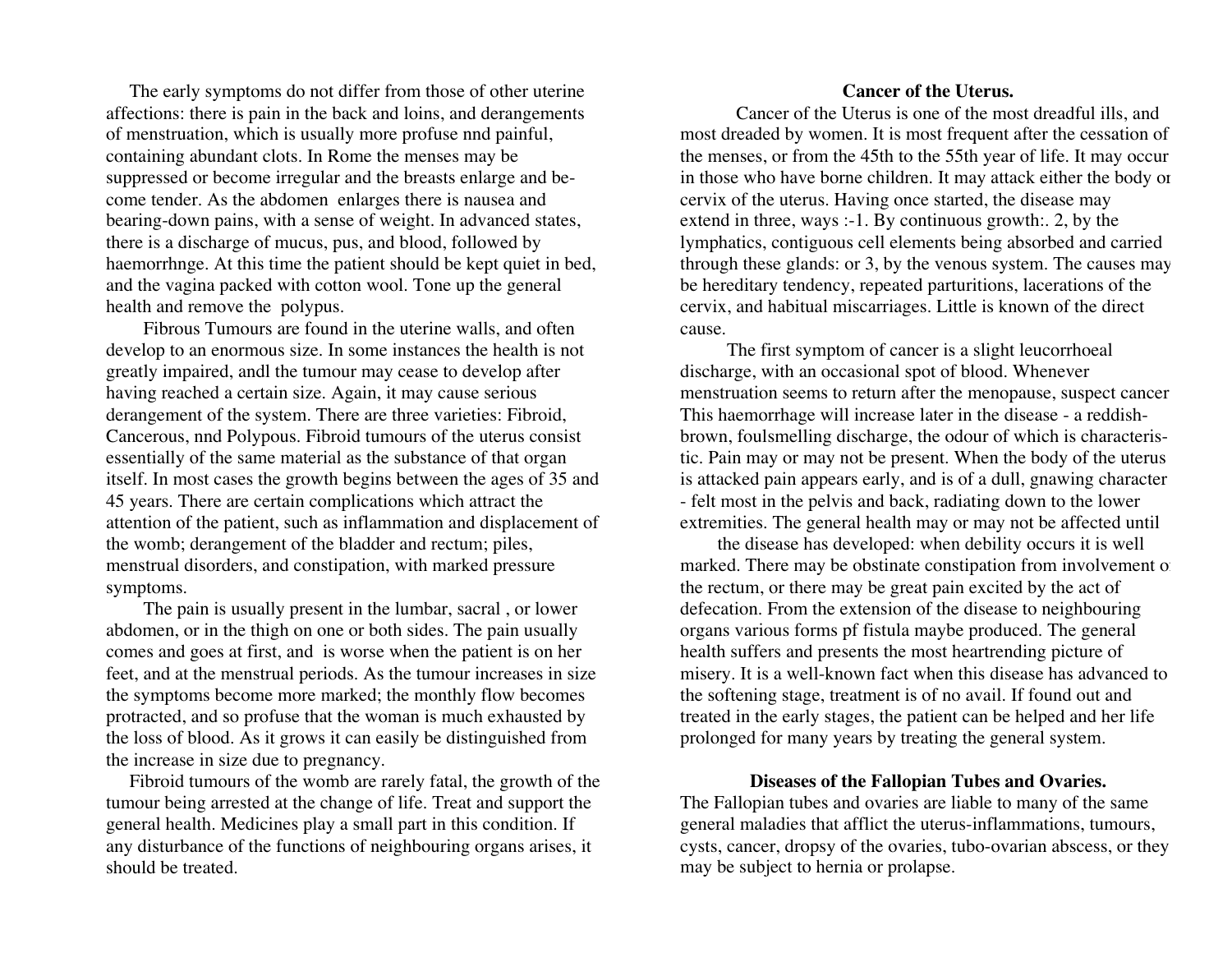The early symptoms do not differ from those of other uterine affections: there is pain in the back and loins, and derangements of menstruation, which is usually more profuse nnd painful, containing abundant clots. In Rome the menses may be suppressed or become irregular and the breasts enlarge and become tender. As the abdomen enlarges there is nausea and bearing-down pains, with a sense of weight. In advanced states, there is a discharge of mucus, pus, and blood, followed by haemorrhnge. At this time the patient should be kept quiet in bed, and the vagina packed with cotton wool. Tone up the general health and remove the polypus.

Fibrous Tumours are found in the uterine walls, and often develop to an enormous size. In some instances the health is not greatly impaired, andl the tumour may cease to develop after having reached a certain size. Again, it may cause serious derangement of the system. There are three varieties: Fibroid, Cancerous, nnd Polypous. Fibroid tumours of the uterus consist essentially of the same material as the substance of that organ itself. In most cases the growth begins between the ages of 35 and 45 years. There are certain complications which attract the attention of the patient, such as inflammation and displacement of the womb; derangement of the bladder and rectum; piles, menstrual disorders, and constipation, with marked pressure symptoms.

The pain is usually present in the lumbar, sacral , or lower abdomen, or in the thigh on one or both sides. The pain usually comes and goes at first, and is worse when the patient is on her feet, and at the menstrual periods. As the tumour increases in size the symptoms become more marked; the monthly flow becomes protracted, and so profuse that the woman is much exhausted by the loss of blood. As it grows it can easily be distinguished from the increase in size due to pregnancy.

 Fibroid tumours of the womb are rarely fatal, the growth of the tumour being arrested at the change of life. Treat and support the general health. Medicines play a small part in this condition. If any disturbance of the functions of neighbouring organs arises, it should be treated.

#### **Cancer of the Uterus.**

Cancer of the Uterus is one of the most dreadful ills, and most dreaded by women. It is most frequent after the cessation of the menses, or from the 45th to the 55th year of life. It may occur in those who have borne children. It may attack either the body or cervix of the uterus. Having once started, the disease may extend in three, ways :-1. By continuous growth:. 2, by the lymphatics, contiguous cell elements being absorbed and carried through these glands: or 3, by the venous system. The causes ma y be hereditary tendency, repeated parturitions, lacerations of the cervix, and habitual miscarriages. Little is known of the direct cause.

The first symptom of cancer is a slight leucorrhoeal discharge, with an occasional spot of blood. Whenever menstruation seems to return after the menopause, suspect cancer This haemorrhage will increase later in the disease - a reddishbrown, foulsmelling discharge, the odour of which is characteristic. Pain may or may not be present. When the body of the uterus is attacked pain appears early, and is of a dull, gnawing character - felt most in the pelvis and back, radiating down to the lower extremities. The general health may or may not be affected until

the disease has developed: when debility occurs it is well marked. There may be obstinate constipation from involvement of the rectum, or there may be great pain excited by the act of defecation. From the extension of the disease to neighbouring organs various forms pf fistula maybe produced. The general health suffers and presents the most heartrending picture of misery. It is a well-known fact when this disease has advanced to the softening stage, treatment is of no avail. If found out and treated in the early stages, the patient can be helped and her life prolonged for many years by treating the general system.

## **Diseases of the Fallopian Tubes and Ovaries.**

The Fallopian tubes and ovaries are liable to many of the same general maladies that afflict the uterus-inflammations, tumours, cysts, cancer, dropsy of the ovaries, tubo-ovarian abscess, or they may be subject to hernia or prolapse.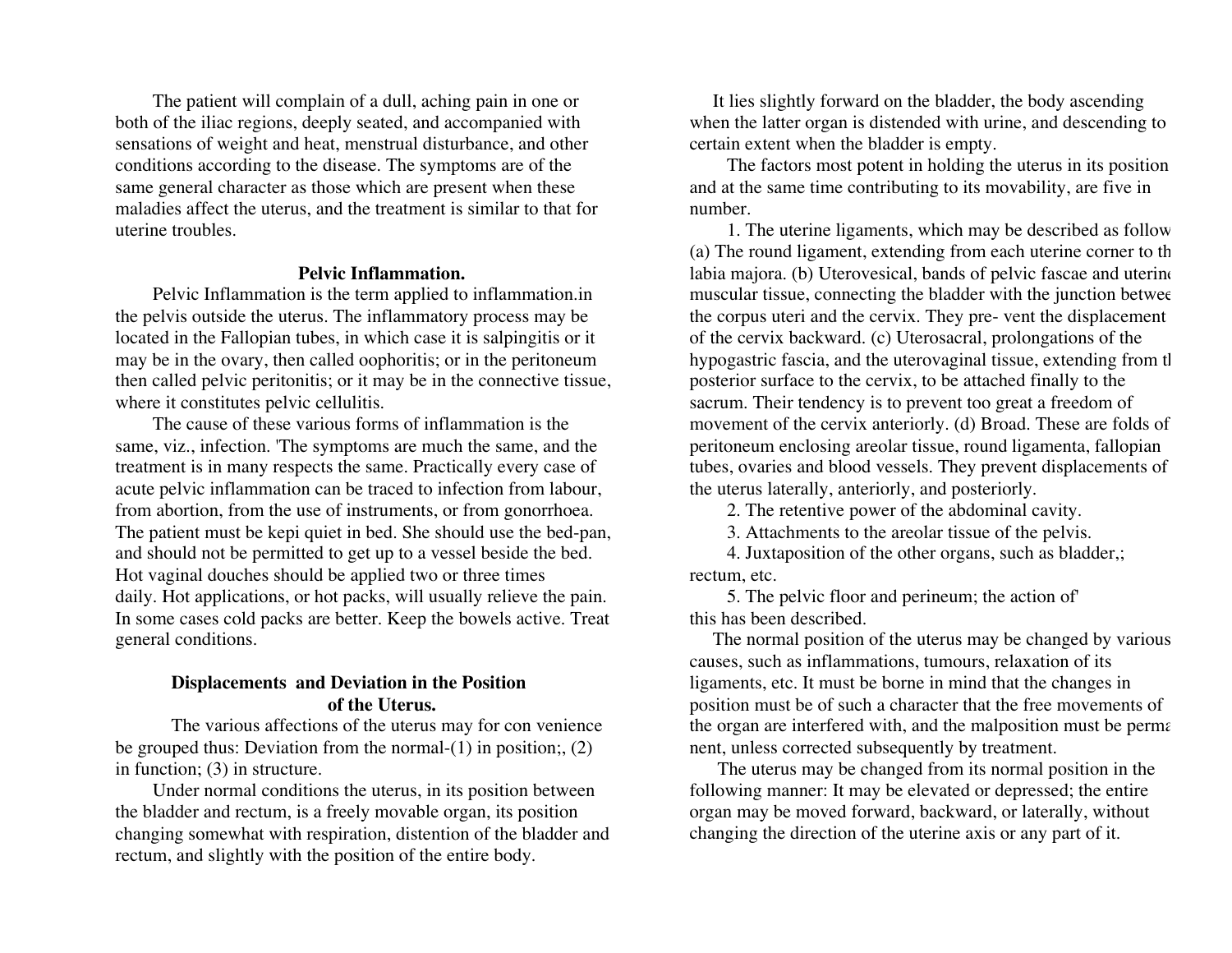The patient will complain of a dull, aching pain in one or both of the iliac regions, deeply seated, and accompanied with sensations of weight and heat, menstrual disturbance, and other conditions according to the disease. The symptoms are of the same general character as those which are present when these maladies affect the uterus, and the treatment is similar to that for uterine troubles.

### **Pelvic Inflammation.**

Pelvic Inflammation is the term applied to inflammation.in the pelvis outside the uterus. The inflammatory process may be located in the Fallopian tubes, in which case it is salpingitis or it may be in the ovary, then called oophoritis; or in the peritoneum then called pelvic peritonitis; or it may be in the connective tissue, where it constitutes pelvic cellulitis.

The cause of these various forms of inflammation is the same, viz., infection. 'The symptoms are much the same, and the treatment is in many respects the same. Practically every case of acute pelvic inflammation can be traced to infection from labour, from abortion, from the use of instruments, or from gonorrhoea. The patient must be kepi quiet in bed. She should use the bed-pan, and should not be permitted to get up to a vessel beside the bed. Hot vaginal douches should be applied two or three times daily. Hot applications, or hot packs, will usually relieve the pain. In some cases cold packs are better. Keep the bowels active. Treat general conditions.

## **Displacements and Deviation in the Position of the Uterus.**

The various affections of the uterus may for con venience be grouped thus: Deviation from the normal-(1) in position;, (2) in function; (3) in structure.

Under normal conditions the uterus, in its position between the bladder and rectum, is a freely movable organ, its position changing somewhat with respiration, distention of the bladder and rectum, and slightly with the position of the entire body.

 It lies slightly forward on the bladder, the body ascending when the latter organ is distended with urine, and descending to certain extent when the bladder is empty.

The factors most potent in holding the uterus in its position and at the same time contributing to its movability, are five in number.

1. The uterine ligaments, which may be described as follow (a) The round ligament, extending from each uterine corner to th labia majora. (b) Uterovesical, bands of pelvic fascae and uterine muscular tissue, connecting the bladder with the junction betwee the corpus uteri and the cervix. They pre- vent the displacement of the cervix backward. (c) Uterosacral, prolongations of the hypogastric fascia, and the uterovaginal tissue, extending from the posterior surface to the cervix, to be attached finally to the sacrum. Their tendency is to prevent too great a freedom of movement of the cervix anteriorly. (d) Broad. These are folds of peritoneum enclosing areolar tissue, round ligamenta, fallopian tubes, ovaries and blood vessels. They prevent displacements of the uterus laterally, anteriorly, and posteriorly.

2. The retentive power of the abdominal cavity.

3. Attachments to the areolar tissue of the pelvis.

4. Juxtaposition of the other organs, such as bladder,; rectum, etc.

5. The pelvic floor and perineum; the action of' this has been described.

 The normal position of the uterus may be changed by various causes, such as inflammations, tumours, relaxation of its ligaments, etc. It must be borne in mind that the changes in position must be of such a character that the free movements of the organ are interfered with, and the malposition must be perma nent, unless corrected subsequently by treatment.

 The uterus may be changed from its normal position in the following manner: It may be elevated or depressed; the entire organ may be moved forward, backward, or laterally, without changing the direction of the uterine axis or any part of it.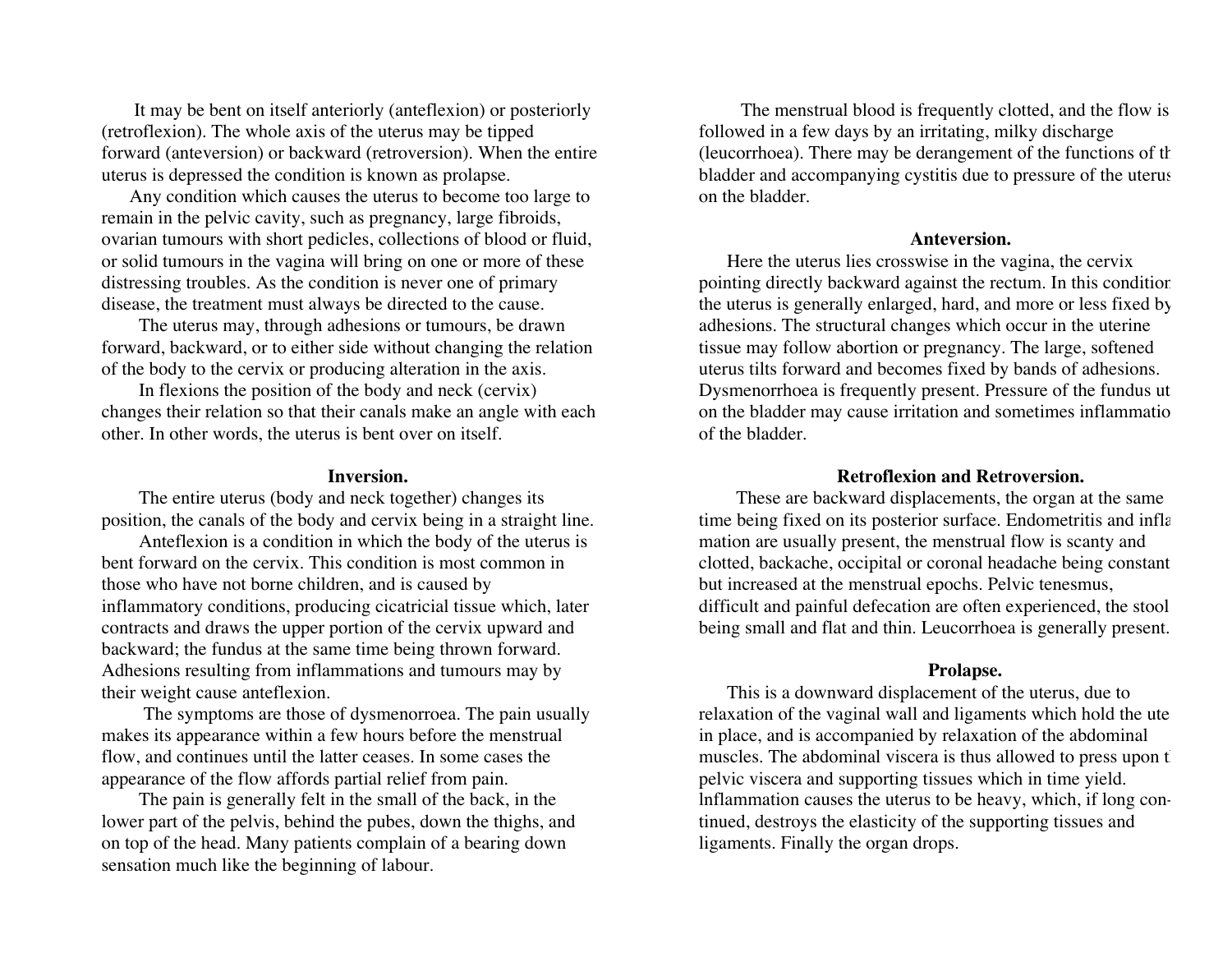It may be bent on itself anteriorly (anteflexion) or posteriorly (retroflexion). The whole axis of the uterus may be tipped forward (anteversion) or backward (retroversion). When the entir e uterus is depressed the condition is known as prolapse.

 Any condition which causes the uterus to become too large to remain in the pelvic cavity, such as pregnancy, large fibroids, ovarian tumours with short pedicles, collections of blood or fluid, or solid tumours in the vagina will bring on one or more of these distressing troubles. As the condition is never one of primary disease, the treatment must always be directed to the cause.

The uterus may, through adhesions or tumours, be drawn forward, backward, or to either side without changing the relation of the body to the cervix or producing alteration in the axis.

In flexions the position of the body and neck (cervix) changes their relation so that their canals make an angle with each other. In other words, the uterus is bent over on itself.

#### **Inversion.**

The entire uterus (body and neck together) changes its position, the canals of the body and cervix being in a straight line.

Anteflexion is a condition in which the body of the uterus is bent forward on the cervix. This condition is most common in those who have not borne children, and is caused by inflammatory conditions, producing cicatricial tissue which, later contracts and draws the upper portion of the cervix upward and backward; the fundus at the same time being thrown forward. Adhesions resulting from inflammations and tumours may by their weight cause anteflexion.

 The symptoms are those of dysmenorroea. The pain usually makes its appearance within a few hours before the menstrual flow, and continues until the latter ceases. In some cases the appearance of the flow affords partial relief from pain.

The pain is generally felt in the small of the back, in the lower part of the pelvis, behind the pubes, down the thighs, and on top of the head. Many patients complain of a bearing down sensation much like the beginning of labour.

 The menstrual blood is frequently clotted, and the flow is followed in a few days by an irritating, milky discharge (leucorrhoea). There may be derangement of the functions of t h bladder and accompanying cystitis due to pressure of the uterus on the bladder.

#### **Anteversion.**

Here the uterus lies crosswise in the vagina, the cervix pointing directly backward against the rectum. In this conditio n the uterus is generally enlarged, hard, and more or less fixed b y adhesions. The structural changes which occur in the uterine tissue may follow abortion or pregnancy. The large, softened uterus tilts forward and becomes fixed by bands of adhesions. Dysmenorrhoea is frequently present. Pressure of the fundus ut on the bladder may cause irritation and sometimes inflammati o of the bladder.

#### **Retroflexion and Retroversion.**

These are backward displacements, the organ at the same time being fixed on its posterior surface. Endometritis and infl a mation are usually present, the menstrual flow is scanty and clotted, backache, occipital or coronal headache being constant but increased at the menstrual epochs. Pelvic tenesmus, difficult and painful defecation are often experienced, the stool being small and flat and thin. Leucorrhoea is generally present.

#### **Prolapse.**

This is a downward displacement of the uterus, due to relaxation of the vaginal wall and ligaments which hold the ute in place, and is accompanied by relaxation of the abdominal muscles. The abdominal viscera is thus allowed to press upon t h pelvic viscera and supporting tissues which in time yield. lnflammation causes the uterus to be heavy, which, if long continued, destroys the elasticity of the supporting tissues and ligaments. Finally the organ drops.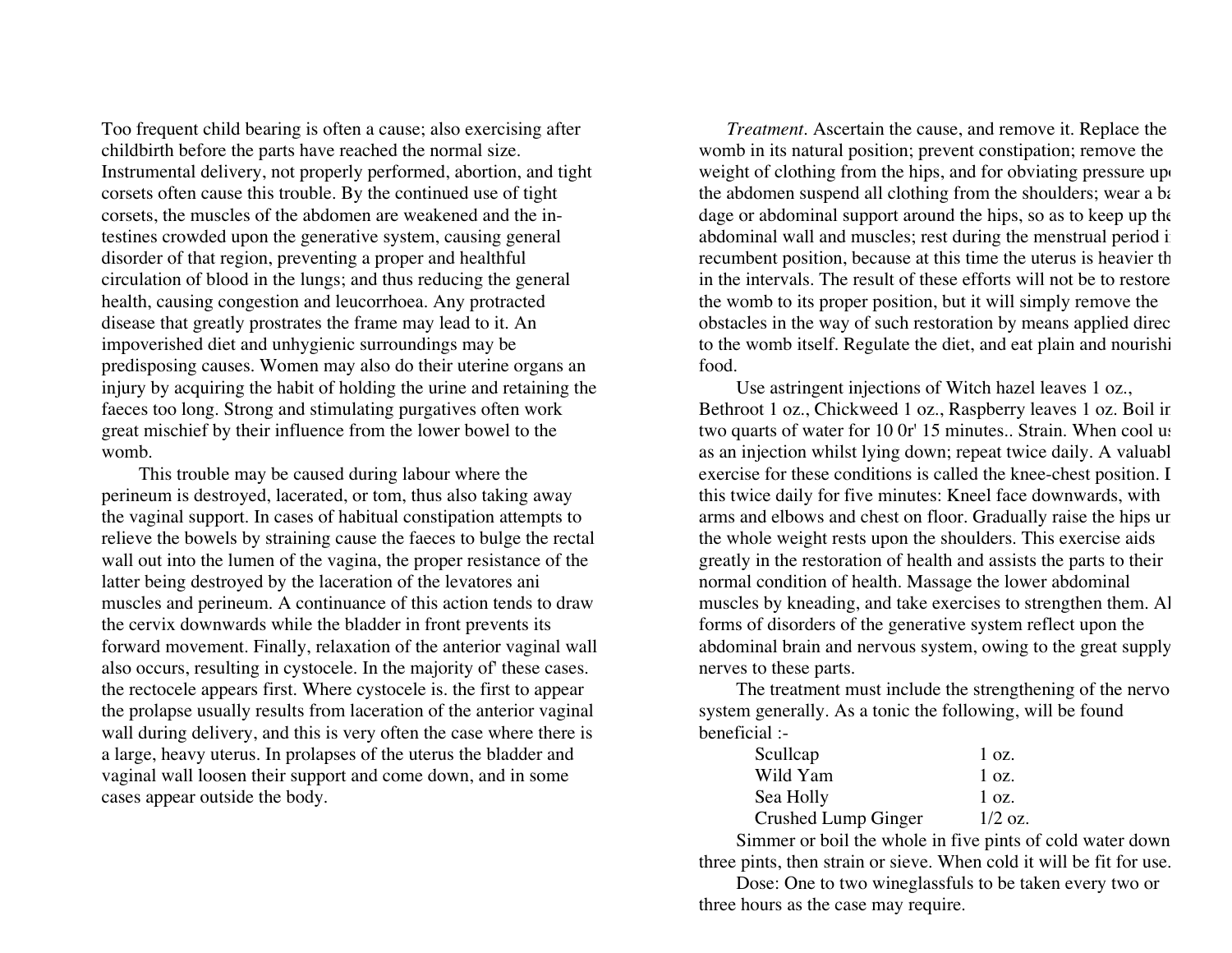Too frequent child bearing is often a cause; also exercising after childbirth before the parts have reached the normal size. Instrumental delivery, not properly performed, abortion, and tight corsets often cause this trouble. By the continued use of tight corsets, the muscles of the abdomen are weakened and the intestines crowded upon the generative system, causing general disorder of that region, preventing a proper and healthful circulation of blood in the lungs; and thus reducing the general health, causing congestion and leucorrhoea. Any protracted disease that greatly prostrates the frame may lead to it. An impoverished diet and unhygienic surroundings may be predisposing causes. Women may also do their uterine organs an injury by acquiring the habit of holding the urine and retaining the faeces too long. Strong and stimulating purgatives often work great mischief by their influence from the lower bowel to the womb.

This trouble may be caused during labour where the perineum is destroyed, lacerated, or tom, thus also taking away the vaginal support. In cases of habitual constipation attempts to relieve the bowels by straining cause the faeces to bulge the rectal wall out into the lumen of the vagina, the proper resistance of the latter being destroyed by the laceration of the levatores ani muscles and perineum. A continuance of this action tends to draw the cervix downwards while the bladder in front prevents its forward movement. Finally, relaxation of the anterior vaginal wall also occurs, resulting in cystocele. In the majority of' these cases. the rectocele appears first. Where cystocele is. the first to appear the prolapse usually results from laceration of the anterior vaginal wall during delivery, and this is very often the case where there is a large, heavy uterus. In prolapses of the uterus the bladder and vaginal wall loosen their support and come down, and in some cases appear outside the body.

*Treatment.* Ascertain the cause, and remove it. Replace the womb in its natural position; prevent constipation; remove the weight of clothing from the hips, and for obviating pressure up the abdomen suspend all clothing from the shoulders; wear a bag dage or abdominal support around the hips, so as to keep up the abdominal wall and muscles; rest during the menstrual period in recumbent position, because at this time the uterus is heavier th in the intervals. The result of these efforts will not be to restore the womb to its proper position, but it will simply remove the obstacles in the way of such restoration by means applied direc to the womb itself. Regulate the diet, and eat plain and nourishi food.

Use astringent injections of Witch hazel leaves 1 oz., Bethroot 1 oz., Chickweed 1 oz., Raspberry leaves 1 oz. Boil in two quarts of water for 10 0r' 15 minutes.. Strain. When cool us as an injection whilst lying down; repeat twice daily. A valuabl exercise for these conditions is called the knee-chest position. I this twice daily for five minutes: Kneel face downwards, with arms and elbows and chest on floor. Gradually raise the hips un the whole weight rests upon the shoulders. This exercise aids greatly in the restoration of health and assists the parts to their normal condition of health. Massage the lower abdominal muscles by kneading, and take exercises to strengthen them. Al forms of disorders of the generative system reflect upon the abdominal brain and nervous system, owing to the great supply nerves to these parts.

The treatment must include the strengthening of the nervo system generally. As a tonic the following, will be found beneficial :-

| Scullcap            | $1 \text{ oz.}$  |
|---------------------|------------------|
| Wild Yam            | $1 \Omega$ .     |
| Sea Holly           | $1 \text{ oz}$ . |
| Crushed Lump Ginger | $1/2$ oz.        |

Simmer or boil the whole in five pints of cold water down three pints, then strain or sieve. When cold it will be fit for use.

Dose: One to two wineglassfuls to be taken every two or three hours as the case may require.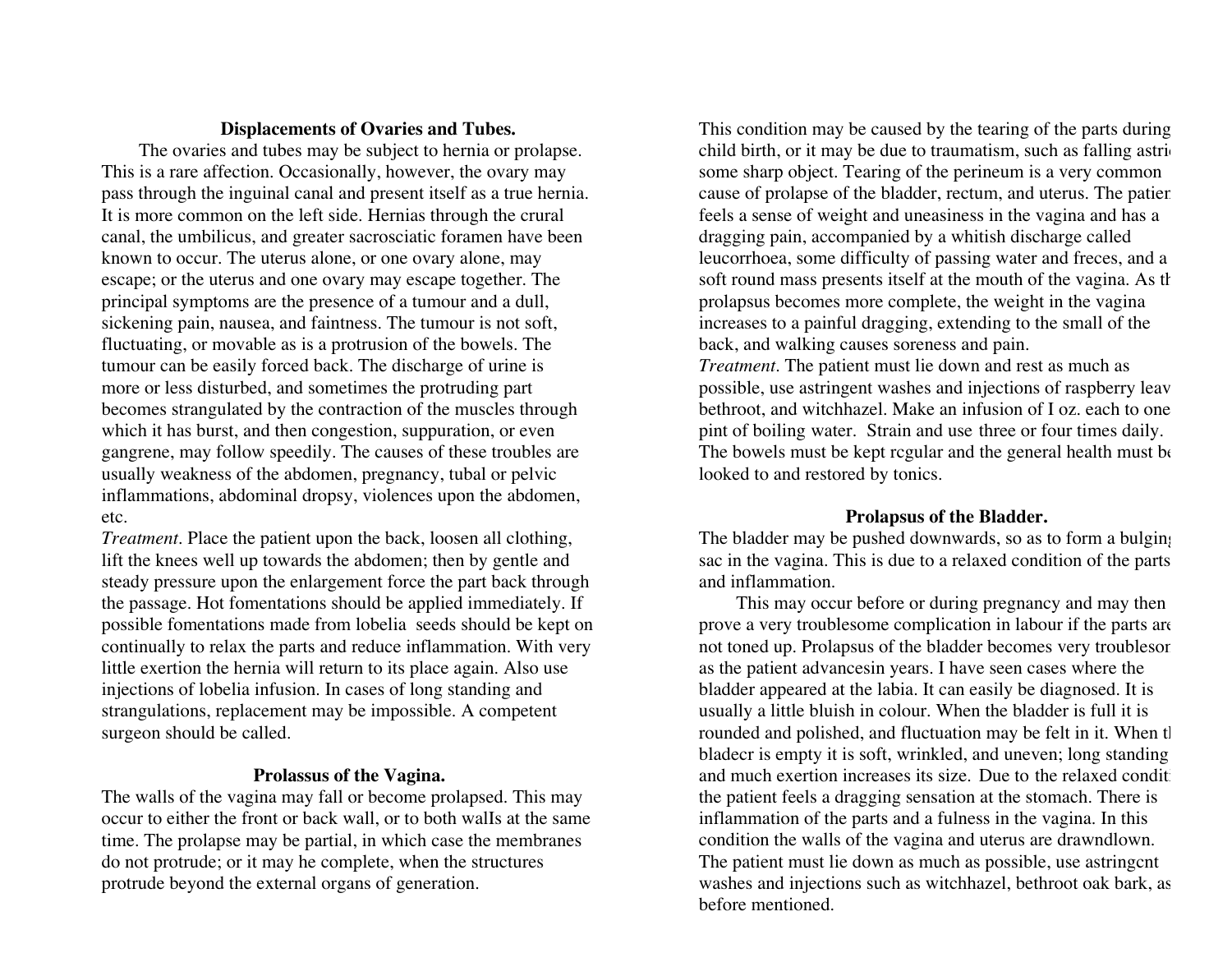## **Displacements of Ovaries and Tubes.**

The ovaries and tubes may be subject to hernia or prolapse. This is a rare affection. Occasionally, however, the ovary may pass through the inguinal canal and present itself as a true hernia. It is more common on the left side. Hernias through the crural canal, the umbilicus, and greater sacrosciatic foramen have been known to occur. The uterus alone, or one ovary alone, may escape; or the uterus and one ovary may escape together. The principal symptoms are the presence of a tumour and a dull, sickening pain, nausea, and faintness. The tumour is not soft, fluctuating, or movable as is a protrusion of the bowels. The tumour can be easily forced back. The discharge of urine is more or less disturbed, and sometimes the protruding part becomes strangulated by the contraction of the muscles through which it has burst, and then congestion, suppuration, or even gangrene, may follow speedily. The causes of these troubles are usually weakness of the abdomen, pregnancy, tubal or pelvic inflammations, abdominal dropsy, violences upon the abdomen, etc.

*Treatment*. Place the patient upon the back, loosen all clothing, lift the knees well up towards the abdomen; then by gentle and steady pressure upon the enlargement force the part back through the passage. Hot fomentations should be applied immediately. If possible fomentations made from lobelia seeds should be kept on continually to relax the parts and reduce inflammation. With very little exertion the hernia will return to its place again. Also use injections of lobelia infusion. In cases of long standing and strangulations, replacement may be impossible. A competent surgeon should be called.

### **Prolassus of the Vagina.**

The walls of the vagina may fall or become prolapsed. This may occur to either the front or back wall, or to both walIs at the same time. The prolapse may be partial, in which case the membranes do not protrude; or it may he complete, when the structures protrude beyond the external organs of generation.

This condition may be caused by the tearing of the parts durin g child birth, or it may be due to traumatism, such as falling astri d some sharp object. Tearing of the perineum is a very common cause of prolapse of the bladder, rectum, and uterus. The patie n feels a sense of weight and uneasiness in the vagina and has a dragging pain, accompanied by a whitish discharge called leucorrhoea, some difficulty of passing water and freces, and a soft round mass presents itself at the mouth of the vagina. As t h prolapsus becomes more complete, the weight in the vagina increases to a painful dragging, extending to the small of the back, and walking causes soreness and pain. *Treatment.* The patient must lie down and rest as much as

possible, use astringent washes and injections of raspberry lea v bethroot, and witchhazel. Make an infusion of I oz. each to on e pint of boiling water. Strain and use three or four times daily. The bowels must be kept rcgular and the general health must be looked to and restored by tonics.

## **Prolapsus of the Bladder.**

The bladder may be pushed downwards, so as to form a bulgin g sac in the vagina. This is due to a relaxed condition of the parts and inflammation.

This may occur before or during pregnancy and may then prove a very troublesome complication in labour if the parts ar e not toned up. Prolapsus of the bladder becomes very troubleso m as the patient advancesin years. I have seen cases where the bladder appeared at the labia. It can easily be diagnosed. It is usually a little bluish in colour. When the bladder is full it is rounded and polished, and fluctuation may be felt in it. When t h bladecr is empty it is soft, wrinkled, and uneven; long standing and much exertion increases its size. Due to the relaxed conditional the patient feels a dragging sensation at the stomach. There is inflammation of the parts and a fulness in the vagina. In this condition the walls of the vagina and uterus are drawndlown. The patient must lie down as much as possible, use astringcnt washes and injections such as witchhazel, bethroot oak bark, as before mentioned.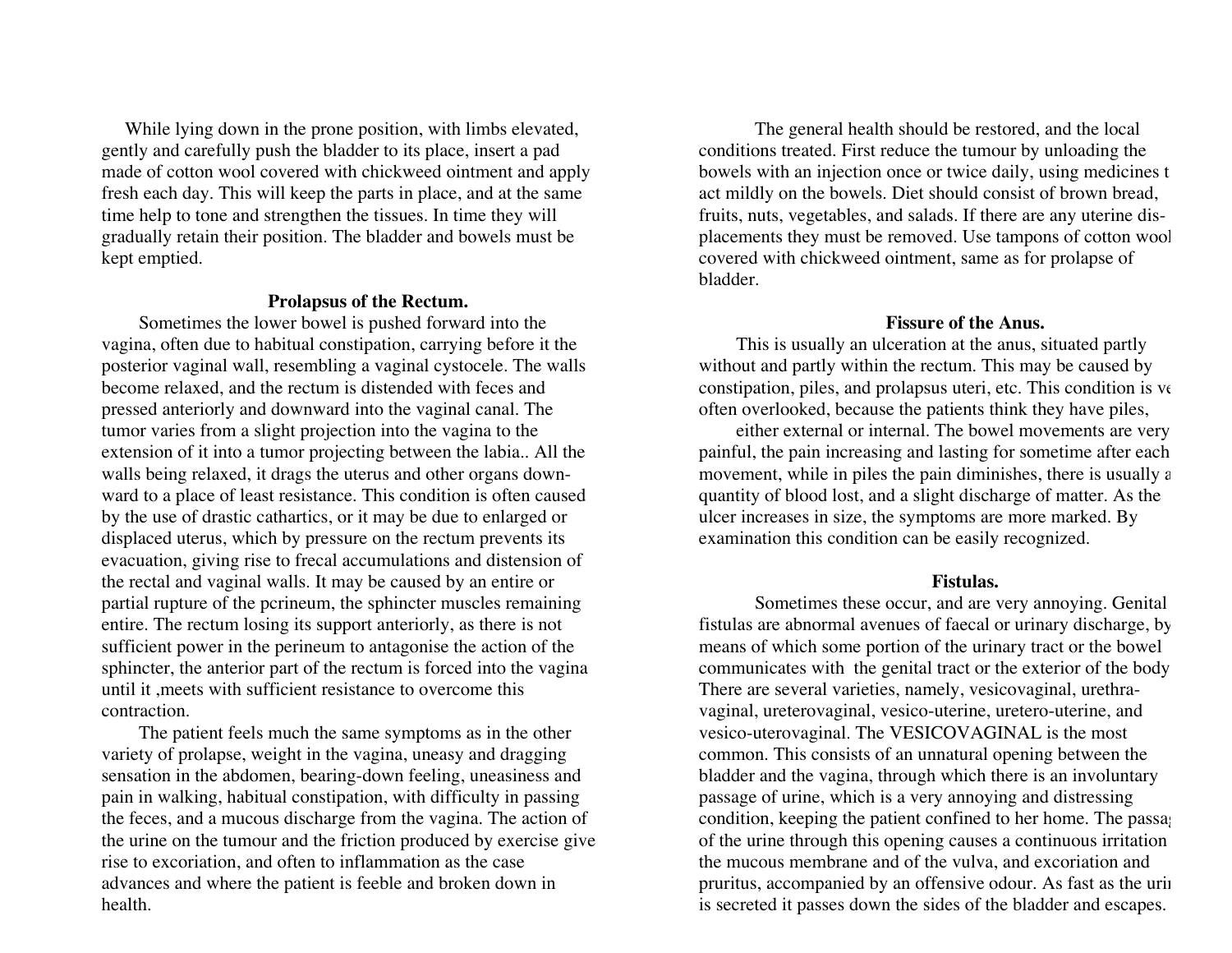While lying down in the prone position, with limbs elevated, gently and carefully push the bladder to its place, insert a pad made of cotton wool covered with chickweed ointment and apply fresh each day. This will keep the parts in place, and at the same time help to tone and strengthen the tissues. In time they will gradually retain their position. The bladder and bowels must be kept emptied.

#### **Prolapsus of the Rectum.**

Sometimes the lower bowel is pushed forward into the vagina, often due to habitual constipation, carrying before it the posterior vaginal wall, resembling a vaginal cystocele. The walls become relaxed, and the rectum is distended with feces and pressed anteriorly and downward into the vaginal canal. The tumor varies from a slight projection into the vagina to the extension of it into a tumor projecting between the labia.. All the walls being relaxed, it drags the uterus and other organs downward to a place of least resistance. This condition is often caused by the use of drastic cathartics, or it may be due to enlarged or displaced uterus, which by pressure on the rectum prevents its evacuation, giving rise to frecal accumulations and distension of the rectal and vaginal walls. It may be caused by an entire or partial rupture of the pcrineum, the sphincter muscles remaining entire. The rectum losing its support anteriorly, as there is not sufficient power in the perineum to antagonise the action of the sphincter, the anterior part of the rectum is forced into the vagina until it ,meets with sufficient resistance to overcome this contraction.

The patient feels much the same symptoms as in the other variety of prolapse, weight in the vagina, uneasy and dragging sensation in the abdomen, bearing-down feeling, uneasiness and pain in walking, habitual constipation, with difficulty in passing the feces, and a mucous discharge from the vagina. The action of the urine on the tumour and the friction produced by exercise give rise to excoriation, and often to inflammation as the case advances and where the patient is feeble and broken down in health.

The general health should be restored, and the local conditions treated. First reduce the tumour by unloading the bowels with an injection once or twice daily, using medicines t act mildly on the bowels. Diet should consist of brown bread, fruits, nuts, vegetables, and salads. If there are any uterine displacements they must be removed. Use tampons of cotton wool covered with chickweed ointment, same as for prolapse of bladder.

#### **Fissure of the Anus.**

This is usually an ulceration at the anus, situated partly without and partly within the rectum. This may be caused by constipation, piles, and prolapsus uteri, etc. This condition is ve often overlooked, because the patients think they have piles,

either external or internal. The bowel movements are very painful, the pain increasing and lasting for sometime after each movement, while in piles the pain diminishes, there is usually a quantity of blood lost, and a slight discharge of matter. As the ulcer increases in size, the symptoms are more marked. By examination this condition can be easily recognized.

## **Fistulas.**

Sometimes these occur, and are very annoying. Genital fistulas are abnormal avenues of faecal or urinary discharge, by means of which some portion of the urinary tract or the bowel communicates with the genital tract or the exterior of the body There are several varieties, namely, vesicovaginal, urethravaginal, ureterovaginal, vesico-uterine, uretero-uterine, and vesico-uterovaginal. The VESICOVAGINAL is the most common. This consists of an unnatural opening between the bladder and the vagina, through which there is an involuntary passage of urine, which is a very annoying and distressing condition, keeping the patient confined to her home. The passage of the urine through this opening causes a continuous irritation the mucous membrane and of the vulva, and excoriation and pruritus, accompanied by an offensive odour. As fast as the urin is secreted it passes down the sides of the bladder and escapes.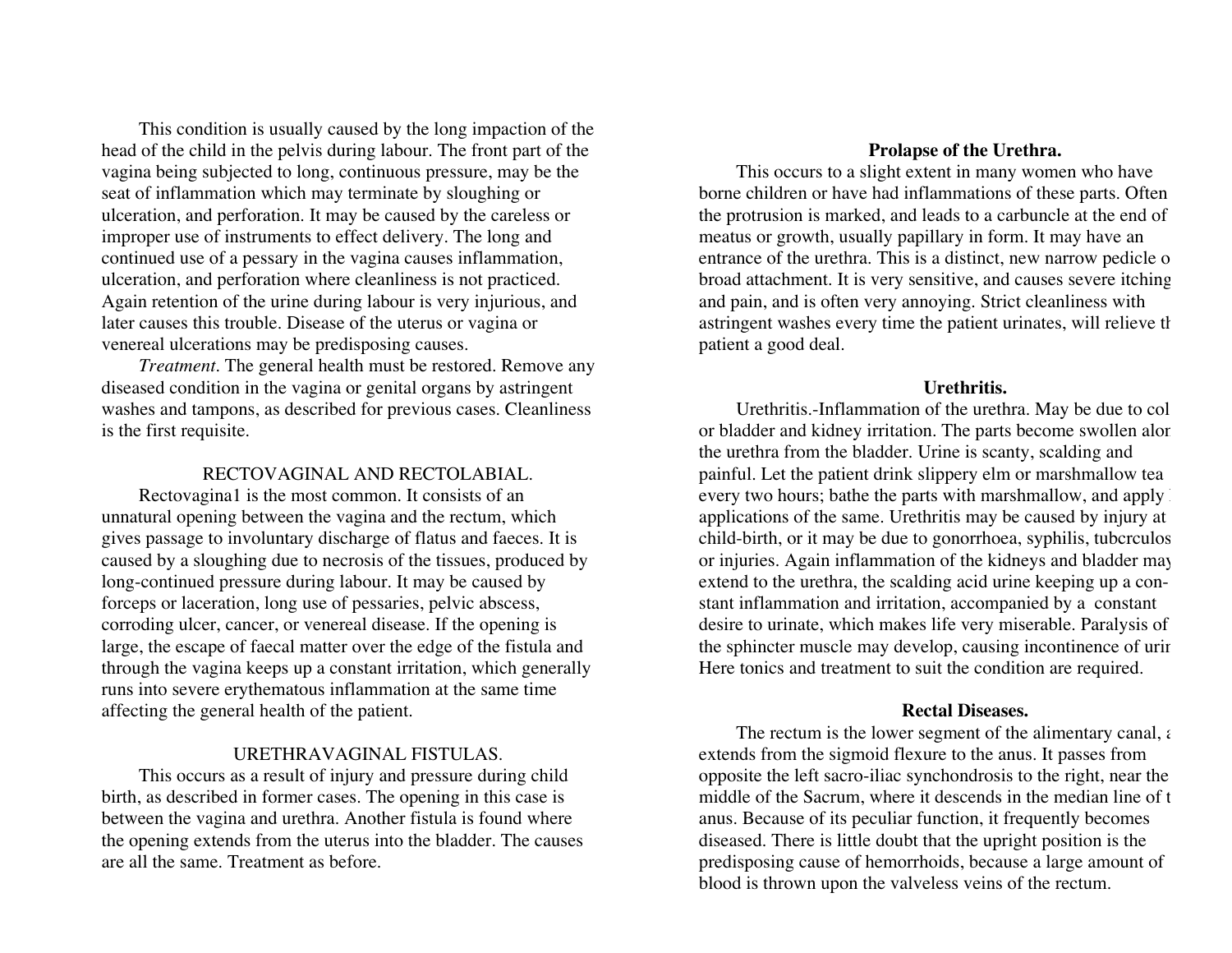This condition is usually caused by the long impaction of the head of the child in the pelvis during labour. The front part of the vagina being subjected to long, continuous pressure, may be the seat of inflammation which may terminate by sloughing or ulceration, and perforation. It may be caused by the careless or improper use of instruments to effect delivery. The long and continued use of a pessary in the vagina causes inflammation, ulceration, and perforation where cleanliness is not practiced. Again retention of the urine during labour is very injurious, and later causes this trouble. Disease of the uterus or vagina or venereal ulcerations may be predisposing causes.

*Treatment.* The general health must be restored. Remove any diseased condition in the vagina or genital organs by astringent washes and tampons, as described for previous cases. Cleanliness is the first requisite.

RECTOVAGINAL AND RECTOLABIAL. Rectovagina1 is the most common. It consists of an unnatural opening between the vagina and the rectum, which gives passage to involuntary discharge of flatus and faeces. It is caused by a sloughing due to necrosis of the tissues, produced by long-continued pressure during labour. It may be caused by forceps or laceration, long use of pessaries, pelvic abscess, corroding ulcer, cancer, or venereal disease. If the opening is large, the escape of faecal matter over the edge of the fistula and through the vagina keeps up a constant irritation, which generally runs into severe erythematous inflammation at the same time affecting the general health of the patient.

## URETHRAVAGINAL FISTULAS.

This occurs as a result of injury and pressure during child birth, as described in former cases. The opening in this case is between the vagina and urethra. Another fistula is found where the opening extends from the uterus into the bladder. The causes are all the same. Treatment as before.

## **Prolapse of the Urethra.**

This occurs to a slight extent in many women who have borne children or have had inflammations of these parts. Often the protrusion is marked, and leads to a carbuncle at the end of meatus or growth, usually papillary in form. It may have an entrance of the urethra. This is a distinct, new narrow pedicle o broad attachment. It is very sensitive, and causes severe itching and pain, and is often very annoying. Strict cleanliness with astringent washes every time the patient urinates, will relieve th patient a good deal.

#### **Urethritis.**

Urethritis.-Inflammation of the urethra. May be due to col or bladder and kidney irritation. The parts become swollen alon the urethra from the bladder. Urine is scanty, scalding and painful. Let the patient drink slippery elm or marshmallow tea every two hours; bathe the parts with marshmallow, and apply applications of the same. Urethritis may be caused by injury at child-birth, or it may be due to gonorrhoea, syphilis, tubcrculos or injuries. Again inflammation of the kidneys and bladder may extend to the urethra, the scalding acid urine keeping up a constant inflammation and irritation, accompanied by a constant desire to urinate, which makes life very miserable. Paralysis of the sphincter muscle may develop, causing incontinence of urin Here tonics and treatment to suit the condition are required.

#### **Rectal Diseases.**

The rectum is the lower segment of the alimentary canal,  $\epsilon$ extends from the sigmoid flexure to the anus. It passes from opposite the left sacro-iliac synchondrosis to the right, near the middle of the Sacrum, where it descends in the median line of t anus. Because of its peculiar function, it frequently becomes diseased. There is little doubt that the upright position is the predisposing cause of hemorrhoids, because a large amount of blood is thrown upon the valveless veins of the rectum.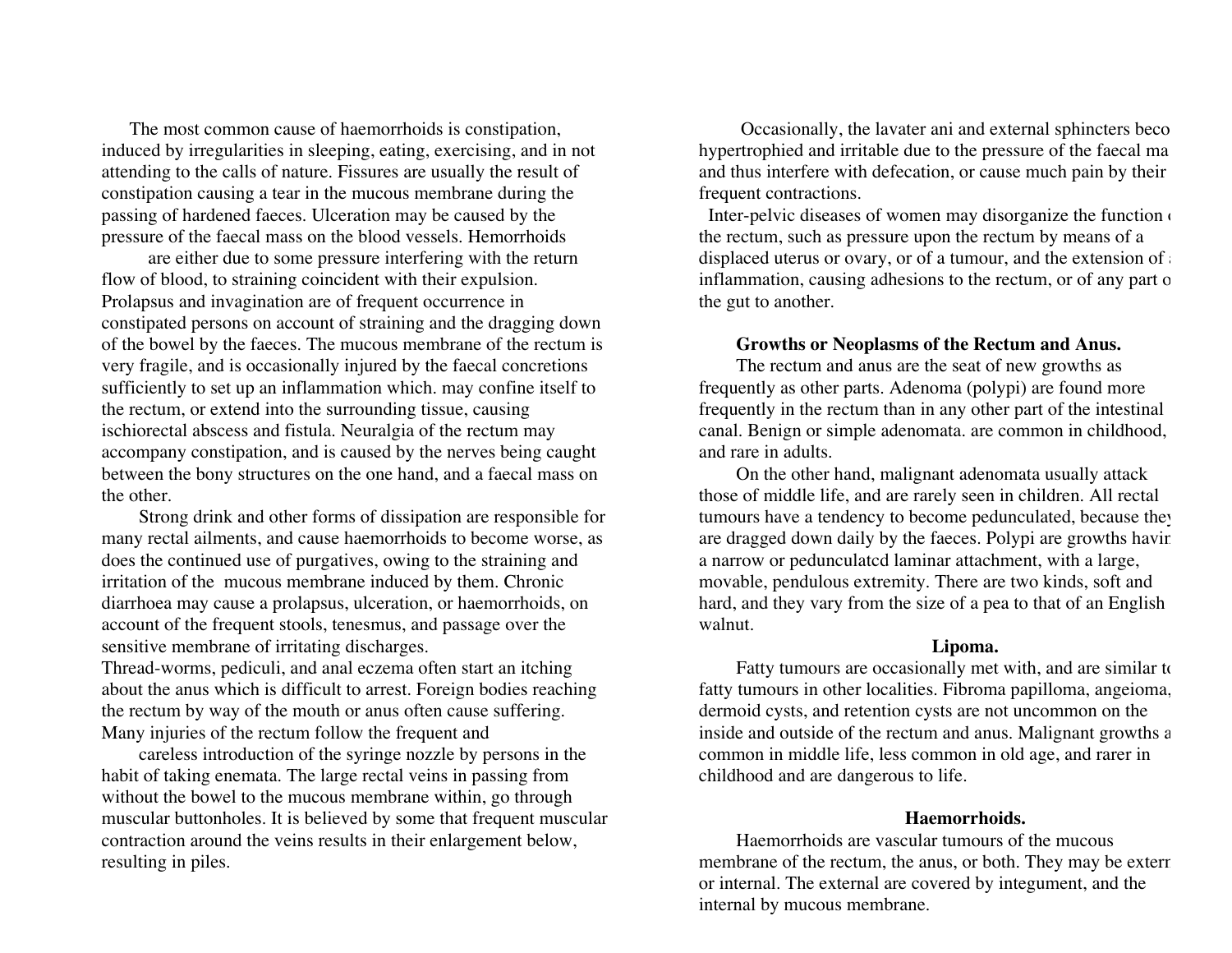The most common cause of haemorrhoids is constipation, induced by irregularities in sleeping, eating, exercising, and in not attending to the calls of nature. Fissures are usually the result of constipation causing a tear in the mucous membrane during the passing of hardened faeces. Ulceration may be caused by the pressure of the faecal mass on the blood vessels. Hemorrhoids

are either due to some pressure interfering with the return flow of blood, to straining coincident with their expulsion. Prolapsus and invagination are of frequent occurrence in constipated persons on account of straining and the dragging down of the bowel by the faeces. The mucous membrane of the rectum is very fragile, and is occasionally injured by the faecal concretions sufficiently to set up an inflammation which. may confine itself to the rectum, or extend into the surrounding tissue, causing ischiorectal abscess and fistula. Neuralgia of the rectum may accompany constipation, and is caused by the nerves being caught between the bony structures on the one hand, and a faecal mass on the other.

Strong drink and other forms of dissipation are responsible for many rectal ailments, and cause haemorrhoids to become worse, as does the continued use of purgatives, owing to the straining and irritation of the mucous membrane induced by them. Chronic diarrhoea may cause a prolapsus, ulceration, or haemorrhoids, on account of the frequent stools, tenesmus, and passage over the sensitive membrane of irritating discharges.

Thread-worms, pediculi, and anal eczema often start an itching about the anus which is difficult to arrest. Foreign bodies reaching the rectum by way of the mouth or anus often cause suffering. Many injuries of the rectum follow the frequent and

careless introduction of the syringe nozzle by persons in the habit of taking enemata. The large rectal veins in passing from without the bowel to the mucous membrane within, go through muscular buttonholes. It is believed by some that frequent muscular contraction around the veins results in their enlargement below, resulting in piles.

 Occasionally, the lavater ani and external sphincters beco hypertrophied and irritable due to the pressure of the faecal ma and thus interfere with defecation, or cause much pain by their frequent contractions.

Inter-pelvic diseases of women may disorganize the function the rectum, such as pressure upon the rectum by means of <sup>a</sup> displaced uterus or ovary, or of a tumour, and the extension of inflammation, causing adhesions to the rectum, or of any part o the gut to another.

## **Growths or Neoplasms of the Rectum and Anus.**

The rectum and anus are the seat of new growths as frequently as other parts. Adenoma (polypi) are found more frequently in the rectum than in any other part of the intestinal canal. Benign or simple adenomata. are common in childhood, and rare in adults.

On the other hand, malignant adenomata usually attack those of middle life, and are rarely seen in children. All rectal tumours have a tendency to become pedunculated, because they are dragged down daily by the faeces. Polypi are growths havin a narrow or pedunculatcd laminar attachment, with a large, movable, pendulous extremity. There are two kinds, soft and hard, and they vary from the size of a pea to that of an English walnut.

#### **Lipoma.**

Fatty tumours are occasionally met with, and are similar to fatty tumours in other localities. Fibroma papilloma, angeioma, dermoid cysts, and retention cysts are not uncommon on the inside and outside of the rectum and anus. Malignant growths a common in middle life, less common in old age, and rarer in childhood and are dangerous to life.

#### **Haemorrhoids.**

Haemorrhoids are vascular tumours of the mucous membrane of the rectum, the anus, or both. They may be externed or internal. The external are covered by integument, and the internal by mucous membrane.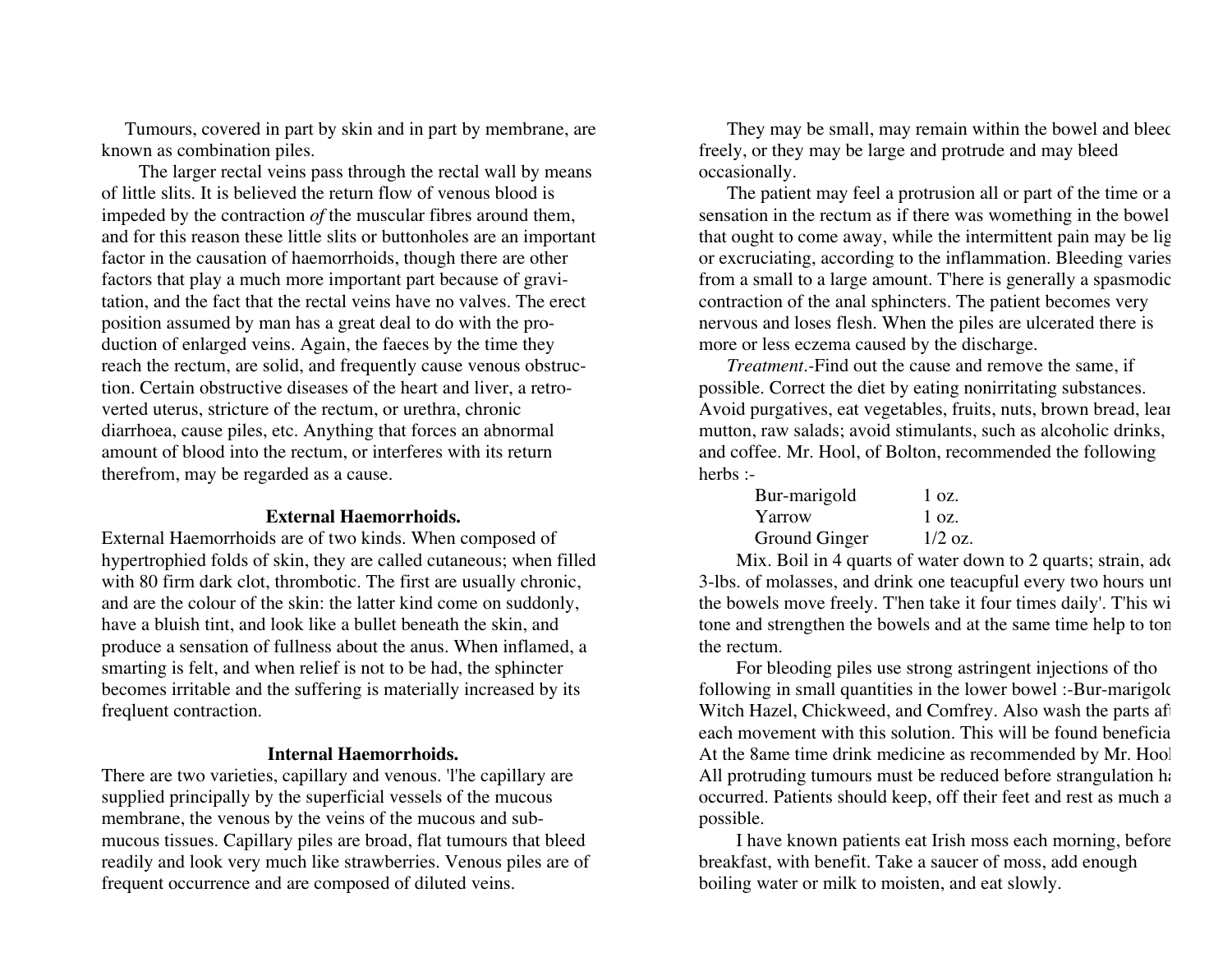Tumours, covered in part by skin and in part by membrane, are known as combination piles.

The larger rectal veins pass through the rectal wall by means of little slits. It is believed the return flow of venous blood is impeded by the contraction *of* the muscular fibres around them, and for this reason these little slits or buttonholes are an important factor in the causation of haemorrhoids, though there are other factors that play a much more important part because of gravitation, and the fact that the rectal veins have no valves. The erect position assumed by man has a great deal to do with the production of enlarged veins. Again, the faeces by the time they reach the rectum, are solid, and frequently cause venous obstruction. Certain obstructive diseases of the heart and liver, a retroverted uterus, stricture of the rectum, or urethra, chronic diarrhoea, cause piles, etc. Anything that forces an abnormal amount of blood into the rectum, or interferes with its return therefrom, may be regarded as a cause.

#### **External Haemorrhoids.**

External Haemorrhoids are of two kinds. When composed of hypertrophied folds of skin, they are called cutaneous; when filled with 80 firm dark clot, thrombotic. The first are usually chronic, and are the colour of the skin: the latter kind come on suddonly, have a bluish tint, and look like a bullet beneath the skin, and produce a sensation of fullness about the anus. When inflamed, a smarting is felt, and when relief is not to be had, the sphincter becomes irritable and the suffering is materially increased by its freqluent contraction.

## **Internal Haemorrhoids.**

There are two varieties, capillary and venous. 'l'he capillary are supplied principally by the superficial vessels of the mucous membrane, the venous by the veins of the mucous and submucous tissues. Capillary piles are broad, flat tumours that bleed readily and look very much like strawberries. Venous piles are of frequent occurrence and are composed of diluted veins.

They may be small, may remain within the bowel and bleed freely, or they may be large and protrude and may bleed occasionally.

The patient may feel a protrusion all or part of the time or a sensation in the rectum as if there was womething in the bowel that ought to come away, while the intermittent pain may be li g or excruciating, according to the inflammation. Bleeding varies from a small to a large amount. T'here is generally a spasmodi c contraction of the anal sphincters. The patient becomes very nervous and loses flesh. When the piles are ulcerated there is more or less eczema caused by the discharge.

*Treatment.-*Find out the cause and remove the same, if possible. Correct the diet by eating nonirritating substances. Avoid purgatives, eat vegetables, fruits, nuts, brown bread, lea n mutton, raw salads; avoid stimulants, such as alcoholic drinks, and coffee. Mr. Hool, of Bolton, recommended the following herbs :-

| Bur-marigold  | 1 oz.        |
|---------------|--------------|
| Yarrow        | $1 \Omega$ . |
| Ground Ginger | $1/2$ oz.    |

Mix. Boil in 4 quarts of water down to 2 quarts; strain, ad d 3-lbs. of molasses, and drink one teacupful every two hours unt the bowels move freely. T'hen take it four times daily'. T'his wi tone and strengthen the bowels and at the same time help to to n the rectum.

For bleoding piles use strong astringent injections of tho following in small quantities in the lower bowel :-Bur-marigolous Witch Hazel, Chickweed, and Comfrey. Also wash the parts aft each movement with this solution. This will be found benefici a At the 8ame time drink medicine as recommended by Mr. Hool All protruding tumours must be reduced before strangulation h a occurred. Patients should keep, off their feet and rest as much a possible.

 I have known patients eat Irish moss each morning, befor e breakfast, with benefit. Take a saucer of moss, add enough boiling water or milk to moisten, and eat slowly.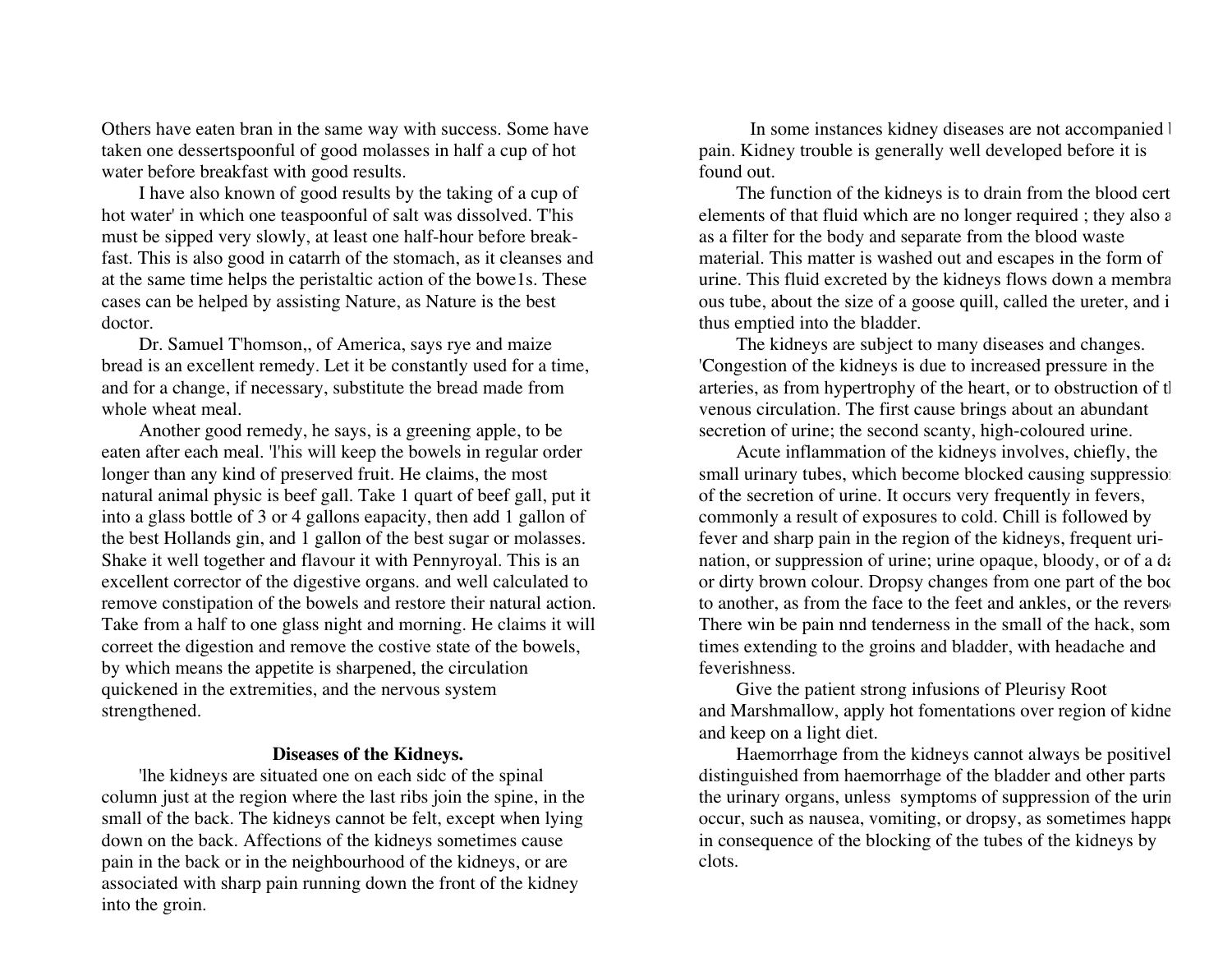Others have eaten bran in the same way with success. Some have taken one dessertspoonful of good molasses in half a cup of hot water before breakfast with good results.

I have also known of good results by the taking of a cup of hot water' in which one teaspoonful of salt was dissolved. T'his must be sipped very slowly, at least one half-hour before breakfast. This is also good in catarrh of the stomach, as it cleanses and at the same time helps the peristaltic action of the bowe1s. These cases can be helped by assisting Nature, as Nature is the best doctor.

Dr. Samuel T'homson,, of America, says rye and maize bread is an excellent remedy. Let it be constantly used for a time, and for a change, if necessary, substitute the bread made from whole wheat meal.

Another good remedy, he says, is a greening apple, to be eaten after each meal. 'l'his will keep the bowels in regular order longer than any kind of preserved fruit. He claims, the most natural animal physic is beef gall. Take 1 quart of beef gall, put it into a glass bottle of 3 or 4 gallons eapacity, then add 1 gallon of the best Hollands gin, and 1 gallon of the best sugar or molasses. Shake it well together and flavour it with Pennyroyal. This is an excellent corrector of the digestive organs. and well calculated to remove constipation of the bowels and restore their natural action. Take from a half to one glass night and morning. He claims it will correet the digestion and remove the costive state of the bowels, by which means the appetite is sharpened, the circulation quickened in the extremities, and the nervous system strengthened.

## **Diseases of the Kidneys.**

'lhe kidneys are situated one on each sidc of the spinal column just at the region where the last ribs join the spine, in the small of the back. The kidneys cannot be felt, except when lying down on the back. Affections of the kidneys sometimes cause pain in the back or in the neighbourhood of the kidneys, or are associated with sharp pain running down the front of the kidney into the groin.

In some instances kidney diseases are not accompanied by pain. Kidney trouble is generally well developed before it is found out.

The function of the kidneys is to drain from the blood cert elements of that fluid which are no longer required ; they also a as a filter for the body and separate from the blood waste material. This matter is washed out and escapes in the form of urine. This fluid excreted by the kidneys flows down a membra ous tube, about the size of a goose quill, called the ureter, and i thus emptied into the bladder.

The kidneys are subject to many diseases and changes. 'Congestion of the kidneys is due to increased pressure in the arteries, as from hypertrophy of the heart, or to obstruction of th venous circulation. The first cause brings about an abundant secretion of urine; the second scanty, high-coloured urine.

Acute inflammation of the kidneys involves, chiefly, the small urinary tubes, which become blocked causing suppression of the secretion of urine. It occurs very frequently in fevers, commonly a result of exposures to cold. Chill is followed by fever and sharp pain in the region of the kidneys, frequent urination, or suppression of urine; urine opaque, bloody, or of a da or dirty brown colour. Dropsy changes from one part of the bod to another, as from the face to the feet and ankles, or the reverse There win be pain nnd tenderness in the small of the hack, som times extending to the groins and bladder, with headache and feverishness.

Give the patient strong infusions of Pleurisy Root and Marshmallow, apply hot fomentations over region of kidne and keep on a light diet.

Haemorrhage from the kidneys cannot always be positivel distinguished from haemorrhage of the bladder and other parts the urinary organs, unless symptoms of suppression of the urin occur, such as nausea, vomiting, or dropsy, as sometimes happe in consequence of the blocking of the tubes of the kidneys by clots.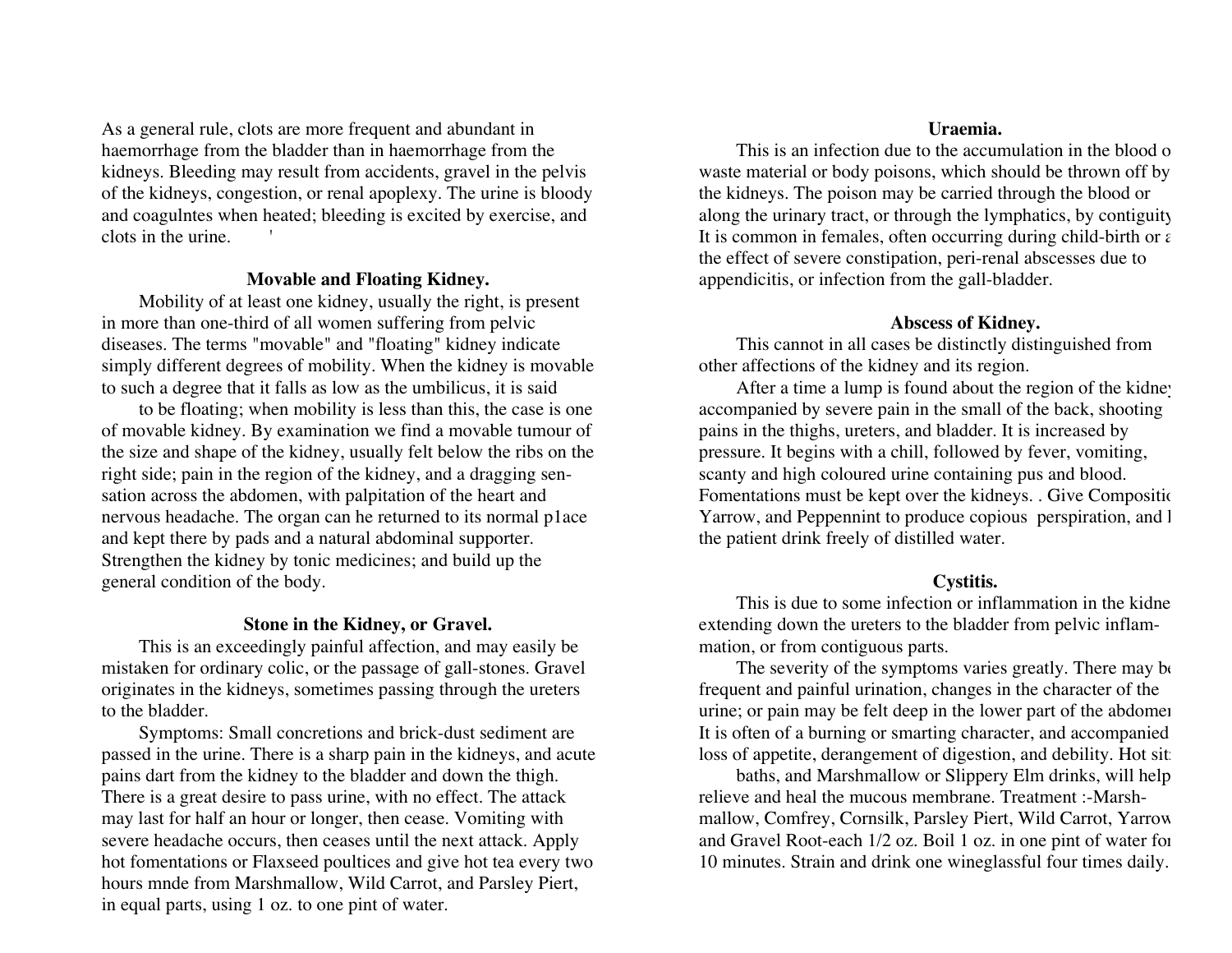As a general rule, clots are more frequent and abundant in haemorrhage from the bladder than in haemorrhage from the kidneys. Bleeding may result from accidents, gravel in the pelvis of the kidneys, congestion, or renal apoplexy. The urine is bloody and coagulntes when heated; bleeding is excited by exercise, and clots in the urine. '

#### **Movable and Floating Kidney.**

Mobility of at least one kidney, usually the right, is present in more than one-third of all women suffering from pelvic diseases. The terms "movable" and "floating" kidney indicate simply different degrees of mobility. When the kidney is movable to such a degree that it falls as low as the umbilicus, it is said

to be floating; when mobility is less than this, the case is one of movable kidney. By examination we find a movable tumour of the size and shape of the kidney, usually felt below the ribs on the right side; pain in the region of the kidney, and a dragging sensation across the abdomen, with palpitation of the heart and nervous headache. The organ can he returned to its normal p1ace and kept there by pads and a natural abdominal supporter. Strengthen the kidney by tonic medicines; and build up the general condition of the body.

#### **Stone in the Kidney, or Gravel.**

This is an exceedingly painful affection, and may easily be mistaken for ordinary colic, or the passage of gall-stones. Gravel originates in the kidneys, sometimes passing through the ureters to the bladder.

Symptoms: Small concretions and brick-dust sediment are passed in the urine. There is a sharp pain in the kidneys, and acute pains dart from the kidney to the bladder and down the thigh. There is a great desire to pass urine, with no effect. The attack may last for half an hour or longer, then cease. Vomiting with severe headache occurs, then ceases until the next attack. Apply hot fomentations or Flaxseed poultices and give hot tea every two hours mnde from Marshmallow, Wild Carrot, and Parsley Piert, in equal parts, using 1 oz. to one pint of water.

#### **Uraemia.**

This is an infection due to the accumulation in the blood o waste material or body poisons, which should be thrown off by the kidneys. The poison may be carried through the blood or along the urinary tract, or through the lymphatics, by contiguity It is common in females, often occurring during child-birth or  $\epsilon$ the effect of severe constipation, peri-renal abscesses due to appendicitis, or infection from the gall-bladder.

#### **Abscess of Kidney.**

This cannot in all cases be distinctly distinguished from other affections of the kidney and its region.

After a time a lump is found about the region of the kidney accompanied by severe pain in the small of the back, shooting pains in the thighs, ureters, and bladder. It is increased by pressure. It begins with a chill, followed by fever, vomiting, scanty and high coloured urine containing pus and blood. Fomentations must be kept over the kidneys. . Give Compositio Yarrow, and Peppennint to produce copious perspiration, and l the patient drink freely of distilled water.

## **Cystitis.**

This is due to some infection or inflammation in the kidne extending down the ureters to the bladder from pelvic inflammation, or from contiguous parts.

The severity of the symptoms varies greatly. There may be frequent and painful urination, changes in the character of the urine; or pain may be felt deep in the lower part of the abdomen It is often of a burning or smarting character, and accompanied loss of appetite, derangement of digestion, and debility. Hot sit

baths, and Marshmallow or Slippery Elm drinks, will help relieve and heal the mucous membrane. Treatment :-Marshmallow, Comfrey, Cornsilk, Parsley Piert, Wild Carrot, Yarrow and Gravel Root-each 1/2 oz*.* Boil 1 oz. in one pint of water for 10 minutes. Strain and drink one wineglassful four times daily.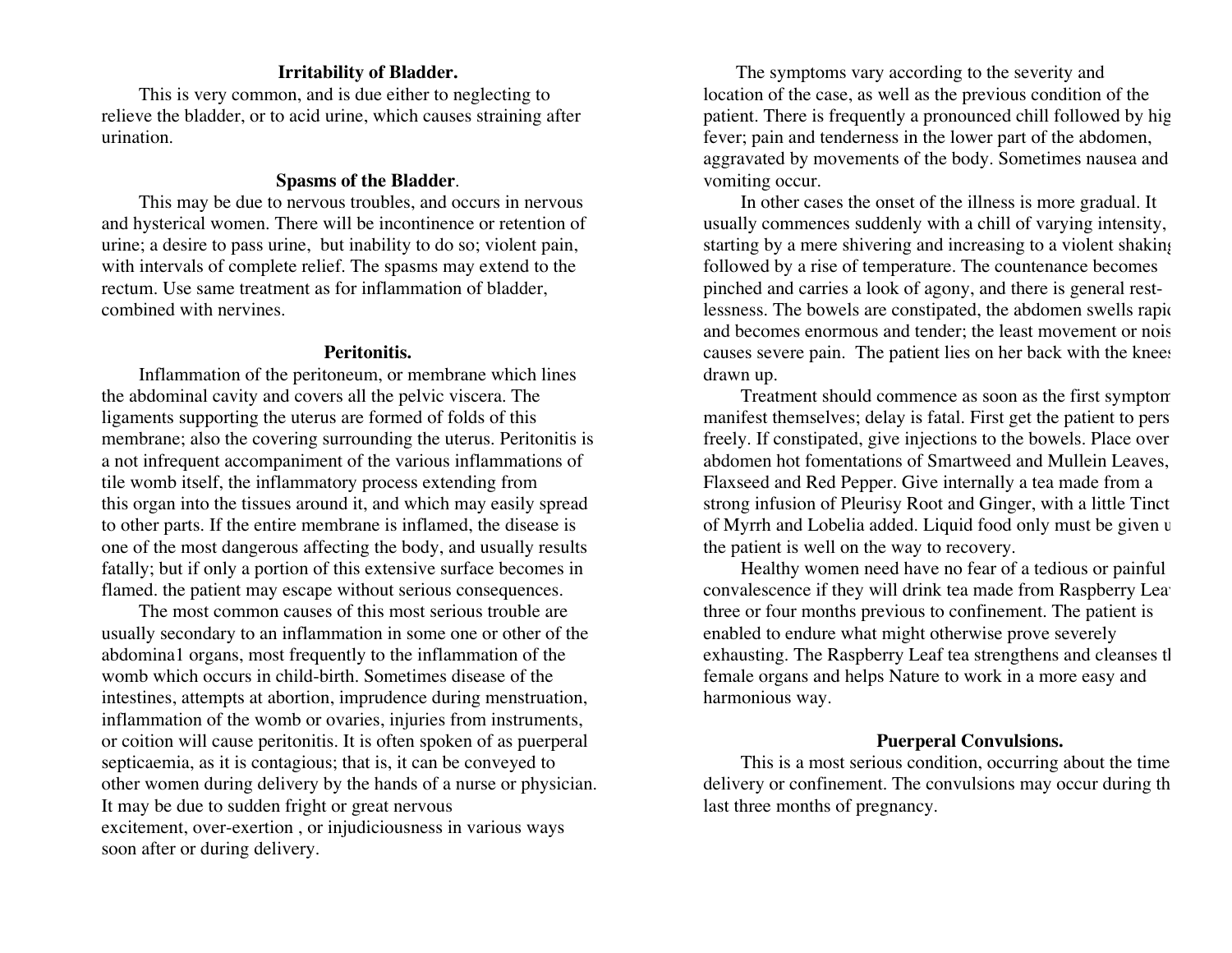## **Irritability of Bladder.**

This is very common, and is due either to neglecting to relieve the bladder, or to acid urine, which causes straining after urination.

#### **Spasms of the Bladder**.

This may be due to nervous troubles, and occurs in nervous and hysterical women. There will be incontinence or retention of urine; a desire to pass urine, but inability to do so; violent pain, with intervals of complete relief. The spasms may extend to the rectum. Use same treatment as for inflammation of bladder, combined with nervines.

#### **Peritonitis.**

Inflammation of the peritoneum, or membrane which lines the abdominal cavity and covers all the pelvic viscera. The ligaments supporting the uterus are formed of folds of this membrane; also the covering surrounding the uterus. Peritonitis is a not infrequent accompaniment of the various inflammations of tile womb itself, the inflammatory process extending from this organ into the tissues around it, and which may easily spread to other parts. If the entire membrane is inflamed, the disease is one of the most dangerous affecting the body, and usually results fatally; but if only a portion of this extensive surface becomes in flamed. the patient may escape without serious consequences.

The most common causes of this most serious trouble are usually secondary to an inflammation in some one or other of the abdomina1 organs, most frequently to the inflammation of the womb which occurs in child-birth. Sometimes disease of the intestines, attempts at abortion, imprudence during menstruation, inflammation of the womb or ovaries, injuries from instruments, or coition will cause peritonitis. It is often spoken of as puerperal septicaemia, as it is contagious; that is, it can be conveyed to other women during delivery by the hands of a nurse or physician. It may be due to sudden fright or great nervous excitement, over-exertion , or injudiciousness in various ways soon after or during delivery.

 The symptoms vary according to the severity and location of the case, as well as the previous condition of the patient. There is frequently a pronounced chill followed by hig fever; pain and tenderness in the lower part of the abdomen, aggravated by movements of the body. Sometimes nausea and vomiting occur.

In other cases the onset of the illness is more gradual. It usually commences suddenly with a chill of varying intensity, starting by a mere shivering and increasing to a violent shaking followed by a rise of temperature. The countenance becomes pinched and carries a look of agony, and there is general restlessness. The bowels are constipated, the abdomen swells rapid and becomes enormous and tender; the least movement or nois causes severe pain. The patient lies on her back with the knees drawn up.

Treatment should commence as soon as the first symptom manifest themselves; delay is fatal. First get the patient to pers freely. If constipated, give injections to the bowels. Place over abdomen hot fomentations of Smartweed and Mullein Leaves, Flaxseed and Red Pepper. Give internally a tea made from a strong infusion of Pleurisy Root and Ginger, with a little Tinct of Myrrh and Lobelia added. Liquid food only must be given u the patient is well on the way to recovery.

Healthy women need have no fear of a tedious or painful convalescence if they will drink tea made from Raspberry Lea three or four months previous to confinement. The patient is enabled to endure what might otherwise prove severely exhausting. The Raspberry Leaf tea strengthens and cleanses th female organs and helps Nature to work in a more easy and harmonious way.

## **Puerperal Convulsions.**

This is a most serious condition, occurring about the time delivery or confinement. The convulsions may occur during th last three months of pregnancy.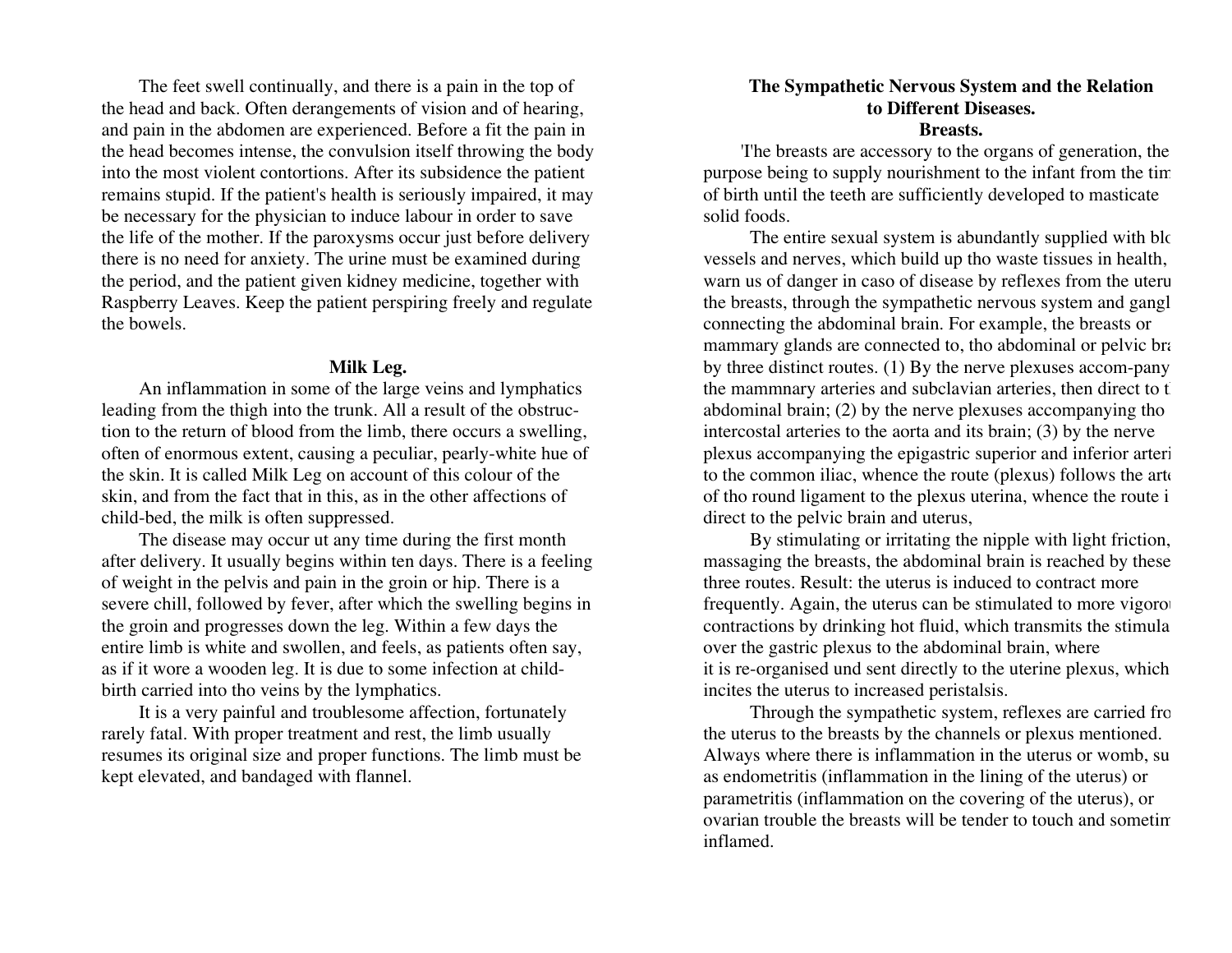The feet swell continually, and there is a pain in the top of the head and back. Often derangements of vision and of hearing, and pain in the abdomen are experienced. Before a fit the pain in the head becomes intense, the convulsion itself throwing the body into the most violent contortions. After its subsidence the patient remains stupid. If the patient's health is seriously impaired, it may be necessary for the physician to induce labour in order to save the life of the mother. If the paroxysms occur just before delivery there is no need for anxiety. The urine must be examined during the period, and the patient given kidney medicine, together with Raspberry Leaves. Keep the patient perspiring freely and regulate the bowels.

## **Milk Leg.**

An inflammation in some of the large veins and lymphatics leading from the thigh into the trunk. All a result of the obstruction to the return of blood from the limb, there occurs a swelling, often of enormous extent, causing a peculiar, pearly-white hue of the skin. It is called Milk Leg on account of this colour of the skin, and from the fact that in this, as in the other affections of child-bed, the milk is often suppressed.

The disease may occur ut any time during the first month after delivery. It usually begins within ten days. There is a feeling of weight in the pelvis and pain in the groin or hip. There is a severe chill, followed by fever, after which the swelling begins in the groin and progresses down the leg. Within a few days the entire limb is white and swollen, and feels, as patients often say, as if it wore a wooden leg. It is due to some infection at childbirth carried into tho veins by the lymphatics.

It is a very painful and troublesome affection, fortunately rarely fatal. With proper treatment and rest, the limb usually resumes its original size and proper functions. The limb must be kept elevated, and bandaged with flannel.

## **The Sympathetic Nervous System and the Relation to Different Diseases. Breasts.**

'I'he breasts are accessory to the organs of generation, the purpose being to supply nourishment to the infant from the tim of birth until the teeth are sufficiently developed to masticate solid foods.

The entire sexual system is abundantly supplied with blogvessels and nerves, which build up tho waste tissues in health, warn us of danger in caso of disease by reflexes from the uteru the breasts, through the sympathetic nervous system and gangl connecting the abdominal brain. For example, the breasts or mammary glands are connected to, tho abdominal or pelvic brass by three distinct routes. (1) By the nerve plexuses accom-pany the mammnary arteries and subclavian arteries, then direct to the abdominal brain; (2) by the nerve plexuses accompanying tho intercostal arteries to the aorta and its brain; (3) by the nerve plexus accompanying the epigastric superior and inferior arteri to the common iliac, whence the route (plexus) follows the arte of tho round ligament to the plexus uterina, whence the route i direct to the pelvic brain and uterus,

By stimulating or irritating the nipple with light friction, massaging the breasts, the abdominal brain is reached by these three routes. Result: the uterus is induced to contract more frequently. Again, the uterus can be stimulated to more vigorous contractions by drinking hot fluid, which transmits the stimula over the gastric plexus to the abdominal brain, where it is re-organised und sent directly to the uterine plexus, which incites the uterus to increased peristalsis.

Through the sympathetic system, reflexes are carried fro the uterus to the breasts by the channels or plexus mentioned. Always where there is inflammation in the uterus or womb, su as endometritis (inflammation in the lining of the uterus) or parametritis (inflammation on the covering of the uterus), or ovarian trouble the breasts will be tender to touch and sometim inflamed.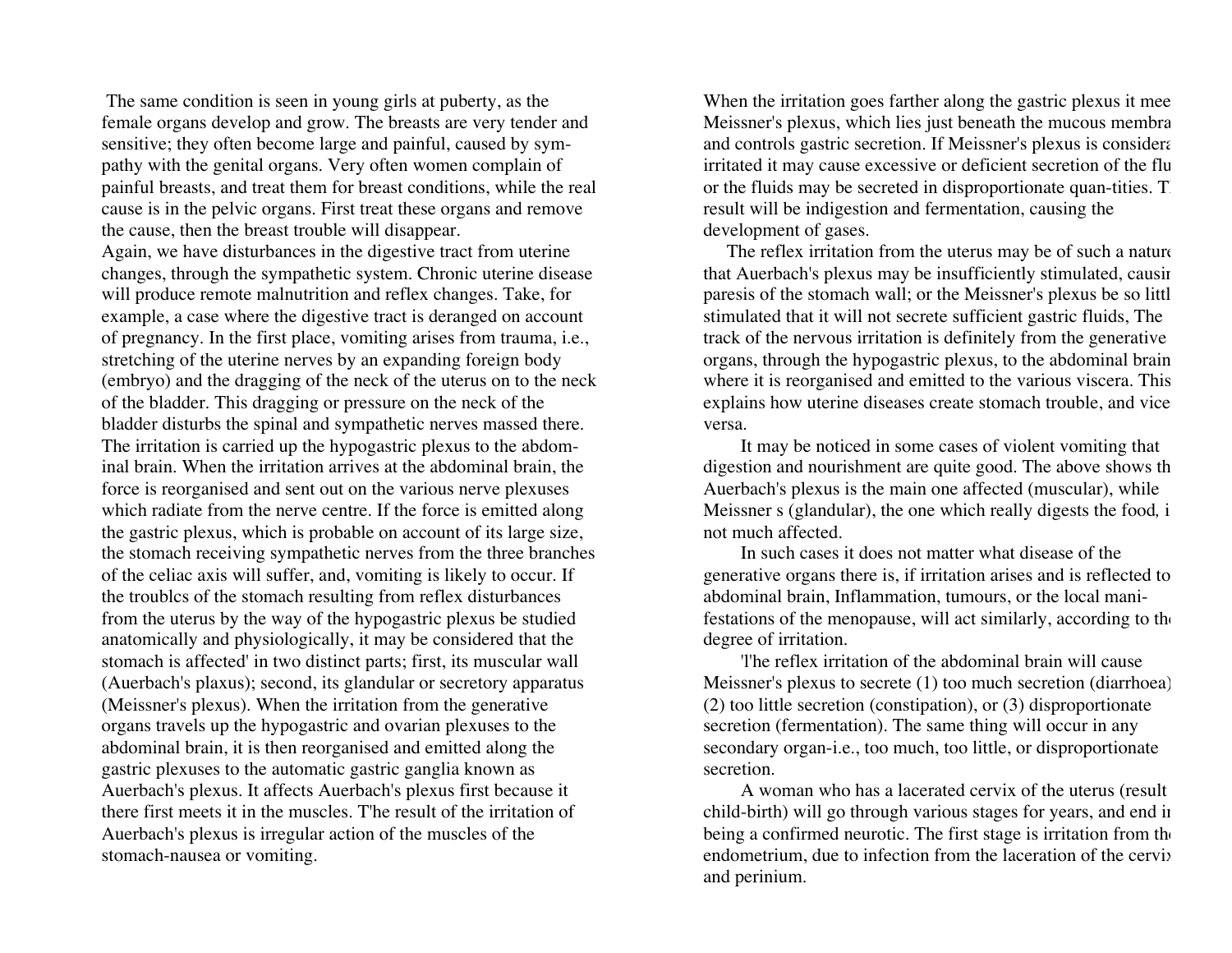The same condition is seen in young girls at puberty, as the female organs develop and grow. The breasts are very tender and sensitive; they often become large and painful, caused by sympathy with the genital organs. Very often women complain of painful breasts, and treat them for breast conditions, while the real cause is in the pelvic organs. First treat these organs and remove the cause, then the breast trouble will disappear. Again, we have disturbances in the digestive tract from uterine changes, through the sympathetic system. Chronic uterine disease will produce remote malnutrition and reflex changes. Take, for example, a case where the digestive tract is deranged on account of pregnancy. In the first place, vomiting arises from trauma, i.e., stretching of the uterine nerves by an expanding foreign body (embryo) and the dragging of the neck of the uterus on to the neck of the bladder. This dragging or pressure on the neck of the bladder disturbs the spinal and sympathetic nerves massed there. The irritation is carried up the hypogastric plexus to the abdominal brain. When the irritation arrives at the abdominal brain, the force is reorganised and sent out on the various nerve plexuses which radiate from the nerve centre. If the force is emitted along the gastric plexus, which is probable on account of its large size, the stomach receiving sympathetic nerves from the three branches of the celiac axis will suffer, and, vomiting is likely to occur. If the troublcs of the stomach resulting from reflex disturbances from the uterus by the way of the hypogastric plexus be studied anatomically and physiologically, it may be considered that the stomach is affected' in two distinct parts; first, its muscular wall (Auerbach's plaxus); second, its glandular or secretory apparatus (Meissner's plexus). When the irritation from the generative organs travels up the hypogastric and ovarian plexuses to the abdominal brain, it is then reorganised and emitted along the gastric plexuses to the automatic gastric ganglia known as Auerbach's plexus. It affects Auerbach's plexus first because it there first meets it in the muscles. T'he result of the irritation of Auerbach's plexus is irregular action of the muscles of the stomach-nausea or vomiting.

When the irritation goes farther along the gastric plexus it mee Meissner's plexus, which lies just beneath the mucous membra and controls gastric secretion. If Meissner's plexus is considera irritated it may cause excessive or deficient secretion of the flu or the fluids may be secreted in disproportionate quan-tities. The result will be indigestion and fermentation, causing the development of gases.

 The reflex irritation from the uterus may be of such a nature that Auerbach's plexus may be insufficiently stimulated, causin paresis of the stomach wall; or the Meissner's plexus be so littl stimulated that it will not secrete sufficient gastric fluids, The track of the nervous irritation is definitely from the generative organs, through the hypogastric plexus, to the abdominal brain where it is reorganised and emitted to the various viscera. This explains how uterine diseases create stomach trouble, and vice versa.

It may be noticed in some cases of violent vomiting that digestion and nourishment are quite good. The above shows th Auerbach's plexus is the main one affected (muscular), while Meissner s (glandular), the one which really digests the food*,* i not much affected.

In such cases it does not matter what disease of the generative organs there is, if irritation arises and is reflected to abdominal brain, Inflammation, tumours, or the local manifestations of the menopause, will act similarly, according to the degree of irritation.

'l'he reflex irritation of the abdominal brain will cause Meissner's plexus to secrete (1) too much secretion (diarrhoea) (2) too little secretion (constipation), or (3) disproportionate secretion (fermentation). The same thing will occur in any secondary organ-i.e., too much, too little, or disproportionate secretion.

A woman who has a lacerated cervix of the uterus (result child-birth) will go through various stages for years, and end in being a confirmed neurotic. The first stage is irritation from the endometrium, due to infection from the laceration of the cervix and perinium.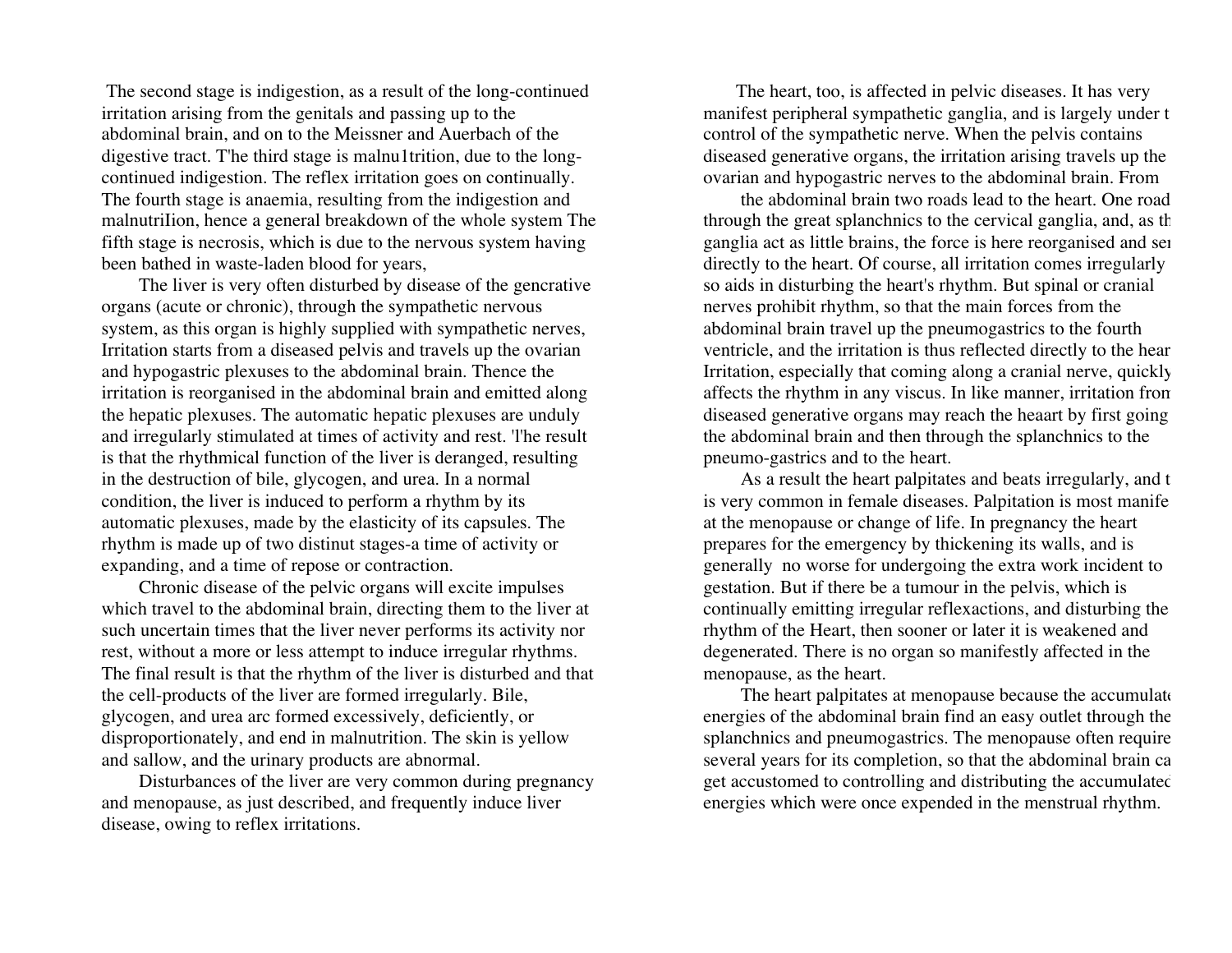The second stage is indigestion, as a result of the long-continued irritation arising from the genitals and passing up to the abdominal brain, and on to the Meissner and Auerbach of the digestive tract. T'he third stage is malnu1trition, due to the longcontinued indigestion. The reflex irritation goes on continually. The fourth stage is anaemia, resulting from the indigestion and malnutriIion, hence a general breakdown of the whole system The fifth stage is necrosis, which is due to the nervous system having been bathed in waste-laden blood for years,

The liver is very often disturbed by disease of the gencrative organs (acute or chronic), through the sympathetic nervous system, as this organ is highly supplied with sympathetic nerves, Irritation starts from a diseased pelvis and travels up the ovarian and hypogastric plexuses to the abdominal brain. Thence the irritation is reorganised in the abdominal brain and emitted along the hepatic plexuses. The automatic hepatic plexuses are unduly and irregularly stimulated at times of activity and rest. 'l'he result is that the rhythmical function of the liver is deranged, resulting in the destruction of bile, glycogen, and urea. In a normal condition, the liver is induced to perform a rhythm by its automatic plexuses, made by the elasticity of its capsules. The rhythm is made up of two distinut stages-a time of activity or expanding, and a time of repose or contraction.

Chronic disease of the pelvic organs will excite impulses which travel to the abdominal brain, directing them to the liver at such uncertain times that the liver never performs its activity nor rest, without a more or less attempt to induce irregular rhythms. The final result is that the rhythm of the liver is disturbed and that the cell-products of the liver are formed irregularly. Bile, glycogen, and urea arc formed excessively, deficiently, or disproportionately, and end in malnutrition. The skin is yellow and sallow, and the urinary products are abnormal.

Disturbances of the liver are very common during pregnancy and menopause, as just described, and frequently induce liver disease, owing to reflex irritations.

 The heart, too, is affected in pelvic diseases. It has very manifest peripheral sympathetic ganglia, and is largely under t control of the sympathetic nerve. When the pelvis contains diseased generative organs, the irritation arising travels up the ovarian and hypogastric nerves to the abdominal brain. From

the abdominal brain two roads lead to the heart. One roa d through the great splanchnics to the cervical ganglia, and, as t h ganglia act as little brains, the force is here reorganised and se n directly to the heart. Of course, all irritation comes irregularly so aids in disturbing the heart's rhythm. But spinal or cranial nerves prohibit rhythm, so that the main forces from the abdominal brain travel up the pneumogastrics to the fourth ventricle, and the irritation is thus reflected directly to the hear Irritation, especially that coming along a cranial nerve, quickly affects the rhythm in any viscus. In like manner, irritation fro m diseased generative organs may reach the heaart by first going the abdominal brain and then through the splanchnics to the pneumo-gastrics and to the heart.

As a result the heart palpitates and beats irregularly, and t is very common in female diseases. Palpitation is most manife at the menopause or change of life. In pregnancy the heart prepares for the emergency by thickening its walls, and is generally no worse for undergoing the extra work incident to gestation. But if there be a tumour in the pelvis, which is continually emitting irregular reflexactions, and disturbing the rhythm of the Heart, then sooner or later it is weakened and degenerated. There is no organ so manifestly affected in the menopause, as the heart.

The heart palpitates at menopause because the accumulate energies of the abdominal brain find an easy outlet through th e splanchnics and pneumogastrics. The menopause often requir e several years for its completion, so that the abdominal brain c a get accustomed to controlling and distributing the accumulate d energies which were once expended in the menstrual rhythm.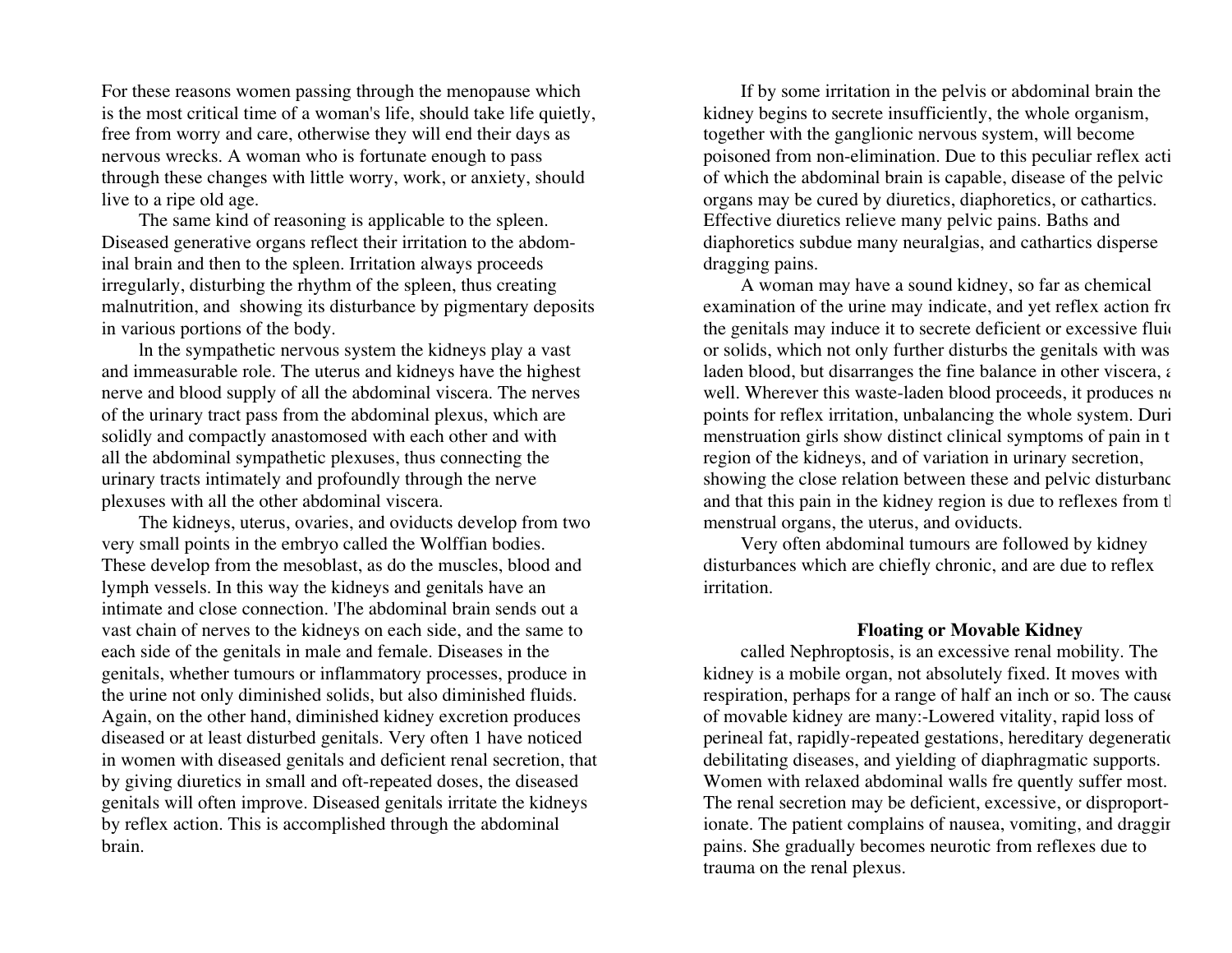For these reasons women passing through the menopause which is the most critical time of a woman's life, should take life quietly, free from worry and care, otherwise they will end their days as nervous wrecks. A woman who is fortunate enough to pass through these changes with little worry, work, or anxiety, should live to a ripe old age.

The same kind of reasoning is applicable to the spleen. Diseased generative organs reflect their irritation to the abdominal brain and then to the spleen. Irritation always proceeds irregularly, disturbing the rhythm of the spleen, thus creating malnutrition, and showing its disturbance by pigmentary deposits in various portions of the body.

ln the sympathetic nervous system the kidneys play a vast and immeasurable role. The uterus and kidneys have the highest nerve and blood supply of all the abdominal viscera. The nerves of the urinary tract pass from the abdominal plexus, which are solidly and compactly anastomosed with each other and with all the abdominal sympathetic plexuses, thus connecting the urinary tracts intimately and profoundly through the nerve plexuses with all the other abdominal viscera.

The kidneys, uterus, ovaries, and oviducts develop from two very small points in the embryo called the Wolffian bodies. These develop from the mesoblast, as do the muscles, blood and lymph vessels. In this way the kidneys and genitals have an intimate and close connection. 'I'he abdominal brain sends out a vast chain of nerves to the kidneys on each side, and the same to each side of the genitals in male and female. Diseases in the genitals, whether tumours or inflammatory processes, produce in the urine not only diminished solids, but also diminished fluids. Again, on the other hand, diminished kidney excretion produces diseased or at least disturbed genitals. Very often 1 have noticed in women with diseased genitals and deficient renal secretion, that by giving diuretics in small and oft-repeated doses, the diseased genitals will often improve. Diseased genitals irritate the kidneys by reflex action. This is accomplished through the abdominal brain.

If by some irritation in the pelvis or abdominal brain the kidney begins to secrete insufficiently, the whole organism, together with the ganglionic nervous system, will become poisoned from non-elimination. Due to this peculiar reflex acti of which the abdominal brain is capable, disease of the pelvic organs may be cured by diuretics, diaphoretics, or cathartics. Effective diuretics relieve many pelvic pains. Baths and diaphoretics subdue many neuralgias, and cathartics disperse dragging pains.

A woman may have a sound kidney, so far as chemical examination of the urine may indicate, and yet reflex action fr o the genitals may induce it to secrete deficient or excessive flui d or solids, which not only further disturbs the genitals with was laden blood, but disarranges the fine balance in other viscera, a well. Wherever this waste-laden blood proceeds, it produces no points for reflex irritation, unbalancing the whole system. Duri menstruation girls show distinct clinical symptoms of pain in t region of the kidneys, and of variation in urinary secretion, showing the close relation between these and pelvic disturban c and that this pain in the kidney region is due to reflexes from t h menstrual organs, the uterus, and oviducts.

Very often abdominal tumours are followed by kidney disturbances which are chiefly chronic, and are due to reflex irritation.

#### **Floating or Movable Kidney**

called Nephroptosis, is an excessive renal mobility. The kidney is a mobile organ, not absolutely fixed. It moves with respiration, perhaps for a range of half an inch or so. The caus e of movable kidney are many:-Lowered vitality, rapid loss of perineal fat, rapidly-repeated gestations, hereditary degenerationdebilitating diseases, and yielding of diaphragmatic supports. Women with relaxed abdominal walls fre quently suffer most. The renal secretion may be deficient, excessive, or disproportionate. The patient complains of nausea, vomiting, and draggi n pains. She gradually becomes neurotic from reflexes due to trauma on the renal plexus.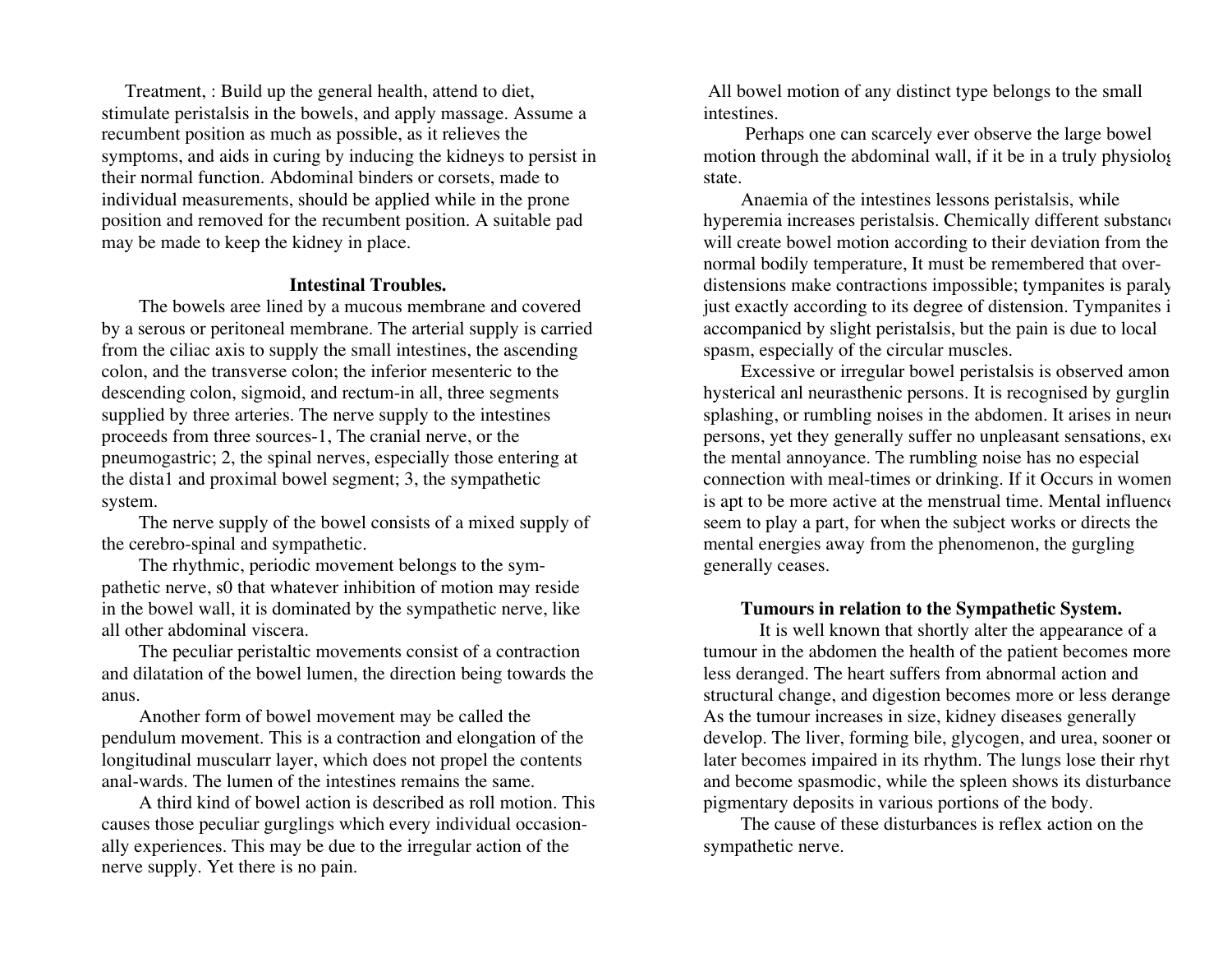Treatment, : Build up the general health, attend to diet, stimulate peristalsis in the bowels, and apply massage. Assume a recumbent position as much as possible, as it relieves the symptoms, and aids in curing by inducing the kidneys to persist in their normal function. Abdominal binders or corsets, made to individual measurements, should be applied while in the prone position and removed for the recumbent position. A suitable pad may be made to keep the kidney in place.

#### **Intestinal Troubles.**

The bowels aree lined by a mucous membrane and covered by a serous or peritoneal membrane. The arterial supply is carried from the ciliac axis to supply the small intestines, the ascending colon, and the transverse colon; the inferior mesenteric to the descending colon, sigmoid, and rectum-in all, three segments supplied by three arteries. The nerve supply to the intestines proceeds from three sources-1, The cranial nerve, or the pneumogastric; 2, the spinal nerves, especially those entering at the dista1 and proximal bowel segment; 3, the sympathetic system.

The nerve supply of the bowel consists of a mixed supply of the cerebro-spinal and sympathetic.

The rhythmic, periodic movement belongs to the sympathetic nerve, s0 that whatever inhibition of motion may reside in the bowel wall, it is dominated by the sympathetic nerve, like all other abdominal viscera.

The peculiar peristaltic movements consist of a contraction and dilatation of the bowel lumen, the direction being towards the anus.

Another form of bowel movement may be called the pendulum movement. This is a contraction and elongation of the longitudinal muscularr layer, which does not propel the contents anal-wards. The lumen of the intestines remains the same.

A third kind of bowel action is described as roll motion. This causes those peculiar gurglings which every individual occasionally experiences. This may be due to the irregular action of the nerve supply. Yet there is no pain.

All bowel motion of any distinct type belongs to the small intestines.

 Perhaps one can scarcely ever observe the large bowel motion through the abdominal wall, if it be in a truly physiolog state.

Anaemia of the intestines lessons peristalsis, while hyperemia increases peristalsis. Chemically different substance will create bowel motion according to their deviation from the normal bodily temperature, It must be remembered that overdistensions make contractions impossible; tympanites is paraly just exactly according to its degree of distension. Tympanites i accompanicd by slight peristalsis, but the pain is due to local spasm, especially of the circular muscles.

Excessive or irregular bowel peristalsis is observed amon hysterical anl neurasthenic persons. It is recognised by gurglin splashing, or rumbling noises in the abdomen. It arises in neuro persons, yet they generally suffer no unpleasant sensations, exceeding the mental annoyance. The rumbling noise has no especial connection with meal-times or drinking. If it Occurs in women is apt to be more active at the menstrual time. Mental influence seem to play a part, for when the subject works or directs the mental energies away from the phenomenon, the gurgling generally ceases.

# **Tumours in relation to the Sympathetic System.**

It is well known that shortly alter the appearance of a tumour in the abdomen the health of the patient becomes more less deranged. The heart suffers from abnormal action and structural change, and digestion becomes more or less derange As the tumour increases in size, kidney diseases generally develop. The liver, forming bile, glycogen, and urea, sooner or later becomes impaired in its rhythm. The lungs lose their rhyt and become spasmodic, while the spleen shows its disturbance pigmentary deposits in various portions of the body.

The cause of these disturbances is reflex action on the sympathetic nerve.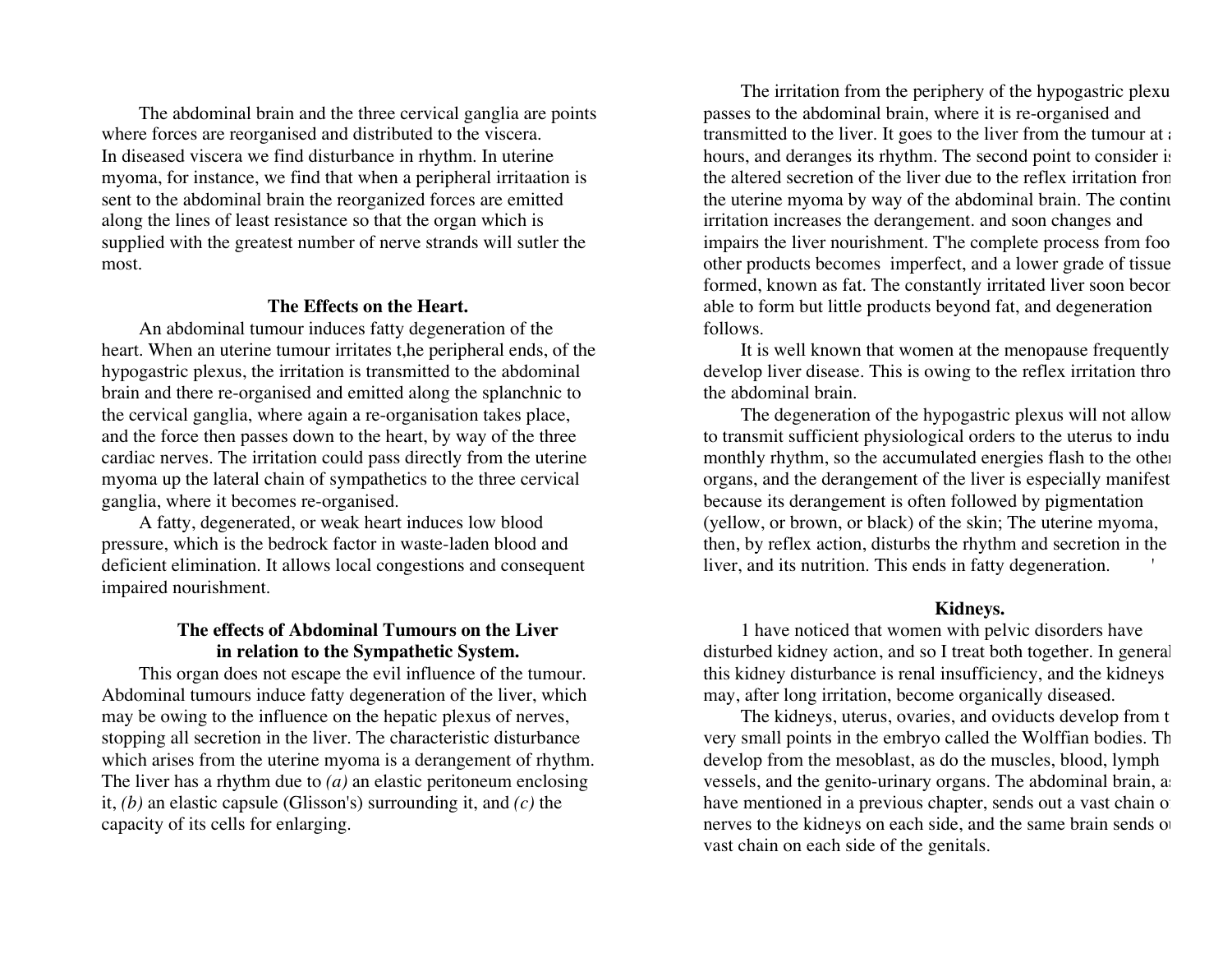The abdominal brain and the three cervical ganglia are points where forces are reorganised and distributed to the viscera. In diseased viscera we find disturbance in rhythm. In uterine myoma, for instance, we find that when a peripheral irritaation is sent to the abdominal brain the reorganized forces are emitted along the lines of least resistance so that the organ which is supplied with the greatest number of nerve strands will sutler the most.

#### **The Effects on the Heart.**

An abdominal tumour induces fatty degeneration of the heart. When an uterine tumour irritates t,he peripheral ends, of the hypogastric plexus, the irritation is transmitted to the abdominal brain and there re-organised and emitted along the splanchnic to the cervical ganglia, where again a re-organisation takes place, and the force then passes down to the heart, by way of the three cardiac nerves. The irritation could pass directly from the uterine myoma up the lateral chain of sympathetics to the three cervical ganglia, where it becomes re-organised.

A fatty, degenerated, or weak heart induces low blood pressure, which is the bedrock factor in waste-laden blood and deficient elimination. It allows local congestions and consequent impaired nourishment.

# **The effects of Abdominal Tumours on the Liver in relation to the Sympathetic System.**

This organ does not escape the evil influence of the tumour. Abdominal tumours induce fatty degeneration of the liver, which may be owing to the influence on the hepatic plexus of nerves, stopping all secretion in the liver. The characteristic disturbance which arises from the uterine myoma is a derangement of rhythm. The liver has a rhythm due to *(a)* an elastic peritoneum enclosing it, *(b)* an elastic capsule (Glisson's) surrounding it, and *(c)* the capacity of its cells for enlarging.

The irritation from the periphery of the hypogastric plex u passes to the abdominal brain, where it is re-organised and transmitted to the liver. It goes to the liver from the tumour at a hours, and deranges its rhythm. The second point to consider is the altered secretion of the liver due to the reflex irritation fro m the uterine myoma by way of the abdominal brain. The contin u irritation increases the derangement. and soon changes and impairs the liver nourishment. T'he complete process from foo other products becomes imperfect, and a lower grade of tissu e formed, known as fat. The constantly irritated liver soon becor able to form but little products beyond fat, and degeneration follows.

It is well known that women at the menopause frequently develop liver disease. This is owing to the reflex irritation thr o the abdominal brain.

The degeneration of the hypogastric plexus will not allo w to transmit sufficient physiological orders to the uterus to indu monthly rhythm, so the accumulated energies flash to the other organs, and the derangement of the liver is especially manifest because its derangement is often followed by pigmentation (yellow, or brown, or black) of the skin; The uterine myoma, then, by reflex action, disturbs the rhythm and secretion in the liver, and its nutrition. This ends in fatty degeneration.

# **Kidneys.**

1 have noticed that women with pelvic disorders have disturbed kidney action, and so I treat both together. In general this kidney disturbance is renal insufficiency, and the kidneys may, after long irritation, become organically diseased.

The kidneys, uterus, ovaries, and oviducts develop from t very small points in the embryo called the Wolffian bodies. T h develop from the mesoblast, as do the muscles, blood, lymph vessels, and the genito-urinary organs. The abdominal brain, as have mentioned in a previous chapter, sends out a vast chain of nerves to the kidneys on each side, and the same brain sends o vast chain on each side of the genitals.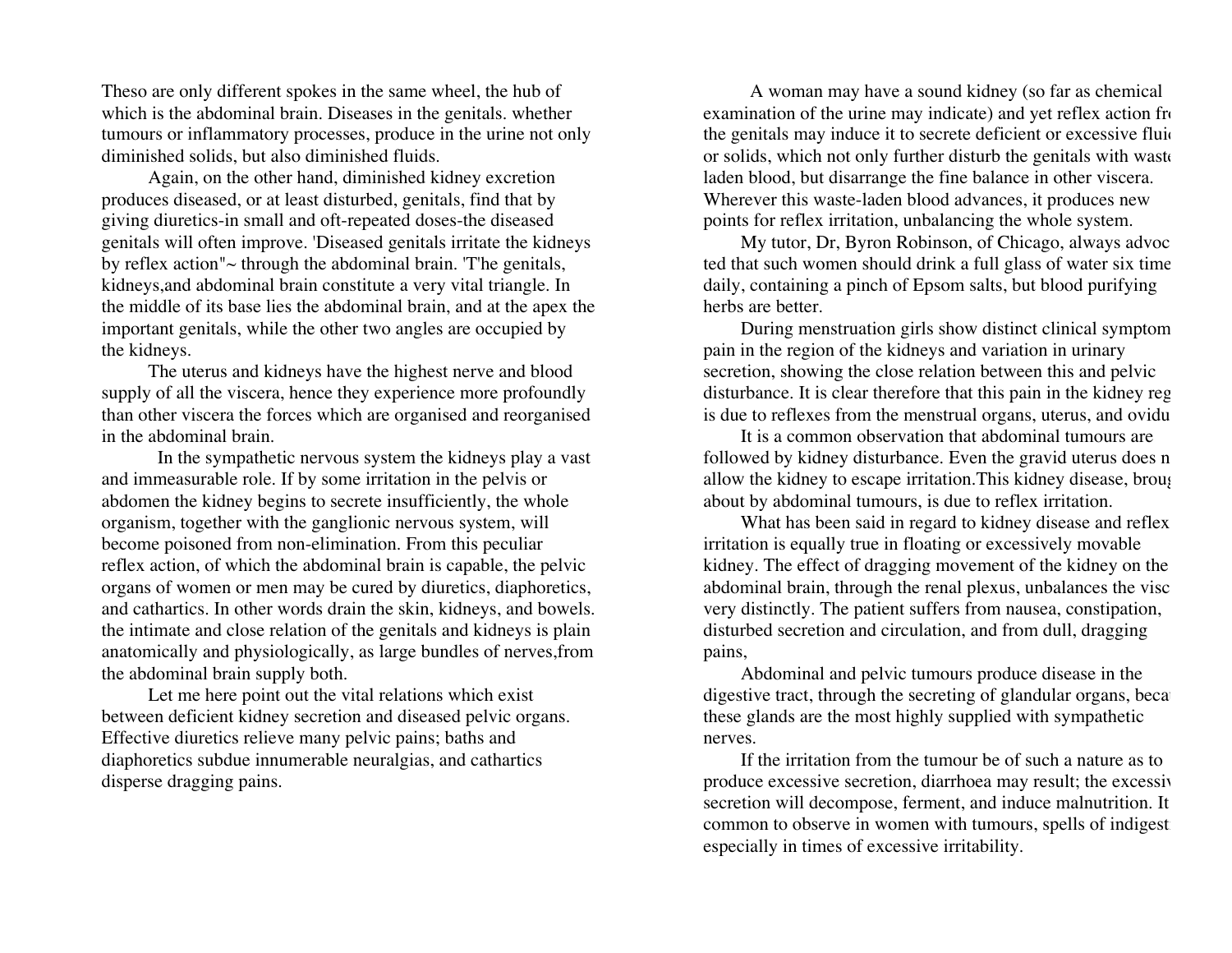Theso are only different spokes in the same wheel, the hub of which is the abdominal brain. Diseases in the genitals. whether tumours or inflammatory processes, produce in the urine not only diminished solids, but also diminished fluids.

Again, on the other hand, diminished kidney excretion produces diseased, or at least disturbed, genitals, find that by giving diuretics-in small and oft-repeated doses-the diseased genitals will often improve. 'Diseased genitals irritate the kidneys by reflex action"~ through the abdominal brain. 'T'he genitals, kidneys,and abdominal brain constitute a very vital triangle. In the middle of its base lies the abdominal brain, and at the apex the important genitals, while the other two angles are occupied by the kidneys.

The uterus and kidneys have the highest nerve and blood supply of all the viscera, hence they experience more profoundly than other viscera the forces which are organised and reorganised in the abdominal brain.

In the sympathetic nervous system the kidneys play a vast and immeasurable role. If by some irritation in the pelvis or abdomen the kidney begins to secrete insufficiently, the whole organism, together with the ganglionic nervous system, will become poisoned from non-elimination. From this peculiar reflex action, of which the abdominal brain is capable, the pelvic organs of women or men may be cured by diuretics, diaphoretics, and cathartics. In other words drain the skin, kidneys, and bowels. the intimate and close relation of the genitals and kidneys is plain anatomically and physiologically, as large bundles of nerves,from the abdominal brain supply both.

Let me here point out the vital relations which exist between deficient kidney secretion and diseased pelvic organs. Effective diuretics relieve many pelvic pains; baths and diaphoretics subdue innumerable neuralgias, and cathartics disperse dragging pains.

A woman may have a sound kidney (so far as chemical examination of the urine may indicate) and yet reflex action fr o the genitals may induce it to secrete deficient or excessive flui d or solids, which not only further disturb the genitals with wast e laden blood, but disarrange the fine balance in other viscera. Wherever this waste-laden blood advances, it produces new points for reflex irritation, unbalancing the whole system.

My tutor, Dr, Byron Robinson, of Chicago, always advoc ted that such women should drink a full glass of water six tim e daily, containing a pinch of Epsom salts, but blood purifying herbs are better.

During menstruation girls show distinct clinical sympto m pain in the region of the kidneys and variation in urinary secretion, showing the close relation between this and pelvic disturbance. It is clear therefore that this pain in the kidney re g is due to reflexes from the menstrual organs, uterus, and ovid u

It is a common observation that abdominal tumours are followed by kidney disturbance. Even the gravid uterus does n allow the kidney to escape irritation.This kidney disease, brou g about by abdominal tumours, is due to reflex irritation.

What has been said in regard to kidney disease and refle x irritation is equally true in floating or excessively movable kidney. The effect of dragging movement of the kidney on the abdominal brain, through the renal plexus, unbalances the visc very distinctly. The patient suffers from nausea, constipation, disturbed secretion and circulation, and from dull, dragging pains,

Abdominal and pelvic tumours produce disease in the digestive tract, through the secreting of glandular organs, beca these glands are the most highly supplied with sympathetic nerves.

If the irritation from the tumour be of such a nature as to produce excessive secretion, diarrhoea may result; the excessi v secretion will decompose, ferment, and induce malnutrition. It common to observe in women with tumours, spells of indigest especially in times of excessive irritability.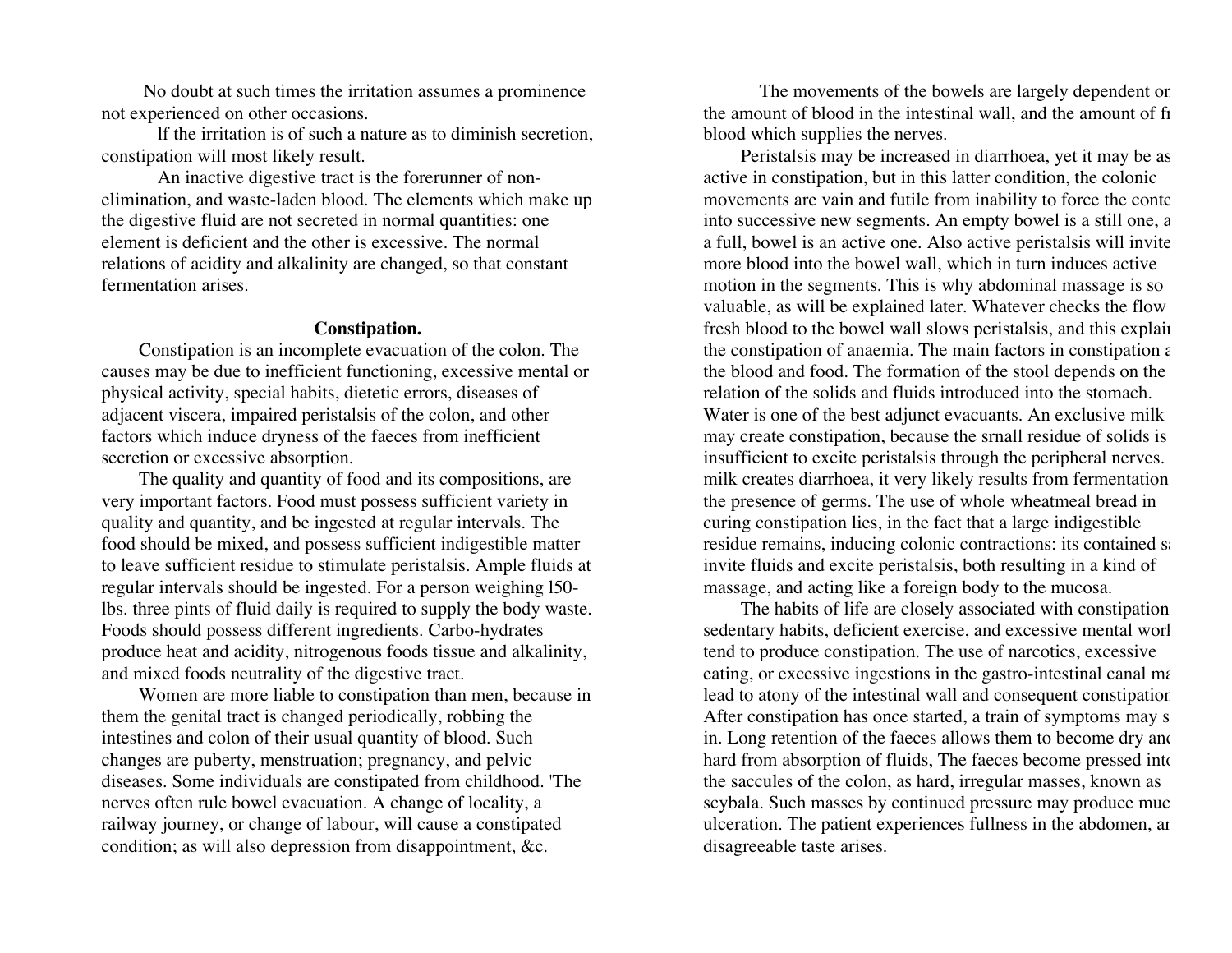No doubt at such times the irritation assumes a prominence not experienced on other occasions.

lf the irritation is of such a nature as to diminish secretion, constipation will most likely result.

An inactive digestive tract is the forerunner of nonelimination, and waste-laden blood. The elements which make up the digestive fluid are not secreted in normal quantities: one element is deficient and the other is excessive. The normal relations of acidity and alkalinity are changed, so that constant fermentation arises.

#### **Constipation.**

Constipation is an incomplete evacuation of the colon. The causes may be due to inefficient functioning, excessive mental or physical activity, special habits, dietetic errors, diseases of adjacent viscera, impaired peristalsis of the colon, and other factors which induce dryness of the faeces from inefficient secretion or excessive absorption.

The quality and quantity of food and its compositions, are very important factors. Food must possess sufficient variety in quality and quantity, and be ingested at regular intervals. The food should be mixed, and possess sufficient indigestible matter to leave sufficient residue to stimulate peristalsis. Ample fluids at regular intervals should be ingested. For a person weighing l50 lbs. three pints of fluid daily is required to supply the body waste. Foods should possess different ingredients. Carbo-hydrates produce heat and acidity, nitrogenous foods tissue and alkalinity, and mixed foods neutrality of the digestive tract.

Women are more liable to constipation than men, because in them the genital tract is changed periodically, robbing the intestines and colon of their usual quantity of blood. Such changes are puberty, menstruation; pregnancy, and pelvic diseases. Some individuals are constipated from childhood. 'The nerves often rule bowel evacuation. A change of locality, a railway journey, or change of labour, will cause a constipated condition; as will also depression from disappointment, &c.

The movements of the bowels are largely dependent on the amount of blood in the intestinal wall, and the amount of fr blood which supplies the nerves.

Peristalsis may be increased in diarrhoea, yet it may be as active in constipation, but in this latter condition, the colonic movements are vain and futile from inability to force the conte into successive new segments. An empty bowel is a still one, a a full, bowel is an active one. Also active peristalsis will invite more blood into the bowel wall, which in turn induces active motion in the segments. This is why abdominal massage is so valuable, as will be explained later. Whatever checks the flow fresh blood to the bowel wall slows peristalsis, and this explain the constipation of anaemia. The main factors in constipation a the blood and food. The formation of the stool depends on the relation of the solids and fluids introduced into the stomach. Water is one of the best adjunct evacuants. An exclusive milk may create constipation, because the srnall residue of solids is insufficient to excite peristalsis through the peripheral nerves. milk creates diarrhoea, it very likely results from fermentation the presence of germs. The use of whole wheatmeal bread in curing constipation lies, in the fact that a large indigestible residue remains, inducing colonic contractions: its contained sail invite fluids and excite peristalsis, both resulting in a kind of massage, and acting like a foreign body to the mucosa.

The habits of life are closely associated with constipation sedentary habits, deficient exercise, and excessive mental worl tend to produce constipation. The use of narcotics, excessive eating, or excessive ingestions in the gastro-intestinal canal ma lead to atony of the intestinal wall and consequent constipation After constipation has once started, a train of symptoms may s in. Long retention of the faeces allows them to become dry and hard from absorption of fluids, The faeces become pressed into the saccules of the colon, as hard, irregular masses, known as scybala. Such masses by continued pressure may produce muc ulceration. The patient experiences fullness in the abdomen, an disagreeable taste arises.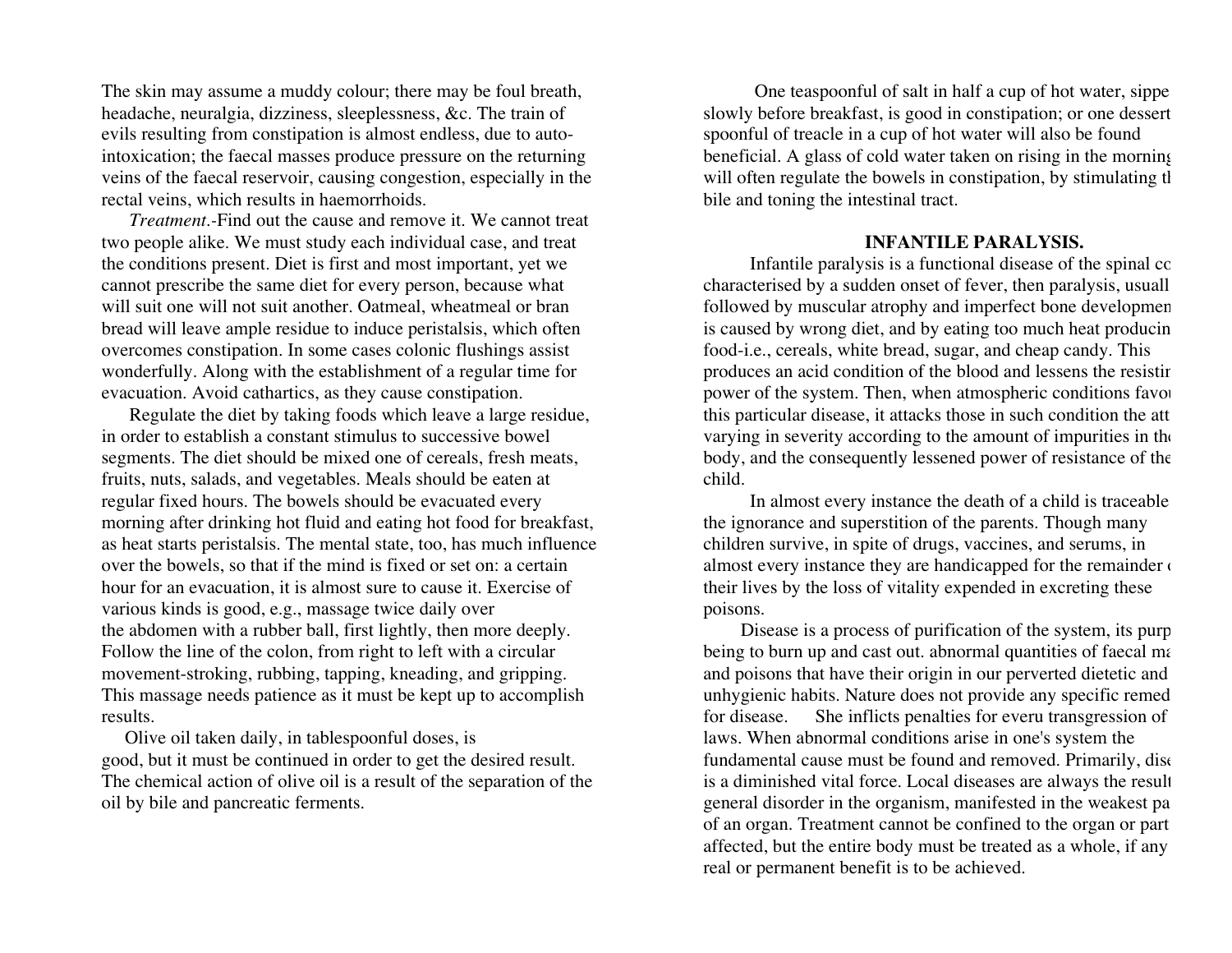The skin may assume a muddy colour; there may be foul breath, headache, neuralgia, dizziness, sleeplessness, &c. The train of evils resulting from constipation is almost endless, due to autointoxication; the faecal masses produce pressure on the returning veins of the faecal reservoir, causing congestion, especially in the rectal veins, which results in haemorrhoids.

 *Treatment.-*Find out the cause and remove it. We cannot treat two people alike. We must study each individual case, and treat the conditions present. Diet is first and most important, yet we cannot prescribe the same diet for every person, because what will suit one will not suit another. Oatmeal, wheatmeal or bran bread will leave ample residue to induce peristalsis, which often overcomes constipation. In some cases colonic flushings assist wonderfully. Along with the establishment of a regular time for evacuation. Avoid cathartics, as they cause constipation.

Regulate the diet by taking foods which leave a large residue, in order to establish a constant stimulus to successive bowel segments. The diet should be mixed one of cereals, fresh meats, fruits, nuts, salads, and vegetables. Meals should be eaten at regular fixed hours. The bowels should be evacuated every morning after drinking hot fluid and eating hot food for breakfast, as heat starts peristalsis. The mental state, too, has much influence over the bowels, so that if the mind is fixed or set on: a certain hour for an evacuation, it is almost sure to cause it. Exercise of various kinds is good, e.g., massage twice daily over the abdomen with a rubber ball, first lightly, then more deeply. Follow the line of the colon, from right to left with a circular movement-stroking, rubbing, tapping, kneading, and gripping. This massage needs patience as it must be kept up to accomplish results.

 Olive oil taken daily, in tablespoonful doses, is good, but it must be continued in order to get the desired result. The chemical action of olive oil is a result of the separation of the oil by bile and pancreatic ferments.

 One teaspoonful of salt in half a cup of hot water, sippe slowly before breakfast, is good in constipation; or one dessert spoonful of treacle in a cup of hot water will also be found beneficial. A glass of cold water taken on rising in the mornin g will often regulate the bowels in constipation, by stimulating the bile and toning the intestinal tract.

# **INFANTILE PARALYSIS.**

Infantile paralysis is a functional disease of the spinal co characterised by a sudden onset of fever, then paralysis, usuall followed by muscular atrophy and imperfect bone developme n is caused by wrong diet, and by eating too much heat produci n food-i.e., cereals, white bread, sugar, and cheap candy. This produces an acid condition of the blood and lessens the resisti n power of the system. Then, when atmospheric conditions favo u this particular disease, it attacks those in such condition the att varying in severity according to the amount of impurities in th e body, and the consequently lessened power of resistance of th e child.

In almost every instance the death of a child is traceable the ignorance and superstition of the parents. Though many children survive, in spite of drugs, vaccines, and serums, in almost every instance they are handicapped for the remainder  $\epsilon$ their lives by the loss of vitality expended in excreting these poisons.

Disease is a process of purification of the system, its pur p being to burn up and cast out. abnormal quantities of faecal m a and poisons that have their origin in our perverted dietetic and unhygienic habits. Nature does not provide any specific reme d for disease. She inflicts penalties for everu transgression of laws. When abnormal conditions arise in one's system the fundamental cause must be found and removed. Primarily, dis e is a diminished vital force. Local diseases are always the result general disorder in the organism, manifested in the weakest p a of an organ. Treatment cannot be confined to the organ or part affected, but the entire body must be treated as a whole, if any real or permanent benefit is to be achieved.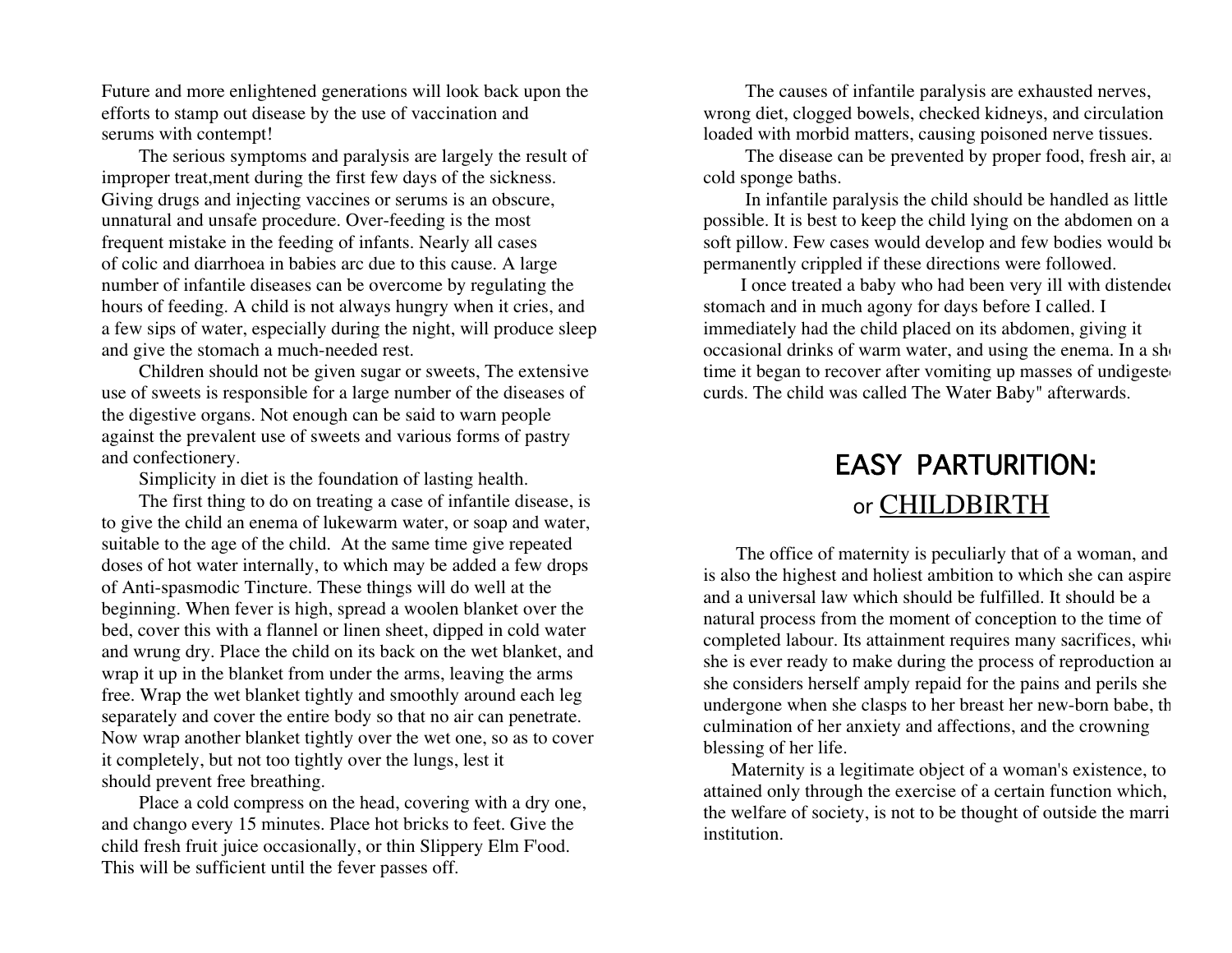Future and more enlightened generations will look back upon the efforts to stamp out disease by the use of vaccination and serums with contempt!

The serious symptoms and paralysis are largely the result of improper treat,ment during the first few days of the sickness. Giving drugs and injecting vaccines or serums is an obscure, unnatural and unsafe procedure. Over-feeding is the most frequent mistake in the feeding of infants. Nearly all cases of colic and diarrhoea in babies arc due to this cause. A large number of infantile diseases can be overcome by regulating the hours of feeding. A child is not always hungry when it cries, and a few sips of water, especially during the night, will produce sleep and give the stomach a much-needed rest.

Children should not be given sugar or sweets, The extensive use of sweets is responsible for a large number of the diseases of the digestive organs. Not enough can be said to warn people against the prevalent use of sweets and various forms of pastry and confectionery.

Simplicity in diet is the foundation of lasting health.

The first thing to do on treating a case of infantile disease, is to give the child an enema of lukewarm water, or soap and water, suitable to the age of the child. At the same time give repeated doses of hot water internally, to which may be added a few drops of Anti-spasmodic Tincture. These things will do well at the beginning. When fever is high, spread a woolen blanket over the bed, cover this with a flannel or linen sheet, dipped in cold water and wrung dry. Place the child on its back on the wet blanket, and wrap it up in the blanket from under the arms, leaving the arms free. Wrap the wet blanket tightly and smoothly around each leg separately and cover the entire body so that no air can penetrate. Now wrap another blanket tightly over the wet one, so as to cover it completely, but not too tightly over the lungs, lest it should prevent free breathing.

Place a cold compress on the head, covering with a dry one, and chango every 15 minutes. Place hot bricks to feet. Give the child fresh fruit juice occasionally, or thin Slippery Elm F'ood. This will be sufficient until the fever passes off.

 The causes of infantile paralysis are exhausted nerves, wrong diet, clogged bowels, checked kidneys, and circulation loaded with morbid matters, causing poisoned nerve tissues.

 The disease can be prevented by proper food, fresh air, a n cold sponge baths.

 In infantile paralysis the child should be handled as little possible. It is best to keep the child lying on the abdomen on a soft pillow. Few cases would develop and few bodies would be permanently crippled if these directions were followed.

I once treated a baby who had been very ill with distended stomach and in much agony for days before I called. I immediately had the child placed on its abdomen, giving it occasional drinks of warm water, and using the enema. In a sh o time it began to recover after vomiting up masses of undigeste curds. The child was called The Water Baby" afterwards.

# EASY PARTURITION: or CHILDBIRTH

 The office of maternity is peculiarly that of a woman, and is also the highest and holiest ambition to which she can aspir e and a universal law which should be fulfilled. It should be a natural process from the moment of conception to the time of completed labour. Its attainment requires many sacrifices, whi c she is ever ready to make during the process of reproduction a n she considers herself amply repaid for the pains and perils she undergone when she clasps to her breast her new-born babe, t h culmination of her anxiety and affections, and the crowning blessing of her life.

Maternity is a legitimate object of a woman's existence, to attained only through the exercise of a certain function which, the welfare of society, is not to be thought of outside the marri institution.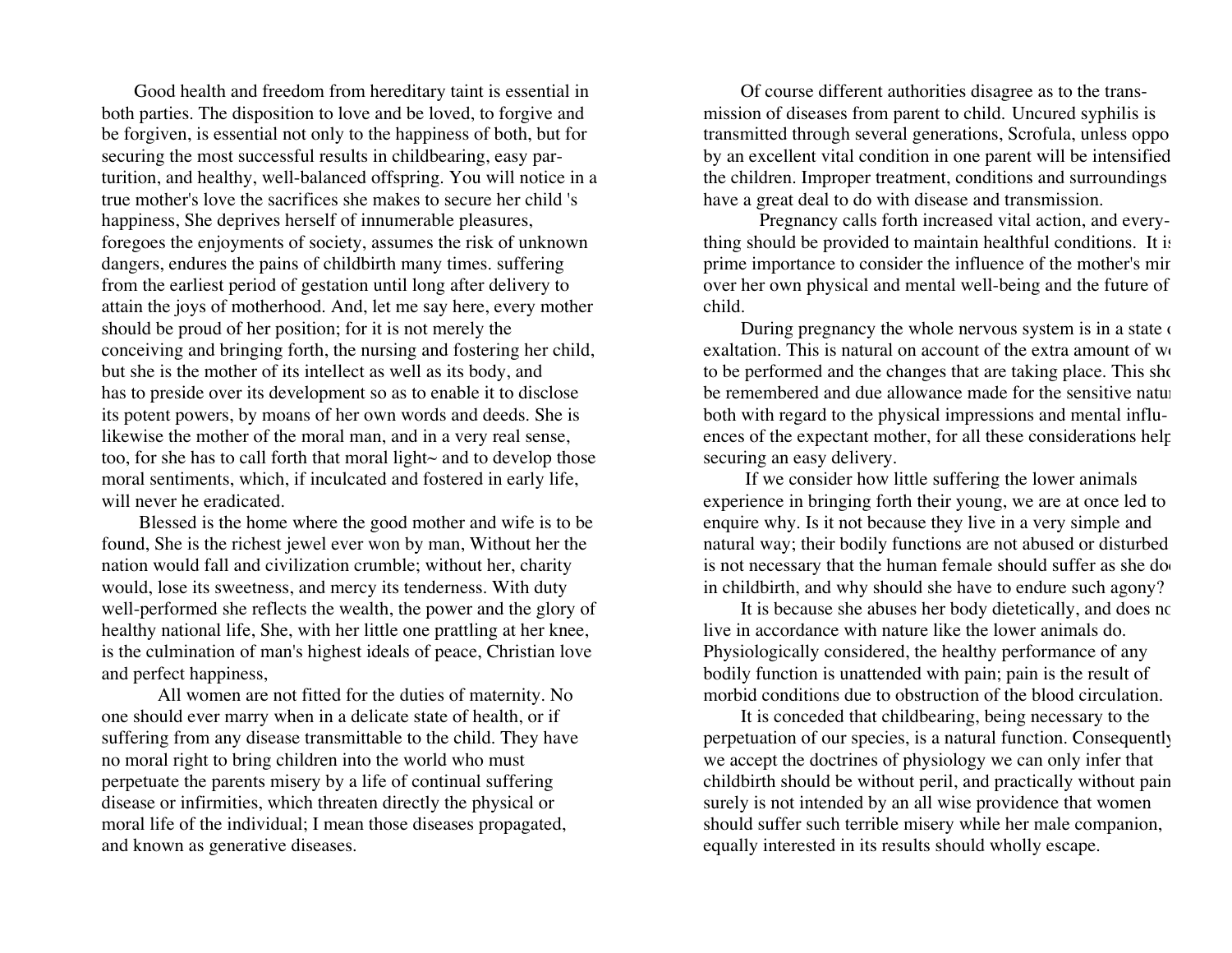Good health and freedom from hereditary taint is essential in both parties. The disposition to love and be loved, to forgive and be forgiven, is essential not only to the happiness of both, but for securing the most successful results in childbearing, easy parturition, and healthy, well-balanced offspring. You will notice in a true mother's love the sacrifices she makes to secure her child 's happiness, She deprives herself of innumerable pleasures, foregoes the enjoyments of society, assumes the risk of unknown dangers, endures the pains of childbirth many times. suffering from the earliest period of gestation until long after delivery to attain the joys of motherhood. And, let me say here, every mother should be proud of her position; for it is not merely the conceiving and bringing forth, the nursing and fostering her child, but she is the mother of its intellect as well as its body, and has to preside over its development so as to enable it to disclose its potent powers, by moans of her own words and deeds. She is likewise the mother of the moral man, and in a very real sense, too, for she has to call forth that moral light~ and to develop those moral sentiments, which, if inculcated and fostered in early life, will never he eradicated.

Blessed is the home where the good mother and wife is to be found, She is the richest jewel ever won by man, Without her the nation would fall and civilization crumble; without her, charity would, lose its sweetness, and mercy its tenderness. With duty well-performed she reflects the wealth, the power and the glory of healthy national life, She, with her little one prattling at her knee, is the culmination of man's highest ideals of peace, Christian love and perfect happiness,

All women are not fitted for the duties of maternity. No one should ever marry when in a delicate state of health, or if suffering from any disease transmittable to the child. They have no moral right to bring children into the world who must perpetuate the parents misery by a life of continual suffering disease or infirmities, which threaten directly the physical or moral life of the individual; I mean those diseases propagated, and known as generative diseases.

Of course different authorities disagree as to the transmission of diseases from parent to child. Uncured syphilis is transmitted through several generations, Scrofula, unless oppo by an excellent vital condition in one parent will be intensifie d the children. Improper treatment, conditions and surroundings have a great deal to do with disease and transmission.

Pregnancy calls forth increased vital action, and everything should be provided to maintain healthful conditions. It is prime importance to consider the influence of the mother's mi n over her own physical and mental well-being and the future of child.

During pregnancy the whole nervous system is in a state of exaltation. This is natural on account of the extra amount of  $w_0$ to be performed and the changes that are taking place. This show be remembered and due allowance made for the sensitive natur both with regard to the physical impressions and mental influences of the expectant mother, for all these considerations hel p securing an easy delivery.

 If we consider how little suffering the lower animals experience in bringing forth their young, we are at once led to enquire why. Is it not because they live in a very simple and natural way; their bodily functions are not abused or disturbed is not necessary that the human female should suffer as she do in childbirth, and why should she have to endure such agony?

It is because she abuses her body dietetically, and does no live in accordance with nature like the lower animals do. Physiologically considered, the healthy performance of any bodily function is unattended with pain; pain is the result of morbid conditions due to obstruction of the blood circulation.

It is conceded that childbearing, being necessary to the perpetuation of our species, is a natural function. Consequentl y we accept the doctrines of physiology we can only infer that childbirth should be without peril, and practically without pai n surely is not intended by an all wise providence that women should suffer such terrible misery while her male companion, equally interested in its results should wholly escape.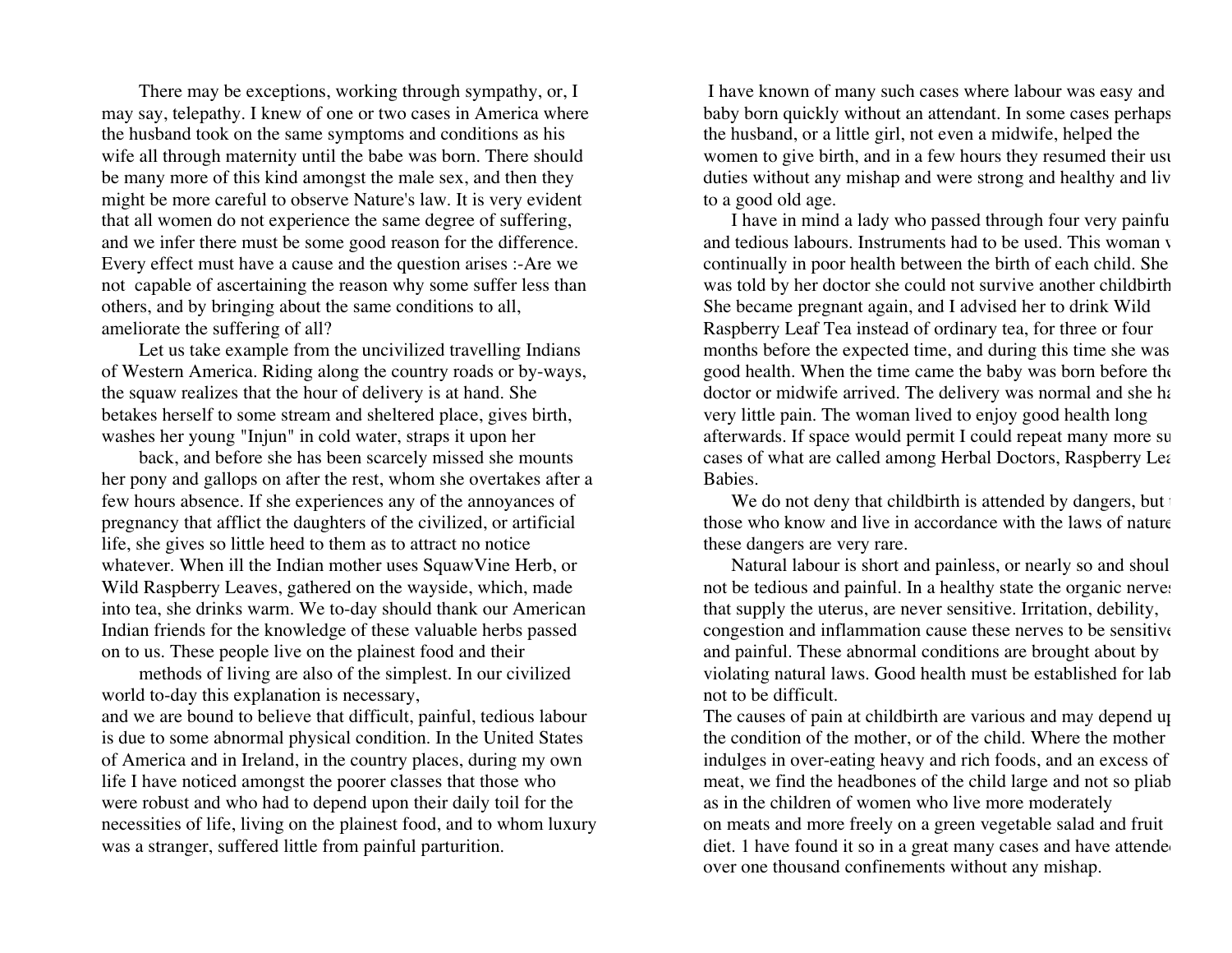There may be exceptions, working through sympathy, or, I may say, telepathy. I knew of one or two cases in America where the husband took on the same symptoms and conditions as his wife all through maternity until the babe was born. There should be many more of this kind amongst the male sex, and then they might be more careful to observe Nature's law. It is very evident that all women do not experience the same degree of suffering, and we infer there must be some good reason for the difference. Every effect must have a cause and the question arises :-Are we not capable of ascertaining the reason why some suffer less than others, and by bringing about the same conditions to all, ameliorate the suffering of all?

Let us take example from the uncivilized travelling Indians of Western America. Riding along the country roads or by-ways, the squaw realizes that the hour of delivery is at hand. She betakes herself to some stream and sheltered place, gives birth, washes her young "Injun" in cold water, straps it upon her

back, and before she has been scarcely missed she mounts her pony and gallops on after the rest, whom she overtakes after a few hours absence. If she experiences any of the annoyances of pregnancy that afflict the daughters of the civilized, or artificial life, she gives so little heed to them as to attract no notice whatever. When ill the Indian mother uses SquawVine Herb, or Wild Raspberry Leaves, gathered on the wayside, which, made into tea, she drinks warm. We to-day should thank our American Indian friends for the knowledge of these valuable herbs passed on to us. These people live on the plainest food and their

methods of living are also of the simplest. In our civilized world to-day this explanation is necessary,

and we are bound to believe that difficult, painful, tedious labour is due to some abnormal physical condition. In the United States of America and in Ireland, in the country places, during my own life I have noticed amongst the poorer classes that those who were robust and who had to depend upon their daily toil for the necessities of life, living on the plainest food, and to whom luxury was a stranger, suffered little from painful parturition.

I have known of many such cases where labour was easy and baby born quickly without an attendant. In some cases perhaps the husband, or a little girl, not even a midwife, helped the women to give birth, and in a few hours they resumed their usu duties without any mishap and were strong and healthy and liv to a good old age.

 I have in mind a lady who passed through four very painfu and tedious labours. Instruments had to be used. This woman v continually in poor health between the birth of each child. She was told by her doctor she could not survive another childbirth She became pregnant again, and I advised her to drink Wild Raspberry Leaf Tea instead of ordinary tea, for three or four months before the expected time, and during this time she was good health. When the time came the baby was born before the doctor or midwife arrived. The delivery was normal and she has very little pain. The woman lived to enjoy good health long afterwards. If space would permit I could repeat many more su cases of what are called among Herbal Doctors, Raspberry Lea Babies.

We do not deny that child birth is attended by dangers, but  $t$ those who know and live in accordance with the laws of nature these dangers are very rare.

 Natural labour is short and painless, or nearly so and shoul not be tedious and painful. In a healthy state the organic nerves that supply the uterus, are never sensitive. Irritation, debility, congestion and inflammation cause these nerves to be sensitive and painful. These abnormal conditions are brought about by violating natural laws. Good health must be established for lab not to be difficult.

The causes of pain at childbirth are various and may depend up the condition of the mother, or of the child. Where the mother indulges in over-eating heavy and rich foods, and an excess of meat, we find the headbones of the child large and not so pliab as in the children of women who live more moderately on meats and more freely on a green vegetable salad and fruit diet. 1 have found it so in a great many cases and have attended over one thousand confinements without any mishap.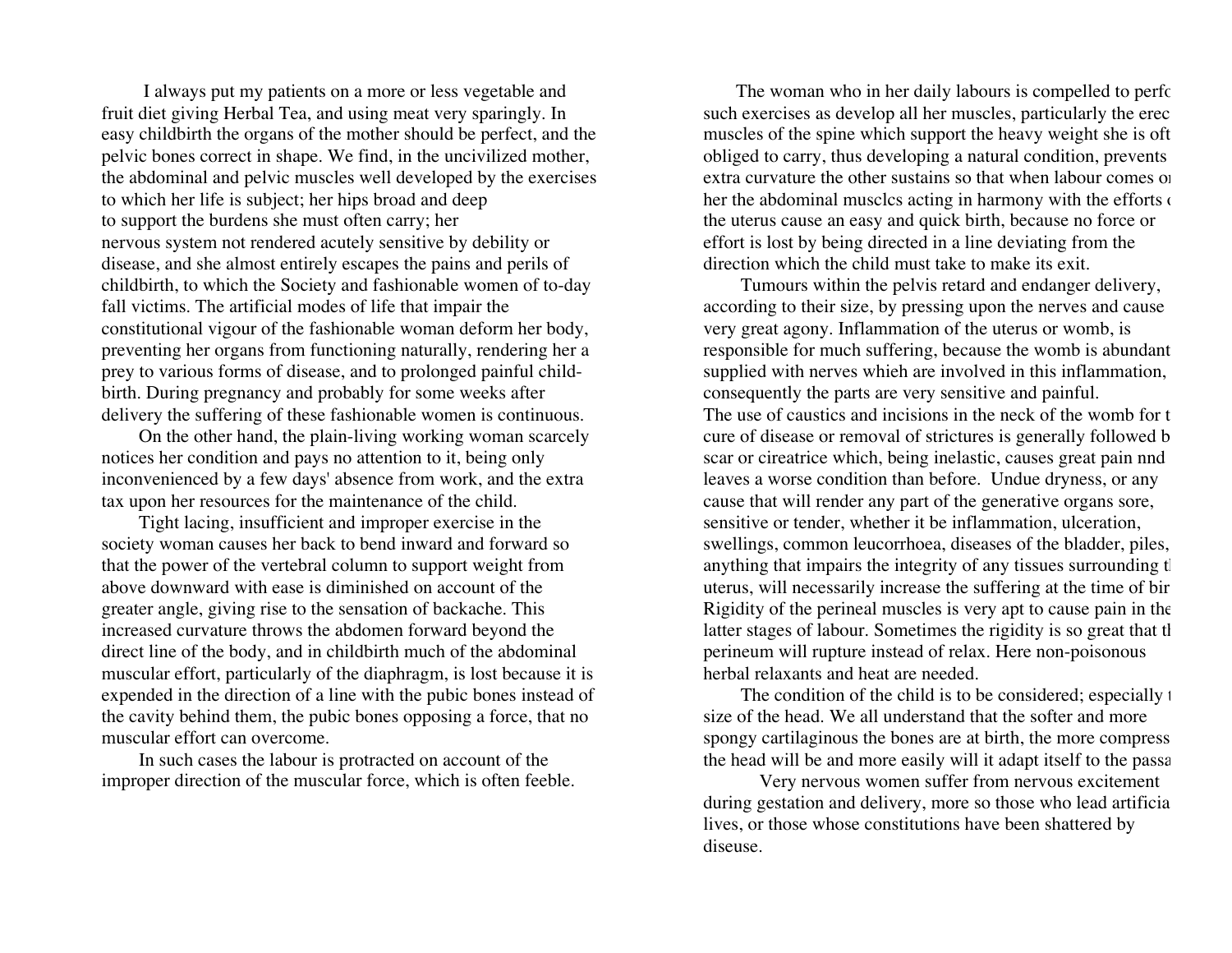I always put my patients on a more or less vegetable and fruit diet giving Herbal Tea, and using meat very sparingly. In easy childbirth the organs of the mother should be perfect, and the pelvic bones correct in shape. We find, in the uncivilized mother, the abdominal and pelvic muscles well developed by the exercises to which her life is subject; her hips broad and deep to support the burdens she must often carry; her nervous system not rendered acutely sensitive by debility or disease, and she almost entirely escapes the pains and perils of childbirth, to which the Society and fashionable women of to-day fall victims. The artificial modes of life that impair the constitutional vigour of the fashionable woman deform her body, preventing her organs from functioning naturally, rendering her a prey to various forms of disease, and to prolonged painful childbirth. During pregnancy and probably for some weeks after delivery the suffering of these fashionable women is continuous.

On the other hand, the plain-living working woman scarcely notices her condition and pays no attention to it, being only inconvenienced by a few days' absence from work, and the extra tax upon her resources for the maintenance of the child.

Tight lacing, insufficient and improper exercise in the society woman causes her back to bend inward and forward so that the power of the vertebral column to support weight from above downward with ease is diminished on account of the greater angle, giving rise to the sensation of backache. This increased curvature throws the abdomen forward beyond the direct line of the body, and in childbirth much of the abdominal muscular effort, particularly of the diaphragm, is lost because it is expended in the direction of a line with the pubic bones instead of the cavity behind them, the pubic bones opposing a force, that no muscular effort can overcome.

 In such cases the labour is protracted on account of the improper direction of the muscular force, which is often feeble.

The woman who in her daily labours is compelled to perform such exercises as develop all her muscles, particularly the erec muscles of the spine which support the heavy weight she is oft obliged to carry, thus developing a natural condition, prevents extra curvature the other sustains so that when labour comes on her the abdominal muscles acting in harmony with the efforts of the uterus cause an easy and quick birth, because no force or effort is lost by being directed in a line deviating from the direction which the child must take to make its exit.

Tumours within the pelvis retard and endanger delivery, according to their size, by pressing upon the nerves and cause very great agony. Inflammation of the uterus or womb, is responsible for much suffering, because the womb is abundant supplied with nerves whieh are involved in this inflammation, consequently the parts are very sensitive and painful. The use of caustics and incisions in the neck of the womb for t cure of disease or removal of strictures is generally followed b scar or cireatrice which, being inelastic, causes great pain nnd leaves a worse condition than before. Undue dryness, or any cause that will render any part of the generative organs sore, sensitive or tender, whether it be inflammation, ulceration, swellings, common leucorrhoea, diseases of the bladder, piles, anything that impairs the integrity of any tissues surrounding the uterus, will necessarily increase the suffering at the time of bir Rigidity of the perineal muscles is very apt to cause pain in the latter stages of labour. Sometimes the rigidity is so great that the perineum will rupture instead of relax. Here non-poisonous herbal relaxants and heat are needed.

The condition of the child is to be considered; especially t size of the head. We all understand that the softer and more spongy cartilaginous the bones are at birth, the more compress the head will be and more easily will it adapt itself to the passa

Very nervous women suffer from nervous excitement during gestation and delivery, more so those who lead artificia lives, or those whose constitutions have been shattered by diseuse.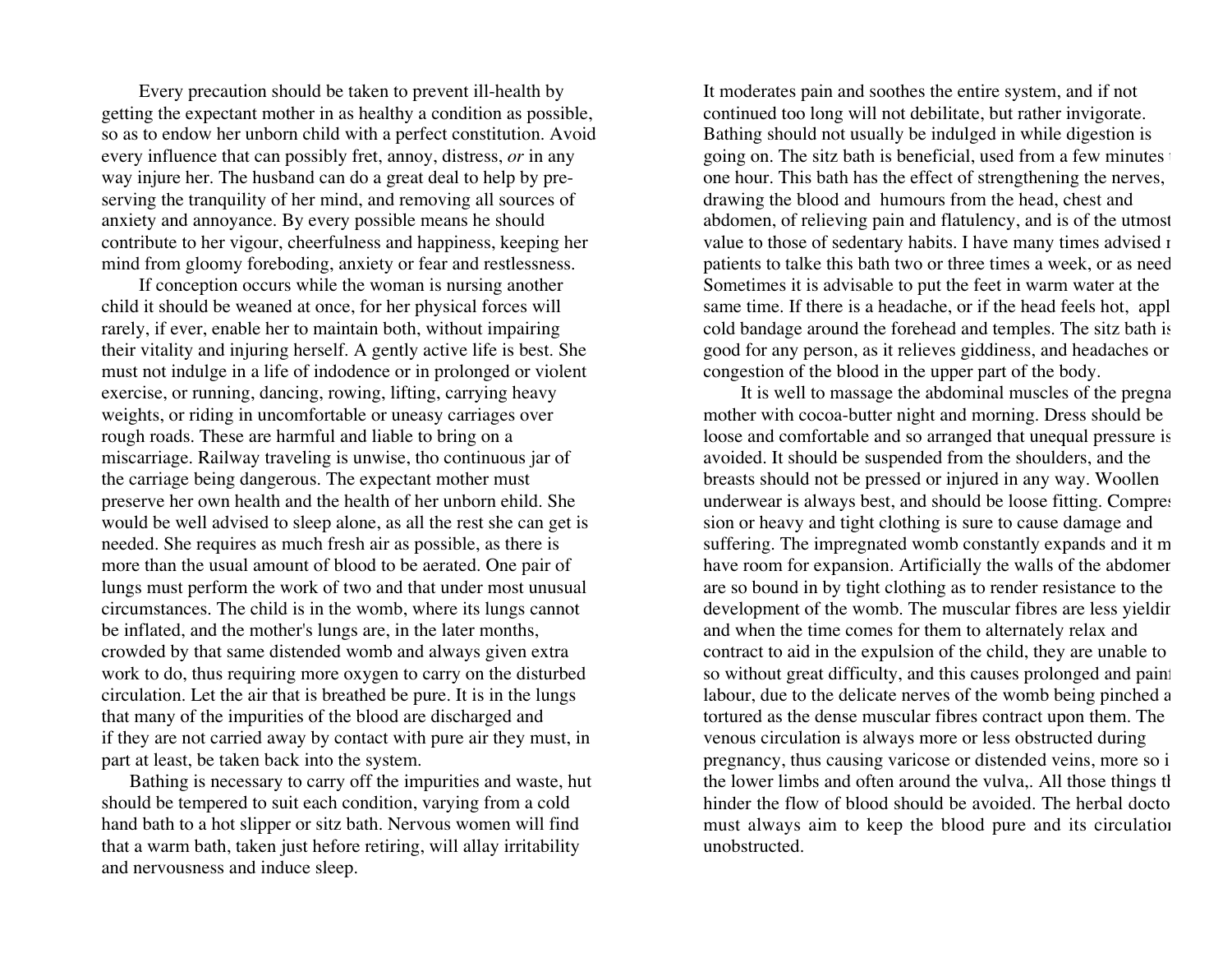Every precaution should be taken to prevent ill-health by getting the expectant mother in as healthy a condition as possible, so as to endow her unborn child with a perfect constitution. Avoid every influence that can possibly fret, annoy, distress, *or* in any way injure her. The husband can do a great deal to help by preserving the tranquility of her mind, and removing all sources of anxiety and annoyance. By every possible means he should contribute to her vigour, cheerfulness and happiness, keeping her mind from gloomy foreboding, anxiety or fear and restlessness.

If conception occurs while the woman is nursing another child it should be weaned at once, for her physical forces will rarely, if ever, enable her to maintain both, without impairing their vitality and injuring herself. A gently active life is best. She must not indulge in a life of indodence or in prolonged or violent exercise, or running, dancing, rowing, lifting, carrying heavy weights, or riding in uncomfortable or uneasy carriages over rough roads. These are harmful and liable to bring on a miscarriage. Railway traveling is unwise, tho continuous jar of the carriage being dangerous. The expectant mother must preserve her own health and the health of her unborn ehild. She would be well advised to sleep alone, as all the rest she can get is needed. She requires as much fresh air as possible, as there is more than the usual amount of blood to be aerated. One pair of lungs must perform the work of two and that under most unusual circumstances. The child is in the womb, where its lungs cannot be inflated, and the mother's lungs are, in the later months, crowded by that same distended womb and always given extra work to do, thus requiring more oxygen to carry on the disturbed circulation. Let the air that is breathed be pure. It is in the lungs that many of the impurities of the blood are discharged and if they are not carried away by contact with pure air they must, in part at least, be taken back into the system.

 Bathing is necessary to carry off the impurities and waste, hut should be tempered to suit each condition, varying from a cold hand bath to a hot slipper or sitz bath. Nervous women will find that a warm bath, taken just hefore retiring, will allay irritability and nervousness and induce sleep.

It moderates pain and soothes the entire system, and if not continued too long will not debilitate, but rather invigorate. Bathing should not usually be indulged in while digestion is going on. The sitz bath is beneficial, used from a few minutes to one hour. This bath has the effect of strengthening the nerves, drawing the blood and humours from the head, chest and abdomen, of relieving pain and flatulency, and is of the utmost value to those of sedentary habits. I have many times advised  $\alpha$ patients to talke this bath two or three times a week, or as need Sometimes it is advisable to put the feet in warm water at the same time. If there is a headache, or if the head feels hot, appl cold bandage around the forehead and temples. The sitz bath is good for any person, as it relieves giddiness, and headaches or congestion of the blood in the upper part of the body.

It is well to massage the abdominal muscles of the pregna mother with cocoa-butter night and morning. Dress should be loose and comfortable and so arranged that unequal pressure is avoided. It should be suspended from the shoulders, and the breasts should not be pressed or injured in any way. Woollen underwear is always best, and should be loose fitting. Compres sion or heavy and tight clothing is sure to cause damage and suffering. The impregnated womb constantly expands and it m have room for expansion. Artificially the walls of the abdomer are so bound in by tight clothing as to render resistance to the development of the womb. The muscular fibres are less yieldir and when the time comes for them to alternately relax and contract to aid in the expulsion of the child, they are unable to so without great difficulty, and this causes prolonged and paint labour, due to the delicate nerves of the womb being pinched a tortured as the dense muscular fibres contract upon them. The venous circulation is always more or less obstructed during pregnancy, thus causing varicose or distended veins, more so i the lower limbs and often around the vulva,. All those things th hinder the flow of blood should be avoided. The herbal docto must always aim to keep the blood pure and its circulation unobstructed.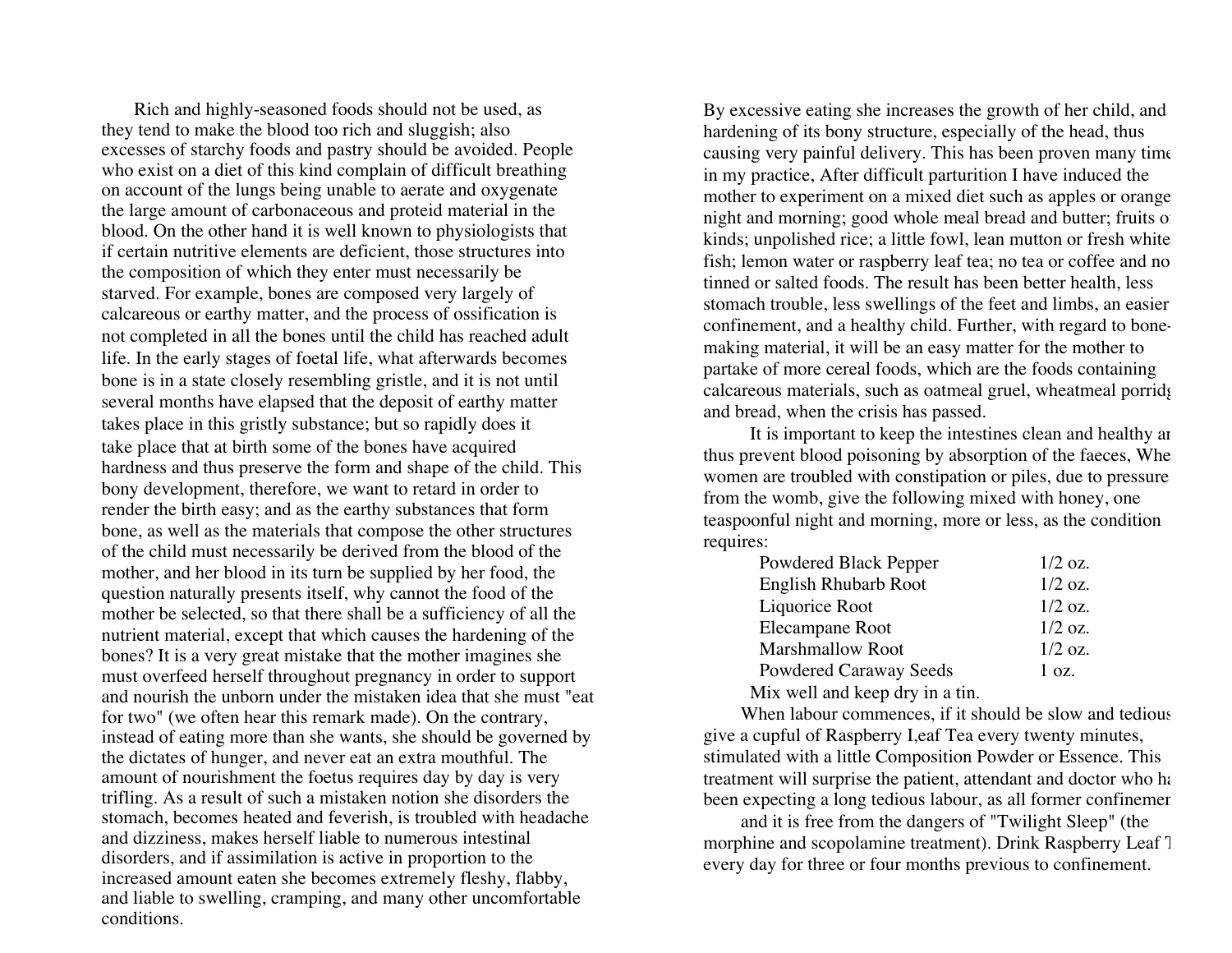Rich and highly-seasoned foods should not be used, as they tend to make the blood too rich and sluggish; also excesses of starchy foods and pastry should be avoided. People who exist on a diet of this kind complain of difficult breathing on account of the lungs being unable to aerate and oxygenate the large amount of carbonaceous and proteid material in the blood. On the other hand it is well known to physiologists that if certain nutritive elements are deficient, those structures into the composition of which they enter must necessarily be starved. For example, bones are composed very largely of calcareous or earthy matter, and the process of ossification is not completed in all the bones until the child has reached adult life. In the early stages of foetal life, what afterwards becomes bone is in a state closely resembling gristle, and it is not until several months have elapsed that the deposit of earthy matter takes place in this gristly substance; but so rapidly does it take place that at birth some of the bones have acquired hardness and thus preserve the form and shape of the child. This bony development, therefore, we want to retard in order to render the birth easy; and as the earthy substances that form bone, as well as the materials that compose the other structures of the child must necessarily be derived from the blood of the mother, and her blood in its turn be supplied by her food, the question naturally presents itself, why cannot the food of the mother be selected, so that there shall be a sufficiency of all the nutrient material, except that which causes the hardening of the bones? It is a very great mistake that the mother imagines she must overfeed herself throughout pregnancy in order to support and nourish the unborn under the mistaken idea that she must "eat for two" (we often hear this remark made). On the contrary, instead of eating more than she wants, she should be governed by the dictates of hunger, and never eat an extra mouthful. The amount of nourishment the foetus requires day by day is very trifling. As a result of such a mistaken notion she disorders the stomach, becomes heated and feverish, is troubled with headache and dizziness, makes herself liable to numerous intestinal disorders, and if assimilation is active in proportion to the increased amount eaten she becomes extremely fleshy, flabby, and liable to swelling, cramping, and many other uncomfortable conditions.

By excessive eating she increases the growth of her child, and hardening of its bony structure, especially of the head, thus causing very painful delivery. This has been proven many time in my practice, After difficult parturition I have induced the mother to experiment on a mixed diet such as apples or orange night and morning; good whole meal bread and butter; fruits of kinds; unpolished rice; a little fowl, lean mutton or fresh white fish; lemon water or raspberry leaf tea; no tea or coffee and no tinned or salted foods. The result has been better health, less stomach trouble, less swellings of the feet and limbs, an easier confinement, and a healthy child. Further, with regard to bonemaking material, it will be an easy matter for the mother to partake of more cereal foods, which are the foods containing calcareous materials, such as oatmeal gruel, wheatmeal porridg and bread, when the crisis has passed.

It is important to keep the intestines clean and healthy an thus prevent blood poisoning by absorption of the faeces, Whe women are troubled with constipation or piles, due to pressure from the womb, give the following mixed with honey, one teaspoonful night and morning, more or less, as the condition requires:

| Powdered Black Pepper           | $1/2$ oz.       |
|---------------------------------|-----------------|
| <b>English Rhubarb Root</b>     | $1/2$ oz.       |
| Liquorice Root                  | $1/2$ oz.       |
| Elecampane Root                 | $1/2$ oz.       |
| <b>Marshmallow Root</b>         | $1/2$ oz.       |
| <b>Powdered Caraway Seeds</b>   | $1 \text{ oz.}$ |
| Mix well and keep dry in a tin. |                 |

When labour commences, if it should be slow and tedious give a cupful of Raspberry I,eaf Tea every twenty minutes, stimulated with a little Composition Powder or Essence. This treatment will surprise the patient, attendant and doctor who has been expecting a long tedious labour, as all former confinemen

and it is free from the dangers of "Twilight Sleep" (the morphine and scopolamine treatment). Drink Raspberry Leaf T every day for three or four months previous to confinement.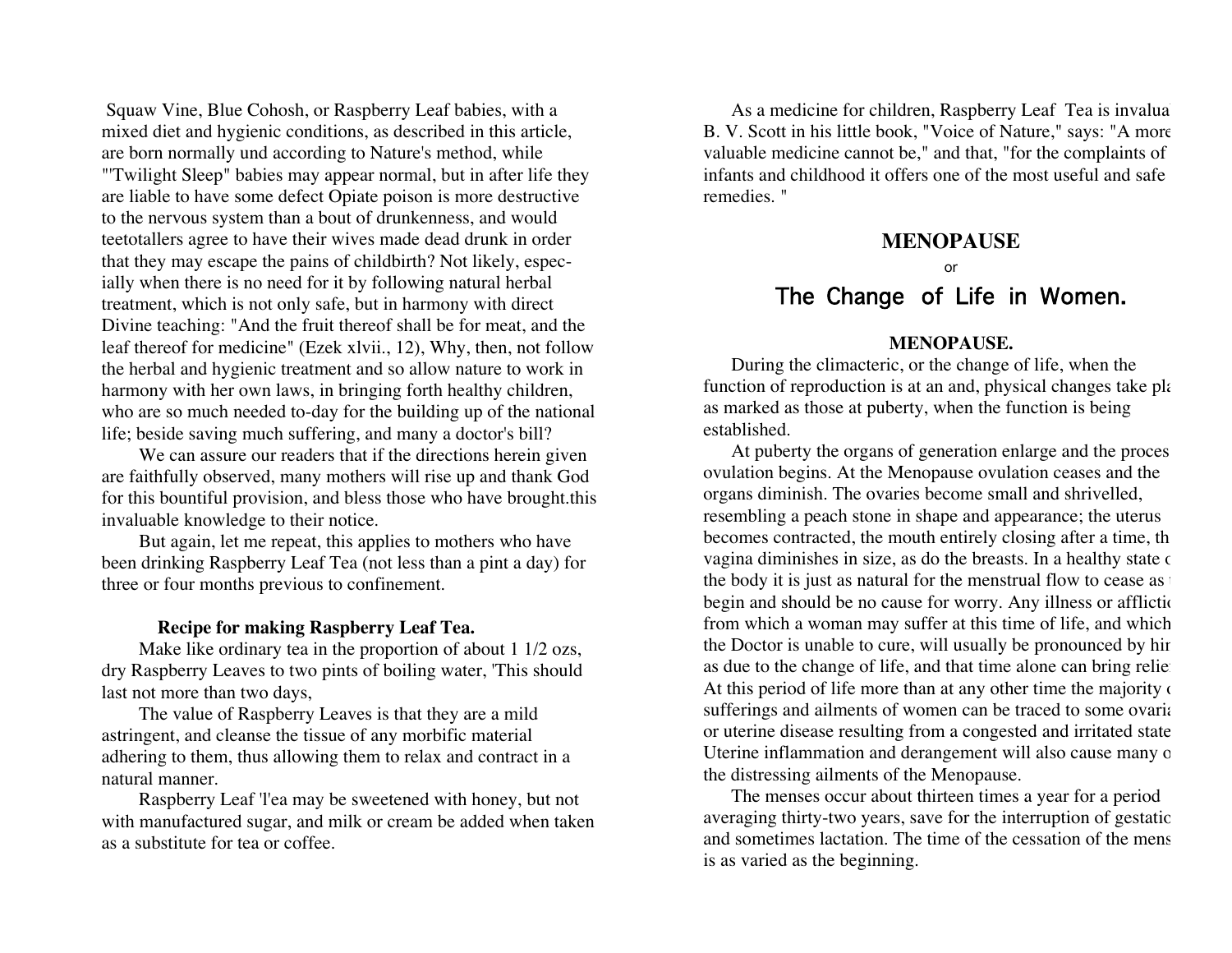Squaw Vine, Blue Cohosh, or Raspberry Leaf babies, with a mixed diet and hygienic conditions, as described in this article, are born normally und according to Nature's method, while "'Twilight Sleep" babies may appear normal, but in after life they are liable to have some defect Opiate poison is more destructive to the nervous system than a bout of drunkenness, and would teetotallers agree to have their wives made dead drunk in order that they may escape the pains of childbirth? Not likely, especially when there is no need for it by following natural herbal treatment, which is not only safe, but in harmony with direct Divine teaching: "And the fruit thereof shall be for meat, and the leaf thereof for medicine" (Ezek xlvii., 12), Why, then, not follow the herbal and hygienic treatment and so allow nature to work in harmony with her own laws, in bringing forth healthy children, who are so much needed to-day for the building up of the national life; beside saving much suffering, and many a doctor's bill?

We can assure our readers that if the directions herein given are faithfully observed, many mothers will rise up and thank God for this bountiful provision, and bless those who have brought.this invaluable knowledge to their notice.

But again, let me repeat, this applies to mothers who have been drinking Raspberry Leaf Tea (not less than a pint a day) for three or four months previous to confinement.

#### **Recipe for making Raspberry Leaf Tea.**

Make like ordinary tea in the proportion of about 1 1/2 ozs, dry Raspberry Leaves to two pints of boiling water, 'This should last not more than two days,

The value of Raspberry Leaves is that they are a mild astringent, and cleanse the tissue of any morbific material adhering to them, thus allowing them to relax and contract in a natural manner.

Raspberry Leaf 'l'ea may be sweetened with honey, but not with manufactured sugar, and milk or cream be added when taken as a substitute for tea or coffee.

 As a medicine for children, Raspberry Leaf Tea is invaluab B. V. Scott in his little book, "Voice of Nature," says: "A more valuable medicine cannot be," and that, "for the complaints of infants and childhood it offers one of the most useful and safe remedies. "

# **MENOPAUSE**

#### or

# The Change of Life in Women.

# **MENOPAUSE.**

 During the climacteric, or the change of life, when the function of reproduction is at an and, physical changes take planet as marked as those at puberty, when the function is being established.

 At puberty the organs of generation enlarge and the proces ovulation begins. At the Menopause ovulation ceases and the organs diminish. The ovaries become small and shrivelled, resembling a peach stone in shape and appearance; the uterus becomes contracted, the mouth entirely closing after a time, th vagina diminishes in size, as do the breasts. In a healthy state of the body it is just as natural for the menstrual flow to cease as  $\mathbf{r}$ begin and should be no cause for worry. Any illness or affliction from which a woman may suffer at this time of life, and which the Doctor is unable to cure, will usually be pronounced by him as due to the change of life, and that time alone can bring relief At this period of life more than at any other time the majority  $\alpha$ sufferings and ailments of women can be traced to some ovaria or uterine disease resulting from a congested and irritated state Uterine inflammation and derangement will also cause many o the distressing ailments of the Menopause.

 The menses occur about thirteen times a year for a period averaging thirty-two years, save for the interruption of gestatio and sometimes lactation. The time of the cessation of the mens is as varied as the beginning.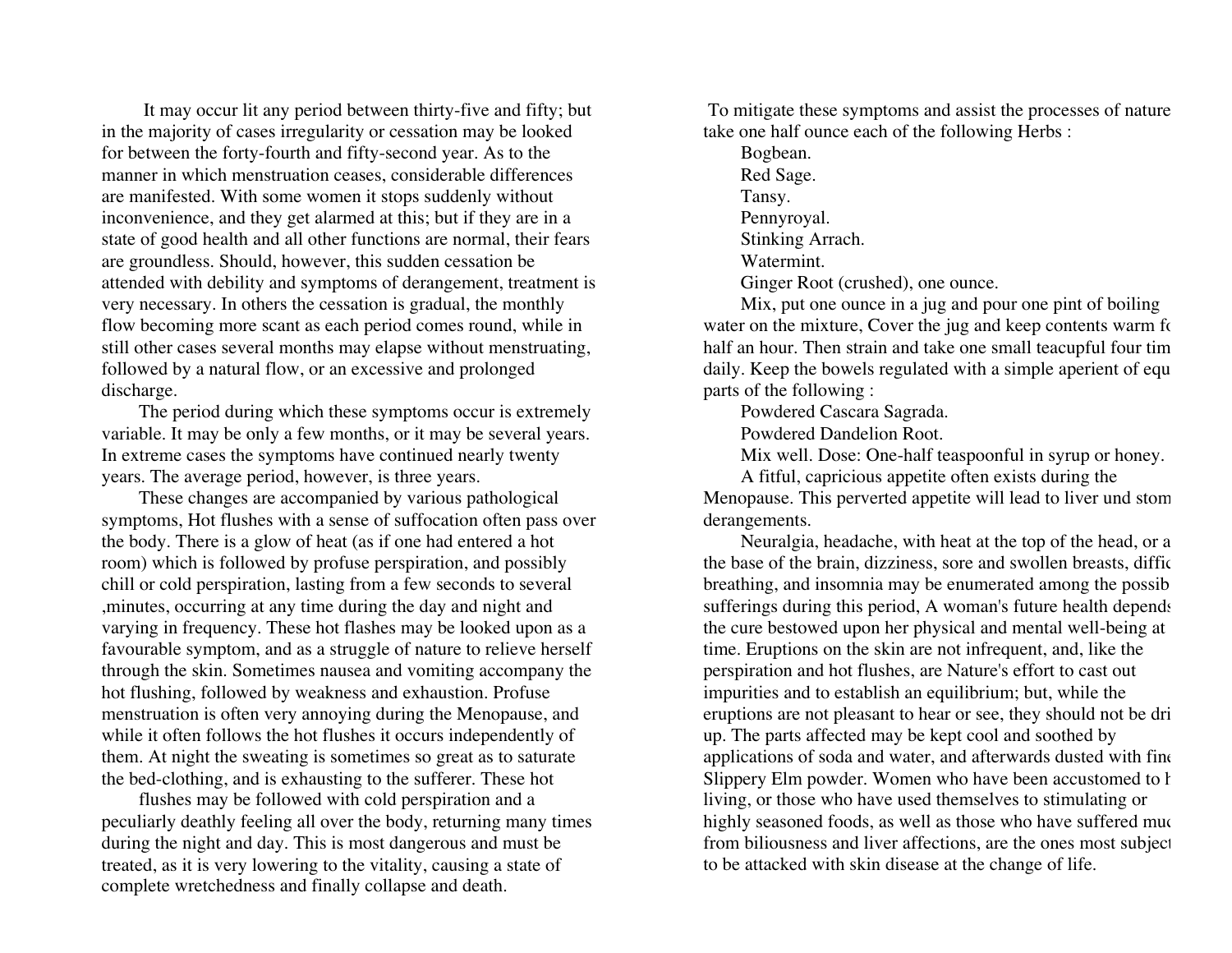It may occur lit any period between thirty-five and fifty; but in the majority of cases irregularity or cessation may be looked for between the forty-fourth and fifty-second year. As to the manner in which menstruation ceases, considerable differences are manifested. With some women it stops suddenly without inconvenience, and they get alarmed at this; but if they are in a state of good health and all other functions are normal, their fears are groundless. Should, however, this sudden cessation be attended with debility and symptoms of derangement, treatment is very necessary. In others the cessation is gradual, the monthly flow becoming more scant as each period comes round, while in still other cases several months may elapse without menstruating, followed by a natural flow, or an excessive and prolonged discharge.

The period during which these symptoms occur is extremely variable. It may be only a few months, or it may be several years. In extreme cases the symptoms have continued nearly twenty years. The average period, however, is three years.

These changes are accompanied by various pathological symptoms, Hot flushes with a sense of suffocation often pass over the body. There is a glow of heat (as if one had entered a hot room) which is followed by profuse perspiration, and possibly chill or cold perspiration, lasting from a few seconds to several ,minutes, occurring at any time during the day and night and varying in frequency. These hot flashes may be looked upon as a favourable symptom, and as a struggle of nature to relieve herself through the skin. Sometimes nausea and vomiting accompany the hot flushing, followed by weakness and exhaustion. Profuse menstruation is often very annoying during the Menopause, and while it often follows the hot flushes it occurs independently of them. At night the sweating is sometimes so great as to saturate the bed-clothing, and is exhausting to the sufferer. These hot

flushes may be followed with cold perspiration and a peculiarly deathly feeling all over the body, returning many times during the night and day. This is most dangerous and must be treated, as it is very lowering to the vitality, causing a state of complete wretchedness and finally collapse and death.

To mitigate these symptoms and assist the processes of nature take one half ounce each of the following Herbs :

Bogbean. Red Sage. Tansy. Pennyroyal. Stinking Arrach. Watermint. Ginger Root (crushed), one ounce.

Mix, put one ounce in a jug and pour one pint of boiling water on the mixture, Cover the jug and keep contents warm for half an hour. Then strain and take one small teacupful four tim daily. Keep the bowels regulated with a simple aperient of equ parts of the following :

Powdered Cascara Sagrada.

Powdered Dandelion Root.

Mix well. Dose: One-half teaspoonful in syrup or honey.

A fitful, capricious appetite often exists during the Menopause. This perverted appetite will lead to liver und stom derangements.

Neuralgia, headache, with heat at the top of the head, or a the base of the brain, dizziness, sore and swollen breasts, diffic breathing, and insomnia may be enumerated among the possib sufferings during this period, A woman's future health depends the cure bestowed upon her physical and mental well-being at time. Eruptions on the skin are not infrequent, and, like the perspiration and hot flushes, are Nature's effort to cast out impurities and to establish an equilibrium; but, while the eruptions are not pleasant to hear or see, they should not be dri up. The parts affected may be kept cool and soothed by applications of soda and water, and afterwards dusted with fine Slippery Elm powder. Women who have been accustomed to h living, or those who have used themselves to stimulating or highly seasoned foods, as well as those who have suffered muc from biliousness and liver affections, are the ones most subject to be attacked with skin disease at the change of life.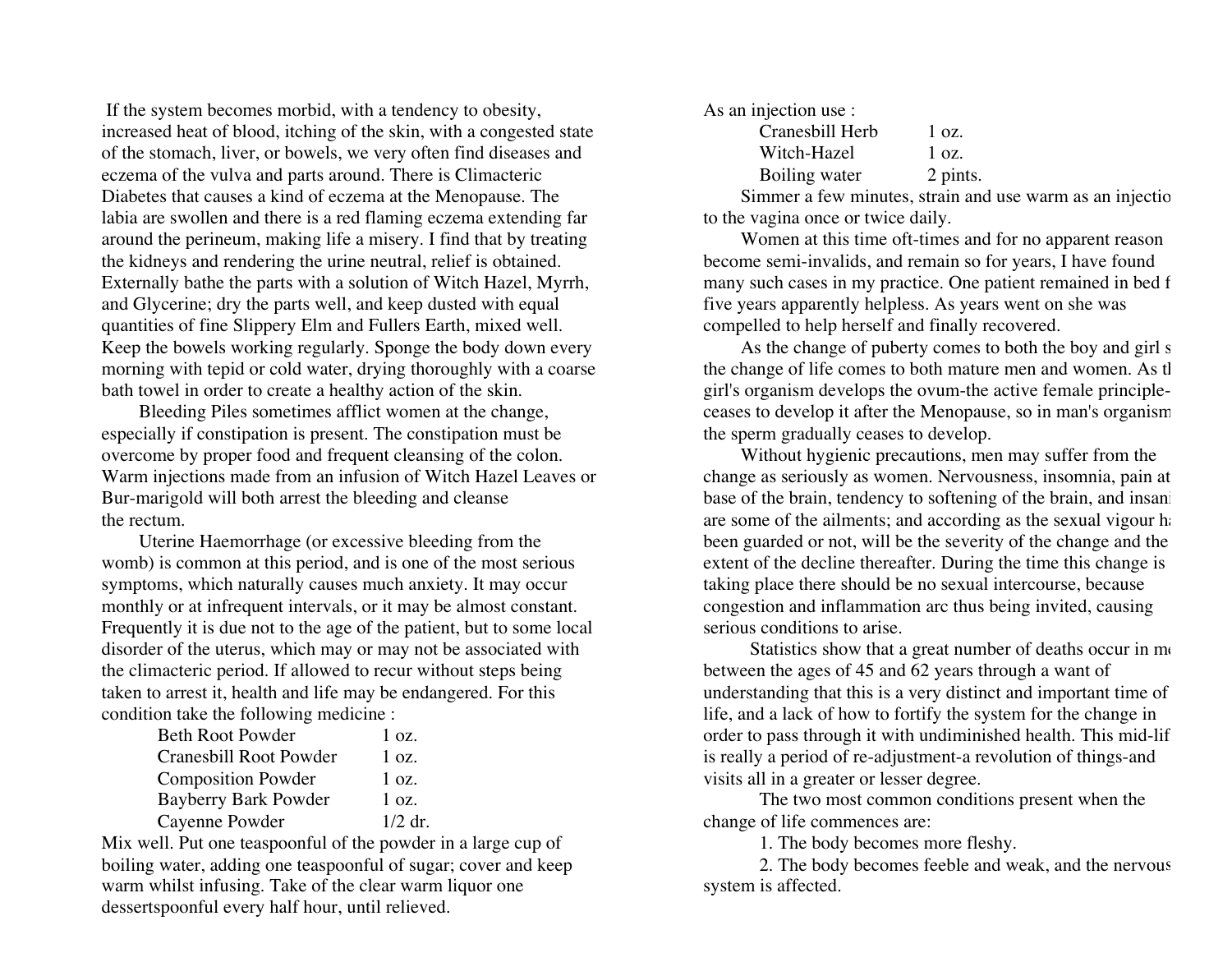If the system becomes morbid, with a tendency to obesity, increased heat of blood, itching of the skin, with a congested state of the stomach, liver, or bowels, we very often find diseases and eczema of the vulva and parts around. There is Climacteric Diabetes that causes a kind of eczema at the Menopause. The labia are swollen and there is a red flaming eczema extending far around the perineum, making life a misery. I find that by treating the kidneys and rendering the urine neutral, relief is obtained. Externally bathe the parts with a solution of Witch Hazel, Myrrh, and Glycerine; dry the parts well, and keep dusted with equal quantities of fine Slippery Elm and Fullers Earth, mixed well. Keep the bowels working regularly. Sponge the body down every morning with tepid or cold water, drying thoroughly with a coarse bath towel in order to create a healthy action of the skin.

Bleeding Piles sometimes afflict women at the change, especially if constipation is present. The constipation must be overcome by proper food and frequent cleansing of the colon. Warm injections made from an infusion of Witch Hazel Leaves or Bur-marigold will both arrest the bleeding and cleanse the rectum.

Uterine Haemorrhage (or excessive bleeding from the womb) is common at this period, and is one of the most serious symptoms, which naturally causes much anxiety. It may occur monthly or at infrequent intervals, or it may be almost constant. Frequently it is due not to the age of the patient, but to some local disorder of the uterus, which may or may not be associated with the climacteric period. If allowed to recur without steps being taken to arrest it, health and life may be endangered. For this condition take the following medicine :

| <b>Beth Root Powder</b>       | 1 oz.     |
|-------------------------------|-----------|
| <b>Cranesbill Root Powder</b> | 1 oz.     |
| <b>Composition Powder</b>     | 1 oz.     |
| <b>Bayberry Bark Powder</b>   | 1 oz.     |
| Cayenne Powder                | $1/2$ dr. |

Mix well. Put one teaspoonful of the powder in a large cup of boiling water, adding one teaspoonful of sugar; cover and keep warm whilst infusing. Take of the clear warm liquor one dessertspoonful every half hour, until relieved.

As an injection use :

| 1 oz.    |
|----------|
| 1 oz.    |
| 2 pints. |
|          |

Simmer a few minutes, strain and use warm as an injectio to the vagina once or twice daily.

Women at this time oft-times and for no apparent reason become semi-invalids, and remain so for years, I have found many such cases in my practice. One patient remained in bed f five years apparently helpless. As years went on she was compelled to help herself and finally recovered.

As the change of puberty comes to both the boy and girl s the change of life comes to both mature men and women. As the girl's organism develops the ovum-the active female principleceases to develop it after the Menopause, so in man's organism the sperm gradually ceases to develop.

Without hygienic precautions, men may suffer from the change as seriously as women. Nervousness, insomnia, pain at base of the brain, tendency to softening of the brain, and insani are some of the ailments; and according as the sexual vigour has been guarded or not, will be the severity of the change and the extent of the decline thereafter. During the time this change is taking place there should be no sexual intercourse, because congestion and inflammation arc thus being invited, causing serious conditions to arise.

Statistics show that a great number of deaths occur in me between the ages of 45 and 62 years through a want of understanding that this is a very distinct and important time of life, and a lack of how to fortify the system for the change in order to pass through it with undiminished health. This mid-lif is really a period of re-adjustment-a revolution of things-and visits all in a greater or lesser degree.

The two most common conditions present when the change of life commences are:

1. The body becomes more fleshy.

2. The body becomes feeble and weak, and the nervous system is affected.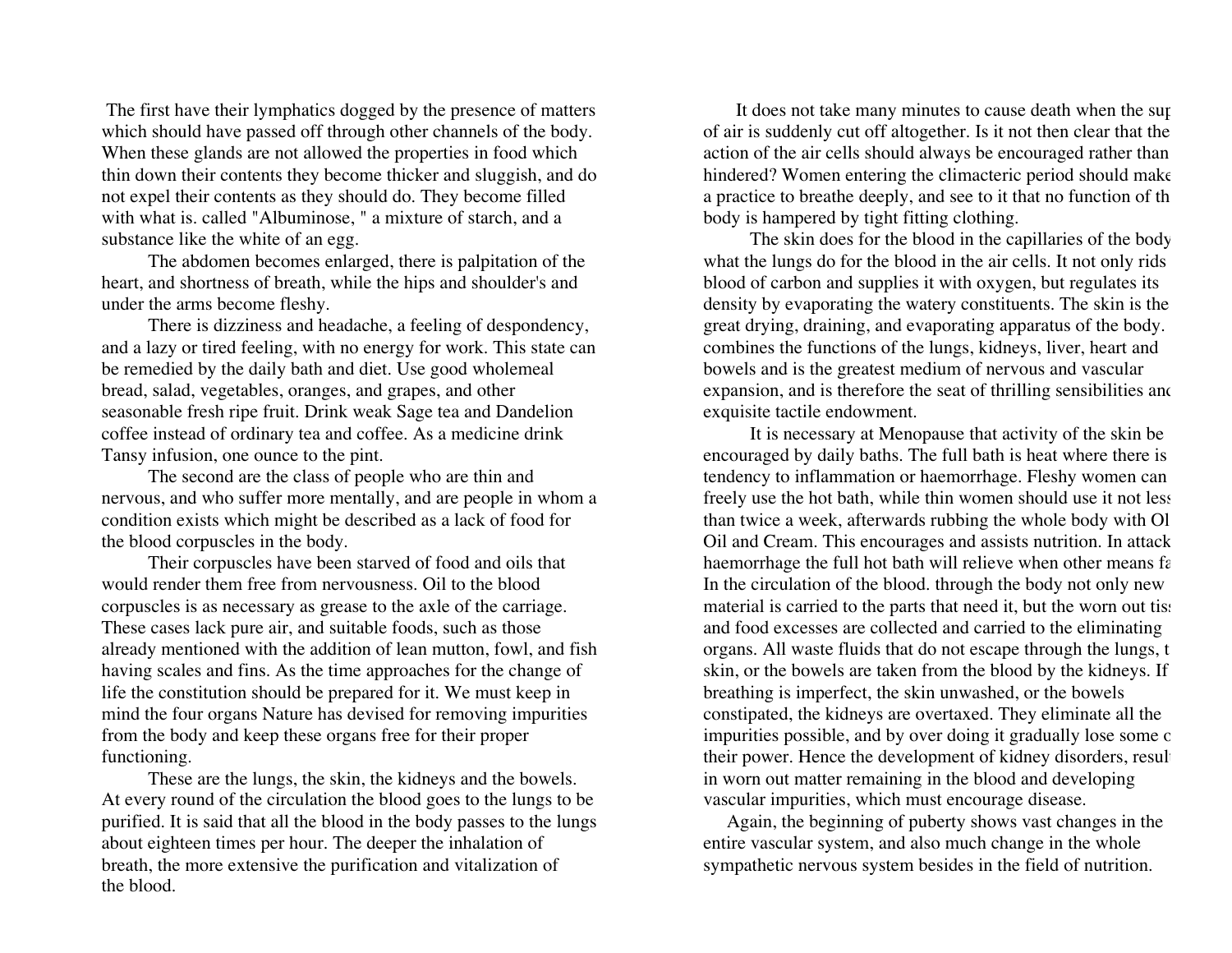The first have their lymphatics dogged by the presence of matters which should have passed off through other channels of the body. When these glands are not allowed the properties in food which thin down their contents they become thicker and sluggish, and do not expel their contents as they should do. They become filled with what is. called "Albuminose, " a mixture of starch, and a substance like the white of an egg.

The abdomen becomes enlarged, there is palpitation of the heart, and shortness of breath, while the hips and shoulder's and under the arms become fleshy.

There is dizziness and headache, a feeling of despondency, and a lazy or tired feeling, with no energy for work. This state can be remedied by the daily bath and diet. Use good wholemeal bread, salad, vegetables, oranges, and grapes, and other seasonable fresh ripe fruit. Drink weak Sage tea and Dandelion coffee instead of ordinary tea and coffee. As a medicine drink Tansy infusion, one ounce to the pint.

The second are the class of people who are thin and nervous, and who suffer more mentally, and are people in whom a condition exists which might be described as a lack of food for the blood corpuscles in the body.

Their corpuscles have been starved of food and oils that would render them free from nervousness. Oil to the blood corpuscles is as necessary as grease to the axle of the carriage. These cases lack pure air, and suitable foods, such as those already mentioned with the addition of lean mutton, fowl, and fis h having scales and fins. As the time approaches for the change of life the constitution should be prepared for it. We must keep in mind the four organs Nature has devised for removing impurities from the body and keep these organs free for their proper functioning.

These are the lungs, the skin, the kidneys and the bowels. At every round of the circulation the blood goes to the lungs to be purified. It is said that all the blood in the body passes to the lungs about eighteen times per hour. The deeper the inhalation of breath, the more extensive the purification and vitalization of the blood.

It does not take many minutes to cause death when the supof air is suddenly cut off altogether. Is it not then clear that th e action of the air cells should always be encouraged rather than hindered? Women entering the climacteric period should mak e a practice to breathe deeply, and see to it that no function of t h body is hampered by tight fitting clothing.

The skin does for the blood in the capillaries of the bod y what the lungs do for the blood in the air cells. It not only rids blood of carbon and supplies it with oxygen, but regulates its density by evaporating the watery constituents. The skin is the great drying, draining, and evaporating apparatus of the body. combines the functions of the lungs, kidneys, liver, heart and bowels and is the greatest medium of nervous and vascular expansion, and is therefore the seat of thrilling sensibilities an d exquisite tactile endowment.

It is necessary at Menopause that activity of the skin be encouraged by daily baths. The full bath is heat where there is tendency to inflammation or haemorrhage. Fleshy women can freely use the hot bath, while thin women should use it not less than twice a week, afterwards rubbing the whole body with Ol Oil and Cream. This encourages and assists nutrition. In attac k haemorrhage the full hot bath will relieve when other means fa In the circulation of the blood. through the body not only new material is carried to the parts that need it, but the worn out tiss and food excesses are collected and carried to the eliminating organs. All waste fluids that do not escape through the lungs, t skin, or the bowels are taken from the blood by the kidneys. If breathing is imperfect, the skin unwashed, or the bowels constipated, the kidneys are overtaxed. They eliminate all the impurities possible, and by over doing it gradually lose some o their power. Hence the development of kidney disorders, result in worn out matter remaining in the blood and developing vascular impurities, which must encourage disease.

 Again, the beginning of puberty shows vast changes in the entire vascular system, and also much change in the whole sympathetic nervous system besides in the field of nutrition.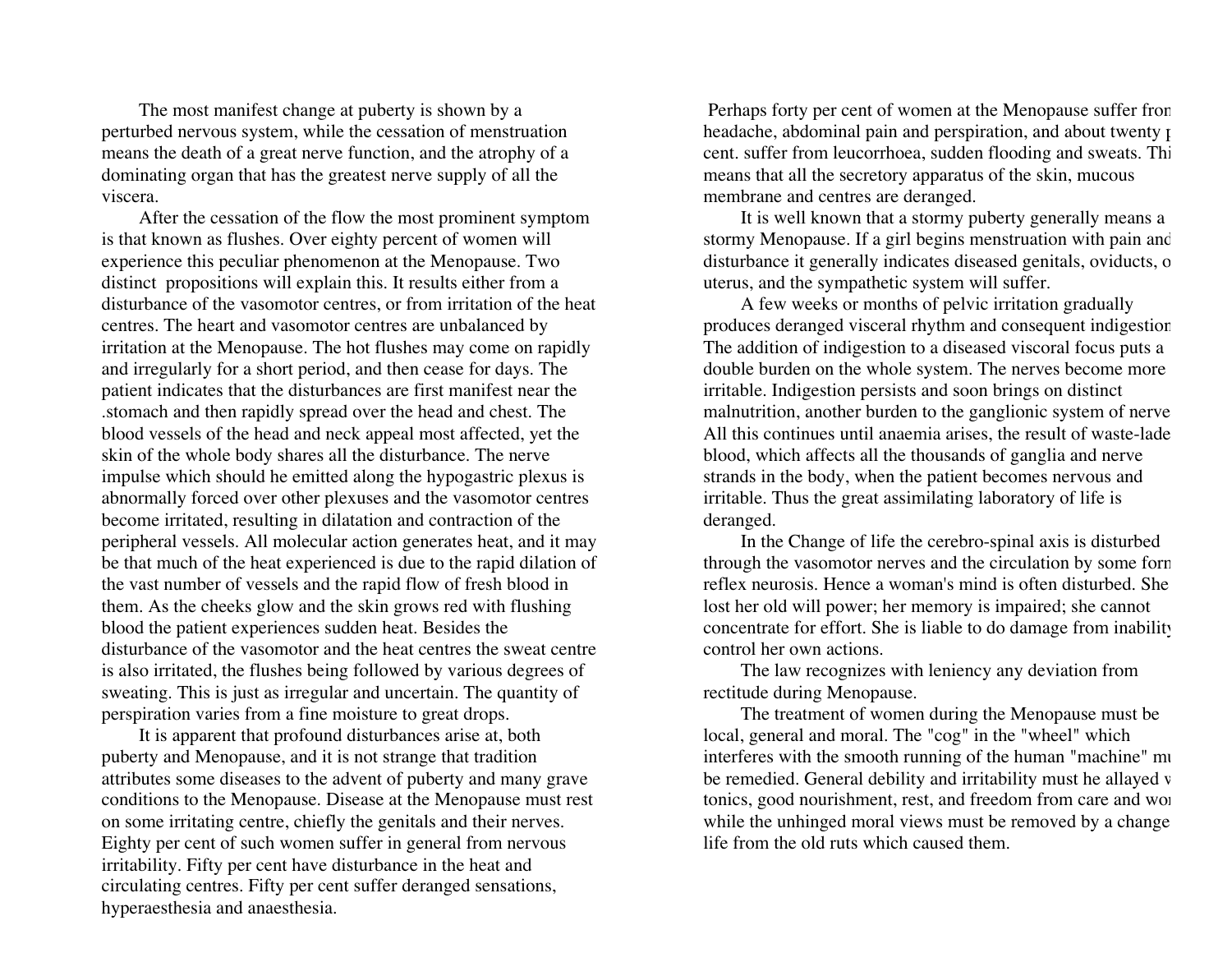The most manifest change at puberty is shown by a perturbed nervous system, while the cessation of menstruation means the death of a great nerve function, and the atrophy of a dominating organ that has the greatest nerve supply of all the viscera.

After the cessation of the flow the most prominent symptom is that known as flushes. Over eighty percent of women will experience this peculiar phenomenon at the Menopause. Two distinct propositions will explain this. It results either from a disturbance of the vasomotor centres, or from irritation of the heat centres. The heart and vasomotor centres are unbalanced by irritation at the Menopause. The hot flushes may come on rapidly and irregularly for a short period, and then cease for days. The patient indicates that the disturbances are first manifest near the .stomach and then rapidly spread over the head and chest. The blood vessels of the head and neck appeal most affected, yet the skin of the whole body shares all the disturbance. The nerve impulse which should he emitted along the hypogastric plexus is abnormally forced over other plexuses and the vasomotor centres become irritated, resulting in dilatation and contraction of the peripheral vessels. All molecular action generates heat, and it may be that much of the heat experienced is due to the rapid dilation of the vast number of vessels and the rapid flow of fresh blood in them. As the cheeks glow and the skin grows red with flushing blood the patient experiences sudden heat. Besides the disturbance of the vasomotor and the heat centres the sweat centre is also irritated, the flushes being followed by various degrees of sweating. This is just as irregular and uncertain. The quantity of perspiration varies from a fine moisture to great drops.

It is apparent that profound disturbances arise at, both puberty and Menopause, and it is not strange that tradition attributes some diseases to the advent of puberty and many grave conditions to the Menopause. Disease at the Menopause must rest on some irritating centre, chiefly the genitals and their nerves. Eighty per cent of such women suffer in general from nervous irritability. Fifty per cent have disturbance in the heat and circulating centres. Fifty per cent suffer deranged sensations, hyperaesthesia and anaesthesia.

Perhaps forty per cent of women at the Menopause suffer from headache, abdominal pain and perspiration, and about twenty p cent. suffer from leucorrhoea, sudden flooding and sweats. Thi means that all the secretory apparatus of the skin, mucous membrane and centres are deranged.

It is well known that a stormy puberty generally means a stormy Menopause. If a girl begins menstruation with pain and disturbance it generally indicates diseased genitals, oviducts, o uterus, and the sympathetic system will suffer.

A few weeks or months of pelvic irritation gradually produces deranged visceral rhythm and consequent indigestion The addition of indigestion to a diseased viscoral focus puts a double burden on the whole system. The nerves become more irritable. Indigestion persists and soon brings on distinct malnutrition, another burden to the ganglionic system of nerve All this continues until anaemia arises, the result of waste-lade blood, which affects all the thousands of ganglia and nerve strands in the body, when the patient becomes nervous and irritable. Thus the great assimilating laboratory of life is deranged.

In the Change of life the cerebro-spinal axis is disturbed through the vasomotor nerves and the circulation by some form reflex neurosis. Hence a woman's mind is often disturbed. She lost her old will power; her memory is impaired; she cannot concentrate for effort. She is liable to do damage from inability control her own actions.

The law recognizes with leniency any deviation from rectitude during Menopause.

The treatment of women during the Menopause must be local, general and moral. The "cog" in the "wheel" which interferes with the smooth running of the human "machine" mu be remedied. General debility and irritability must he allayed v tonics, good nourishment, rest, and freedom from care and wor while the unhinged moral views must be removed by a change life from the old ruts which caused them.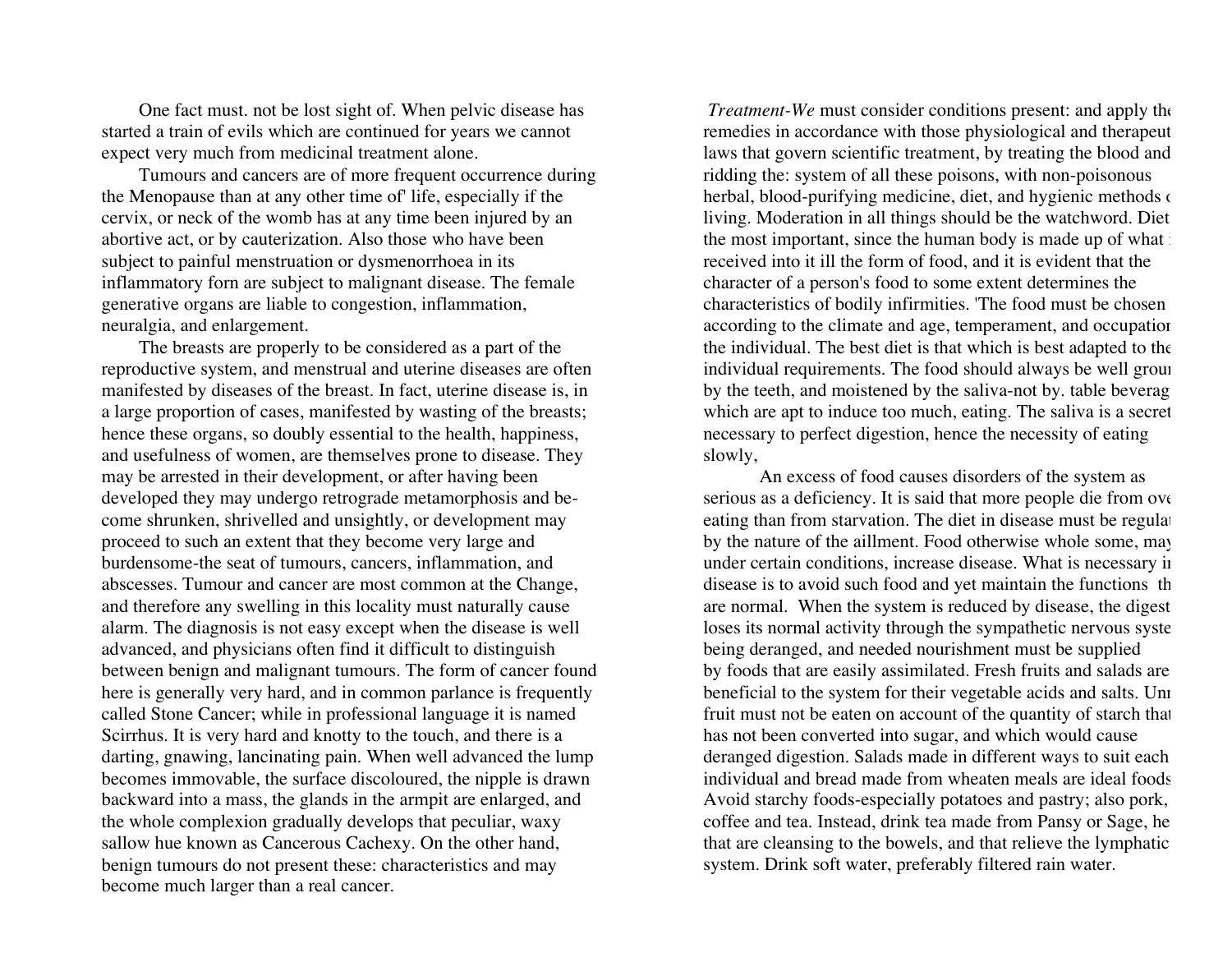One fact must. not be lost sight of*.* When pelvic disease has started a train of evils which are continued for years we cannot expect very much from medicinal treatment alone.

Tumours and cancers are of more frequent occurrence during the Menopause than at any other time of' life, especially if the cervix, or neck of the womb has at any time been injured by an abortive act, or by cauterization. Also those who have been subject to painful menstruation or dysmenorrhoea in its inflammatory forn are subject to malignant disease. The female generative organs are liable to congestion, inflammation, neuralgia, and enlargement.

The breasts are properly to be considered as a part of the reproductive system, and menstrual and uterine diseases are often manifested by diseases of the breast. In fact, uterine disease is, in a large proportion of cases, manifested by wasting of the breasts; hence these organs, so doubly essential to the health, happiness, and usefulness of women, are themselves prone to disease. They may be arrested in their development, or after having been developed they may undergo retrograde metamorphosis and become shrunken, shrivelled and unsightly, or development may proceed to such an extent that they become very large and burdensome-the seat of tumours, cancers, inflammation, and abscesses. Tumour and cancer are most common at the Change, and therefore any swelling in this locality must naturally cause alarm. The diagnosis is not easy except when the disease is well advanced, and physicians often find it difficult to distinguish between benign and malignant tumours. The form of cancer found here is generally very hard, and in common parlance is frequently called Stone Cancer; while in professional language it is named Scirrhus. It is very hard and knotty to the touch, and there is a darting, gnawing, lancinating pain. When well advanced the lump becomes immovable, the surface discoloured, the nipple is drawn backward into a mass, the glands in the armpit are enlarged, and the whole complexion gradually develops that peculiar, waxy sallow hue known as Cancerous Cachexy. On the other hand, benign tumours do not present these: characteristics and may become much larger than a real cancer.

*Treatment-We* must consider conditions present: and apply the remedies in accordance with those physiological and therapeut laws that govern scientific treatment, by treating the blood and ridding the: system of all these poisons, with non-poisonous herbal, blood-purifying medicine, diet, and hygienic methods of living. Moderation in all things should be the watchword. Diet the most important, since the human body is made up of what i received into it ill the form of food, and it is evident that the character of a person's food to some extent determines the characteristics of bodily infirmities. 'The food must be chosen according to the climate and age, temperament, and occupation the individual. The best diet is that which is best adapted to the individual requirements. The food should always be well groun by the teeth, and moistened by the saliva-not by. table beverag which are apt to induce too much, eating. The saliva is a secret necessary to perfect digestion, hence the necessity of eating slowly,

An excess of food causes disorders of the system as serious as a deficiency. It is said that more people die from ove eating than from starvation. The diet in disease must be regulat by the nature of the aillment. Food otherwise whole some, may under certain conditions, increase disease. What is necessary in disease is to avoid such food and yet maintain the functions th are normal. When the system is reduced by disease, the digest loses its normal activity through the sympathetic nervous syste being deranged, and needed nourishment must be supplied by foods that are easily assimilated. Fresh fruits and salads are beneficial to the system for their vegetable acids and salts. Unr fruit must not be eaten on account of the quantity of starch that has not been converted into sugar, and which would cause deranged digestion. Salads made in different ways to suit each individual and bread made from wheaten meals are ideal foods Avoid starchy foods-especially potatoes and pastry; also pork, coffee and tea. Instead, drink tea made from Pansy or Sage, he that are cleansing to the bowels, and that relieve the lymphatic system. Drink soft water, preferably filtered rain water.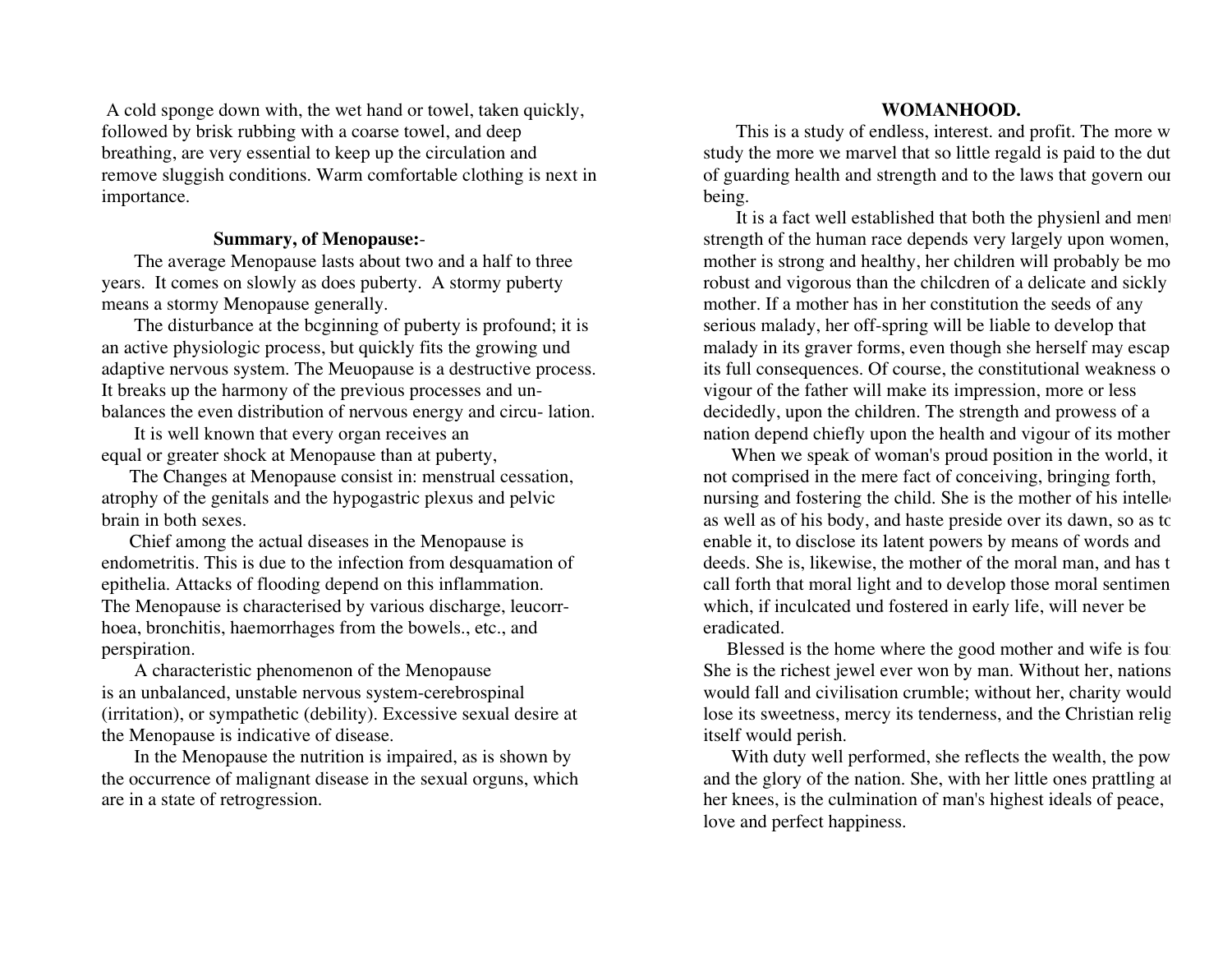A cold sponge down with, the wet hand or towel, taken quickly, followed by brisk rubbing with a coarse towel, and deep breathing, are very essential to keep up the circulation and remove sluggish conditions. Warm comfortable clothing is next in importance.

# **Summary, of Menopause:**-

 The average Menopause lasts about two and a half to three years. It comes on slowly as does puberty. A stormy puberty means a stormy Menopause generally.

 The disturbance at the bcginning of puberty is profound; it is an active physiologic process, but quickly fits the growing und adaptive nervous system. The Meuopause is a destructive process. It breaks up the harmony of the previous processes and unbalances the even distribution of nervous energy and circu- lation.

 It is well known that every organ receives an equal or greater shock at Menopause than at puberty,

 The Changes at Menopause consist in: menstrual cessation, atrophy of the genitals and the hypogastric plexus and pelvic brain in both sexes.

 Chief among the actual diseases in the Menopause is endometritis. This is due to the infection from desquamation of epithelia. Attacks of flooding depend on this inflammation. The Menopause is characterised by various discharge, leucorrhoea, bronchitis, haemorrhages from the bowels., etc., and perspiration.

 A characteristic phenomenon of the Menopause is an unbalanced, unstable nervous system-cerebrospinal (irritation), or sympathetic (debility). Excessive sexual desire at the Menopause is indicative of disease.

 In the Menopause the nutrition is impaired, as is shown by the occurrence of malignant disease in the sexual orguns, which are in a state of retrogression.

# **WOMANHOOD.**

 This is a study of endless, interest. and profit. The more w study the more we marvel that so little regald is paid to the dut of guarding health and strength and to the laws that govern our being.

It is a fact well established that both the physienl and ment strength of the human race depends very largely upon women, mother is strong and healthy, her children will probably be m o robust and vigorous than the chilcdren of a delicate and sickly mother. If a mother has in her constitution the seeds of any serious malady, her off-spring will be liable to develop that malady in its graver forms, even though she herself may escap its full consequences. Of course, the constitutional weakness o vigour of the father will make its impression, more or less decidedly, upon the children. The strength and prowess of a nation depend chiefly upon the health and vigour of its mother

 When we speak of woman's proud position in the world, it not comprised in the mere fact of conceiving, bringing forth, nursing and fostering the child. She is the mother of his intelle as well as of his body, and haste preside over its dawn, so as tc enable it, to disclose its latent powers by means of words and deeds. She is, likewise, the mother of the moral man, and has t call forth that moral light and to develop those moral sentime n which, if inculcated und fostered in early life, will never be eradicated.

 Blessed is the home where the good mother and wife is fou n She is the richest jewel ever won by man. Without her, nations would fall and civilisation crumble; without her, charity woul d lose its sweetness, mercy its tenderness, and the Christian reli g itself would perish.

 With duty well performed, she reflects the wealth, the po w and the glory of the nation. She, with her little ones prattling at her knees, is the culmination of man's highest ideals of peace, love and perfect happiness.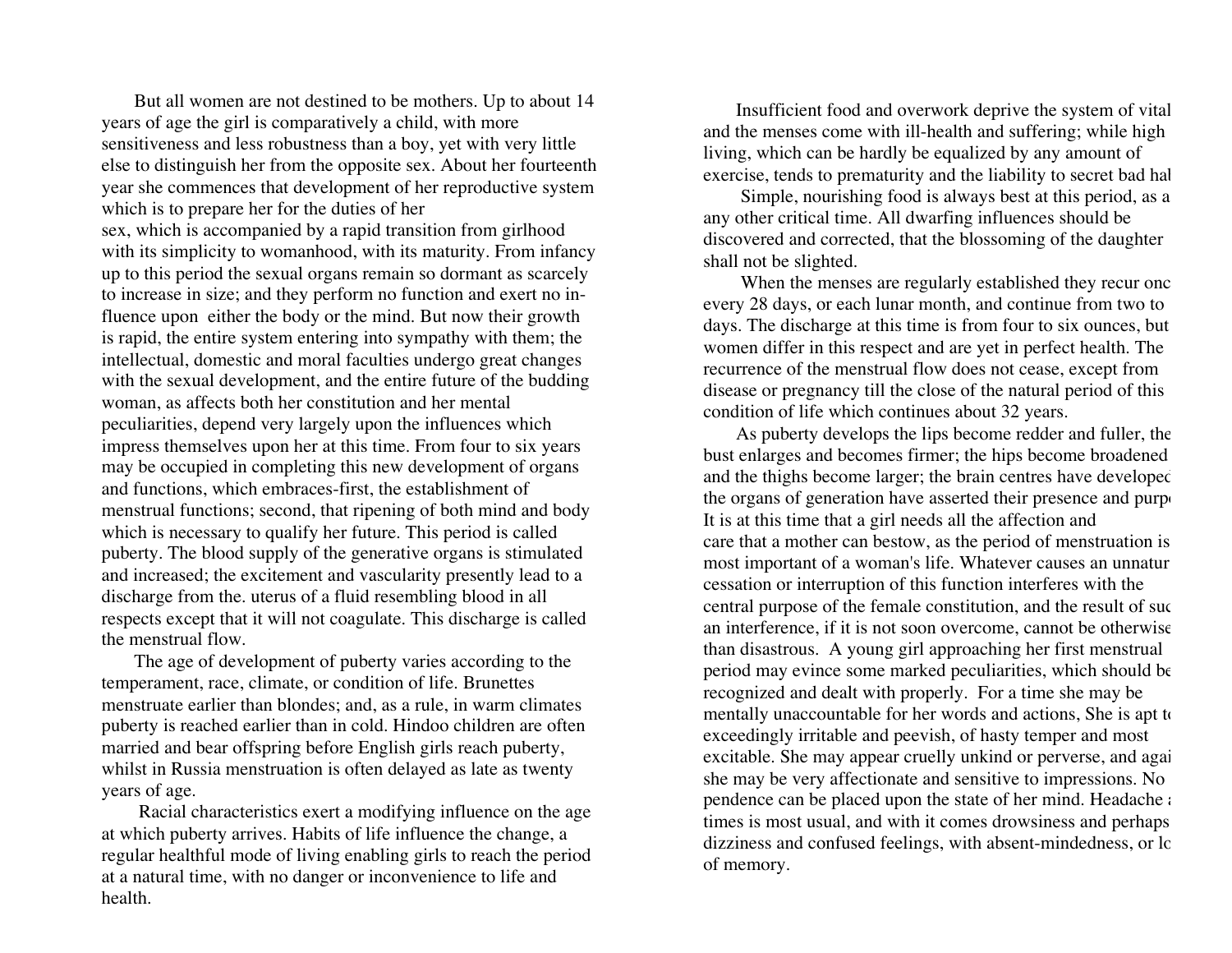But all women are not destined to be mothers. Up to about 14 years of age the girl is comparatively a child, with more sensitiveness and less robustness than a boy, yet with very little else to distinguish her from the opposite sex. About her fourteenth year she commences that development of her reproductive system which is to prepare her for the duties of her sex, which is accompanied by a rapid transition from girlhood with its simplicity to womanhood, with its maturity. From infancy up to this period the sexual organs remain so dormant as scarcely to increase in size; and they perform no function and exert no influence upon either the body or the mind. But now their growth is rapid, the entire system entering into sympathy with them; the intellectual, domestic and moral faculties undergo great changes with the sexual development, and the entire future of the budding woman, as affects both her constitution and her mental peculiarities, depend very largely upon the influences which impress themselves upon her at this time. From four to six years may be occupied in completing this new development of organs and functions, which embraces-first, the establishment of menstrual functions; second, that ripening of both mind and body which is necessary to qualify her future. This period is called puberty. The blood supply of the generative organs is stimulated and increased; the excitement and vascularity presently lead to a discharge from the. uterus of a fluid resembling blood in all respects except that it will not coagulate. This discharge is called the menstrual flow.

 The age of development of puberty varies according to the temperament, race, climate, or condition of life. Brunettes menstruate earlier than blondes; and, as a rule, in warm climates puberty is reached earlier than in cold. Hindoo children are often married and bear offspring before English girls reach puberty, whilst in Russia menstruation is often delayed as late as twenty years of age.

Racial characteristics exert a modifying influence on the age at which puberty arrives. Habits of life influence the change, a regular healthful mode of living enabling girls to reach the period at a natural time, with no danger or inconvenience to life and health.

 Insufficient food and overwork deprive the system of vital and the menses come with ill-health and suffering; while high living, which can be hardly be equalized by any amount of exercise, tends to prematurity and the liability to secret bad hal

Simple, nourishing food is always best at this period, as a any other critical time. All dwarfing influences should be discovered and corrected, that the blossoming of the daughter shall not be slighted.

When the menses are regularly established they recur on c every 28 days, or each lunar month, and continue from two to days. The discharge at this time is from four to six ounces, but women differ in this respect and are yet in perfect health. The recurrence of the menstrual flow does not cease, except from disease or pregnancy till the close of the natural period of this condition of life which continues about 32 years.

 As puberty develops the lips become redder and fuller, th e bust enlarges and becomes firmer; the hips become broadened and the thighs become larger; the brain centres have develope d the organs of generation have asserted their presence and purper-It is at this time that a girl needs all the affection and care that a mother can bestow, as the period of menstruation is most important of a woman's life. Whatever causes an unnatur cessation or interruption of this function interferes with the central purpose of the female constitution, and the result of su c an interference, if it is not soon overcome, cannot be otherwis e than disastrous. A young girl approaching her first menstrual period may evince some marked peculiarities, which should b e recognized and dealt with properly. For a time she may be mentally unaccountable for her words and actions, She is apt to exceedingly irritable and peevish, of hasty temper and most excitable. She may appear cruelly unkind or perverse, and agai she may be very affectionate and sensitive to impressions. No pendence can be placed upon the state of her mind. Headache a times is most usual, and with it comes drowsiness and perhaps dizziness and confused feelings, with absent-mindedness, or l o of memory.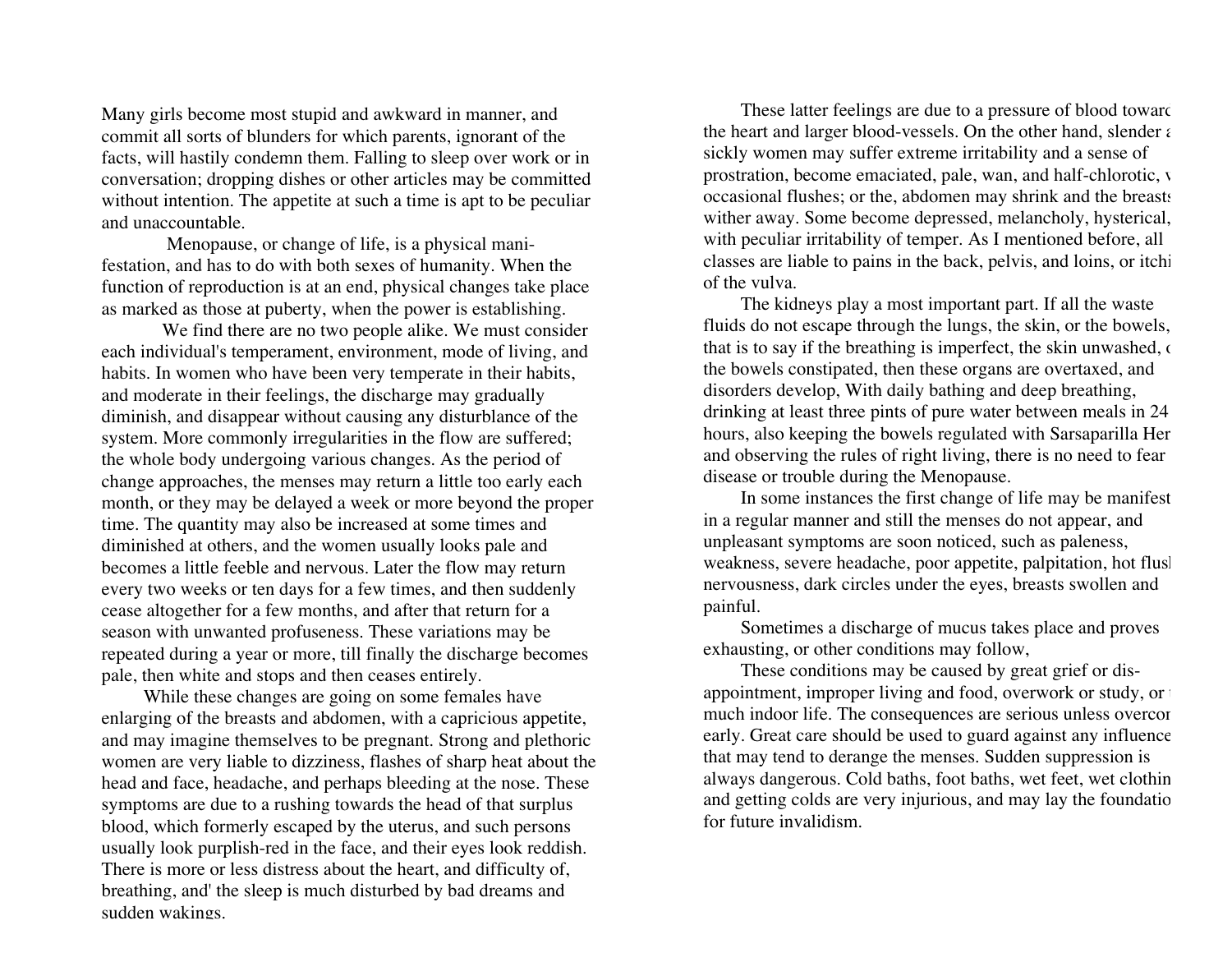Many girls become most stupid and awkward in manner, and commit all sorts of blunders for which parents, ignorant of the facts, will hastily condemn them. Falling to sleep over work or in conversation; dropping dishes or other articles may be committed without intention. The appetite at such a time is apt to be peculiar and unaccountable.

 Menopause, or change of life, is a physical manifestation, and has to do with both sexes of humanity. When the function of reproduction is at an end, physical changes take place as marked as those at puberty, when the power is establishing.

 We find there are no two people alike. We must consider each individual's temperament, environment, mode of living, and habits. In women who have been very temperate in their habits, and moderate in their feelings, the discharge may gradually diminish, and disappear without causing any disturblance of the system. More commonly irregularities in the flow are suffered; the whole body undergoing various changes. As the period of change approaches, the menses may return a little too early each month, or they may be delayed a week or more beyond the proper time. The quantity may also be increased at some times and diminished at others, and the women usually looks pale and becomes a little feeble and nervous. Later the flow may return every two weeks or ten days for a few times, and then suddenly cease altogether for a few months, and after that return for a season with unwanted profuseness. These variations may be repeated during a year or more, till finally the discharge becomes pale, then white and stops and then ceases entirely.

 While these changes are going on some females have enlarging of the breasts and abdomen, with a capricious appetite, and may imagine themselves to be pregnant. Strong and plethoric women are very liable to dizziness, flashes of sharp heat about the head and face, headache, and perhaps bleeding at the nose. These symptoms are due to a rushing towards the head of that surplus blood, which formerly escaped by the uterus, and such persons usually look purplish-red in the face, and their eyes look reddish. There is more or less distress about the heart, and difficulty of, breathing, and' the sleep is much disturbed by bad dreams and sudden wakin gs.

 These latter feelings are due to a pressure of blood towar d the heart and larger blood-vessels. On the other hand, slender  $\iota$ sickly women may suffer extreme irritability and a sense of prostration, become emaciated, pale, wan, and half-chlorotic, v occasional flushes; or the, abdomen may shrink and the breasts wither away. Some become depressed, melancholy, hysterical, with peculiar irritability of temper. As I mentioned before, all classes are liable to pains in the back, pelvis, and loins, or itchi of the vulva.

The kidneys play a most important part. If all the waste fluids do not escape through the lungs, the skin, or the bowels, that is to say if the breathing is imperfect, the skin unwashed,  $\epsilon$ the bowels constipated, then these organs are overtaxed, and disorders develop, With daily bathing and deep breathing, drinking at least three pints of pure water between meals in 24 hours, also keeping the bowels regulated with Sarsaparilla Her and observing the rules of right living, there is no need to fear disease or trouble during the Menopause.

In some instances the first change of life may be manifest in a regular manner and still the menses do not appear, and unpleasant symptoms are soon noticed, such as paleness, weakness, severe headache, poor appetite, palpitation, hot flus h nervousness, dark circles under the eyes, breasts swollen and painful.

Sometimes a discharge of mucus takes place and proves exhausting, or other conditions may follow,

These conditions may be caused by great grief or disappointment, improper living and food, overwork or study, or much indoor life. The consequences are serious unless overcor early. Great care should be used to guard against any influenc e that may tend to derange the menses. Sudden suppression is always dangerous. Cold baths, foot baths, wet feet, wet clothi n and getting colds are very injurious, and may lay the foundati o for future invalidism.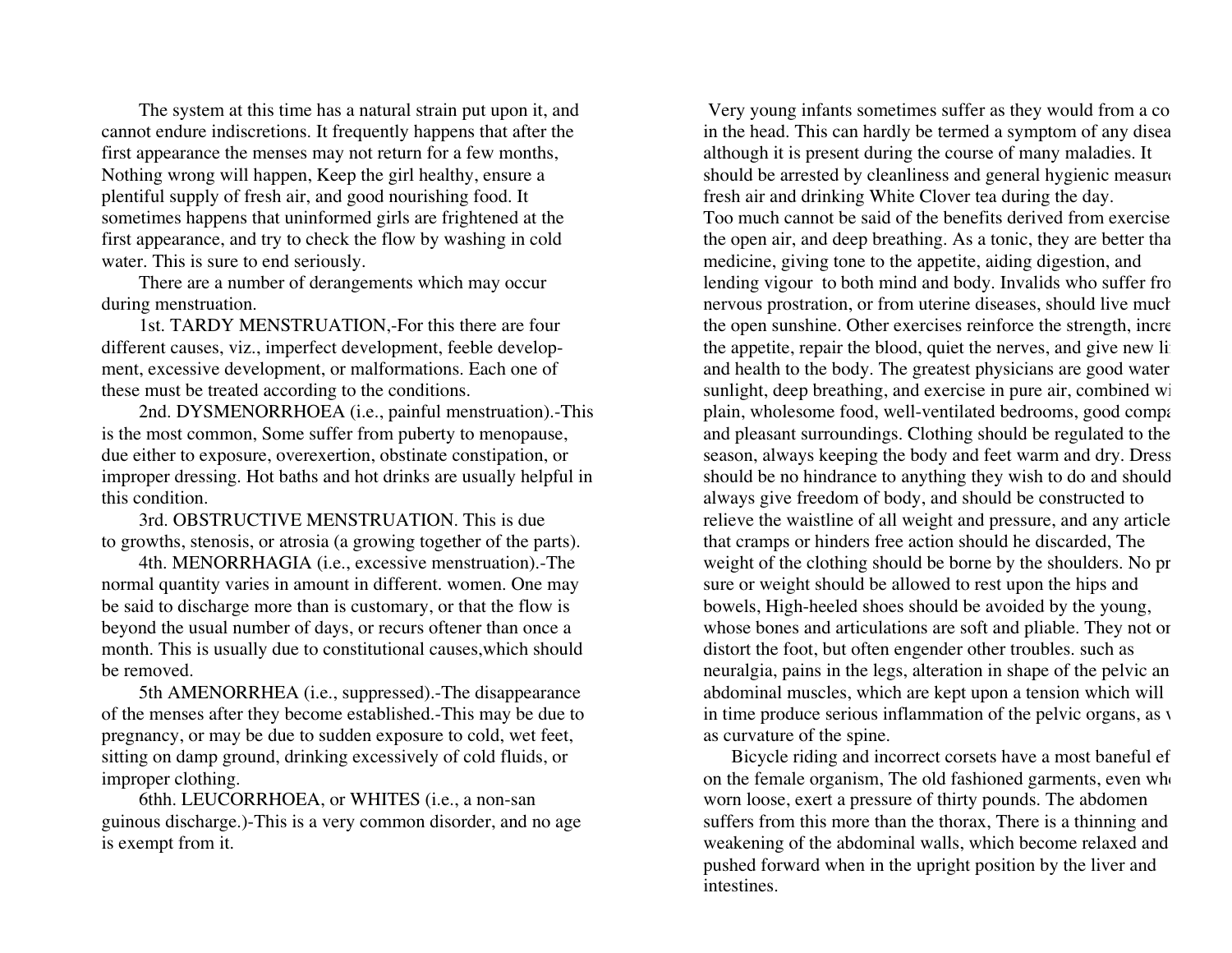The system at this time has a natural strain put upon it, and cannot endure indiscretions. It frequently happens that after the first appearance the menses may not return for a few months, Nothing wrong will happen, Keep the girl healthy, ensure a plentiful supply of fresh air, and good nourishing food. It sometimes happens that uninformed girls are frightened at the first appearance, and try to check the flow by washing in cold water. This is sure to end seriously.

There are a number of derangements which may occur during menstruation.

1st. TARDY MENSTRUATION,-For this there are four different causes, viz., imperfect development, feeble development, excessive development, or malformations. Each one of these must be treated according to the conditions.

2nd. DYSMENORRHOEA (i.e., painful menstruation).-This is the most common, Some suffer from puberty to menopause, due either to exposure, overexertion, obstinate constipation, or improper dressing. Hot baths and hot drinks are usually helpful in this condition.

3rd. OBSTRUCTIVE MENSTRUATION. This is due to growths, stenosis, or atrosia (a growing together of the parts).

4th. MENORRHAGIA (i.e., excessive menstruation).-The normal quantity varies in amount in different. women. One may be said to discharge more than is customary, or that the flow is beyond the usual number of days, or recurs oftener than once a month. This is usually due to constitutional causes,which should be removed.

5th AMENORRHEA (i.e., suppressed).-The disappearance of the menses after they become established.-This may be due to pregnancy, or may be due to sudden exposure to cold, wet feet, sitting on damp ground, drinking excessively of cold fluids, or improper clothing.

6thh. LEUCORRHOEA, or WHITES (i.e., a non-san guinous discharge.)-This is a very common disorder, and no age is exempt from it.

Very young infants sometimes suffer as they would from a co in the head. This can hardly be termed a symptom of any dise a although it is present during the course of many maladies. It should be arrested by cleanliness and general hygienic measure fresh air and drinking White Clover tea during the day. Too much cannot be said of the benefits derived from exercise the open air, and deep breathing. As a tonic, they are better th a medicine, giving tone to the appetite, aiding digestion, and lending vigour to both mind and body. Invalids who suffer fr o nervous prostration, or from uterine diseases, should live muc h the open sunshine. Other exercises reinforce the strength, incr e the appetite, repair the blood, quiet the nerves, and give new lift and health to the body. The greatest physicians are good water sunlight, deep breathing, and exercise in pure air, combined wi plain, wholesome food, well-ventilated bedrooms, good comp a and pleasant surroundings. Clothing should be regulated to th e season, always keeping the body and feet warm and dry*.* Dress should be no hindrance to anything they wish to do and shoul d always give freedom of body, and should be constructed to relieve the waistline of all weight and pressure, and any articl e that cramps or hinders free action should he discarded, The weight of the clothing should be borne by the shoulders. No pr sure or weight should be allowed to rest upon the hips and bowels, High-heeled shoes should be avoided by the young, whose bones and articulations are soft and pliable. They not o n distort the foot, but often engender other troubles. such as neuralgia, pains in the legs, alteration in shape of the pelvic an abdominal muscles, which are kept upon a tension which will in time produce serious inflammation of the pelvic organs, as v as curvature of the spine.

 Bicycle riding and incorrect corsets have a most baneful ef on the female organism, The old fashioned garments, even wh e worn loose, exert a pressure of thirty pounds. The abdomen suffers from this more than the thorax, There is a thinning and weakening of the abdominal walls, which become relaxed and pushed forward when in the upright position by the liver and intestines.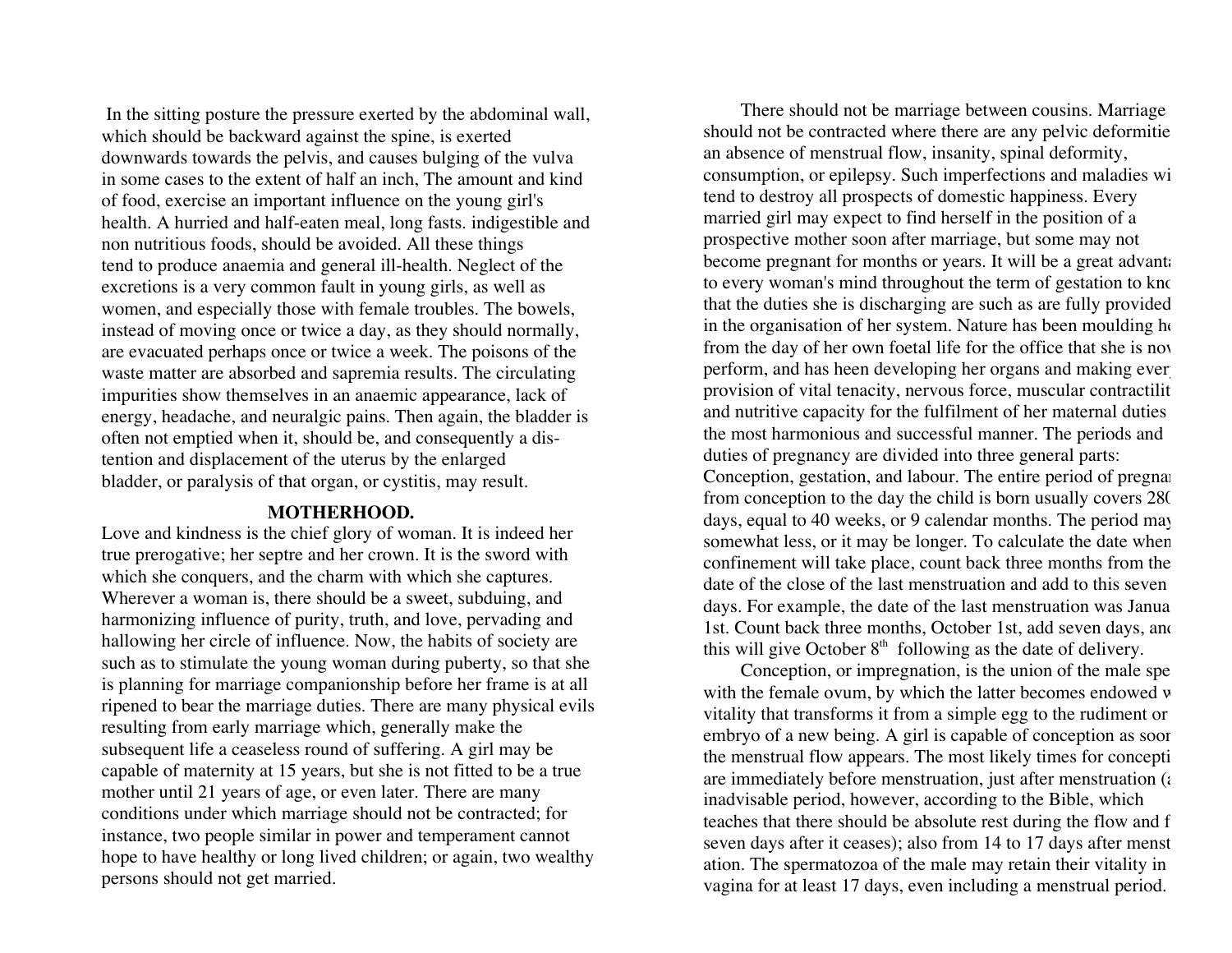In the sitting posture the pressure exerted by the abdominal wall, which should be backward against the spine, is exerted downwards towards the pelvis, and causes bulging of the vulva in some cases to the extent of half an inch, The amount and kind of food, exercise an important influence on the young girl's health. A hurried and half-eaten meal, long fasts. indigestible and non nutritious foods, should be avoided. All these things tend to produce anaemia and general ill-health. Neglect of the excretions is a very common fault in young girls, as well as women, and especially those with female troubles. The bowels, instead of moving once or twice a day, as they should normally, are evacuated perhaps once or twice a week. The poisons of the waste matter are absorbed and sapremia results. The circulating impurities show themselves in an anaemic appearance, lack of energy, headache, and neuralgic pains. Then again, the bladder is often not emptied when it, should be, and consequently a distention and displacement of the uterus by the enlarged bladder, or paralysis of that organ, or cystitis, may result.

#### **MOTHERHOOD.**

Love and kindness is the chief glory of woman. It is indeed her true prerogative; her septre and her crown. It is the sword with which she conquers, and the charm with which she captures. Wherever a woman is, there should be a sweet, subduing, and harmonizing influence of purity, truth, and love, pervading and hallowing her circle of influence. Now, the habits of society are such as to stimulate the young woman during puberty, so that she is planning for marriage companionship before her frame is at all ripened to bear the marriage duties. There are many physical evils resulting from early marriage which, generally make the subsequent life a ceaseless round of suffering. A girl may be capable of maternity at 15 years, but she is not fitted to be a true mother until 21 years of age, or even later. There are many conditions under which marriage should not be contracted; for instance, two people similar in power and temperament cannot hope to have healthy or long lived children; or again, two wealthy persons should not get married.

There should not be marriage between cousins. Marriage should not be contracted where there are any pelvic deformiti e an absence of menstrual flow, insanity, spinal deformity, consumption, or epilepsy. Such imperfections and maladies wi tend to destroy all prospects of domestic happiness. Every married girl may expect to find herself in the position of a prospective mother soon after marriage, but some may not become pregnant for months or years. It will be a great advant to every woman's mind throughout the term of gestation to know that the duties she is discharging are such as are fully provide d in the organisation of her system. Nature has been moulding h e from the day of her own foetal life for the office that she is nov perform, and has heen developing her organs and making ever provision of vital tenacity, nervous force, muscular contractilit and nutritive capacity for the fulfilment of her maternal duties the most harmonious and successful manner. The periods and duties of pregnancy are divided into three general parts: Conception, gestation, and labour. The entire period of pregna n from conception to the day the child is born usually covers 28 0 days, equal to 40 weeks, or 9 calendar months. The period ma y somewhat less, or it may be longer. To calculate the date whe n confinement will take place, count back three months from th e date of the close of the last menstruation and add to this seven days. For example, the date of the last menstruation was Janu a 1st. Count back three months, October 1st, add seven days, an d this will give October  $8<sup>th</sup>$  following as the date of delivery.

Conception, or impregnation, is the union of the male sp e with the female ovum, by which the latter becomes endowed w vitality that transforms it from a simple egg to the rudiment or embryo of a new being. A girl is capable of conception as soo n the menstrual flow appears. The most likely times for concepti are immediately before menstruation, just after menstruation ( a inadvisable period, however, according to the Bible, which teaches that there should be absolute rest during the flow and f seven days after it ceases); also from 14 to 17 days after menst ation. The spermatozoa of the male may retain their vitality in vagina for at least 17 days, even including a menstrual period.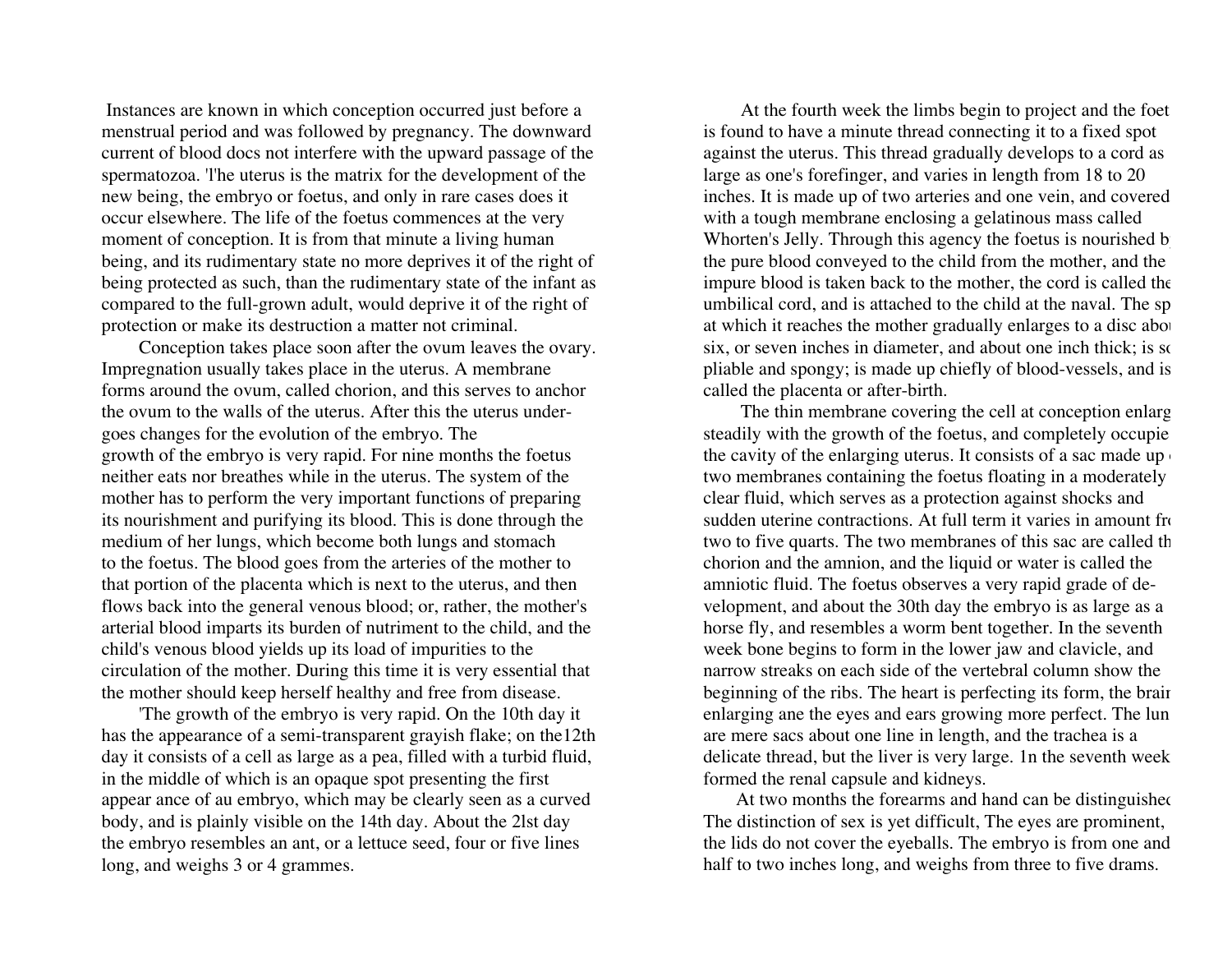Instances are known in which conception occurred just before a menstrual period and was followed by pregnancy. The downward current of blood docs not interfere with the upward passage of the spermatozoa. 'l'he uterus is the matrix for the development of the new being, the embryo or foetus, and only in rare cases does it occur elsewhere. The life of the foetus commences at the very moment of conception. It is from that minute a living human being, and its rudimentary state no more deprives it of the right of being protected as such, than the rudimentary state of the infant as compared to the full-grown adult, would deprive it of the right of protection or make its destruction a matter not criminal.

Conception takes place soon after the ovum leaves the ovary. Impregnation usually takes place in the uterus. A membrane forms around the ovum, called chorion, and this serves to anchor the ovum to the walls of the uterus. After this the uterus undergoes changes for the evolution of the embryo. The growth of the embryo is very rapid. For nine months the foetus neither eats nor breathes while in the uterus. The system of the mother has to perform the very important functions of preparing its nourishment and purifying its blood. This is done through the medium of her lungs, which become both lungs and stomach to the foetus. The blood goes from the arteries of the mother to that portion of the placenta which is next to the uterus, and then flows back into the general venous blood; or, rather, the mother's arterial blood imparts its burden of nutriment to the child, and the child's venous blood yields up its load of impurities to the circulation of the mother. During this time it is very essential that the mother should keep herself healthy and free from disease.

'The growth of the embryo is very rapid. On the 10th day it has the appearance of a semi-transparent grayish flake; on the12th day it consists of a cell as large as a pea, filled with a turbid fluid, in the middle of which is an opaque spot presenting the first appear ance of au embryo, which may be clearly seen as a curved body, and is plainly visible on the 14th day. About the 2lst day the embryo resembles an ant, or a lettuce seed, four or five lines long, and weighs 3 or 4 grammes.

At the fourth week the limbs begin to project and the foet is found to have a minute thread connecting it to a fixed spot against the uterus. This thread gradually develops to a cord as large as one's forefinger, and varies in length from 18 to 20 inches. It is made up of two arteries and one vein, and covere d with a tough membrane enclosing a gelatinous mass called Whorten's Jelly. Through this agency the foetus is nourished b the pure blood conveyed to the child from the mother, and the impure blood is taken back to the mother, the cord is called th e umbilical cord, and is attached to the child at the naval. The s p at which it reaches the mother gradually enlarges to a disc abo u six, or seven inches in diameter, and about one inch thick; is so pliable and spongy; is made up chiefly of blood-vessels, and is called the placenta or after-birth.

The thin membrane covering the cell at conception enlar g steadily with the growth of the foetus, and completely occupie the cavity of the enlarging uterus. It consists of a sac made up two membranes containing the foetus floating in a moderately clear fluid, which serves as a protection against shocks and sudden uterine contractions. At full term it varies in amount from two to five quarts. The two membranes of this sac are called t h chorion and the amnion, and the liquid or water is called the amniotic fluid. The foetus observes a very rapid grade of development, and about the 30th day the embryo is as large as a horse fly, and resembles a worm bent together. In the seventh week bone begins to form in the lower jaw and clavicle, and narrow streaks on each side of the vertebral column show the beginning of the ribs. The heart is perfecting its form, the brain enlarging ane the eyes and ears growing more perfect. The lun are mere sacs about one line in length, and the trachea is a delicate thread, but the liver is very large. 1n the seventh wee k formed the renal capsule and kidneys.

 At two months the forearms and hand can be distinguishe d The distinction of sex is yet difficult, The eyes are prominent, the lids do not cover the eyeballs. The embryo is from one an d half to two inches long, and weighs from three to five drams.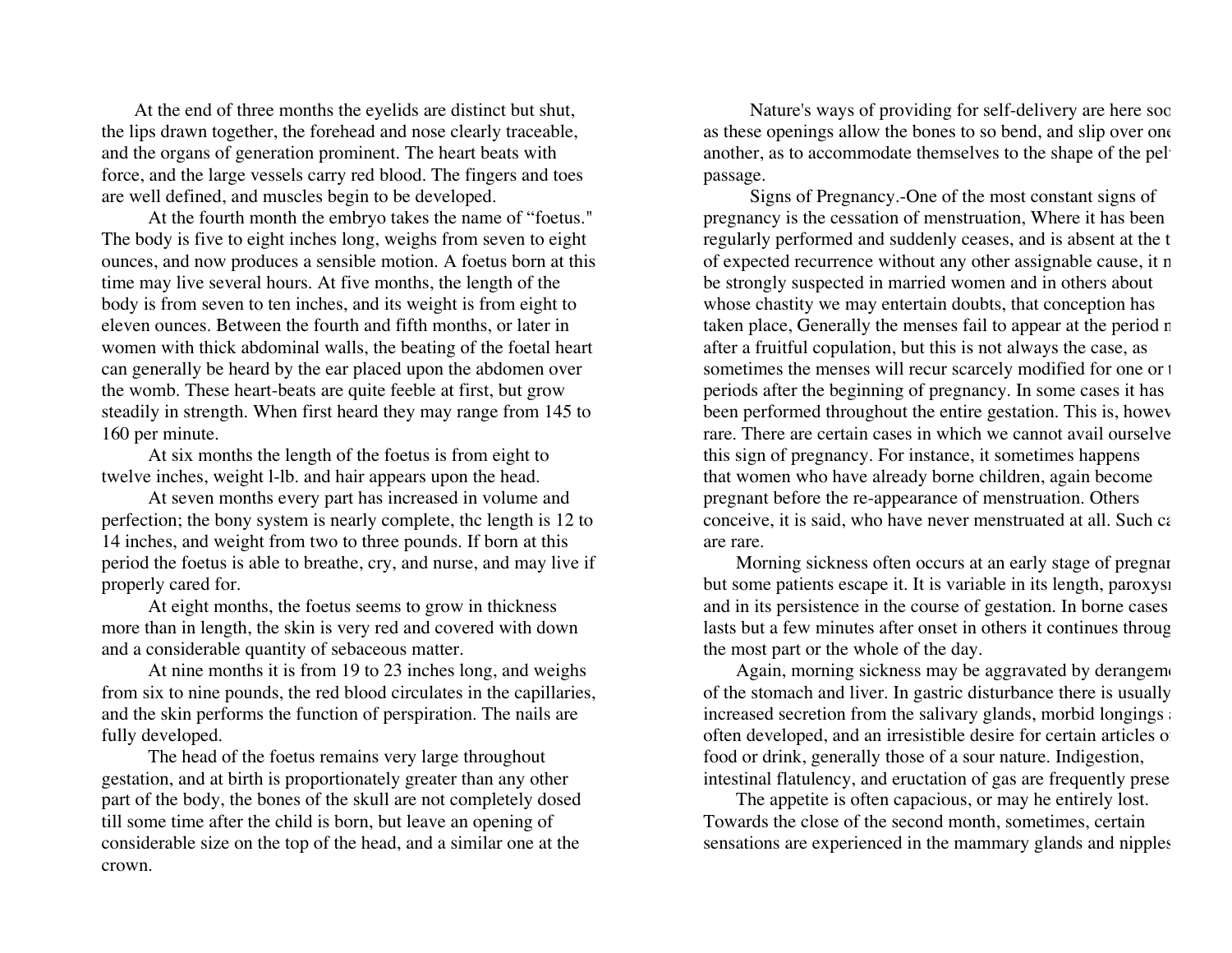At the end of three months the eyelids are distinct but shut, the lips drawn together, the forehead and nose clearly traceable, and the organs of generation prominent. The heart beats with force, and the large vessels carry red blood. The fingers and toes are well defined, and muscles begin to be developed.

At the fourth month the embryo takes the name of "foetus." The body is five to eight inches long, weighs from seven to eight ounces, and now produces a sensible motion. A foetus born at this time may live several hours. At five months, the length of the body is from seven to ten inches, and its weight is from eight to eleven ounces. Between the fourth and fifth months, or later in women with thick abdominal walls, the beating of the foetal heart can generally be heard by the ear placed upon the abdomen over the womb. These heart-beats are quite feeble at first, but grow steadily in strength. When first heard they may range from 145 to 160 per minute.

At six months the length of the foetus is from eight to twelve inches, weight l-lb. and hair appears upon the head.

At seven months every part has increased in volume and perfection; the bony system is nearly complete, thc length is 12 to 14 inches, and weight from two to three pounds. If born at this period the foetus is able to breathe, cry, and nurse, and may live if properly cared for.

At eight months, the foetus seems to grow in thickness more than in length, the skin is very red and covered with down and a considerable quantity of sebaceous matter.

At nine months it is from 19 to 23 inches long, and weighs from six to nine pounds, the red blood circulates in the capillaries, and the skin performs the function of perspiration. The nails are fully developed.

The head of the foetus remains very large throughout gestation, and at birth is proportionately greater than any other part of the body, the bones of the skull are not completely dosed till some time after the child is born, but leave an opening of considerable size on the top of the head, and a similar one at the crown.

Nature's ways of providing for self-delivery are here so o as these openings allow the bones to so bend, and slip over on e another, as to accommodate themselves to the shape of the pel passage.

Signs of Pregnancy.-One of the most constant signs of pregnancy is the cessation of menstruation, Where it has been regularly performed and suddenly ceases, and is absent at the t of expected recurrence without any other assignable cause, it m be strongly suspected in married women and in others about whose chastity we may entertain doubts, that conception has taken place, Generally the menses fail to appear at the period n after a fruitful copulation, but this is not always the case, as sometimes the menses will recur scarcely modified for one or t periods after the beginning of pregnancy. In some cases it has been performed throughout the entire gestation. This is, howev rare. There are certain cases in which we cannot avail ourselv e this sign of pregnancy. For instance, it sometimes happens that women who have already borne children, again become pregnant before the re-appearance of menstruation. Others conceive, it is said, who have never menstruated at all. Such c a are rare.

 Morning sickness often occurs at an early stage of pregna n but some patients escape it. It is variable in its length, paroxys m and in its persistence in the course of gestation. In borne cases lasts but a few minutes after onset in others it continues throu g the most part or the whole of the day.

Again, morning sickness may be aggravated by derangement of the stomach and liver. In gastric disturbance there is usuall y increased secretion from the salivary glands, morbid longings often developed, and an irresistible desire for certain articles of food or drink, generally those of a sour nature. Indigestion, intestinal flatulency, and eructation of gas are frequently prese

 The appetite is often capacious, or may he entirely lost. Towards the close of the second month, sometimes, certain sensations are experienced in the mammary glands and nipples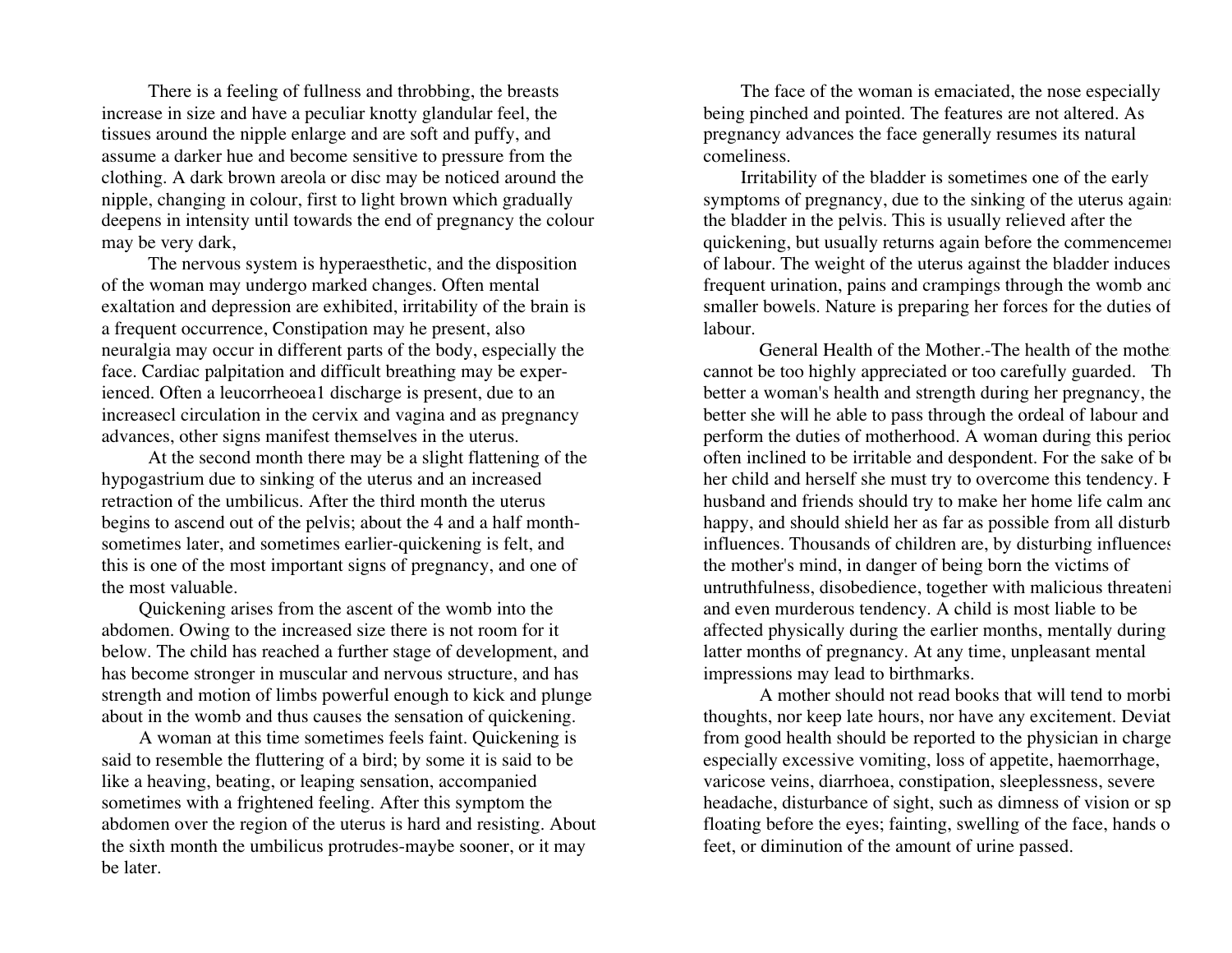There is a feeling of fullness and throbbing, the breasts increase in size and have a peculiar knotty glandular feel, the tissues around the nipple enlarge and are soft and puffy, and assume a darker hue and become sensitive to pressure from the clothing. A dark brown areola or disc may be noticed around the nipple, changing in colour, first to light brown which gradually deepens in intensity until towards the end of pregnancy the colour may be very dark,

The nervous system is hyperaesthetic, and the disposition of the woman may undergo marked changes. Often mental exaltation and depression are exhibited, irritability of the brain is a frequent occurrence, Constipation may he present, also neuralgia may occur in different parts of the body, especially the face. Cardiac palpitation and difficult breathing may be experienced. Often a leucorrheoea1 discharge is present, due to an increasecl circulation in the cervix and vagina and as pregnancy advances, other signs manifest themselves in the uterus.

At the second month there may be a slight flattening of the hypogastrium due to sinking of the uterus and an increased retraction of the umbilicus. After the third month the uterus begins to ascend out of the pelvis; about the 4 and a half monthsometimes later, and sometimes earlier-quickening is felt, and this is one of the most important signs of pregnancy, and one of the most valuable.

Quickening arises from the ascent of the womb into the abdomen. Owing to the increased size there is not room for it below. The child has reached a further stage of development, and has become stronger in muscular and nervous structure, and has strength and motion of limbs powerful enough to kick and plunge about in the womb and thus causes the sensation of quickening.

A woman at this time sometimes feels faint. Quickening is said to resemble the fluttering of a bird; by some it is said to be like a heaving, beating, or leaping sensation, accompanied sometimes with a frightened feeling. After this symptom the abdomen over the region of the uterus is hard and resisting. About the sixth month the umbilicus protrudes-maybe sooner, or it may be later.

 The face of the woman is emaciated, the nose especially being pinched and pointed. The features are not altered. As pregnancy advances the face generally resumes its natural comeliness.

Irritability of the bladder is sometimes one of the early symptoms of pregnancy, due to the sinking of the uterus against the bladder in the pelvis. This is usually relieved after the quickening, but usually returns again before the commencemen of labour. The weight of the uterus against the bladder induces frequent urination, pains and crampings through the womb and smaller bowels. Nature is preparing her forces for the duties of labour.

General Health of the Mother.-The health of the mother cannot be too highly appreciated or too carefully guarded. Th better a woman's health and strength during her pregnancy, the better she will he able to pass through the ordeal of labour and perform the duties of motherhood. A woman during this period often inclined to be irritable and despondent. For the sake of bo her child and herself she must try to overcome this tendency. H husband and friends should try to make her home life calm and happy, and should shield her as far as possible from all disturb influences. Thousands of children are, by disturbing influences the mother's mind, in danger of being born the victims of untruthfulness, disobedience, together with malicious threateni and even murderous tendency. A child is most liable to be affected physically during the earlier months, mentally during latter months of pregnancy. At any time, unpleasant mental impressions may lead to birthmarks.

A mother should not read books that will tend to morbi thoughts, nor keep late hours, nor have any excitement. Deviat from good health should be reported to the physician in charge especially excessive vomiting, loss of appetite, haemorrhage, varicose veins, diarrhoea, constipation, sleeplessness, severe headache, disturbance of sight, such as dimness of vision or sp floating before the eyes; fainting, swelling of the face, hands o feet, or diminution of the amount of urine passed.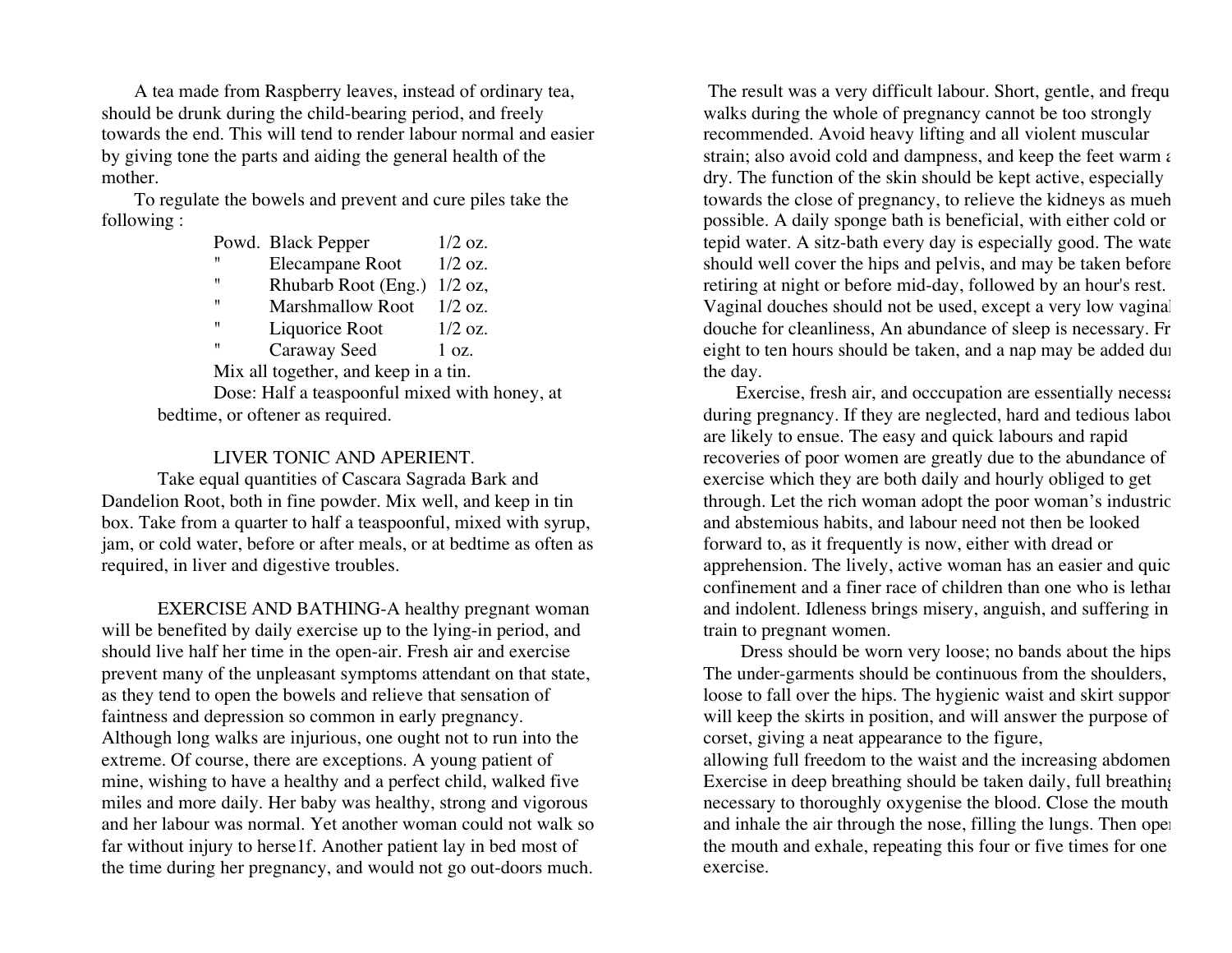A tea made from Raspberry leaves, instead of ordinary tea, should be drunk during the child-bearing period, and freely towards the end. This will tend to render labour normal and easier by giving tone the parts and aiding the general health of the mother.

 To regulate the bowels and prevent and cure piles take the following :

|                   | Powd. Black Pepper                                                                                                                                                                                                            | $1/2$ oz.       |
|-------------------|-------------------------------------------------------------------------------------------------------------------------------------------------------------------------------------------------------------------------------|-----------------|
| $^{\prime\prime}$ | Elecampane Root                                                                                                                                                                                                               | $1/2$ oz.       |
| $^{\prime\prime}$ | Rhubarb Root (Eng.)                                                                                                                                                                                                           | $1/2$ oz,       |
| $^{\prime\prime}$ | <b>Marshmallow Root</b>                                                                                                                                                                                                       | $1/2$ oz.       |
| $^{\prime\prime}$ | Liquorice Root                                                                                                                                                                                                                | $1/2$ oz.       |
| $^{\prime}$       | Caraway Seed                                                                                                                                                                                                                  | $1 \text{ oz.}$ |
|                   | $-11$ . $-11$ . $-11$ . $-11$ . $-11$ . $-11$ . $-11$ . $-11$ . $-11$ . $-11$ . $-11$ . $-11$ . $-11$ . $-11$ . $-11$ . $-11$ . $-11$ . $-11$ . $-11$ . $-11$ . $-11$ . $-11$ . $-11$ . $-11$ . $-11$ . $-11$ . $-11$ . $-11$ |                 |

Mix all together, and keep in a tin. Dose: Half a teaspoonful mixed with honey, at bedtime, or oftener as required.

# LIVER TONIC AND APERIENT.

Take equal quantities of Cascara Sagrada Bark and Dandelion Root, both in fine powder. Mix well, and keep in tin box. Take from a quarter to half a teaspoonful, mixed with syrup, jam, or cold water, before or after meals, or at bedtime as often as required, in liver and digestive troubles.

EXERCISE AND BATHING-A healthy pregnant woman will be benefited by daily exercise up to the lying-in period, and should live half her time in the open-air. Fresh air and exercise prevent many of the unpleasant symptoms attendant on that state, as they tend to open the bowels and relieve that sensation of faintness and depression so common in early pregnancy. Although long walks are injurious, one ought not to run into the extreme. Of course, there are exceptions. A young patient of mine, wishing to have a healthy and a perfect child, walked five miles and more daily. Her baby was healthy, strong and vigorous and her labour was normal. Yet another woman could not walk so far without injury to herse1f. Another patient lay in bed most of the time during her pregnancy, and would not go out-doors much.

The result was a very difficult labour. Short, gentle, and frequ walks during the whole of pregnancy cannot be too strongly recommended. Avoid heavy lifting and all violent muscular strain; also avoid cold and dampness, and keep the feet warm a dry. The function of the skin should be kept active, especially towards the close of pregnancy, to relieve the kidneys as mue h possible. A daily sponge bath is beneficial, with either cold or tepid water. A sitz-bath every day is especially good. The wat e should well cover the hips and pelvis, and may be taken befor e retiring at night or before mid-day, followed by an hour's rest. Vaginal douches should not be used, except a very low vaginal douche for cleanliness, An abundance of sleep is necessary. Fr eight to ten hours should be taken, and a nap may be added dur the day.

Exercise, fresh air, and occcupation are essentially necessalduring pregnancy. If they are neglected, hard and tedious labo u are likely to ensue. The easy and quick labours and rapid recoveries of poor women are greatly due to the abundance of exercise which they are both daily and hourly obliged to get through. Let the rich woman adopt the poor woman's industric and abstemious habits, and labour need not then be looked forward to, as it frequently is now, either with dread or apprehension. The lively, active woman has an easier and qui c confinement and a finer race of children than one who is lethar and indolent. Idleness brings misery, anguish, and suffering in train to pregnant women.

Dress should be worn very loose; no bands about the hips The under-garments should be continuous from the shoulders, loose to fall over the hips. The hygienic waist and skirt suppor will keep the skirts in position, and will answer the purpose of corset, giving a neat appearance to the figure,

allowing full freedom to the waist and the increasing abdome n Exercise in deep breathing should be taken daily, full breathin g necessary to thoroughly oxygenise the blood. Close the mouth and inhale the air through the nose, filling the lungs. Then ope n the mouth and exhale, repeating this four or five times for one exercise.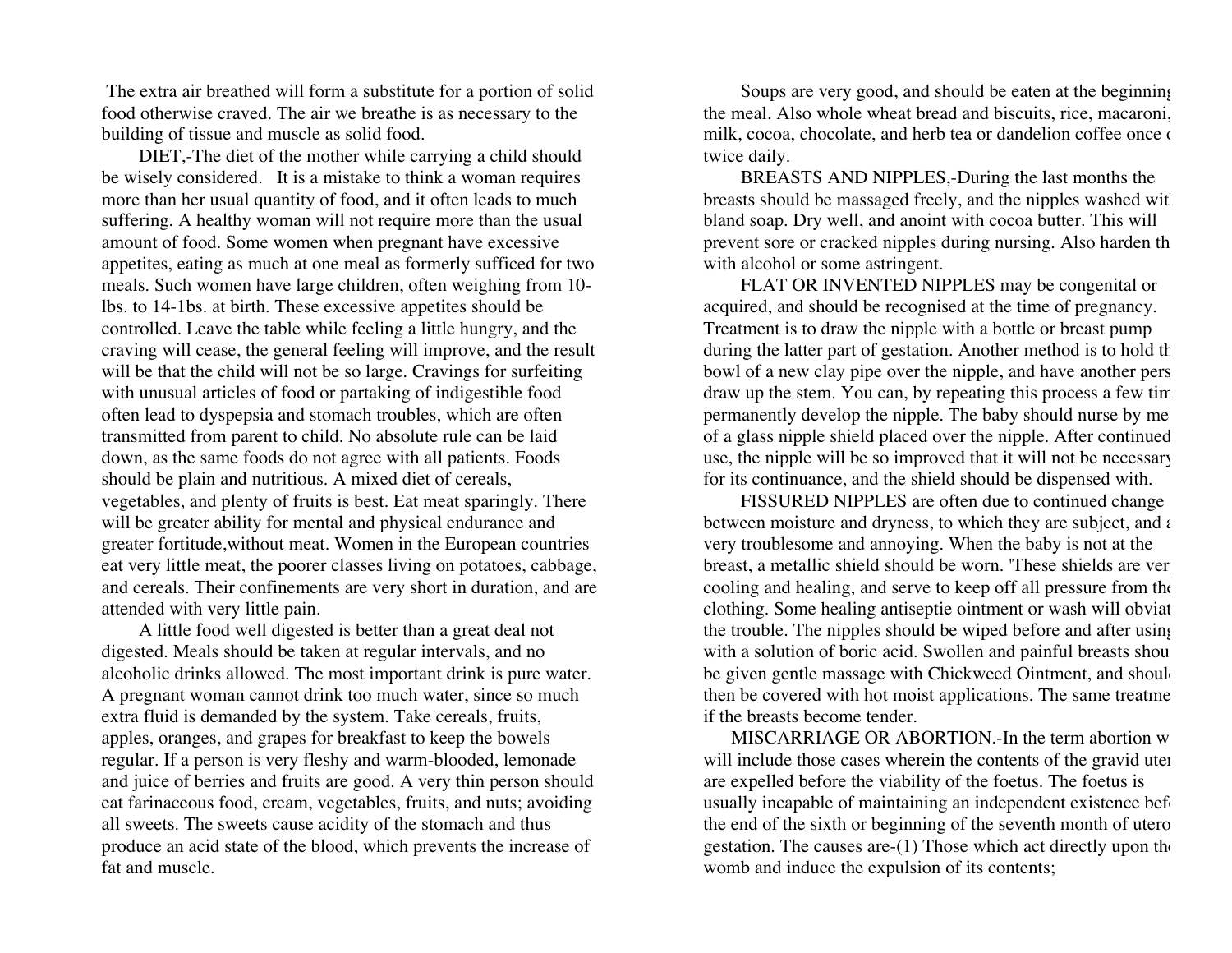The extra air breathed will form a substitute for a portion of solid food otherwise craved. The air we breathe is as necessary to the building of tissue and muscle as solid food.

DIET,-The diet of the mother while carrying a child should be wisely considered. It is a mistake to think a woman requires more than her usual quantity of food, and it often leads to much suffering. A healthy woman will not require more than the usual amount of food. Some women when pregnant have excessive appetites, eating as much at one meal as formerly sufficed for two meals. Such women have large children, often weighing from 10 lbs. to 14-1bs. at birth. These excessive appetites should be controlled. Leave the table while feeling a little hungry, and the craving will cease, the general feeling will improve, and the result will be that the child will not be so large. Cravings for surfeiting with unusual articles of food or partaking of indigestible food often lead to dyspepsia and stomach troubles, which are often transmitted from parent to child. No absolute rule can be laid down, as the same foods do not agree with all patients. Foods should be plain and nutritious. A mixed diet of cereals, vegetables, and plenty of fruits is best. Eat meat sparingly. There will be greater ability for mental and physical endurance and greater fortitude,without meat. Women in the European countries eat very little meat, the poorer classes living on potatoes, cabbage, and cereals. Their confinements are very short in duration, and are attended with very little pain.

A little food well digested is better than a great deal not digested. Meals should be taken at regular intervals, and no alcoholic drinks allowed. The most important drink is pure water. A pregnant woman cannot drink too much water, since so much extra fluid is demanded by the system. Take cereals, fruits, apples, oranges, and grapes for breakfast to keep the bowels regular. If a person is very fleshy and warm-blooded, lemonade and juice of berries and fruits are good. A very thin person should eat farinaceous food, cream, vegetables, fruits, and nuts; avoiding all sweets. The sweets cause acidity of the stomach and thus produce an acid state of the blood, which prevents the increase of fat and muscle.

Soups are very good, and should be eaten at the beginnin g the meal. Also whole wheat bread and biscuits, rice, macaroni, milk, cocoa, chocolate, and herb tea or dandelion coffee once on twice daily.

BREASTS AND NIPPLES,-During the last months the breasts should be massaged freely, and the nipples washed wit h bland soap. Dry well, and anoint with cocoa butter. This will prevent sore or cracked nipples during nursing. Also harden t h with alcohol or some astringent.

FLAT OR INVENTED NIPPLES may be congenital or acquired, and should be recognised at the time of pregnancy. Treatment is to draw the nipple with a bottle or breast pump during the latter part of gestation. Another method is to hold t h bowl of a new clay pipe over the nipple, and have another pers draw up the stem. You can, by repeating this process a few ti m permanently develop the nipple. The baby should nurse by me of a glass nipple shield placed over the nipple. After continue d use, the nipple will be so improved that it will not be necessar y for its continuance, and the shield should be dispensed with.

FISSURED NIPPLES are often due to continued change between moisture and dryness, to which they are subject, and a very troublesome and annoying. When the baby is not at the breast, a metallic shield should be worn. These shields are ver cooling and healing, and serve to keep off all pressure from th e clothing. Some healing antiseptie ointment or wash will obviat the trouble. The nipples should be wiped before and after usin g with a solution of boric acid. Swollen and painful breasts shou be given gentle massage with Chickweed Ointment, and shoule then be covered with hot moist applications. The same treatm e if the breasts become tender.

 MISCARRIAGE OR ABORTION.-In the term abortion w will include those cases wherein the contents of the gravid uter are expelled before the viability of the foetus. The foetus is usually incapable of maintaining an independent existence before the end of the sixth or beginning of the seventh month of uter o gestation. The causes are-(1) Those which act directly upon th e womb and induce the expulsion of its contents;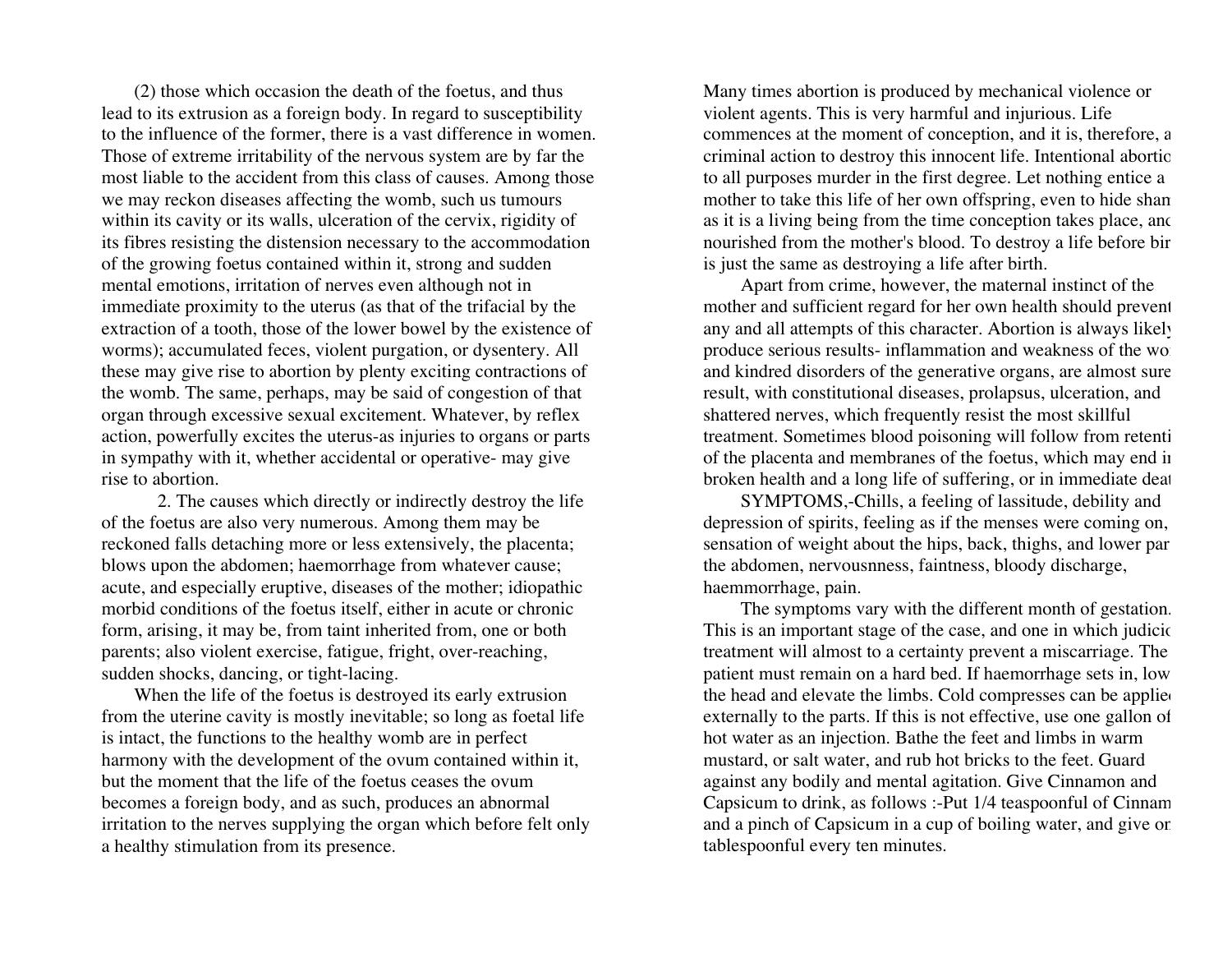(2) those which occasion the death of the foetus, and thus lead to its extrusion as a foreign body. In regard to susceptibility to the influence of the former, there is a vast difference in women. Those of extreme irritability of the nervous system are by far the most liable to the accident from this class of causes. Among those we may reckon diseases affecting the womb, such us tumours within its cavity or its walls, ulceration of the cervix, rigidity of its fibres resisting the distension necessary to the accommodation of the growing foetus contained within it, strong and sudden mental emotions, irritation of nerves even although not in immediate proximity to the uterus (as that of the trifacial by the extraction of a tooth, those of the lower bowel by the existence of worms); accumulated feces, violent purgation, or dysentery. All these may give rise to abortion by plenty exciting contractions of the womb. The same, perhaps, may be said of congestion of that organ through excessive sexual excitement. Whatever, by reflex action, powerfully excites the uterus-as injuries to organs or parts in sympathy with it, whether accidental or operative- may give rise to abortion.

2. The causes which directly or indirectly destroy the life of the foetus are also very numerous. Among them may be reckoned falls detaching more or less extensively, the placenta; blows upon the abdomen; haemorrhage from whatever cause; acute, and especially eruptive, diseases of the mother; idiopathic morbid conditions of the foetus itself, either in acute or chronic form, arising, it may be, from taint inherited from, one or both parents; also violent exercise, fatigue, fright, over-reaching, sudden shocks, dancing, or tight-lacing.

 When the life of the foetus is destroyed its early extrusion from the uterine cavity is mostly inevitable; so long as foetal life is intact, the functions to the healthy womb are in perfect harmony with the development of the ovum contained within it, but the moment that the life of the foetus ceases the ovum becomes a foreign body, and as such, produces an abnormal irritation to the nerves supplying the organ which before felt only a healthy stimulation from its presence.

Many times abortion is produced by mechanical violence or violent agents. This is very harmful and injurious. Life commences at the moment of conception, and it is, therefore, a criminal action to destroy this innocent life. Intentional aborti o to all purposes murder in the first degree. Let nothing entice a mother to take this life of her own offspring, even to hide sha m as it is a living being from the time conception takes place, an d nourished from the mother's blood. To destroy a life before bir is just the same as destroying a life after birth.

 Apart from crime, however, the maternal instinct of the mother and sufficient regard for her own health should prevent any and all attempts of this character. Abortion is always likel y produce serious results- inflammation and weakness of the wo m and kindred disorders of the generative organs, are almost sur e result, with constitutional diseases, prolapsus, ulceration, and shattered nerves, which frequently resist the most skillful treatment. Sometimes blood poisoning will follow from retenti of the placenta and membranes of the foetus, which may end i n broken health and a long life of suffering, or in immediate deat

SYMPTOMS,-Chills, a feeling of lassitude, debility and depression of spirits, feeling as if the menses were coming on, sensation of weight about the hips, back, thighs, and lower par the abdomen, nervousnness, faintness, bloody discharge, haemmorrhage, pain.

The symptoms vary with the different month of gestation. This is an important stage of the case, and one in which judiciontreatment will almost to a certainty prevent a miscarriage. The patient must remain on a hard bed. If haemorrhage sets in, lo w the head and elevate the limbs. Cold compresses can be applie d externally to the parts. If this is not effective, use one gallon of hot water as an injection. Bathe the feet and limbs in warm mustard, or salt water, and rub hot bricks to the feet. Guard against any bodily and mental agitation. Give Cinnamon and Capsicum to drink, as follows :-Put 1/4 teaspoonful of Cinna m and a pinch of Capsicum in a cup of boiling water, and give o n tablespoonful every ten minutes.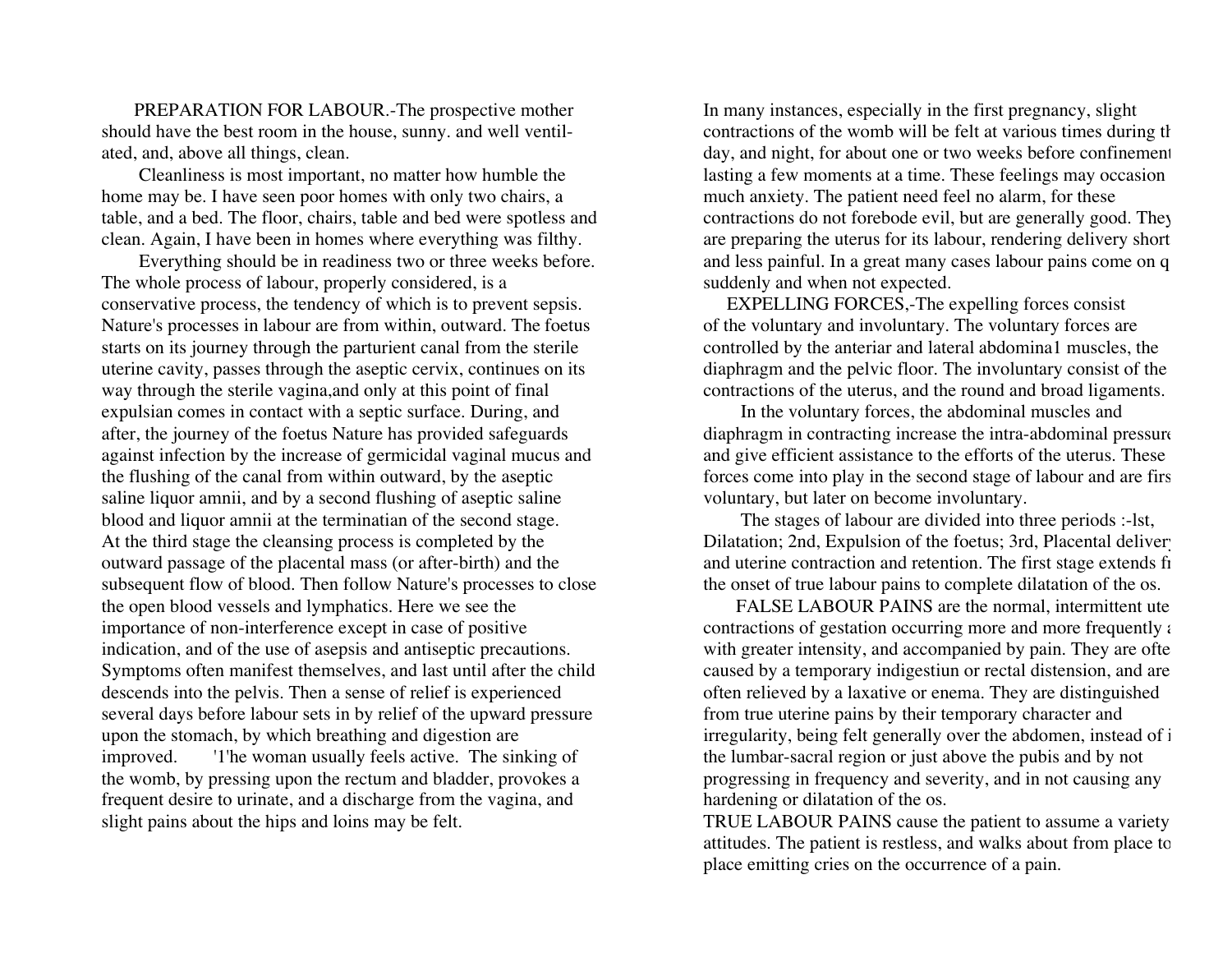PREPARATION FOR LABOUR.-The prospective mother should have the best room in the house, sunny. and well ventilated, and, above all things, clean.

Cleanliness is most important, no matter how humble the home may be. I have seen poor homes with only two chairs, a table, and a bed. The floor, chairs, table and bed were spotless an d clean. Again, I have been in homes where everything was filthy.

Everything should be in readiness two or three weeks before. The whole process of labour, properly considered, is a conservative process, the tendency of which is to prevent sepsis. Nature's processes in labour are from within, outward. The foetus starts on its journey through the parturient canal from the sterile uterine cavity, passes through the aseptic cervix, continues on its way through the sterile vagina,and only at this point of final expulsian comes in contact with a septic surface. During, and after, the journey of the foetus Nature has provided safeguards against infection by the increase of germicidal vaginal mucus and the flushing of the canal from within outward, by the aseptic saline liquor amnii, and by a second flushing of aseptic saline blood and liquor amnii at the terminatian of the second stage. At the third stage the cleansing process is completed by the outward passage of the placental mass (or after-birth) and the subsequent flow of blood. Then follow Nature's processes to close the open blood vessels and lymphatics. Here we see the importance of non-interference except in case of positive indication, and of the use of asepsis and antiseptic precautions. Symptoms often manifest themselves, and last until after the child descends into the pelvis. Then a sense of relief is experienced several days before labour sets in by relief of the upward pressure upon the stomach, by which breathing and digestion are improved. '1'he woman usually feels active. The sinking of the womb, by pressing upon the rectum and bladder, provokes a frequent desire to urinate, and a discharge from the vagina, and slight pains about the hips and loins may be felt.

In many instances, especially in the first pregnancy, slight contractions of the womb will be felt at various times during t h day, and night, for about one or two weeks before confinement lasting a few moments at a time. These feelings may occasion much anxiety. The patient need feel no alarm, for these contractions do not forebode evil, but are generally good. The y are preparing the uterus for its labour, rendering delivery short and less painful. In a great many cases labour pains come on q suddenly and when not expected.

 EXPELLING FORCES,-The expelling forces consist of the voluntary and involuntary. The voluntary forces are controlled by the anteriar and lateral abdomina1 muscles, the diaphragm and the pelvic floor. The involuntary consist of the contractions of the uterus, and the round and broad ligaments.

In the voluntary forces, the abdominal muscles and diaphragm in contracting increase the intra-abdominal pressur e and give efficient assistance to the efforts of the uterus. These forces come into play in the second stage of labour and are firs voluntary, but later on become involuntary.

 The stages of labour are divided into three periods :-lst, Dilatation; 2nd, Expulsion of the foetus; 3rd, Placental deliver and uterine contraction and retention. The first stage extends fr the onset of true labour pains to complete dilatation of the os.

 FALSE LABOUR PAINS are the normal, intermittent ute contractions of gestation occurring more and more frequently a with greater intensity, and accompanied by pain. They are oft e caused by a temporary indigestiun or rectal distension, and ar e often relieved by a laxative or enema. They are distinguished from true uterine pains by their temporary character and irregularity, being felt generally over the abdomen, instead of i the lumbar-sacral region or just above the pubis and by not progressing in frequency and severity, and in not causing any hardening or dilatation of the os.

TRUE LABOUR PAINS cause the patient to assume a variety attitudes. The patient is restless, and walks about from place t o place emitting cries on the occurrence of a pain.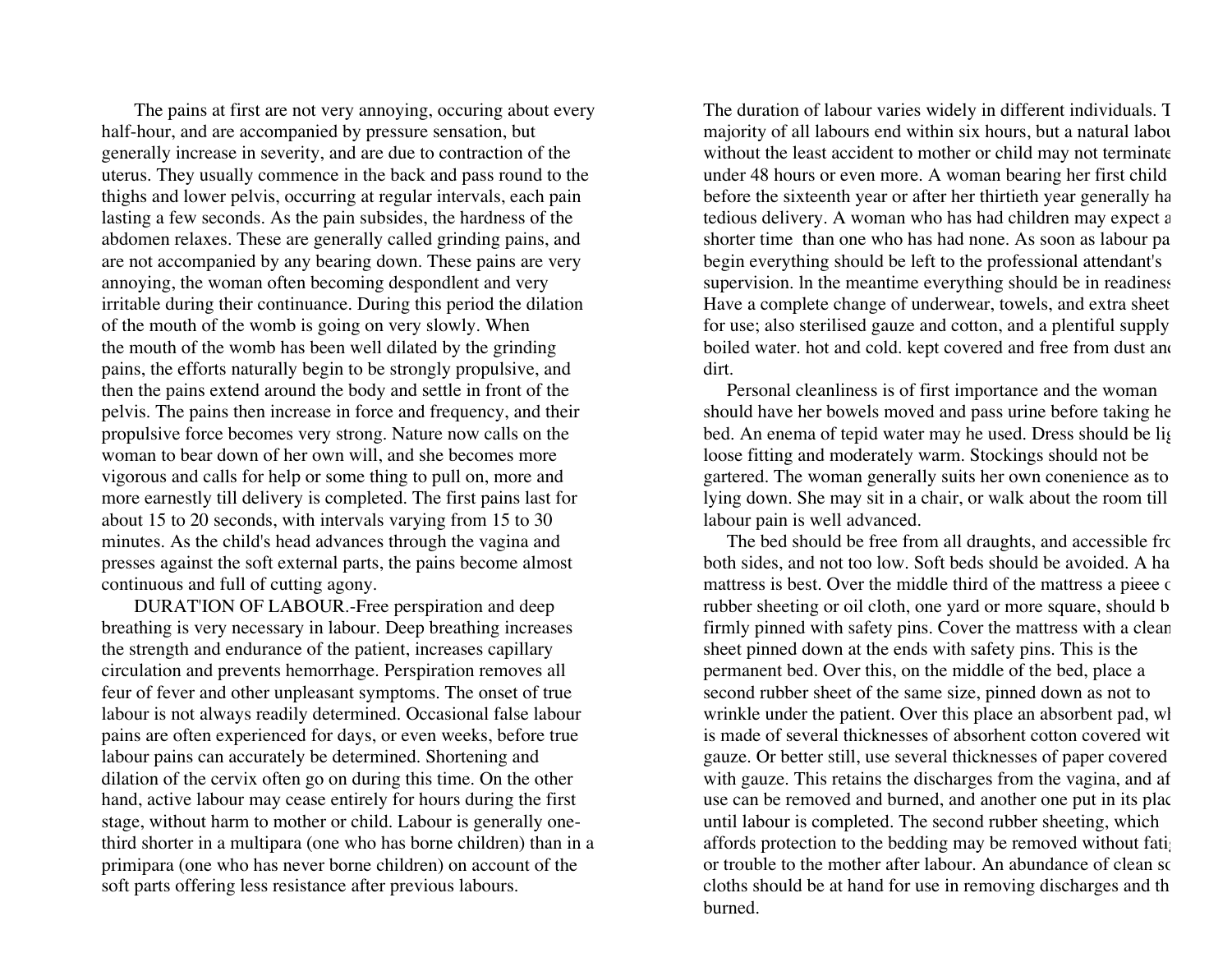The pains at first are not very annoying, occuring about every half-hour, and are accompanied by pressure sensation, but generally increase in severity, and are due to contraction of the uterus. They usually commence in the back and pass round to the thighs and lower pelvis, occurring at regular intervals, each pain lasting a few seconds. As the pain subsides, the hardness of the abdomen relaxes. These are generally called grinding pains, and are not accompanied by any bearing down. These pains are very annoying, the woman often becoming despondlent and very irritable during their continuance. During this period the dilation of the mouth of the womb is going on very slowly. When the mouth of the womb has been well dilated by the grinding pains, the efforts naturally begin to be strongly propulsive, and then the pains extend around the body and settle in front of the pelvis. The pains then increase in force and frequency, and their propulsive force becomes very strong. Nature now calls on the woman to bear down of her own will, and she becomes more vigorous and calls for help or some thing to pull on, more and more earnestly till delivery is completed. The first pains last for about 15 to 20 seconds, with intervals varying from 15 to 30 minutes. As the child's head advances through the vagina and presses against the soft external parts, the pains become almost continuous and full of cutting agony.

 DURAT'ION OF LABOUR.-Free perspiration and deep breathing is very necessary in labour. Deep breathing increases the strength and endurance of the patient, increases capillary circulation and prevents hemorrhage. Perspiration removes all feur of fever and other unpleasant symptoms. The onset of true labour is not always readily determined. Occasional false labour pains are often experienced for days, or even weeks, before true labour pains can accurately be determined. Shortening and dilation of the cervix often go on during this time. On the other hand, active labour may cease entirely for hours during the first stage, without harm to mother or child. Labour is generally onethird shorter in a multipara (one who has borne children) than in a primipara (one who has never borne children) on account of the soft parts offering less resistance after previous labours.

The duration of labour varies widely in different individuals. T majority of all labours end within six hours, but a natural labo u without the least accident to mother or child may not terminate under 48 hours or even more. A woman bearing her first child before the sixteenth year or after her thirtieth year generally h a tedious delivery. A woman who has had children may expect a shorter time than one who has had none. As soon as labour p a begin everything should be left to the professional attendant's supervision. In the meantime everything should be in readiness Have a complete change of underwear, towels, and extra sheet for use; also sterilised gauze and cotton, and a plentiful supply boiled water. hot and cold. kept covered and free from dust an d dirt.

 Personal cleanliness is of first importance and the woman should have her bowels moved and pass urine before taking h e bed. An enema of tepid water may he used. Dress should be li g loose fitting and moderately warm. Stockings should not be gartered. The woman generally suits her own conenience as to lying down. She may sit in a chair, or walk about the room till labour pain is well advanced.

The bed should be free from all draughts, and accessible from both sides, and not too low. Soft beds should be avoided. A ha mattress is best. Over the middle third of the mattress a pieee of rubber sheeting or oil cloth, one yard or more square, should b firmly pinned with safety pins. Cover the mattress with a clea n sheet pinned down at the ends with safety pins. This is the permanent bed. Over this, on the middle of the bed, place a second rubber sheet of the same size, pinned down as not to wrinkle under the patient. Over this place an absorbent pad, w h is made of several thicknesses of absorhent cotton covered wit gauze. Or better still, use several thicknesses of paper covered with gauze. This retains the discharges from the vagina, and af use can be removed and burned, and another one put in its pla c until labour is completed. The second rubber sheeting, which affords protection to the bedding may be removed without fati g or trouble to the mother after labour. An abundance of clean s o cloths should be at hand for use in removing discharges and th burned.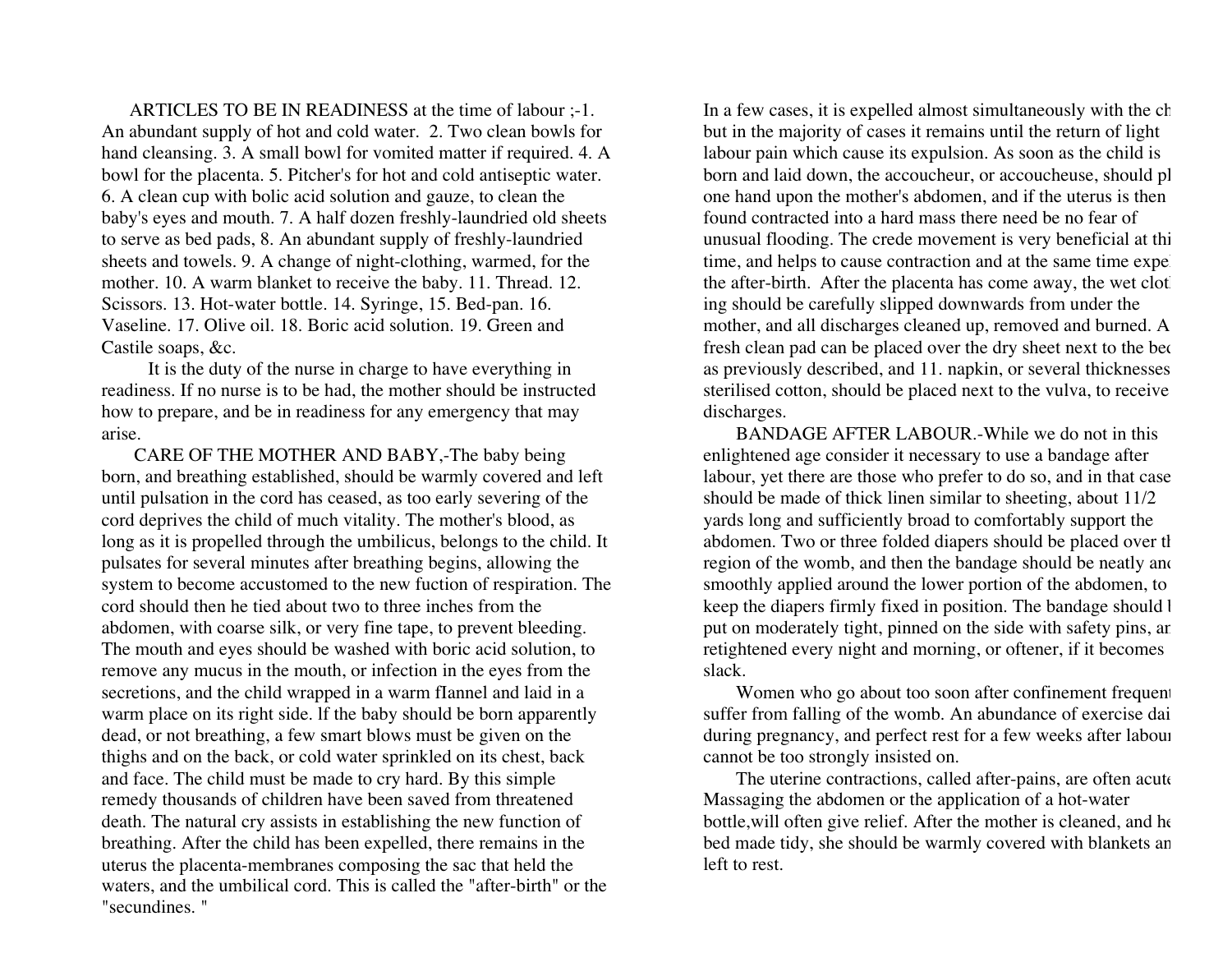ARTICLES TO BE IN READINESS at the time of labour ;-1. An abundant supply of hot and cold water. 2. Two clean bowls for hand cleansing. 3. A small bowl for vomited matter if required. 4. A bowl for the placenta. 5. Pitcher's for hot and cold antiseptic water. 6. A clean cup with bolic acid solution and gauze, to clean the baby's eyes and mouth. 7. A half dozen freshly-laundried old sheets to serve as bed pads, 8. An abundant supply of freshly-laundried sheets and towels. 9. A change of night-clothing, warmed, for the mother. 10. A warm blanket to receive the baby. 11. Thread. 12. Scissors. 13. Hot-water bottle. 14. Syringe, 15. Bed-pan. 16. Vaseline. 17. Olive oil. 18. Boric acid solution. 19. Green and Castile soaps, &c.

It is the duty of the nurse in charge to have everything in readiness. If no nurse is to be had, the mother should be instructed how to prepare, and be in readiness for any emergency that may arise.

 CARE OF THE MOTHER AND BABY,-The baby being born, and breathing established, should be warmly covered and left until pulsation in the cord has ceased, as too early severing of the cord deprives the child of much vitality. The mother's blood, as long as it is propelled through the umbilicus, belongs to the child. It pulsates for several minutes after breathing begins, allowing the system to become accustomed to the new fuction of respiration. The cord should then he tied about two to three inches from the abdomen, with coarse silk, or very fine tape, to prevent bleeding. The mouth and eyes should be washed with boric acid solution, to remove any mucus in the mouth, or infection in the eyes from the secretions, and the child wrapped in a warm fIannel and laid in a warm place on its right side. lf the baby should be born apparently dead, or not breathing, a few smart blows must be given on the thighs and on the back, or cold water sprinkled on its chest, back and face. The child must be made to cry hard. By this simple remedy thousands of children have been saved from threatened death. The natural cry assists in establishing the new function of breathing. After the child has been expelled, there remains in the uterus the placenta-membranes composing the sac that held the waters, and the umbilical cord. This is called the "after-birth" or the "secundines. "

In a few cases, it is expelled almost simultaneously with the c h but in the majority of cases it remains until the return of light labour pain which cause its expulsion. As soon as the child is born and laid down, the accoucheur, or accoucheuse, should pl one hand upon the mother's abdomen, and if the uterus is then found contracted into a hard mass there need be no fear of unusual flooding. The crede movement is very beneficial at thi time, and helps to cause contraction and at the same time expe the after-birth. After the placenta has come away, the wet clot h ing should be carefully slipped downwards from under the mother, and all discharges cleaned up, removed and burned. A fresh clean pad can be placed over the dry sheet next to the be d as previously described, and 11. napkin, or several thicknesses sterilised cotton, should be placed next to the vulva, to receive discharges.

 BANDAGE AFTER LABOUR.-While we do not in this enlightened age consider it necessary to use a bandage after labour, yet there are those who prefer to do so, and in that cas e should be made of thick linen similar to sheeting, about 11/2 yards long and sufficiently broad to comfortably support the abdomen. Two or three folded diapers should be placed over t h region of the womb, and then the bandage should be neatly an d smoothly applied around the lower portion of the abdomen, to keep the diapers firmly fixed in position. The bandage should l put on moderately tight, pinned on the side with safety pins, a n retightened every night and morning, or oftener, if it becomes slack.

Women who go about too soon after confinement frequent suffer from falling of the womb. An abundance of exercise dai during pregnancy, and perfect rest for a few weeks after labour cannot be too strongly insisted on.

The uterine contractions, called after-pains, are often acute Massaging the abdomen or the application of a hot-water bottle, will often give relief. After the mother is cleaned, and he bed made tidy, she should be warmly covered with blankets a n left to rest.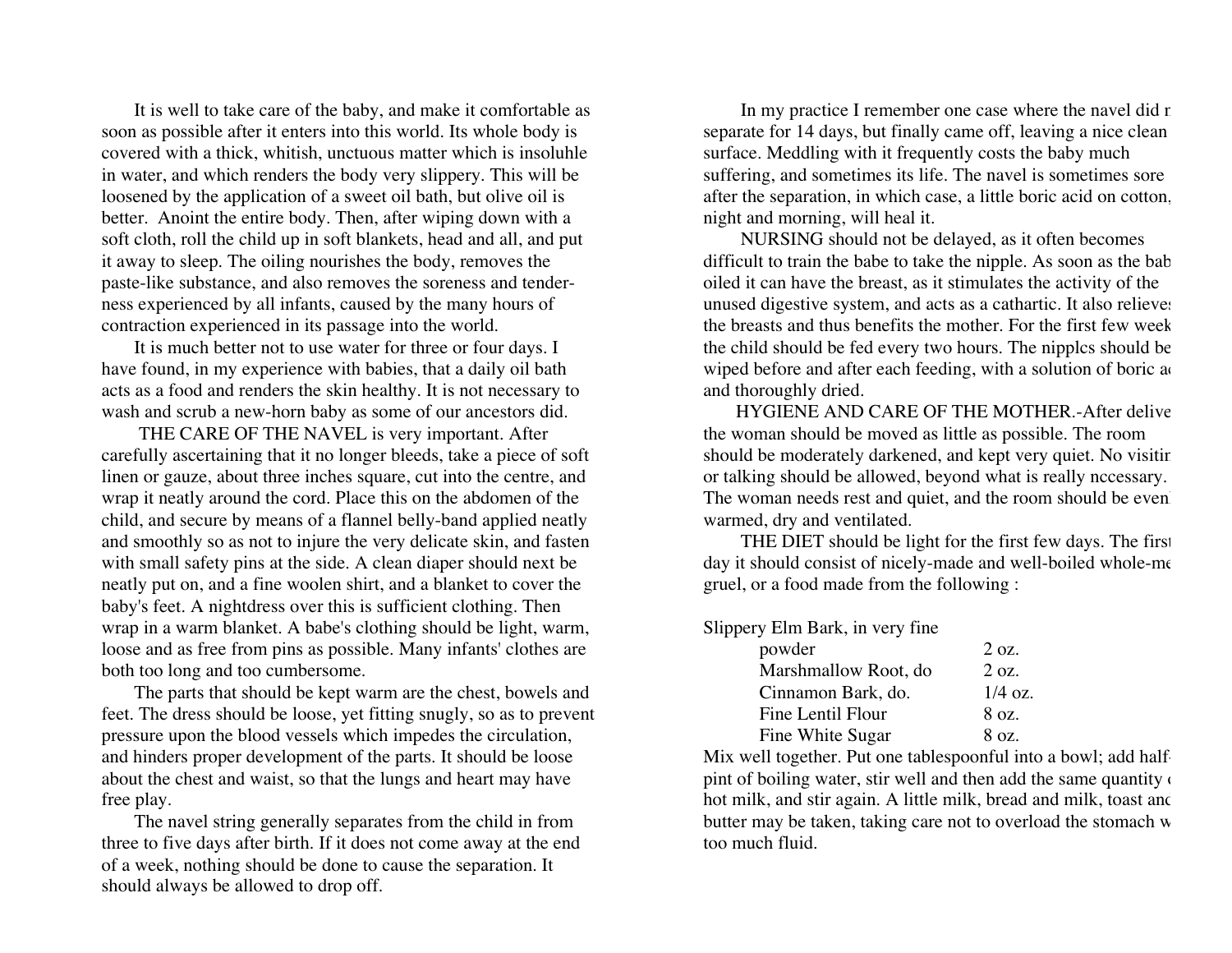It is well to take care of the baby, and make it comfortable as soon as possible after it enters into this world. Its whole body is covered with a thick, whitish, unctuous matter which is insoluhle in water, and which renders the body very slippery. This will be loosened by the application of a sweet oil bath, but olive oil is better. Anoint the entire body. Then, after wiping down with a soft cloth, roll the child up in soft blankets, head and all, and put it away to sleep. The oiling nourishes the body, removes the paste-like substance, and also removes the soreness and tenderness experienced by all infants, caused by the many hours of contraction experienced in its passage into the world.

 It is much better not to use water for three or four days. I have found, in my experience with babies, that a daily oil bath acts as a food and renders the skin healthy. It is not necessary to wash and scrub a new-horn baby as some of our ancestors did.

 THE CARE OF THE NAVEL is very important. After carefully ascertaining that it no longer bleeds, take a piece of soft linen or gauze, about three inches square, cut into the centre, and wrap it neatly around the cord. Place this on the abdomen of the child, and secure by means of a flannel belly-band applied neatly and smoothly so as not to injure the very delicate skin, and fasten with small safety pins at the side. A clean diaper should next be neatly put on, and a fine woolen shirt, and a blanket to cover the baby's feet. A nightdress over this is sufficient clothing. Then wrap in a warm blanket. A babe's clothing should be light, warm, loose and as free from pins as possible. Many infants' clothes are both too long and too cumbersome.

 The parts that should be kept warm are the chest, bowels and feet. The dress should be loose, yet fitting snugly, so as to prevent pressure upon the blood vessels which impedes the circulation, and hinders proper development of the parts. It should be loose about the chest and waist, so that the lungs and heart may have free play.

 The navel string generally separates from the child in from three to five days after birth. If it does not come away at the end of a week, nothing should be done to cause the separation. It should always be allowed to drop off.

In my practice I remember one case where the navel did r separate for 14 days, but finally came off, leaving a nice clean surface. Meddling with it frequently costs the baby much suffering, and sometimes its life. The navel is sometimes sore after the separation, in which case, a little boric acid on cotton, night and morning, will heal it.

NURSING should not be delayed, as it often becomes difficult to train the babe to take the nipple. As soon as the ba b oiled it can have the breast, as it stimulates the activity of the unused digestive system, and acts as a cathartic. It also relieves the breasts and thus benefits the mother. For the first few wee k the child should be fed every two hours. The nipplcs should b e wiped before and after each feeding, with a solution of boric a and thoroughly dried.

 HYGIENE AND CARE OF THE MOTHER.-After deliv e the woman should be moved as little as possible. The room should be moderately darkened, and kept very quiet. No visiti n or talking should be allowed, beyond what is really nccessary. The woman needs rest and quiet, and the room should be even warmed, dry and ventilated.

THE DIET should be light for the first few days. The first day it should consist of nicely-made and well-boiled whole-me gruel, or a food made from the following :

Slippery Elm Bark, in very fine

| powder               | $2 \text{ oz.}$ |
|----------------------|-----------------|
| Marshmallow Root, do | $2 \text{ oz.}$ |
| Cinnamon Bark, do.   | $1/4$ oz.       |
| Fine Lentil Flour    | 8 oz.           |
| Fine White Sugar     | 8 oz.           |
|                      |                 |

Mix well together. Put one tablespoonful into a bowl; add halfpint of boiling water, stir well and then add the same quantity  $\epsilon$ hot milk, and stir again. A little milk, bread and milk, toast an d butter may be taken, taking care not to overload the stomach w too much fluid.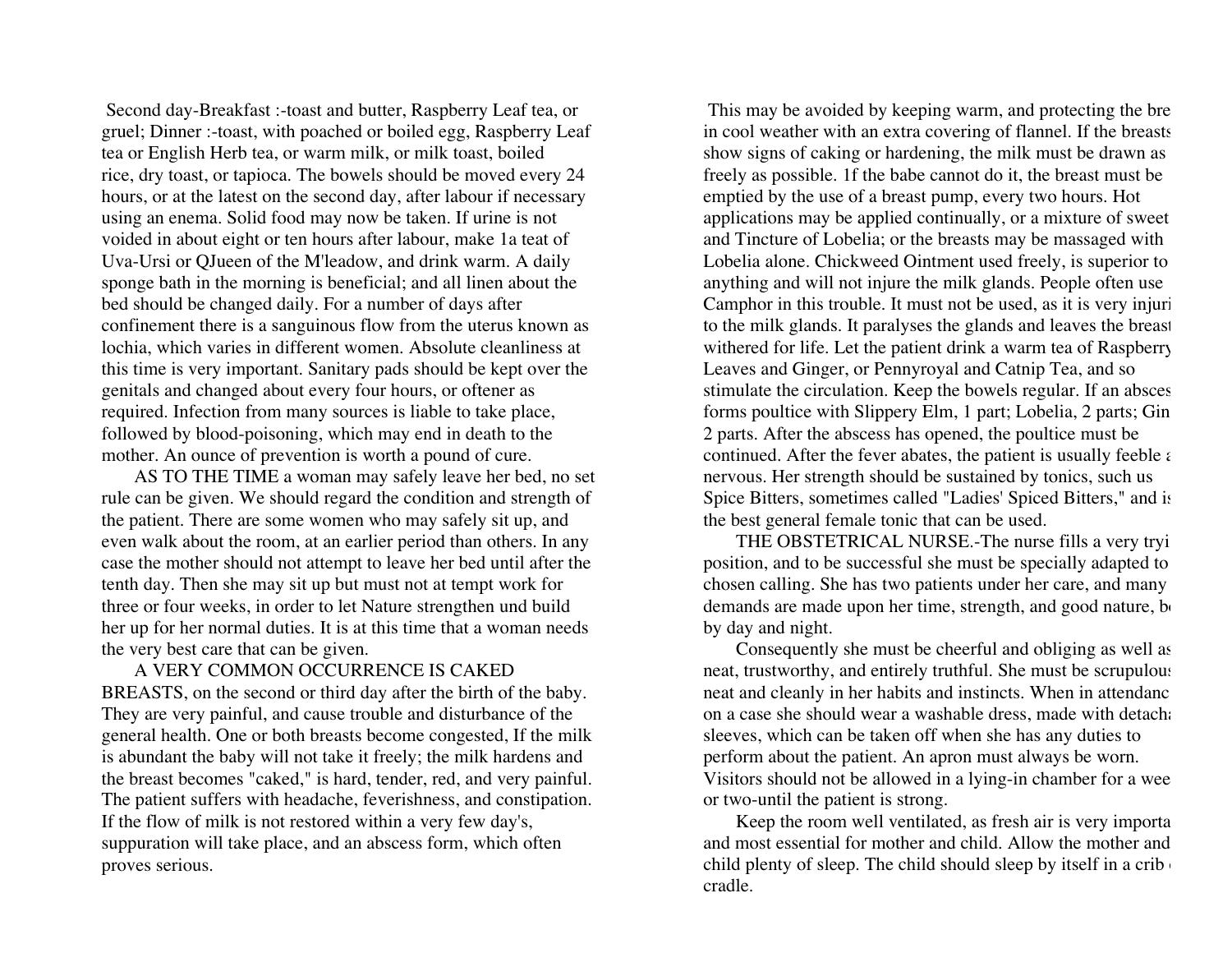Second day-Breakfast :-toast and butter, Raspberry Leaf tea, or gruel; Dinner :-toast, with poached or boiled egg, Raspberry Leaf tea or English Herb tea, or warm milk, or milk toast, boiled rice, dry toast, or tapioca. The bowels should be moved every 24 hours, or at the latest on the second day, after labour if necessary using an enema. Solid food may now be taken. If urine is not voided in about eight or ten hours after labour, make 1a teat of Uva-Ursi or QJueen of the M'leadow, and drink warm. A daily sponge bath in the morning is beneficial; and all linen about the bed should be changed daily. For a number of days after confinement there is a sanguinous flow from the uterus known as lochia, which varies in different women. Absolute cleanliness at this time is very important. Sanitary pads should be kept over the genitals and changed about every four hours, or oftener as required. Infection from many sources is liable to take place, followed by blood-poisoning, which may end in death to the mother. An ounce of prevention is worth a pound of cure.

 AS TO THE TIME a woman may safely leave her bed, no set rule can be given. We should regard the condition and strength of the patient. There are some women who may safely sit up, and even walk about the room, at an earlier period than others. In any case the mother should not attempt to leave her bed until after the tenth day. Then she may sit up but must not at tempt work for three or four weeks, in order to let Nature strengthen und build her up for her normal duties. It is at this time that a woman needs the very best care that can be given.

 A VERY COMMON OCCURRENCE IS CAKED BREASTS, on the second or third day after the birth of the baby. They are very painful, and cause trouble and disturbance of the general health. One or both breasts become congested, If the milk is abundant the baby will not take it freely; the milk hardens and the breast becomes "caked," is hard, tender, red, and very painful. The patient suffers with headache, feverishness, and constipation. If the flow of milk is not restored within a very few day's, suppuration will take place, and an abscess form, which often proves serious.

This may be avoided by keeping warm, and protecting the br e in cool weather with an extra covering of flannel. If the breasts show signs of caking or hardening, the milk must be drawn as freely as possible. 1f the babe cannot do it, the breast must be emptied by the use of a breast pump, every two hours. Hot applications may be applied continually, or a mixture of sweet and Tincture of Lobelia; or the breasts may be massaged with Lobelia alone. Chickweed Ointment used freely, is superior to anything and will not injure the milk glands. People often use Camphor in this trouble. It must not be used, as it is very injuri to the milk glands. It paralyses the glands and leaves the breast withered for life. Let the patient drink a warm tea of Raspberr y Leaves and Ginger, or Pennyroyal and Catnip Tea, and so stimulate the circulation. Keep the bowels regular. If an absces forms poultice with Slippery Elm, 1 part; Lobelia, 2 parts; Gi n 2 parts. After the abscess has opened, the poultice must be continued. After the fever abates, the patient is usually feeble  $\iota$ nervous. Her strength should be sustained by tonics, such us Spice Bitters, sometimes called "Ladies' Spiced Bitters," and is the best general female tonic that can be used.

 THE OBSTETRICAL NURSE.-The nurse fills a very tryi position, and to be successful she must be specially adapted to chosen calling. She has two patients under her care, and many demands are made upon her time, strength, and good nature, b o by day and night.

 Consequently she must be cheerful and obliging as well as neat, trustworthy, and entirely truthful. She must be scrupulous neat and cleanly in her habits and instincts. When in attendanc on a case she should wear a washable dress, made with detach a sleeves, which can be taken off when she has any duties to perform about the patient. An apron must always be worn. Visitors should not be allowed in a lying-in chamber for a we e or two-until the patient is strong.

 Keep the room well ventilated, as fresh air is very import a and most essential for mother and child. Allow the mother an d child plenty of sleep. The child should sleep by itself in a crib cradle.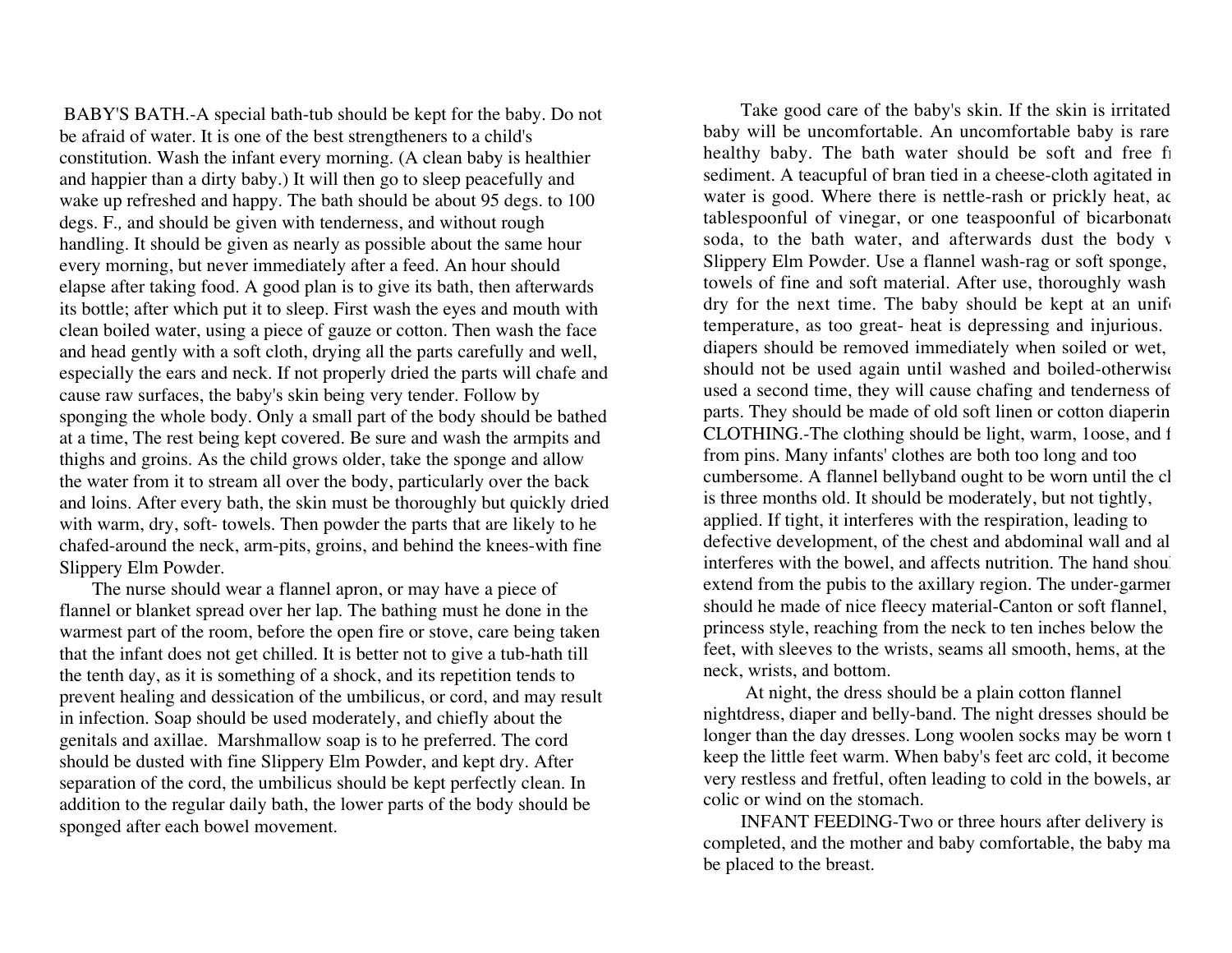BABY'S BATH.-A special bath-tub should be kept for the baby. Do not be afraid of water. It is one of the best strengtheners to a child's constitution. Wash the infant every morning. (A clean baby is healthier and happier than a dirty baby.) It will then go to sleep peacefully and wake up refreshed and happy. The bath should be about 95 degs. to 100 degs. F*.,* and should be given with tenderness, and without rough handling. It should be given as nearly as possible about the same hour every morning, but never immediately after a feed. An hour should elapse after taking food. A good plan is to give its bath, then afterwards its bottle; after which put it to sleep. First wash the eyes and mouth with clean boiled water, using a piece of gauze or cotton. Then wash the face and head gently with a soft cloth, drying all the parts carefully and well, especially the ears and neck. If not properly dried the parts will chafe and cause raw surfaces, the baby's skin being very tender. Follow by sponging the whole body. Only a small part of the body should be bathed at a time, The rest being kept covered. Be sure and wash the armpits and thighs and groins. As the child grows older, take the sponge and allow the water from it to stream all over the body, particularly over the back and loins. After every bath, the skin must be thoroughly but quickly dried with warm, dry, soft- towels. Then powder the parts that are likely to he chafed-around the neck, arm-pits, groins, and behind the knees-with fine Slippery Elm Powder.

 The nurse should wear a flannel apron, or may have a piece of flannel or blanket spread over her lap. The bathing must he done in the warmest part of the room, before the open fire or stove, care being taken that the infant does not get chilled. It is better not to give a tub-hath till the tenth day, as it is something of a shock, and its repetition tends to prevent healing and dessication of the umbilicus, or cord, and may result in infection. Soap should be used moderately, and chiefly about the genitals and axillae. Marshmallow soap is to he preferred. The cord should be dusted with fine Slippery Elm Powder, and kept dry. After separation of the cord, the umbilicus should be kept perfectly clean. In addition to the regular daily bath, the lower parts of the body should be sponged after each bowel movement.

Take good care of the baby's skin. If the skin is irritate d baby will be uncomfortable. An uncomfortable baby is rare healthy baby. The bath water should be soft and free fisediment. A teacupful of bran tied in a cheese-cloth agitated i n water is good. Where there is nettle-rash or prickly heat, ac tablespoonful of vinegar, or one teaspoonful of bicarbonat e soda, to the bath water, and afterwards dust the body v Slippery Elm Powder. Use a flannel wash-rag or soft sponge, towels of fine and soft material. After use, thoroughly wash dry for the next time. The baby should be kept at an unifertemperature, as too great- heat is depressing and injurious. diapers should be removed immediately when soiled or wet, should not be used again until washed and boiled-otherwise used a second time, they will cause chafing and tenderness of parts. They should be made of old soft linen or cotton diaperi n CLOTHING.-The clothing should be light, warm, 1oose, and f from pins. Many infants' clothes are both too long and too cumbersome. A flannel bellyband ought to be worn until the c h is three months old. It should be moderately, but not tightly, applied. If tight, it interferes with the respiration, leading to defective development, of the chest and abdominal wall and al interferes with the bowel, and affects nutrition. The hand shoul extend from the pubis to the axillary region. The under-garme n should he made of nice fleecy material-Canton or soft flannel, princess style, reaching from the neck to ten inches below the feet, with sleeves to the wrists, seams all smooth, hems, at the neck, wrists, and bottom.

 At night, the dress should be a plain cotton flannel nightdress, diaper and belly-band. The night dresses should be longer than the day dresses. Long woolen socks may be worn t keep the little feet warm. When baby's feet arc cold, it become very restless and fretful, often leading to cold in the bowels, a n colic or wind on the stomach.

 INFANT FEEDlNG-Two or three hours after delivery is completed, and the mother and baby comfortable, the baby m a be placed to the breast.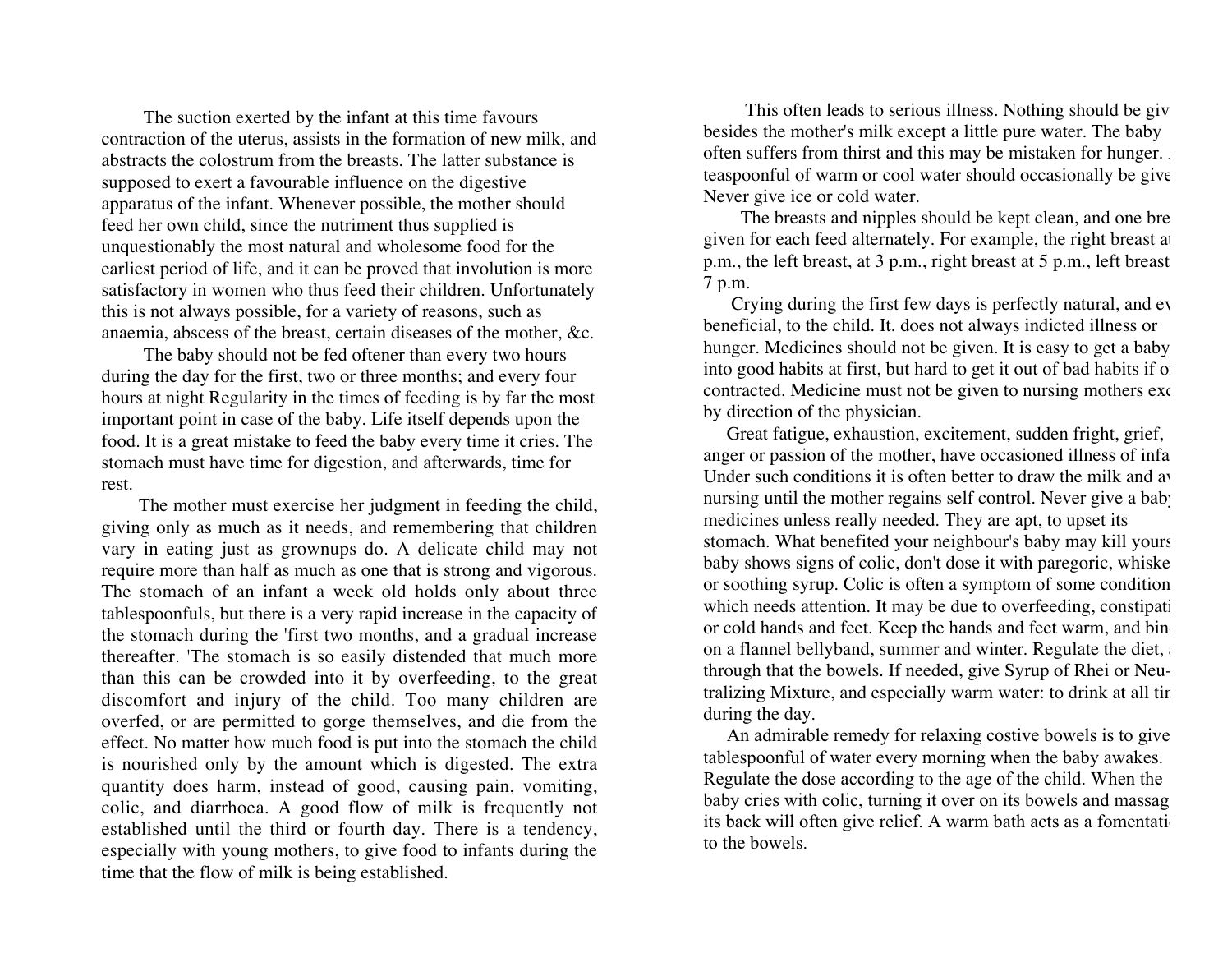The suction exerted by the infant at this time favours contraction of the uterus, assists in the formation of new milk, and abstracts the colostrum from the breasts. The latter substance is supposed to exert a favourable influence on the digestive apparatus of the infant. Whenever possible, the mother should feed her own child, since the nutriment thus supplied is unquestionably the most natural and wholesome food for the earliest period of life, and it can be proved that involution is more satisfactory in women who thus feed their children. Unfortunately this is not always possible, for a variety of reasons, such as anaemia, abscess of the breast, certain diseases of the mother, &c.

 The baby should not be fed oftener than every two hours during the day for the first, two or three months; and every four hours at night Regularity in the times of feeding is by far the most important point in case of the baby. Life itself depends upon the food. It is a great mistake to feed the baby every time it cries. The stomach must have time for digestion, and afterwards, time for rest.

The mother must exercise her judgment in feeding the child, giving only as much as it needs, and remembering that children vary in eating just as grownups do. A delicate child may not require more than half as much as one that is strong and vigorous. The stomach of an infant a week old holds only about three tablespoonfuls, but there is a very rapid increase in the capacity of the stomach during the 'first two months, and a gradual increase thereafter. 'The stomach is so easily distended that much more than this can be crowded into it by overfeeding, to the great discomfort and injury of the child. Too many children are overfed, or are permitted to gorge themselves, and die from the effect. No matter how much food is put into the stomach the child is nourished only by the amount which is digested. The extra quantity does harm, instead of good, causing pain, vomiting, colic, and diarrhoea. A good flow of milk is frequently not established until the third or fourth day. There is a tendency, especially with young mothers, to give food to infants during the time that the flow of milk is being established.

 This often leads to serious illness. Nothing should be giv besides the mother's milk except a little pure water. The baby often suffers from thirst and this may be mistaken for hunger. teaspoonful of warm or cool water should occasionally be give Never give ice or cold water.

The breasts and nipples should be kept clean, and one bre given for each feed alternately. For example, the right breast at p.m., the left breast, at 3 p.m., right breast at 5 p.m., left breast 7 p.m.

 Crying during the first few days is perfectly natural, and ev beneficial, to the child. It. does not always indicted illness or hunger. Medicines should not be given. It is easy to get a baby into good habits at first, but hard to get it out of bad habits if on contracted. Medicine must not be given to nursing mothers exc by direction of the physician.

 Great fatigue, exhaustion, excitement, sudden fright, grief, anger or passion of the mother, have occasioned illness of infa Under such conditions it is often better to draw the milk and av nursing until the mother regains self control. Never give a baby medicines unless really needed. They are apt, to upset its stomach. What benefited your neighbour's baby may kill yours baby shows signs of colic, don't dose it with paregoric, whiske or soothing syrup. Colic is often a symptom of some condition which needs attention. It may be due to overfeeding, constipati or cold hands and feet. Keep the hands and feet warm, and bind on a flannel bellyband, summer and winter. Regulate the diet, through that the bowels. If needed, give Syrup of Rhei or Neutralizing Mixture, and especially warm water: to drink at all tir during the day.

 An admirable remedy for relaxing costive bowels is to give tablespoonful of water every morning when the baby awakes. Regulate the dose according to the age of the child. When the baby cries with colic, turning it over on its bowels and massag its back will often give relief. A warm bath acts as a fomentation to the bowels.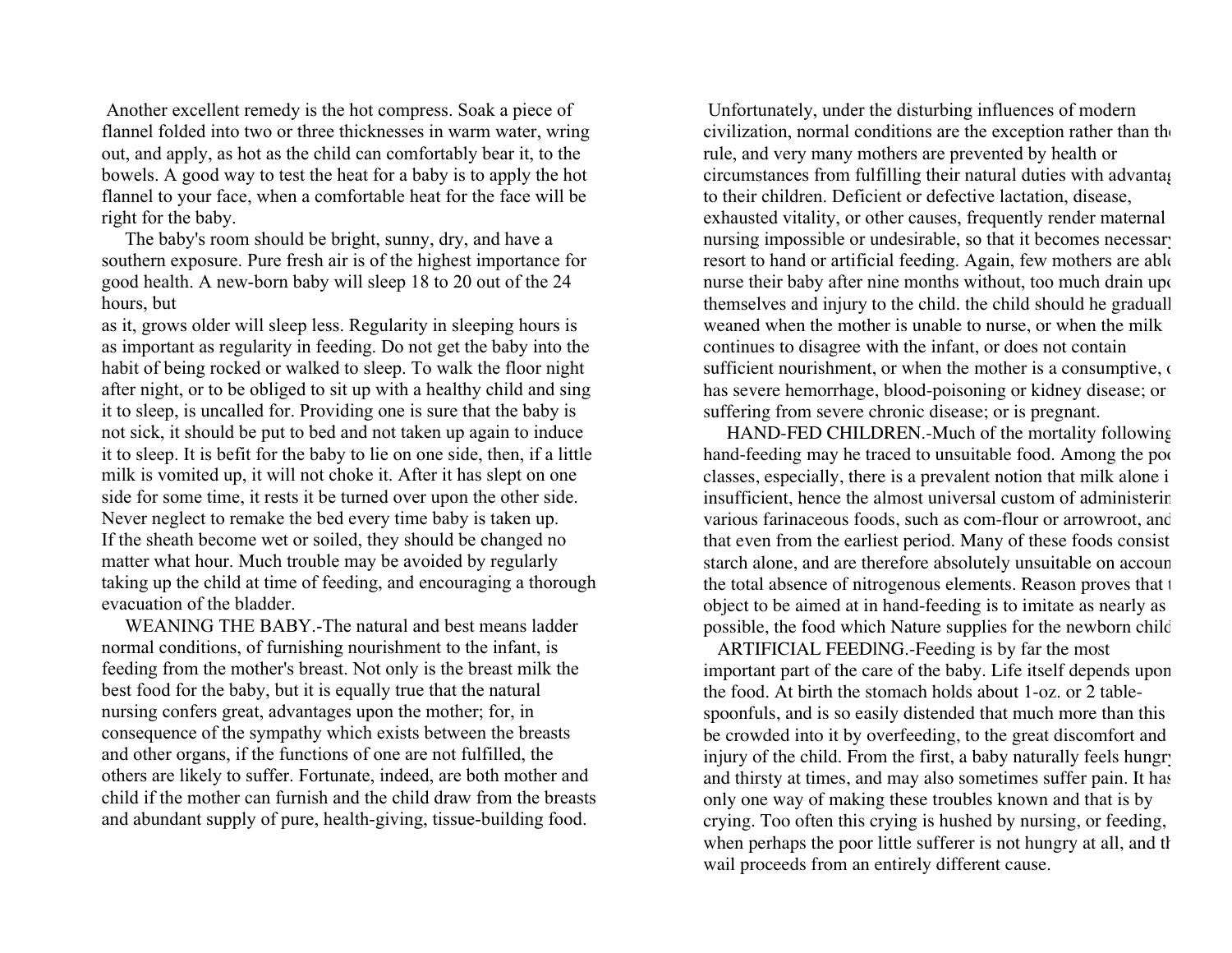Another excellent remedy is the hot compress. Soak a piece of flannel folded into two or three thicknesses in warm water, wring out, and apply, as hot as the child can comfortably bear it, to the bowels. A good way to test the heat for a baby is to apply the hot flannel to your face, when a comfortable heat for the face will be right for the baby.

 The baby's room should be bright, sunny, dry, and have a southern exposure. Pure fresh air is of the highest importance for good health. A new-born baby will sleep 18 to 20 out of the 24 hours, but

as it, grows older will sleep less. Regularity in sleeping hours is as important as regularity in feeding. Do not get the baby into the habit of being rocked or walked to sleep. To walk the floor night after night, or to be obliged to sit up with a healthy child and sing it to sleep, is uncalled for. Providing one is sure that the baby is not sick, it should be put to bed and not taken up again to induce it to sleep. It is befit for the baby to lie on one side, then, if a little milk is vomited up, it will not choke it. After it has slept on one side for some time, it rests it be turned over upon the other side. Never neglect to remake the bed every time baby is taken up. If the sheath become wet or soiled, they should be changed no matter what hour. Much trouble may be avoided by regularly taking up the child at time of feeding, and encouraging a thorough evacuation of the bladder.

 WEANING THE BABY.-The natural and best means ladder normal conditions, of furnishing nourishment to the infant, is feeding from the mother's breast. Not only is the breast milk the best food for the baby, but it is equally true that the natural nursing confers great, advantages upon the mother; for, in consequence of the sympathy which exists between the breasts and other organs, if the functions of one are not fulfilled, the others are likely to suffer. Fortunate, indeed, are both mother and child if the mother can furnish and the child draw from the breasts and abundant supply of pure, health-giving, tissue-building food.

Unfortunately, under the disturbing influences of modern civilization, normal conditions are the exception rather than th e rule, and very many mothers are prevented by health or circumstances from fulfilling their natural duties with advanta g to their children. Deficient or defective lactation, disease, exhausted vitality, or other causes, frequently render maternal nursing impossible or undesirable, so that it becomes necessar resort to hand or artificial feeding. Again, few mothers are abl e nurse their baby after nine months without, too much drain upon themselves and injury to the child. the child should he graduall weaned when the mother is unable to nurse, or when the milk continues to disagree with the infant, or does not contain sufficient nourishment, or when the mother is a consumptive, has severe hemorrhage, blood-poisoning or kidney disease; or suffering from severe chronic disease; or is pregnant.

 HAND-FED CHILDREN.-Much of the mortality followin g hand-feeding may he traced to unsuitable food. Among the poor classes, especially, there is a prevalent notion that milk alone i insufficient, hence the almost universal custom of administeri n various farinaceous foods, such as com-flour or arrowroot, an d that even from the earliest period. Many of these foods consist starch alone, and are therefore absolutely unsuitable on accou n the total absence of nitrogenous elements. Reason proves that t object to be aimed at in hand-feeding is to imitate as nearly as possible, the food which Nature supplies for the newborn chil d

 ARTIFICIAL FEEDlNG.-Feeding is by far the most important part of the care of the baby. Life itself depends upo n the food. At birth the stomach holds about 1-oz. or 2 tablespoonfuls, and is so easily distended that much more than this be crowded into it by overfeeding, to the great discomfort and injury of the child. From the first, a baby naturally feels hungr and thirsty at times, and may also sometimes suffer pain. It has only one way of making these troubles known and that is by crying. Too often this crying is hushed by nursing, or feeding, when perhaps the poor little sufferer is not hungry at all, and t h wail proceeds from an entirely different cause.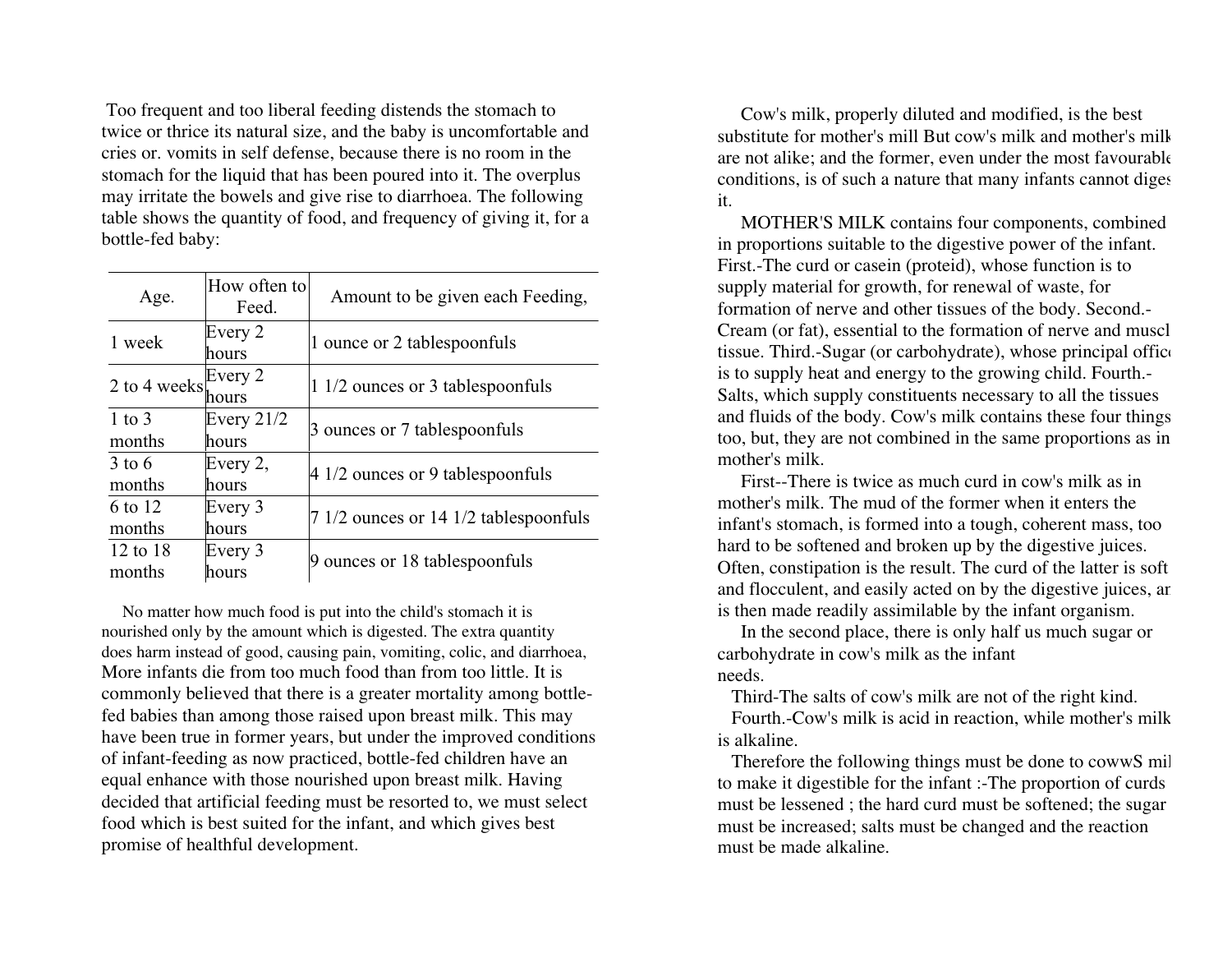Too frequent and too liberal feeding distends the stomach to twice or thrice its natural size, and the baby is uncomfortable and cries or. vomits in self defense, because there is no room in the stomach for the liquid that has been poured into it. The overplus may irritate the bowels and give rise to diarrhoea. The following table shows the quantity of food, and frequency of giving it, for a bottle-fed baby:

| Age.                        | How often to<br>Feed. | Amount to be given each Feeding,           |
|-----------------------------|-----------------------|--------------------------------------------|
| 1 week                      | Every 2<br>hours      | 1 ounce or 2 tablespoonfuls                |
| 2 to 4 weeks                | Every 2<br>hours      | 1 1/2 ounces or 3 tables poonfuls          |
| $1$ to $3$<br>months        | Every $21/2$<br>hours | 3 ounces or 7 tablespoonfuls               |
| $3 \text{ to } 6$<br>months | Every 2,<br>hours     | $41/2$ ounces or 9 tables poonfuls         |
| 6 to 12<br>months           | Every 3<br>hours      | 7 $1/2$ ounces or 14 $1/2$ tables poonfuls |
| 12 to 18<br>months          | Every 3<br>hours      | 9 ounces or 18 tablespoonfuls              |

 No matter how much food is put into the child's stomach it is nourished only by the amount which is digested. The extra quantity does harm instead of good, causing pain, vomiting, colic, and diarrhoea, More infants die from too much food than from too little. It is commonly believed that there is a greater mortality among bottlefed babies than among those raised upon breast milk. This may have been true in former years, but under the improved conditions of infant-feeding as now practiced, bottle-fed children have an equal enhance with those nourished upon breast milk. Having decided that artificial feeding must be resorted to, we must select food which is best suited for the infant, and which gives best promise of healthful development.

 Cow's milk, properly diluted and modified, is the best substitute for mother's mill But cow's milk and mother's milk are not alike; and the former, even under the most favourable conditions, is of such a nature that many infants cannot diges it.

 MOTHER'S MILK contains four components, combined in proportions suitable to the digestive power of the infant. First.-The curd or casein (proteid), whose function is to supply material for growth, for renewal of waste, for formation of nerve and other tissues of the body. Second.- Cream (or fat), essential to the formation of nerve and muscl tissue. Third.-Sugar (or carbohydrate), whose principal office is to supply heat and energy to the growing child. Fourth.- Salts, which supply constituents necessary to all the tissues and fluids of the body. Cow's milk contains these four things too, but, they are not combined in the same proportions as in mother's milk.

 First--There is twice as much curd in cow's milk as in mother's milk. The mud of the former when it enters the infant's stomach, is formed into a tough, coherent mass, too hard to be softened and broken up by the digestive juices. Often, constipation is the result. The curd of the latter is soft and flocculent, and easily acted on by the digestive juices, an is then made readily assimilable by the infant organism.

 In the second place, there is only half us much sugar or carbohydrate in cow's milk as the infant needs.

Third-The salts of cow's milk are not of the right kind.

 Fourth.-Cow's milk is acid in reaction, while mother's milk is alkaline.

 Therefore the following things must be done to cowwS mil to make it digestible for the infant :-The proportion of curds must be lessened ; the hard curd must be softened; the sugar must be increased; salts must be changed and the reaction must be made alkaline.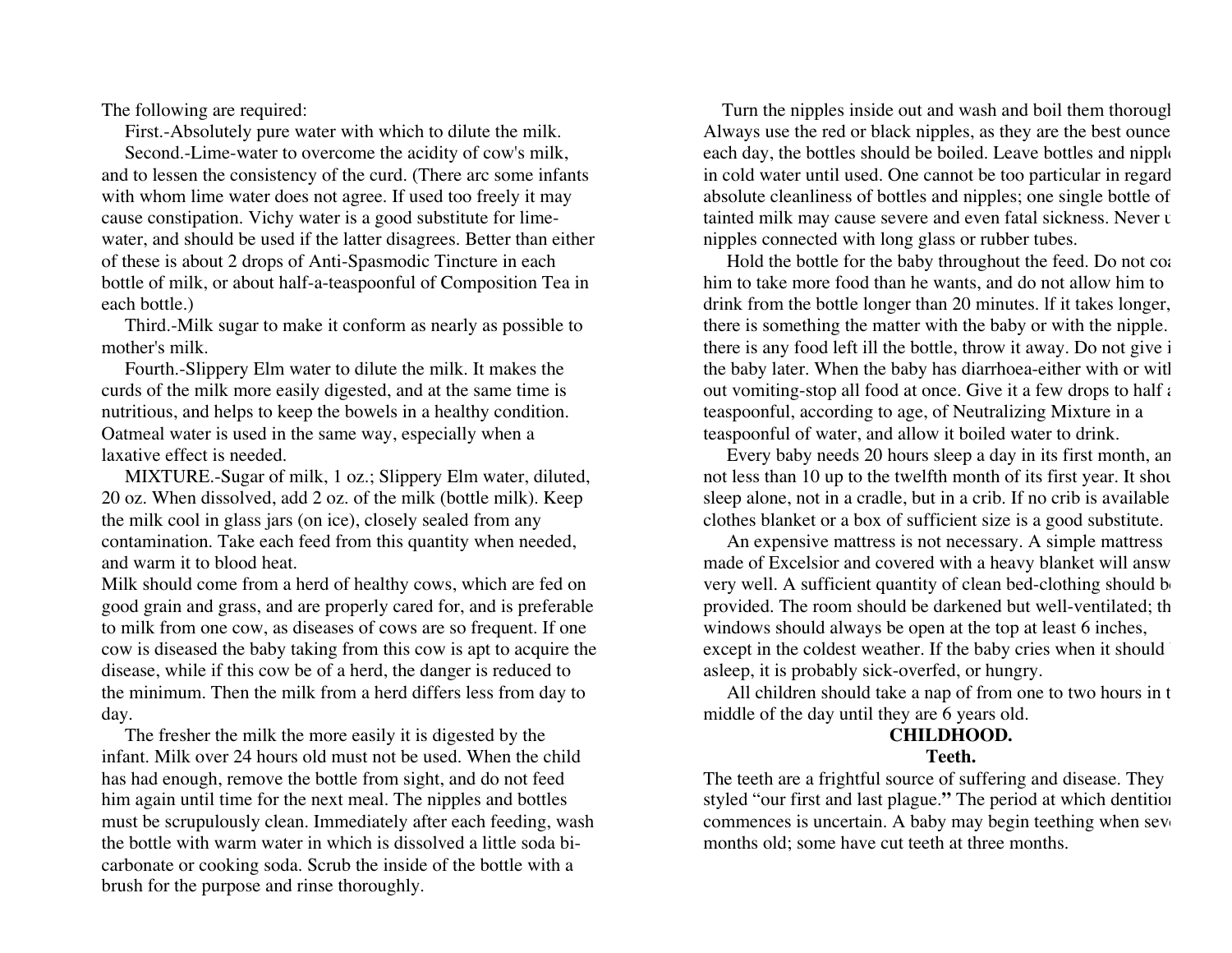The following are required:

 First.-Absolutely pure water with which to dilute the milk. Second.-Lime-water to overcome the acidity of cow's milk, and to lessen the consistency of the curd. (There arc some infants with whom lime water does not agree. If used too freely it may cause constipation. Vichy water is a good substitute for limewater, and should be used if the latter disagrees. Better than either of these is about 2 drops of Anti-Spasmodic Tincture in each bottle of milk, or about half-a-teaspoonful of Composition Tea in each bottle.)

 Third.-Milk sugar to make it conform as nearly as possible to mother's milk.

 Fourth.-Slippery Elm water to dilute the milk. It makes the curds of the milk more easily digested, and at the same time is nutritious, and helps to keep the bowels in a healthy condition. Oatmeal water is used in the same way, especially when a laxative effect is needed.

 MIXTURE.-Sugar of milk, 1 oz.; Slippery Elm water, diluted, 20 oz. When dissolved, add 2 oz. of the milk (bottle milk). Keep the milk cool in glass jars (on ice), closely sealed from any contamination. Take each feed from this quantity when needed, and warm it to blood heat.

Milk should come from a herd of healthy cows, which are fed on good grain and grass, and are properly cared for, and is preferable to milk from one cow, as diseases of cows are so frequent. If one cow is diseased the baby taking from this cow is apt to acquire the disease, while if this cow be of a herd, the danger is reduced to the minimum. Then the milk from a herd differs less from day to day.

 The fresher the milk the more easily it is digested by the infant. Milk over 24 hours old must not be used. When the child has had enough, remove the bottle from sight, and do not feed him again until time for the next meal. The nipples and bottles must be scrupulously clean. Immediately after each feeding, wash the bottle with warm water in which is dissolved a little soda bicarbonate or cooking soda. Scrub the inside of the bottle with a brush for the purpose and rinse thoroughly.

 Turn the nipples inside out and wash and boil them thorough Always use the red or black nipples, as they are the best ounce each day, the bottles should be boiled. Leave bottles and nipple in cold water until used. One cannot be too particular in regard absolute cleanliness of bottles and nipples; one single bottle of tainted milk may cause severe and even fatal sickness. Never u nipples connected with long glass or rubber tubes.

Hold the bottle for the baby throughout the feed. Do not coa him to take more food than he wants, and do not allow him to drink from the bottle longer than 20 minutes. lf it takes longer, there is something the matter with the baby or with the nipple. there is any food left ill the bottle, throw it away. Do not give i the baby later. When the baby has diarrhoea-either with or with out vomiting-stop all food at once. Give it a few drops to half a teaspoonful, according to age, of Neutralizing Mixture in a teaspoonful of water, and allow it boiled water to drink.

 Every baby needs 20 hours sleep a day in its first month, an not less than 10 up to the twelfth month of its first year. It shou sleep alone, not in a cradle, but in a crib. If no crib is available clothes blanket or a box of sufficient size is a good substitute.

 An expensive mattress is not necessary. A simple mattress made of Excelsior and covered with a heavy blanket will answ very well. A sufficient quantity of clean bed-clothing should be provided. The room should be darkened but well-ventilated; th windows should always be open at the top at least 6 inches, except in the coldest weather. If the baby cries when it should asleep, it is probably sick-overfed, or hungry.

 All children should take a nap of from one to two hours in t middle of the day until they are 6 years old.

## **CHILDHOOD.**

### **Teeth.**

The teeth are a frightful source of suffering and disease. They styled "our first and last plague.**"** The period at which dentition commences is uncertain. A baby may begin teething when several months old; some have cut teeth at three months.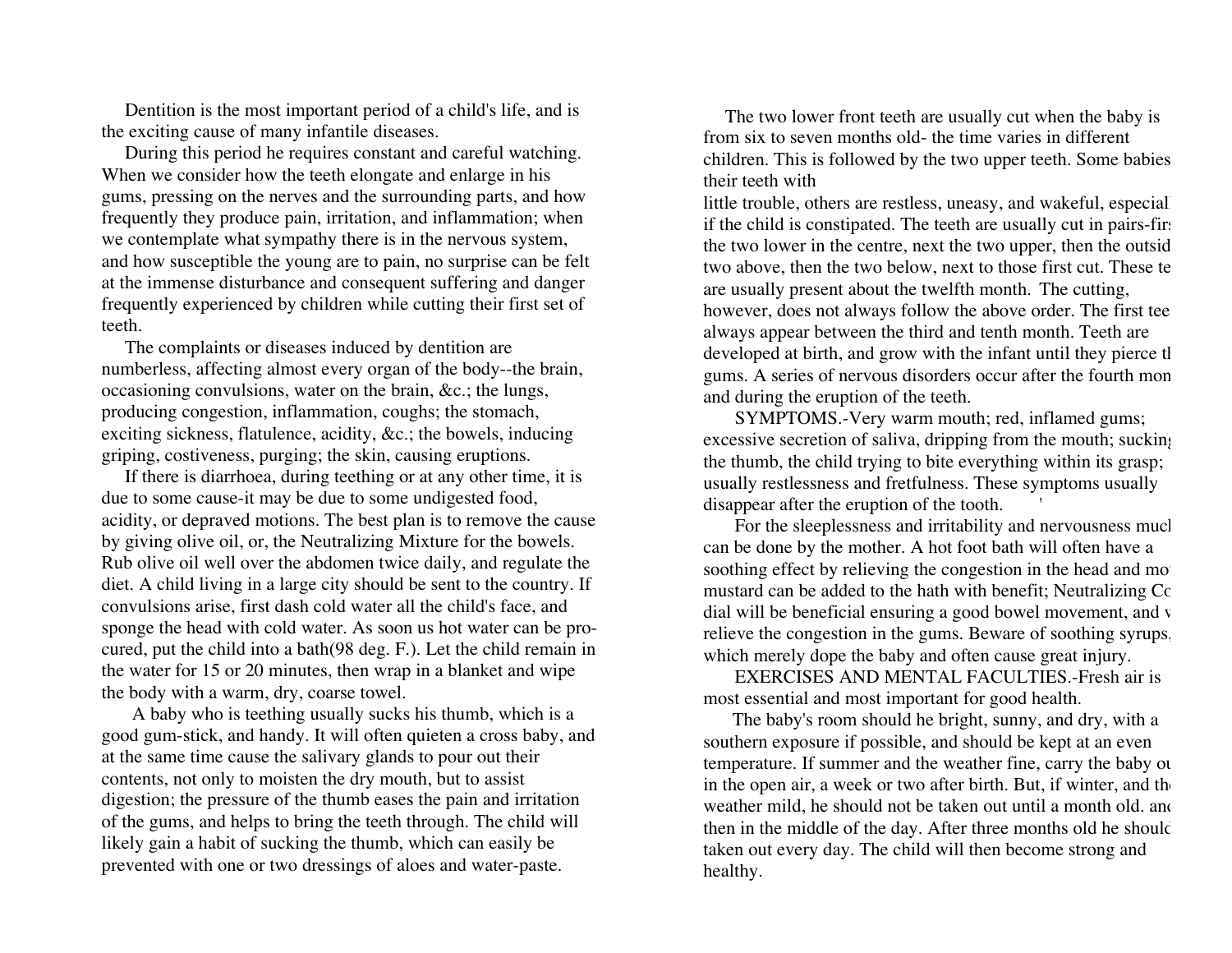Dentition is the most important period of a child's life, and is the exciting cause of many infantile diseases.

 During this period he requires constant and careful watching. When we consider how the teeth elongate and enlarge in his gums, pressing on the nerves and the surrounding parts, and how frequently they produce pain, irritation, and inflammation; when we contemplate what sympathy there is in the nervous system, and how susceptible the young are to pain, no surprise can be felt at the immense disturbance and consequent suffering and danger frequently experienced by children while cutting their first set of teeth.

 The complaints or diseases induced by dentition are numberless, affecting almost every organ of the body--the brain, occasioning convulsions, water on the brain, &c.; the lungs, producing congestion, inflammation, coughs; the stomach, exciting sickness, flatulence, acidity, &c.; the bowels, inducing griping, costiveness, purging; the skin, causing eruptions.

 If there is diarrhoea, during teething or at any other time, it is due to some cause-it may be due to some undigested food, acidity, or depraved motions. The best plan is to remove the cause by giving olive oil, or, the Neutralizing Mixture for the bowels. Rub olive oil well over the abdomen twice daily, and regulate the diet. A child living in a large city should be sent to the country. If convulsions arise, first dash cold water all the child's face, and sponge the head with cold water. As soon us hot water can be procured, put the child into a bath(98 deg. F.). Let the child remain in the water for 15 or 20 minutes, then wrap in a blanket and wipe the body with a warm, dry, coarse towel.

A baby who is teething usually sucks his thumb, which is a good gum-stick, and handy. It will often quieten a cross baby, and at the same time cause the salivary glands to pour out their contents, not only to moisten the dry mouth, but to assist digestion; the pressure of the thumb eases the pain and irritation of the gums, and helps to bring the teeth through. The child will likely gain a habit of sucking the thumb, which can easily be prevented with one or two dressings of aloes and water-paste.

 The two lower front teeth are usually cut when the baby is from six to seven months old- the time varies in different children. This is followed by the two upper teeth. Some babies their teeth with

little trouble, others are restless, uneasy, and wakeful, especial if the child is constipated. The teeth are usually cut in pairs-firs the two lower in the centre, next the two upper, then the outsi d two above, then the two below, next to those first cut. These t e are usually present about the twelfth month. The cutting, however, does not always follow the above order. The first te e always appear between the third and tenth month. Teeth are developed at birth, and grow with the infant until they pierce t h gums. A series of nervous disorders occur after the fourth mo n and during the eruption of the teeth.

SYMPTOMS.-Very warm mouth; red, inflamed gums; excessive secretion of saliva, dripping from the mouth; sucking the thumb, the child trying to bite everything within its grasp; usually restlessness and fretfulness. These symptoms usually disappear after the eruption of the tooth. '

For the sleeplessness and irritability and nervousness muc h can be done by the mother. A hot foot bath will often have a soothing effect by relieving the congestion in the head and mo mustard can be added to the hath with benefit; Neutralizing Cc dial will be beneficial ensuring a good bowel movement, and w relieve the congestion in the gums. Beware of soothing syrups, which merely dope the baby and often cause great injury.

EXERCISES AND MENTAL FACULTIES.-Fresh air is most essential and most important for good health.

The baby's room should he bright, sunny, and dry, with a southern exposure if possible, and should be kept at an even temperature. If summer and the weather fine, carry the baby o u in the open air, a week or two after birth. But, if winter, and th e weather mild, he should not be taken out until a month old. an d then in the middle of the day. After three months old he shoul d taken out every day. The child will then become strong and healthy.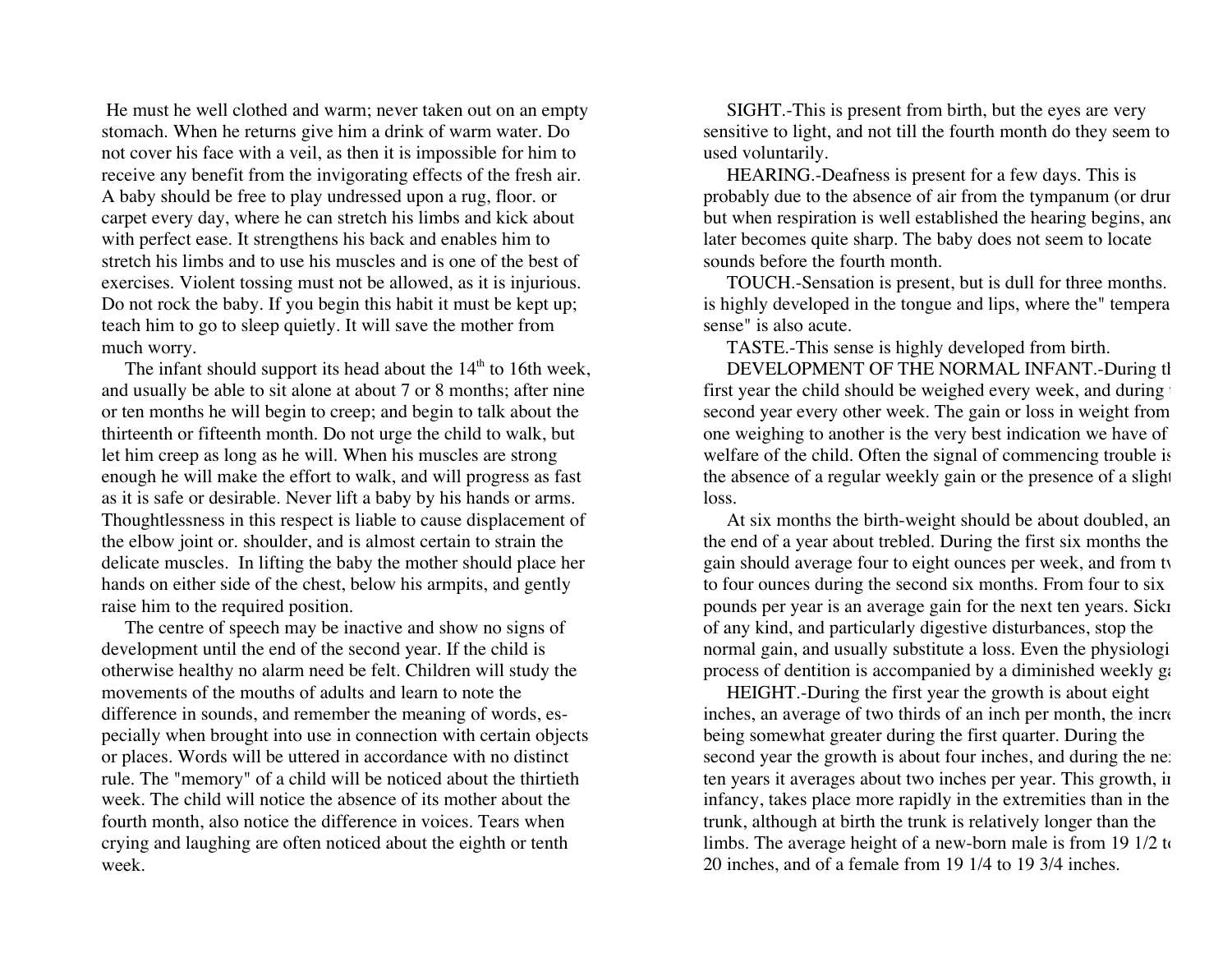He must he well clothed and warm; never taken out on an empty stomach. When he returns give him a drink of warm water. Do not cover his face with a veil, as then it is impossible for him to receive any benefit from the invigorating effects of the fresh air. A baby should be free to play undressed upon a rug, floor. or carpet every day, where he can stretch his limbs and kick about with perfect ease. It strengthens his back and enables him to stretch his limbs and to use his muscles and is one of the best of exercises. Violent tossing must not be allowed, as it is injurious. Do not rock the baby. If you begin this habit it must be kept up; teach him to go to sleep quietly. It will save the mother from much worry.

The infant should support its head about the  $14<sup>th</sup>$  to 16th week, and usually be able to sit alone at about 7 or 8 months; after nine or ten months he will begin to creep; and begin to talk about the thirteenth or fifteenth month. Do not urge the child to walk, but let him creep as long as he will. When his muscles are strong enough he will make the effort to walk, and will progress as fast as it is safe or desirable. Never lift a baby by his hands or arms. Thoughtlessness in this respect is liable to cause displacement of the elbow joint or. shoulder, and is almost certain to strain the delicate muscles. In lifting the baby the mother should place her hands on either side of the chest, below his armpits, and gently raise him to the required position.

 The centre of speech may be inactive and show no signs of development until the end of the second year. If the child is otherwise healthy no alarm need be felt. Children will study the movements of the mouths of adults and learn to note the difference in sounds, and remember the meaning of words, especially when brought into use in connection with certain objects or places. Words will be uttered in accordance with no distinct rule. The "memory" of a child will be noticed about the thirtieth week. The child will notice the absence of its mother about the fourth month, also notice the difference in voices. Tears when crying and laughing are often noticed about the eighth or tenth week.

 SIGHT.-This is present from birth, but the eyes are very sensitive to light, and not till the fourth month do they seem to used voluntarily.

 HEARING.-Deafness is present for a few days. This is probably due to the absence of air from the tympanum (or dru m but when respiration is well established the hearing begins, an d later becomes quite sharp. The baby does not seem to locate sounds before the fourth month.

 TOUCH.-Sensation is present, but is dull for three months. is highly developed in the tongue and lips, where the" temper a sense" is also acute.

TASTE.-This sense is highly developed from birth.

 DEVELOPMENT OF THE NORMAL INFANT.-During t h first year the child should be weighed every week, and during second year every other week. The gain or loss in weight fro m one weighing to another is the very best indication we have of welfare of the child. Often the signal of commencing trouble is the absence of a regular weekly gain or the presence of a slight loss.

 At six months the birth-weight should be about doubled, a n the end of a year about trebled. During the first six months the gain should average four to eight ounces per week, and from t w to four ounces during the second six months. From four to six pounds per year is an average gain for the next ten years. Sick n of any kind, and particularly digestive disturbances, stop the normal gain, and usually substitute a loss. Even the physiologi process of dentition is accompanied by a diminished weekly g a

 HEIGHT.-During the first year the growth is about eight inches, an average of two thirds of an inch per month, the incre being somewhat greater during the first quarter. During the second year the growth is about four inches, and during the ne ten years it averages about two inches per year. This growth, i n infancy, takes place more rapidly in the extremities than in the trunk, although at birth the trunk is relatively longer than the limbs. The average height of a new-born male is from 19  $1/2$  to 20 inches, and of a female from 19 1/4 to 19 3/4 inches.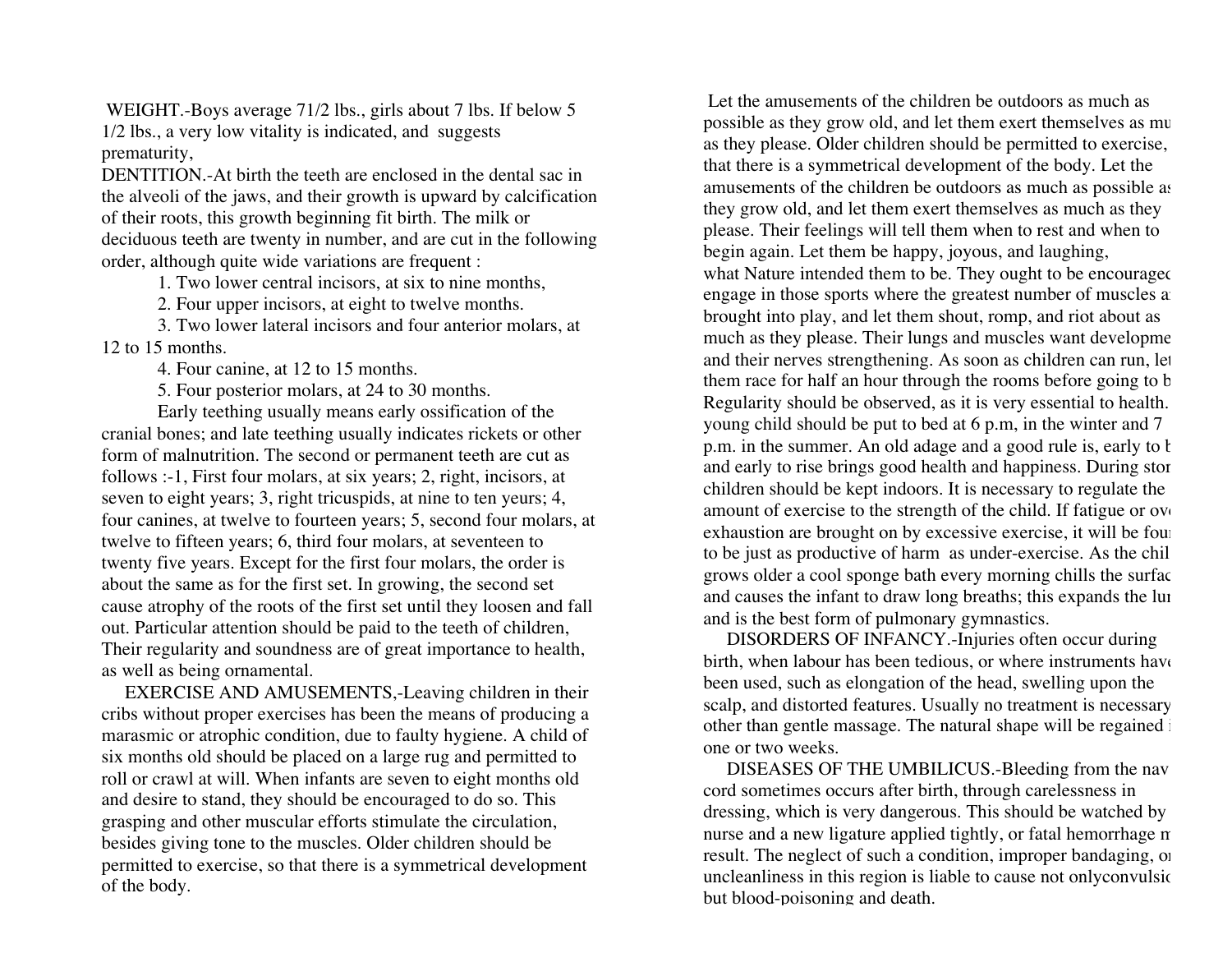WEIGHT.-Boys average 71/2 lbs., girls about 7 lbs. If below 5 1/2 lbs., a very low vitality is indicated, and suggests prematurity,

DENTITION.-At birth the teeth are enclosed in the dental sac in the alveoli of the jaws, and their growth is upward by calcificatio n of their roots, this growth beginning fit birth. The milk or deciduous teeth are twenty in number, and are cut in the following order, although quite wide variations are frequent :

1. Two lower central incisors, at six to nine months,

2. Four upper incisors, at eight to twelve months.

3. Two lower lateral incisors and four anterior molars, at 12 to 15 months.

4. Four canine, at 12 to 15 months.

5. Four posterior molars, at 24 to 30 months.

Early teething usually means early ossification of the cranial bones; and late teething usually indicates rickets or other form of malnutrition. The second or permanent teeth are cut as follows :-1, First four molars, at six years; 2, right, incisors, at seven to eight years; 3, right tricuspids, at nine to ten yeurs; 4, four canines, at twelve to fourteen years; 5, second four molars, at twelve to fifteen years; 6, third four molars, at seventeen to twenty five years. Except for the first four molars, the order is about the same as for the first set. In growing, the second set cause atrophy of the roots of the first set until they loosen and fall out. Particular attention should be paid to the teeth of children, Their regularity and soundness are of great importance to health, as well as being ornamental.

 EXERCISE AND AMUSEMENTS,-Leaving children in their cribs without proper exercises has been the means of producing a marasmic or atrophic condition, due to faulty hygiene. A child of six months old should be placed on a large rug and permitted to roll or crawl at will. When infants are seven to eight months old and desire to stand, they should be encouraged to do so. This grasping and other muscular efforts stimulate the circulation, besides giving tone to the muscles. Older children should be permitted to exercise, so that there is a symmetrical development of the body.

Let the amusements of the children be outdoors as much as possible as they grow old, and let them exert themselves as m u as they please. Older children should be permitted to exercise, that there is a symmetrical development of the body. Let the amusements of the children be outdoors as much as possible as they grow old, and let them exert themselves as much as they please. Their feelings will tell them when to rest and when to begin again. Let them be happy, joyous, and laughing, what Nature intended them to be. They ought to be encouraged engage in those sports where the greatest number of muscles are brought into play, and let them shout, romp, and riot about as much as they please. Their lungs and muscles want developm e and their nerves strengthening. As soon as children can run, let them race for half an hour through the rooms before going to b Regularity should be observed, as it is very essential to health. young child should be put to bed at 6 p.m, in the winter and 7 p.m. in the summer. An old adage and a good rule is, early to b and early to rise brings good health and happiness. During stor children should be kept indoors. It is necessary to regulate the amount of exercise to the strength of the child. If fatigue or over exhaustion are brought on by excessive exercise, it will be fou n to be just as productive of harm as under-exercise. As the chil grows older a cool sponge bath every morning chills the surfa c and causes the infant to draw long breaths; this expands the lu n and is the best form of pulmonary gymnastics.

 DISORDERS OF INFANCY.-Injuries often occur during birth, when labour has been tedious, or where instruments have been used, such as elongation of the head, swelling upon the scalp, and distorted features. Usually no treatment is necessary other than gentle massage. The natural shape will be regained i one or two weeks.

 DISEASES OF THE UMBILICUS.-Bleeding from the nav cord sometimes occurs after birth, through carelessness in dressing, which is very dangerous. This should be watched by nurse and a new ligature applied tightly, or fatal hemorrhage m result. The neglect of such a condition, improper bandaging, or uncleanliness in this region is liable to cause not onlyconvulsionbut blood-poisonin g and death.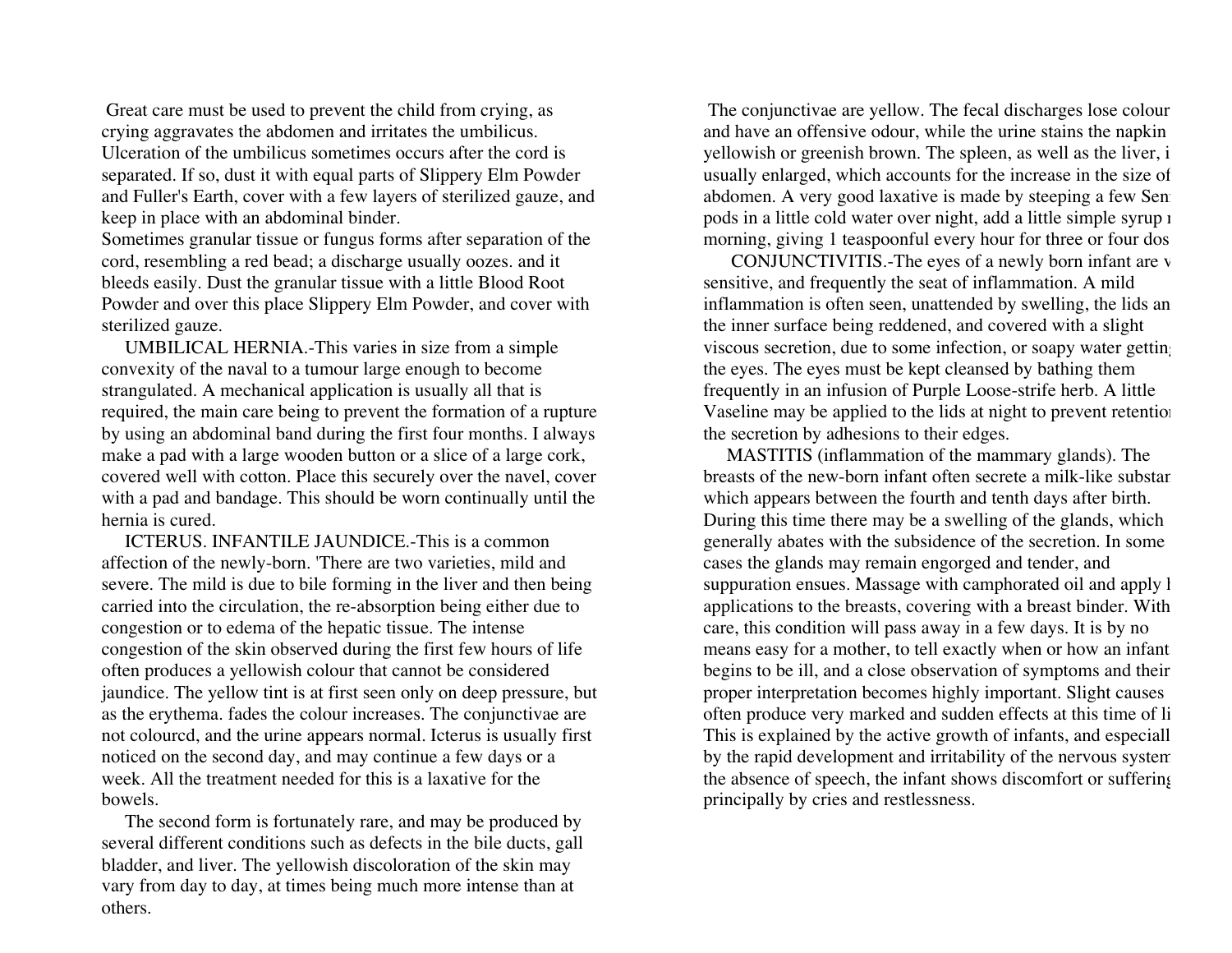Great care must be used to prevent the child from crying, as crying aggravates the abdomen and irritates the umbilicus. Ulceration of the umbilicus sometimes occurs after the cord is separated. If so, dust it with equal parts of Slippery Elm Powder and Fuller's Earth, cover with a few layers of sterilized gauze, and keep in place with an abdominal binder.

Sometimes granular tissue or fungus forms after separation of the cord, resembling a red bead; a discharge usually oozes. and it bleeds easily. Dust the granular tissue with a little Blood Root Powder and over this place Slippery Elm Powder, and cover with sterilized gauze.

 UMBILICAL HERNIA.-This varies in size from a simple convexity of the naval to a tumour large enough to become strangulated. A mechanical application is usually all that is required, the main care being to prevent the formation of a rupture by using an abdominal band during the first four months. I always make a pad with a large wooden button or a slice of a large cork, covered well with cotton. Place this securely over the navel, cover with a pad and bandage. This should be worn continually until the hernia is cured.

 ICTERUS. INFANTILE JAUNDICE.-This is a common affection of the newly-born. 'There are two varieties, mild and severe. The mild is due to bile forming in the liver and then being carried into the circulation, the re-absorption being either due to congestion or to edema of the hepatic tissue. The intense congestion of the skin observed during the first few hours of life often produces a yellowish colour that cannot be considered jaundice. The yellow tint is at first seen only on deep pressure, but as the erythema. fades the colour increases. The conjunctivae are not colourcd, and the urine appears normal. Icterus is usually first noticed on the second day, and may continue a few days or a week. All the treatment needed for this is a laxative for the bowels.

 The second form is fortunately rare, and may be produced by several different conditions such as defects in the bile ducts, gall bladder, and liver. The yellowish discoloration of the skin may vary from day to day, at times being much more intense than at others.

The conjunctivae are yellow. The fecal discharges lose colour and have an offensive odour, while the urine stains the napkin yellowish or greenish brown. The spleen, as well as the liver, i usually enlarged, which accounts for the increase in the size of abdomen. A very good laxative is made by steeping a few Senn pods in a little cold water over night, add a little simple syrup n morning, giving 1 teaspoonful every hour for three or four dos

 CONJUNCTIVITIS.-The eyes of a newly born infant are v sensitive, and frequently the seat of inflammation. A mild inflammation is often seen, unattended by swelling, the lids an the inner surface being reddened, and covered with a slight viscous secretion, due to some infection, or soapy water getting the eyes. The eyes must be kept cleansed by bathing them frequently in an infusion of Purple Loose-strife herb. A little Vaseline may be applied to the lids at night to prevent retention the secretion by adhesions to their edges.

 MASTITIS (inflammation of the mammary glands). The breasts of the new-born infant often secrete a milk-like substan which appears between the fourth and tenth days after birth. During this time there may be a swelling of the glands, which generally abates with the subsidence of the secretion. In some cases the glands may remain engorged and tender, and suppuration ensues. Massage with camphorated oil and apply h applications to the breasts, covering with a breast binder. With care, this condition will pass away in a few days. It is by no means easy for a mother, to tell exactly when or how an infant begins to be ill, and a close observation of symptoms and their proper interpretation becomes highly important. Slight causes often produce very marked and sudden effects at this time of li This is explained by the active growth of infants, and especiall by the rapid development and irritability of the nervous system the absence of speech, the infant shows discomfort or suffering principally by cries and restlessness.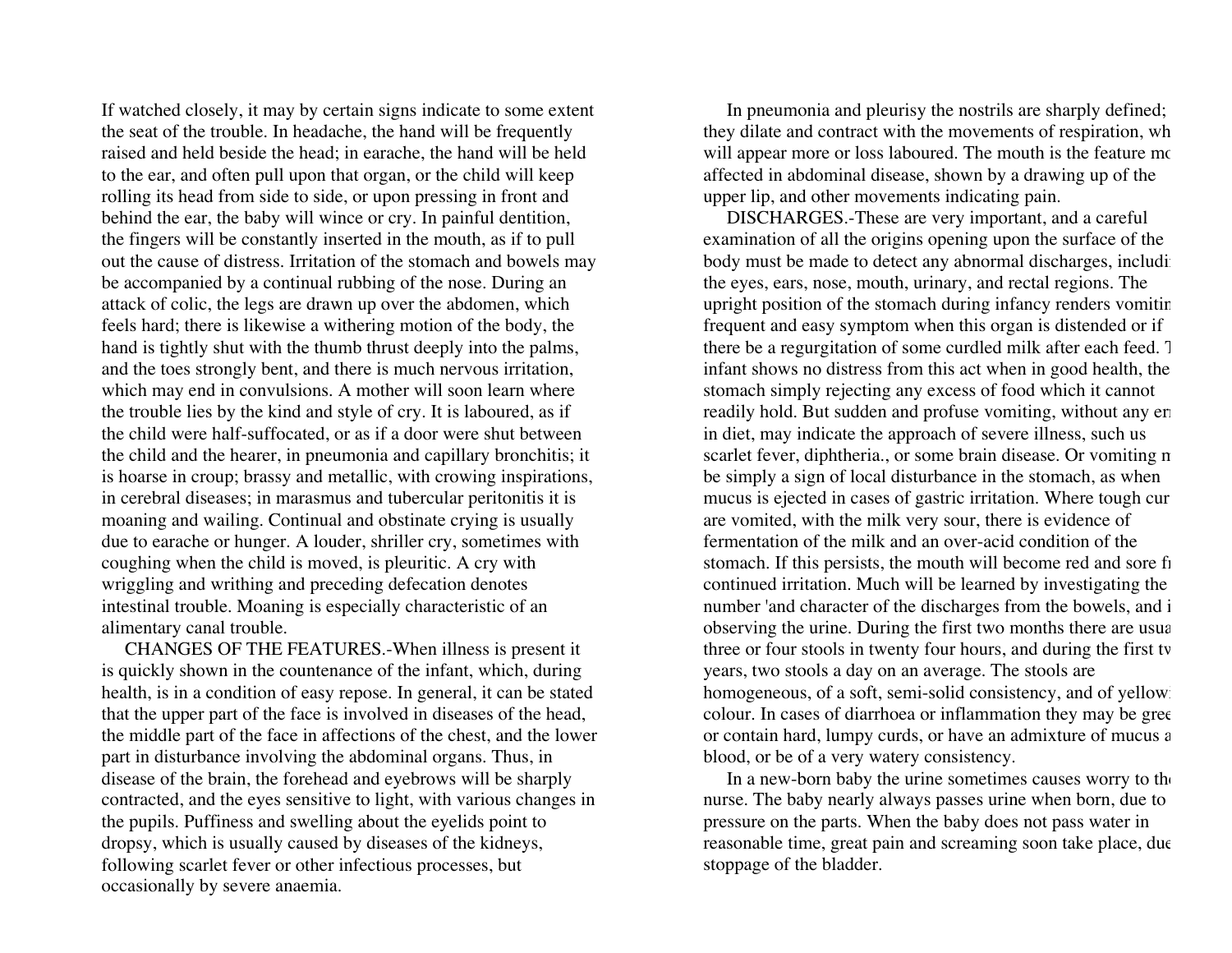If watched closely, it may by certain signs indicate to some extent the seat of the trouble. In headache, the hand will be frequently raised and held beside the head; in earache, the hand will be held to the ear, and often pull upon that organ, or the child will keep rolling its head from side to side, or upon pressing in front and behind the ear, the baby will wince or cry. In painful dentition, the fingers will be constantly inserted in the mouth, as if to pull out the cause of distress. Irritation of the stomach and bowels may be accompanied by a continual rubbing of the nose. During an attack of colic, the legs are drawn up over the abdomen, which feels hard; there is likewise a withering motion of the body, the hand is tightly shut with the thumb thrust deeply into the palms, and the toes strongly bent, and there is much nervous irritation, which may end in convulsions. A mother will soon learn where the trouble lies by the kind and style of cry. It is laboured, as if the child were half-suffocated, or as if a door were shut between the child and the hearer, in pneumonia and capillary bronchitis; it is hoarse in croup; brassy and metallic, with crowing inspirations, in cerebral diseases; in marasmus and tubercular peritonitis it is moaning and wailing. Continual and obstinate crying is usually due to earache or hunger. A louder, shriller cry, sometimes with coughing when the child is moved, is pleuritic. A cry with wriggling and writhing and preceding defecation denotes intestinal trouble. Moaning is especially characteristic of an alimentary canal trouble.

 CHANGES OF THE FEATURES.-When illness is present it is quickly shown in the countenance of the infant, which, during health, is in a condition of easy repose. In general, it can be stated that the upper part of the face is involved in diseases of the head, the middle part of the face in affections of the chest, and the lower part in disturbance involving the abdominal organs. Thus, in disease of the brain, the forehead and eyebrows will be sharply contracted, and the eyes sensitive to light, with various changes in the pupils. Puffiness and swelling about the eyelids point to dropsy, which is usually caused by diseases of the kidneys, following scarlet fever or other infectious processes, but occasionally by severe anaemia.

 In pneumonia and pleurisy the nostrils are sharply defined; they dilate and contract with the movements of respiration, w h will appear more or loss laboured. The mouth is the feature mo affected in abdominal disease, shown by a drawing up of the upper lip, and other movements indicating pain.

 DISCHARGES.-These are very important, and a careful examination of all the origins opening upon the surface of the body must be made to detect any abnormal discharges, includi the eyes, ears, nose, mouth, urinary, and rectal regions. The upright position of the stomach during infancy renders vomiti n frequent and easy symptom when this organ is distended or if there be a regurgitation of some curdled milk after each feed. T infant shows no distress from this act when in good health, th e stomach simply rejecting any excess of food which it cannot readily hold. But sudden and profuse vomiting, without any enin diet, may indicate the approach of severe illness, such us scarlet fever, diphtheria., or some brain disease. Or vomiting m be simply a sign of local disturbance in the stomach, as when mucus is ejected in cases of gastric irritation. Where tough cur are vomited, with the milk very sour, there is evidence of fermentation of the milk and an over-acid condition of the stomach. If this persists, the mouth will become red and sore fr continued irritation. Much will be learned by investigating the number 'and character of the discharges from the bowels, and i observing the urine. During the first two months there are usu a three or four stools in twenty four hours, and during the first t w years, two stools a day on an average. The stools are homogeneous, of a soft, semi-solid consistency, and of yellow colour. In cases of diarrhoea or inflammation they may be gre e or contain hard, lumpy curds, or have an admixture of mucus a blood, or be of a very watery consistency.

In a new-born baby the urine sometimes causes worry to the nurse. The baby nearly always passes urine when born, due to pressure on the parts. When the baby does not pass water in reasonable time, great pain and screaming soon take place, du e stoppage of the bladder.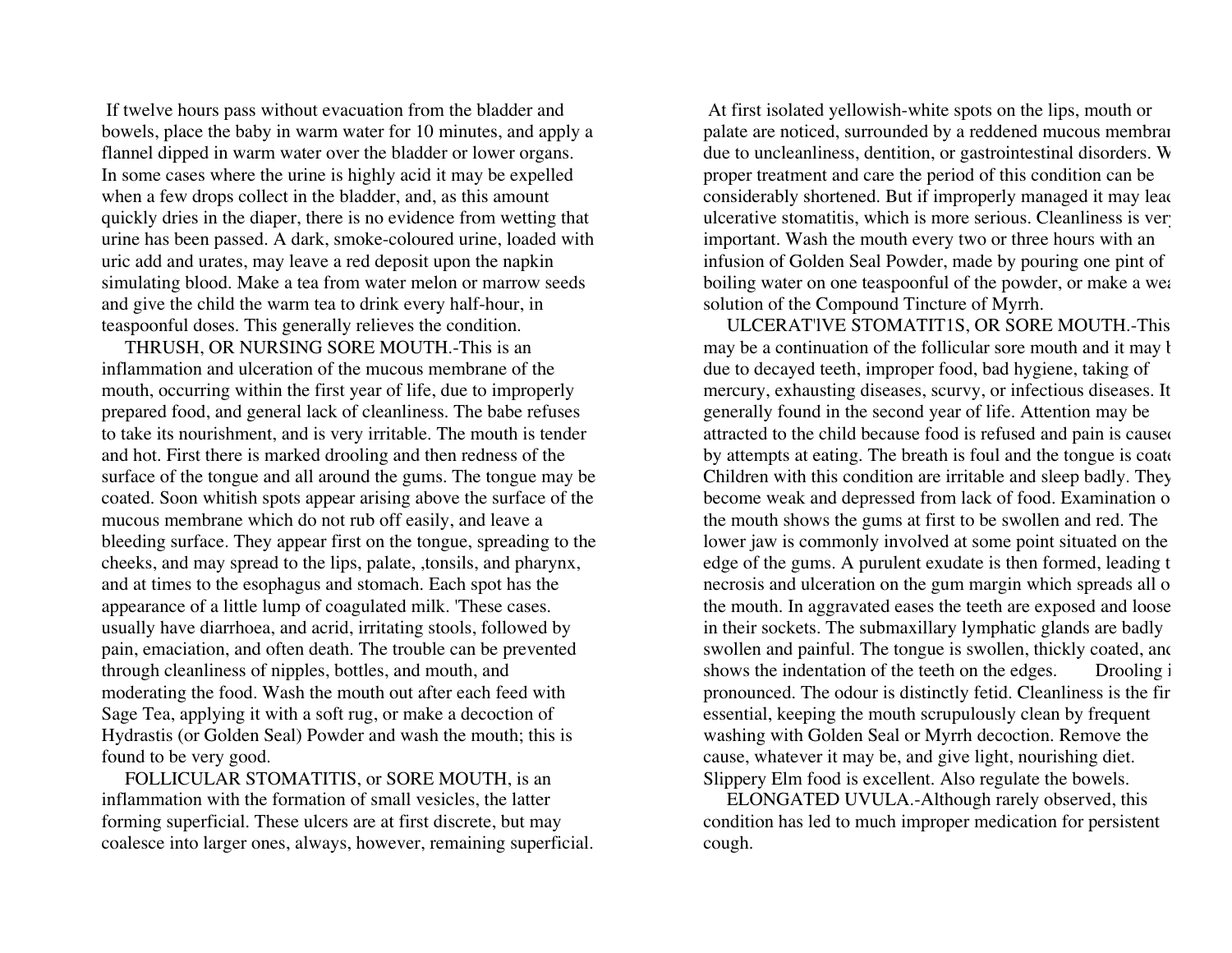If twelve hours pass without evacuation from the bladder and bowels, place the baby in warm water for 10 minutes, and apply a flannel dipped in warm water over the bladder or lower organs. In some cases where the urine is highly acid it may be expelled when a few drops collect in the bladder, and, as this amount quickly dries in the diaper, there is no evidence from wetting that urine has been passed. A dark, smoke-coloured urine, loaded with uric add and urates, may leave a red deposit upon the napkin simulating blood. Make a tea from water melon or marrow seeds and give the child the warm tea to drink every half-hour, in teaspoonful doses. This generally relieves the condition.

 THRUSH, OR NURSING SORE MOUTH.-This is an inflammation and ulceration of the mucous membrane of the mouth, occurring within the first year of life, due to improperly prepared food, and general lack of cleanliness. The babe refuses to take its nourishment, and is very irritable. The mouth is tender and hot. First there is marked drooling and then redness of the surface of the tongue and all around the gums. The tongue may be coated. Soon whitish spots appear arising above the surface of the mucous membrane which do not rub off easily, and leave a bleeding surface. They appear first on the tongue, spreading to the cheeks, and may spread to the lips, palate, ,tonsils, and pharynx, and at times to the esophagus and stomach. Each spot has the appearance of a little lump of coagulated milk. 'These cases. usually have diarrhoea, and acrid, irritating stools, followed by pain, emaciation, and often death. The trouble can be prevented through cleanliness of nipples, bottles, and mouth, and moderating the food. Wash the mouth out after each feed with Sage Tea, applying it with a soft rug, or make a decoction of Hydrastis (or Golden Seal) Powder and wash the mouth; this is found to be very good.

 FOLLICULAR STOMATITIS, or SORE MOUTH, is an inflammation with the formation of small vesicles, the latter forming superficial. These ulcers are at first discrete, but may coalesce into larger ones, always, however, remaining superficial.

At first isolated yellowish-white spots on the lips, mouth or palate are noticed, surrounded by a reddened mucous membra n due to uncleanliness, dentition, or gastrointestinal disorders. W proper treatment and care the period of this condition can be considerably shortened. But if improperly managed it may lea d ulcerative stomatitis, which is more serious. Cleanliness is ver important. Wash the mouth every two or three hours with an infusion of Golden Seal Powder, made by pouring one pint of boiling water on one teaspoonful of the powder, or make a wear solution of the Compound Tincture of Myrrh.

 ULCERAT'lVE STOMATIT1S, OR SORE MOUTH.-This may be a continuation of the follicular sore mouth and it may b due to decayed teeth, improper food, bad hygiene, taking of mercury, exhausting diseases, scurvy, or infectious diseases. It generally found in the second year of life. Attention may be attracted to the child because food is refused and pain is cause d by attempts at eating. The breath is foul and the tongue is coate Children with this condition are irritable and sleep badly. The y become weak and depressed from lack of food. Examination o the mouth shows the gums at first to be swollen and red. The lower jaw is commonly involved at some point situated on the edge of the gums. A purulent exudate is then formed, leading t necrosis and ulceration on the gum margin which spreads all o the mouth. In aggravated eases the teeth are exposed and loos e in their sockets. The submaxillary lymphatic glands are badly swollen and painful. The tongue is swollen, thickly coated, an d shows the indentation of the teeth on the edges. Drooling i pronounced. The odour is distinctly fetid. Cleanliness is the fir essential, keeping the mouth scrupulously clean by frequent washing with Golden Seal or Myrrh decoction. Remove the cause, whatever it may be, and give light, nourishing diet. Slippery Elm food is excellent. Also regulate the bowels.

 ELONGATED UVULA.-Although rarely observed, this condition has led to much improper medication for persistent cough.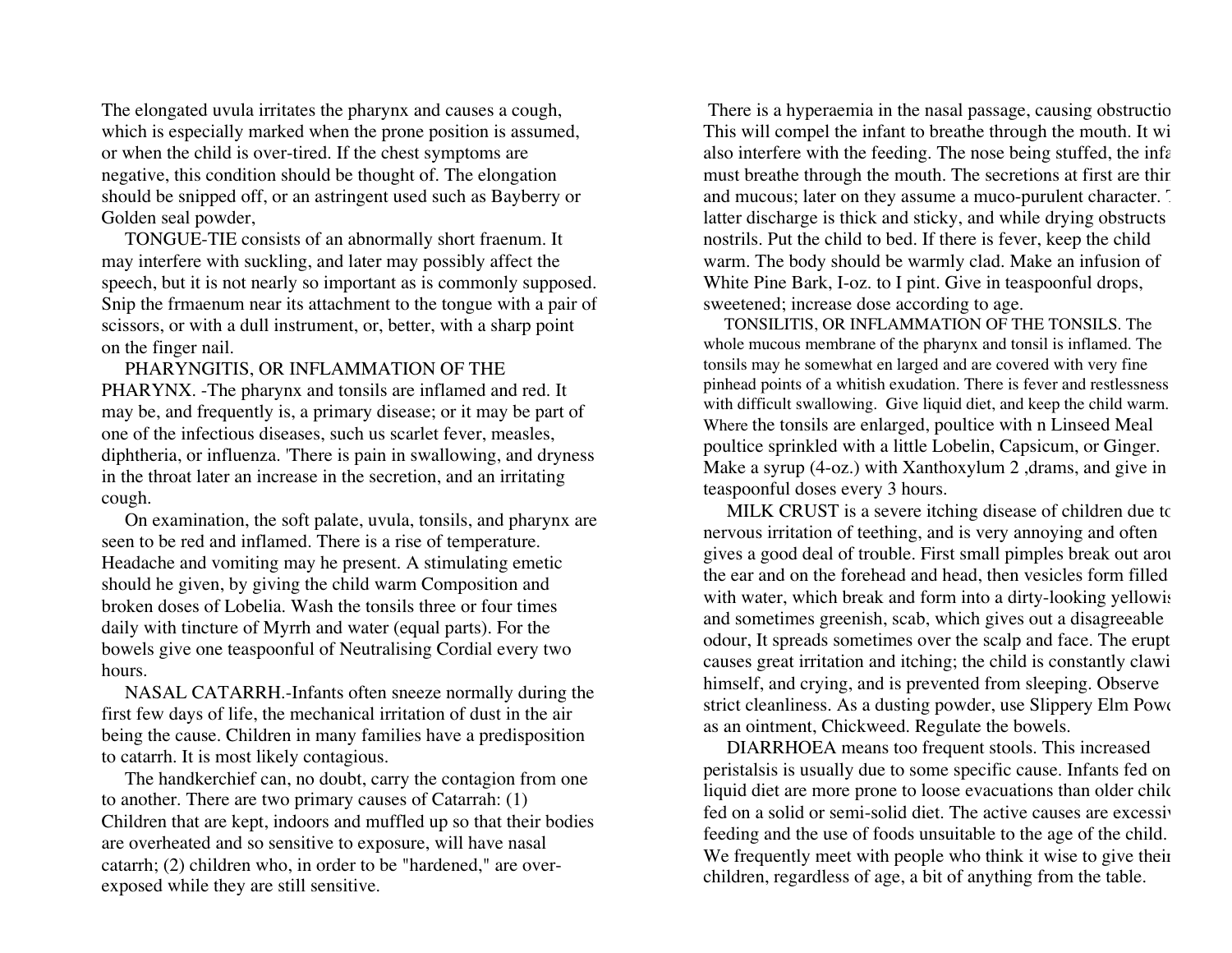The elongated uvula irritates the pharynx and causes a cough, which is especially marked when the prone position is assumed, or when the child is over-tired. If the chest symptoms are negative, this condition should be thought of. The elongation should be snipped off, or an astringent used such as Bayberry or Golden seal powder,

 TONGUE-TIE consists of an abnormally short fraenum. It may interfere with suckling, and later may possibly affect the speech, but it is not nearly so important as is commonly supposed. Snip the frmaenum near its attachment to the tongue with a pair of scissors, or with a dull instrument, or, better, with a sharp point on the finger nail.

 PHARYNGITIS, OR INFLAMMATION OF THE PHARYNX. -The pharynx and tonsils are inflamed and red. It may be, and frequently is, a primary disease; or it may be part of one of the infectious diseases, such us scarlet fever, measles, diphtheria, or influenza. 'There is pain in swallowing, and dryness in the throat later an increase in the secretion, and an irritating cough.

 On examination, the soft palate, uvula, tonsils, and pharynx are seen to be red and inflamed. There is a rise of temperature. Headache and vomiting may he present. A stimulating emetic should he given, by giving the child warm Composition and broken doses of Lobelia. Wash the tonsils three or four times daily with tincture of Myrrh and water (equal parts). For the bowels give one teaspoonful of Neutralising Cordial every two hours.

 NASAL CATARRH.-Infants often sneeze normally during the first few days of life, the mechanical irritation of dust in the air being the cause. Children in many families have a predisposition to catarrh. It is most likely contagious.

 The handkerchief can, no doubt, carry the contagion from one to another. There are two primary causes of Catarrah: (1) Children that are kept, indoors and muffled up so that their bodies are overheated and so sensitive to exposure, will have nasal catarrh; (2) children who, in order to be "hardened," are overexposed while they are still sensitive.

There is a hyperaemia in the nasal passage, causing obstructi o This will compel the infant to breathe through the mouth. It wi also interfere with the feeding. The nose being stuffed, the infa must breathe through the mouth. The secretions at first are thi n and mucous; later on they assume a muco-purulent character. T latter discharge is thick and sticky, and while drying obstructs nostrils. Put the child to bed. If there is fever, keep the child warm. The body should be warmly clad. Make an infusion of White Pine Bark, I-oz. to I pint. Give in teaspoonful drops, sweetened; increase dose according to age.

 TONSILITlS, OR INFLAMMATION OF THE TONSILS. The whole mucous membrane of the pharynx and tonsil is inflamed. The tonsils may he somewhat en larged and are covered with very fine pinhead points of a whitish exudation. There is fever and restlessness with difficult swallowing. Give liquid diet, and keep the child warm. Where the tonsils are enlarged, poultice with n Linseed Meal poultice sprinkled with a little Lobelin, Capsicum, or Ginger. Make a syrup (4-oz.) with Xanthoxylum 2, drams, and give in teaspoonful doses every 3 hours.

MILK CRUST is a severe itching disease of children due to nervous irritation of teething, and is very annoying and often gives a good deal of trouble. First small pimples break out aro u the ear and on the forehead and head, then vesicles form filled with water, which break and form into a dirty-looking yellowis and sometimes greenish, scab, which gives out a disagreeable odour, It spreads sometimes over the scalp and face. The erupt causes great irritation and itching; the child is constantly clawi himself, and crying, and is prevented from sleeping. Observe strict cleanliness. As a dusting powder, use Slippery Elm Pow d as an ointment, Chickweed. Regulate the bowels.

 DIARRHOEA means too frequent stools. This increased peristalsis is usually due to some specific cause. Infants fed o n liquid diet are more prone to loose evacuations than older chilonfed on a solid or semi-solid diet. The active causes are excessi v feeding and the use of foods unsuitable to the age of the child. We frequently meet with people who think it wise to give their children, regardless of age, a bit of anything from the table.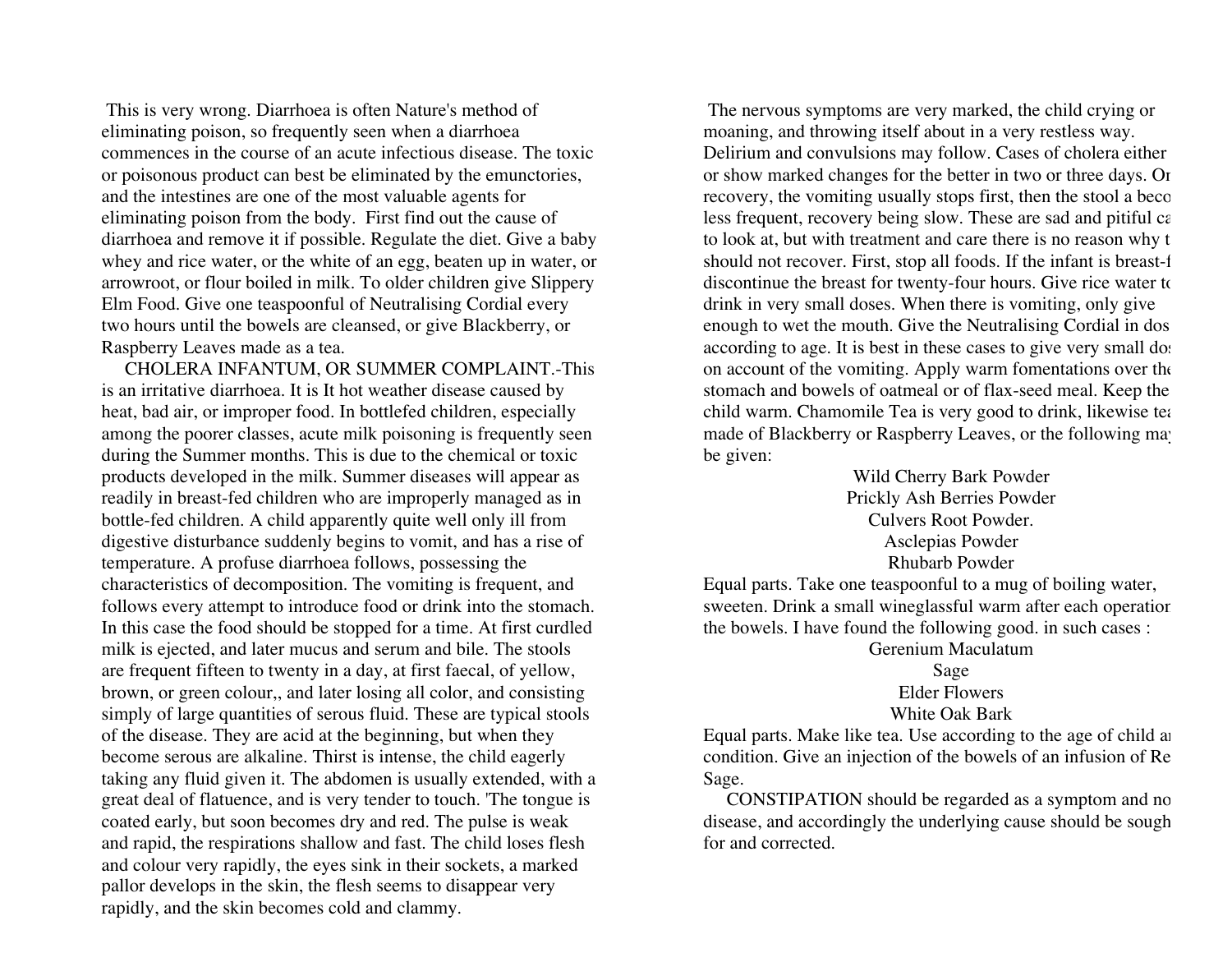This is very wrong. Diarrhoea is often Nature's method of eliminating poison, so frequently seen when a diarrhoea commences in the course of an acute infectious disease. The toxic or poisonous product can best be eliminated by the emunctories, and the intestines are one of the most valuable agents for eliminating poison from the body. First find out the cause of diarrhoea and remove it if possible. Regulate the diet. Give a baby whey and rice water, or the white of an egg, beaten up in water, or arrowroot, or flour boiled in milk. To older children give Slippery Elm Food. Give one teaspoonful of Neutralising Cordial every two hours until the bowels are cleansed, or give Blackberry, or Raspberry Leaves made as a tea.

 CHOLERA INFANTUM, OR SUMMER COMPLAINT.-This is an irritative diarrhoea. It is It hot weather disease caused by heat, bad air, or improper food. In bottlefed children, especially among the poorer classes, acute milk poisoning is frequently seen during the Summer months. This is due to the chemical or toxic products developed in the milk. Summer diseases will appear as readily in breast-fed children who are improperly managed as in bottle-fed children. A child apparently quite well only ill from digestive disturbance suddenly begins to vomit, and has a rise of temperature. A profuse diarrhoea follows, possessing the characteristics of decomposition. The vomiting is frequent, and follows every attempt to introduce food or drink into the stomach. In this case the food should be stopped for a time. At first curdled milk is ejected, and later mucus and serum and bile. The stools are frequent fifteen to twenty in a day, at first faecal, of yellow, brown, or green colour,, and later losing all color, and consisting simply of large quantities of serous fluid. These are typical stools of the disease. They are acid at the beginning, but when they become serous are alkaline. Thirst is intense, the child eagerly taking any fluid given it. The abdomen is usually extended, with a great deal of flatuence, and is very tender to touch. 'The tongue is coated early, but soon becomes dry and red. The pulse is weak and rapid, the respirations shallow and fast. The child loses flesh and colour very rapidly, the eyes sink in their sockets, a marked pallor develops in the skin, the flesh seems to disappear very rapidly, and the skin becomes cold and clammy.

The nervous symptoms are very marked, the child crying or moaning, and throwing itself about in a very restless way. Delirium and convulsions may follow. Cases of cholera either or show marked changes for the better in two or three days. On recovery, the vomiting usually stops first, then the stool a beco less frequent, recovery being slow. These are sad and pitiful  $c\epsilon$ to look at, but with treatment and care there is no reason why t should not recover. First, stop all foods. If the infant is breast-f discontinue the breast for twenty-four hours. Give rice water to drink in very small doses. When there is vomiting, only give enough to wet the mouth. Give the Neutralising Cordial in dos according to age. It is best in these cases to give very small dose on account of the vomiting. Apply warm fomentations over the stomach and bowels of oatmeal or of flax-seed meal. Keep the child warm. Chamomile Tea is very good to drink, likewise tea made of Blackberry or Raspberry Leaves, or the following may be given:

> Wild Cherry Bark Powder Prickly Ash Berries Powder Culvers Root Powder. Asclepias Powder Rhubarb Powder

Equal parts. Take one teaspoonful to a mug of boiling water, sweeten. Drink a small wineglassful warm after each operation the bowels. I have found the following good. in such cases :

Gerenium Maculatum

Sage Elder Flowers White Oak Bark

Equal parts. Make like tea. Use according to the age of child an condition. Give an injection of the bowels of an infusion of Re Sage.

 CONSTIPATION should be regarded as a symptom and no disease, and accordingly the underlying cause should be sough for and corrected.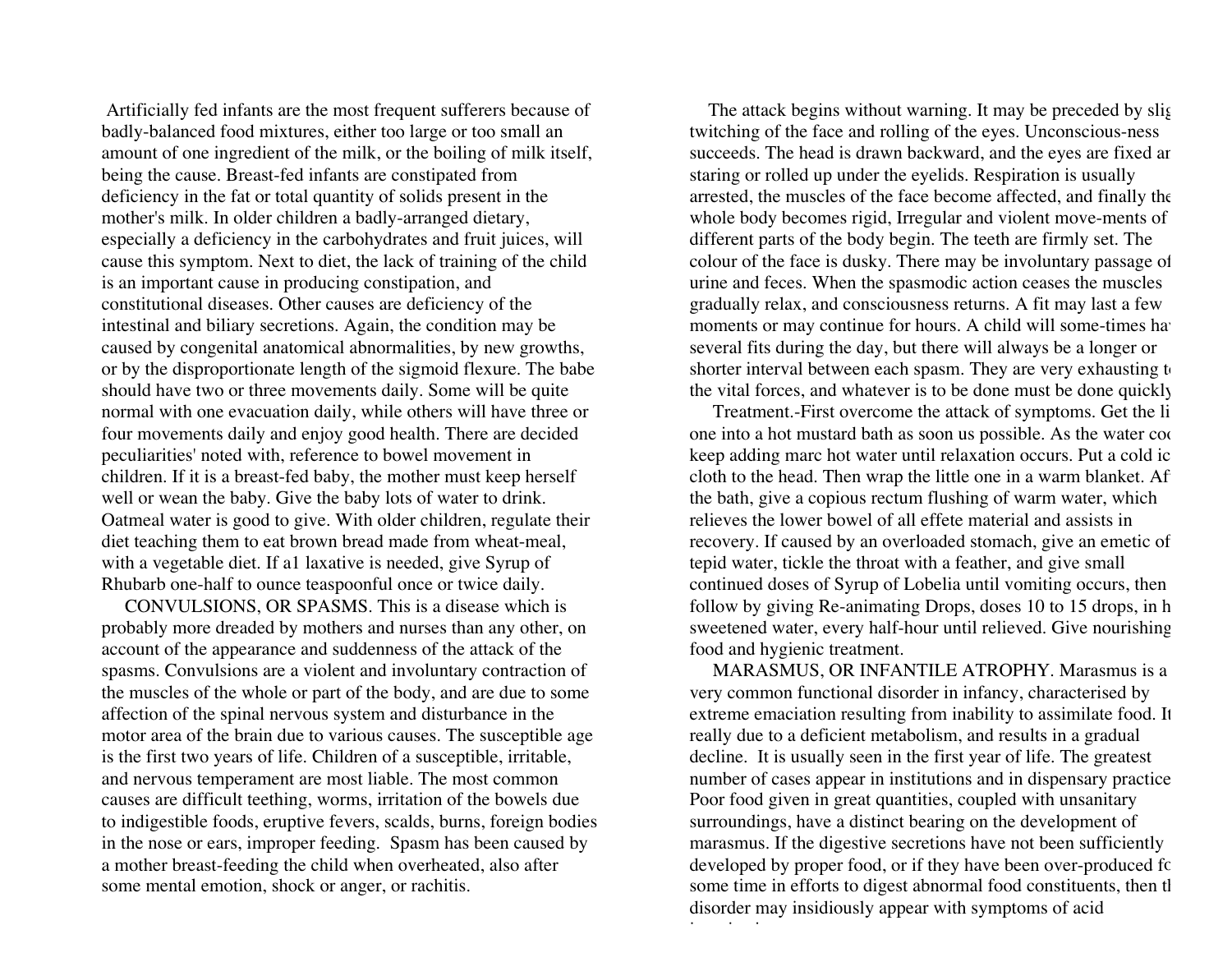Artificially fed infants are the most frequent sufferers because of badly-balanced food mixtures, either too large or too small an amount of one ingredient of the milk, or the boiling of milk itself, being the cause. Breast-fed infants are constipated from deficiency in the fat or total quantity of solids present in the mother's milk. In older children a badly-arranged dietary, especially a deficiency in the carbohydrates and fruit juices, will cause this symptom. Next to diet, the lack of training of the child is an important cause in producing constipation, and constitutional diseases. Other causes are deficiency of the intestinal and biliary secretions. Again, the condition may be caused by congenital anatomical abnormalities, by new growths, or by the disproportionate length of the sigmoid flexure. The babe should have two or three movements daily. Some will be quite normal with one evacuation daily, while others will have three or four movements daily and enjoy good health. There are decided peculiarities' noted with, reference to bowel movement in children. If it is a breast-fed baby, the mother must keep herself well or wean the baby. Give the baby lots of water to drink. Oatmeal water is good to give. With older children, regulate their diet teaching them to eat brown bread made from wheat-meal, with a vegetable diet. If allaxative is needed, give Syrup of Rhubarb one-half to ounce teaspoonful once or twice daily.

 CONVULSIONS, OR SPASMS. This is a disease which is probably more dreaded by mothers and nurses than any other, on account of the appearance and suddenness of the attack of the spasms. Convulsions are a violent and involuntary contraction of the muscles of the whole or part of the body, and are due to some affection of the spinal nervous system and disturbance in the motor area of the brain due to various causes. The susceptible age is the first two years of life. Children of a susceptible, irritable, and nervous temperament are most liable. The most common causes are difficult teething, worms, irritation of the bowels due to indigestible foods, eruptive fevers, scalds, burns, foreign bodies in the nose or ears, improper feeding. Spasm has been caused by a mother breast-feeding the child when overheated, also after some mental emotion, shock or anger, or rachitis.

 The attack begins without warning. It may be preceded by sli g twitching of the face and rolling of the eyes. Unconscious-ness succeeds. The head is drawn backward, and the eyes are fixed a n staring or rolled up under the eyelids. Respiration is usually arrested, the muscles of the face become affected, and finally th e whole body becomes rigid, Irregular and violent move-ments of different parts of the body begin. The teeth are firmly set. The colour of the face is dusky. There may be involuntary passage of urine and feces. When the spasmodic action ceases the muscles gradually relax, and consciousness returns. A fit may last a few moments or may continue for hours. A child will some-times ha several fits during the day, but there will always be a longer or shorter interval between each spasm. They are very exhausting to the vital forces, and whatever is to be done must be done quickl y

 Treatment.-First overcome the attack of symptoms. Get the li one into a hot mustard bath as soon us possible. As the water coor keep adding marc hot water until relaxation occurs. Put a cold i c cloth to the head. Then wrap the little one in a warm blanket. Af the bath, give a copious rectum flushing of warm water, which relieves the lower bowel of all effete material and assists in recovery. If caused by an overloaded stomach, give an emetic of tepid water, tickle the throat with a feather, and give small continued doses of Syrup of Lobelia until vomiting occurs, then follow by giving Re-animating Drops, doses 10 to 15 drops, in h sweetened water, every half-hour until relieved. Give nourishin g food and hygienic treatment.

 MARASMUS, OR INFANTILE ATROPHY. Marasmus is a very common functional disorder in infancy, characterised by extreme emaciation resulting from inability to assimilate food. It really due to a deficient metabolism, and results in a gradual decline. It is usually seen in the first year of life. The greatest number of cases appear in institutions and in dispensary practic e Poor food given in great quantities, coupled with unsanitary surroundings, have a distinct bearing on the development of marasmus. If the digestive secretions have not been sufficiently developed by proper food, or if they have been over-produced fo some time in efforts to digest abnormal food constituents, then t h disorder may insidiously appear with symptoms of acid

i ii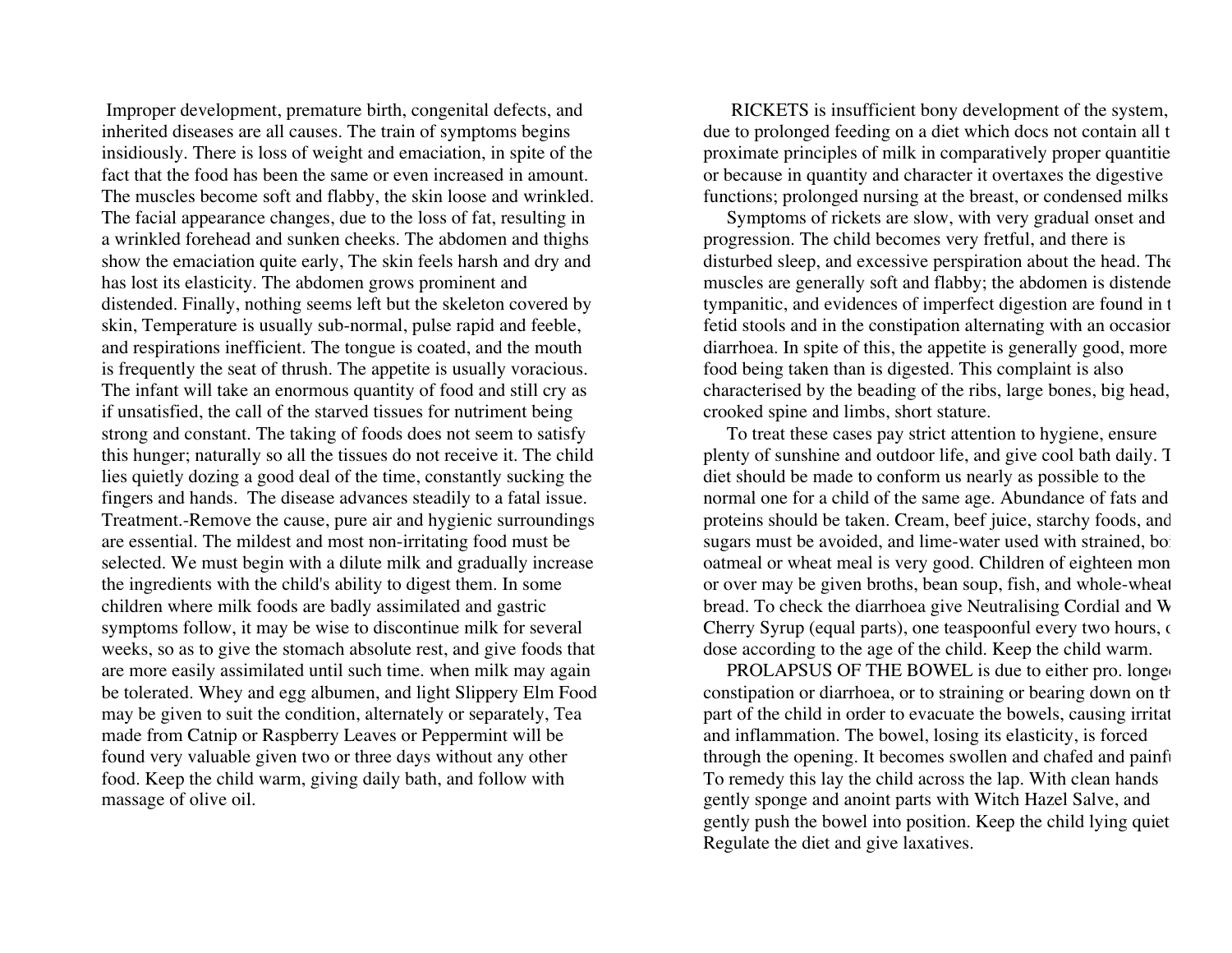Improper development, premature birth, congenital defects, and inherited diseases are all causes. The train of symptoms begins insidiously. There is loss of weight and emaciation, in spite of the fact that the food has been the same or even increased in amount. The muscles become soft and flabby, the skin loose and wrinkled. The facial appearance changes, due to the loss of fat, resulting in a wrinkled forehead and sunken cheeks. The abdomen and thighs show the emaciation quite early, The skin feels harsh and dry and has lost its elasticity. The abdomen grows prominent and distended. Finally, nothing seems left but the skeleton covered by skin, Temperature is usually sub-normal, pulse rapid and feeble, and respirations inefficient. The tongue is coated, and the mouth is frequently the seat of thrush. The appetite is usually voracious. The infant will take an enormous quantity of food and still cry as if unsatisfied, the call of the starved tissues for nutriment being strong and constant. The taking of foods does not seem to satisfy this hunger; naturally so all the tissues do not receive it. The child lies quietly dozing a good deal of the time, constantly sucking the fingers and hands. The disease advances steadily to a fatal issue. Treatment.-Remove the cause, pure air and hygienic surroundings are essential. The mildest and most non-irritating food must be selected. We must begin with a dilute milk and gradually increase the ingredients with the child's ability to digest them. In some children where milk foods are badly assimilated and gastric symptoms follow, it may be wise to discontinue milk for several weeks, so as to give the stomach absolute rest, and give foods that are more easily assimilated until such time. when milk may again be tolerated. Whey and egg albumen, and light Slippery Elm Foo d may be given to suit the condition, alternately or separately, Tea made from Catnip or Raspberry Leaves or Peppermint will be found very valuable given two or three days without any other food. Keep the child warm, giving daily bath, and follow with massage of olive oil.

 RICKETS is insufficient bony development of the system, due to prolonged feeding on a diet which docs not contain all t proximate principles of milk in comparatively proper quantiti e or because in quantity and character it overtaxes the digestive functions; prolonged nursing at the breast, or condensed milks

 Symptoms of rickets are slow, with very gradual onset and progression. The child becomes very fretful, and there is disturbed sleep, and excessive perspiration about the head. Th e muscles are generally soft and flabby; the abdomen is distend e tympanitic, and evidences of imperfect digestion are found in t fetid stools and in the constipation alternating with an occasio n diarrhoea. In spite of this, the appetite is generally good, more food being taken than is digested. This complaint is also characterised by the beading of the ribs, large bones, big head, crooked spine and limbs, short stature.

 To treat these cases pay strict attention to hygiene, ensure plenty of sunshine and outdoor life, and give cool bath daily. T diet should be made to conform us nearly as possible to the normal one for a child of the same age. Abundance of fats and proteins should be taken. Cream, beef juice, starchy foods, an d sugars must be avoided, and lime-water used with strained, boi oatmeal or wheat meal is very good. Children of eighteen mo n or over may be given broths, bean soup, fish, and whole-wheat bread. To check the diarrhoea give Neutralising Cordial and W Cherry Syrup (equal parts), one teaspoonful every two hours,  $\epsilon$ dose according to the age of the child. Keep the child warm.

PROLAPSUS OF THE BOWEL is due to either pro. longe constipation or diarrhoea, or to straining or bearing down on t h part of the child in order to evacuate the bowels, causing irritat and inflammation. The bowel, losing its elasticity, is forced through the opening. It becomes swollen and chafed and painfu To remedy this lay the child across the lap. With clean hands gently sponge and anoint parts with Witch Hazel Salve, and gently push the bowel into position. Keep the child lying quiet Regulate the diet and give laxatives.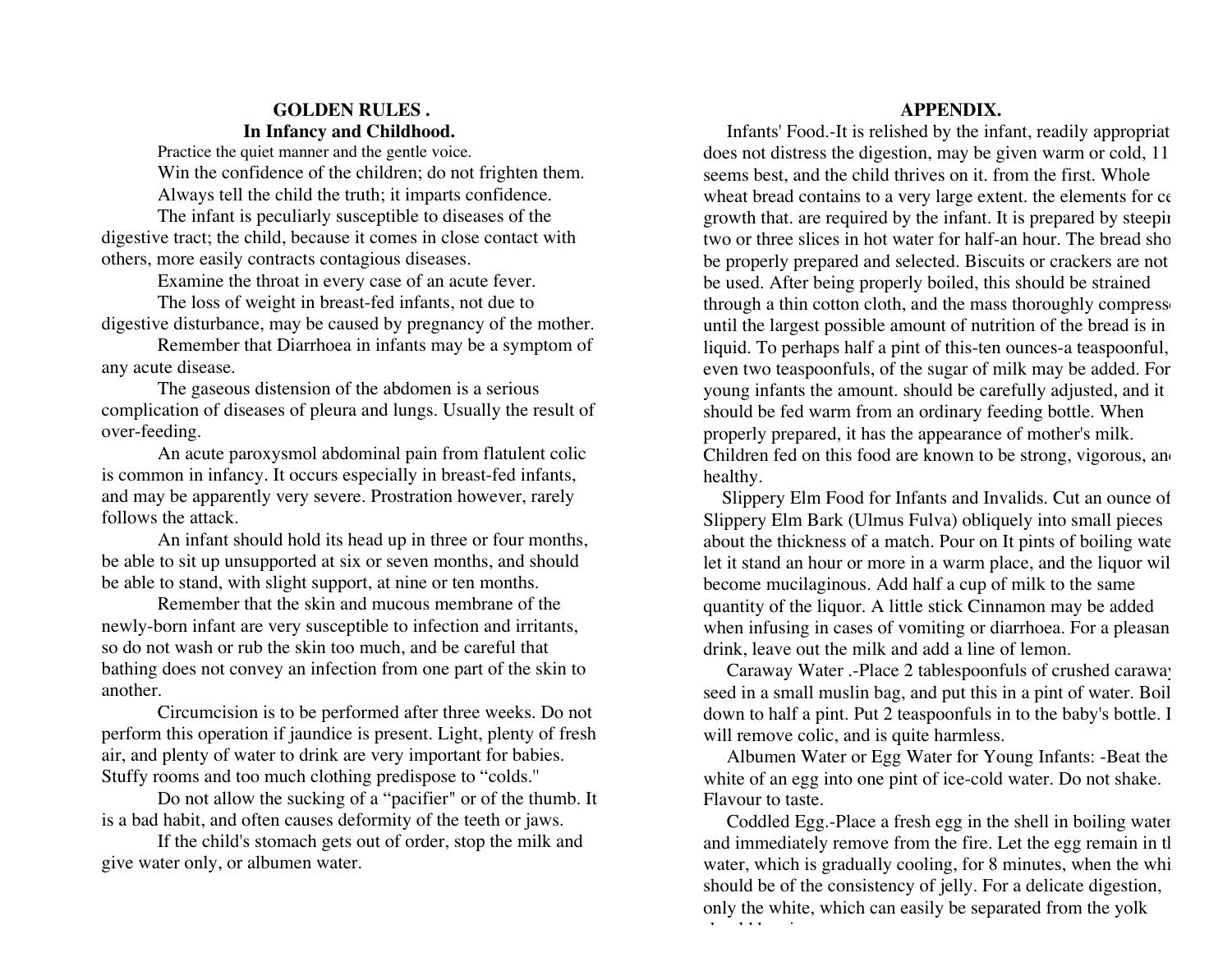# **GOLDEN RULES . In Infancy and Childhood.**

Practice the quiet manner and the gentle voice. Win the confidence of the children; do not frighten them. Always tell the child the truth; it imparts confidence.

The infant is peculiarly susceptible to diseases of the digestive tract; the child, because it comes in close contact with others, more easily contracts contagious diseases.

Examine the throat in every case of an acute fever.

The loss of weight in breast-fed infants, not due to digestive disturbance, may be caused by pregnancy of the mother.

Remember that Diarrhoea in infants may be a symptom of any acute disease.

The gaseous distension of the abdomen is a serious complication of diseases of pleura and lungs. Usually the result of over-feeding.

An acute paroxysmol abdominal pain from flatulent colic is common in infancy. It occurs especially in breast-fed infants, and may be apparently very severe. Prostration however, rarely follows the attack.

An infant should hold its head up in three or four months, be able to sit up unsupported at six or seven months, and should be able to stand, with slight support, at nine or ten months.

Remember that the skin and mucous membrane of the newly-born infant are very susceptible to infection and irritants, so do not wash or rub the skin too much, and be careful that bathing does not convey an infection from one part of the skin to another.

Circumcision is to be performed after three weeks. Do not perform this operation if jaundice is present. Light, plenty of fresh air, and plenty of water to drink are very important for babies. Stuffy rooms and too much clothing predispose to "colds.''

Do not allow the sucking of a "pacifier" or of the thumb. It is a bad habit, and often causes deformity of the teeth or jaws.

If the child's stomach gets out of order, stop the milk and give water only, or albumen water.

## **APPENDIX.**

 Infants' Food.-It is relished by the infant, readily appropriat does not distress the digestion, may be given warm or cold, 11 seems best, and the child thrives on it. from the first. Whole wheat bread contains to a very large extent. the elements for ce growth that. are required by the infant. It is prepared by steepi n two or three slices in hot water for half-an hour. The bread sh o be properly prepared and selected. Biscuits or crackers are not be used. After being properly boiled, this should be strained through a thin cotton cloth, and the mass thoroughly compress e until the largest possible amount of nutrition of the bread is in liquid. To perhaps half a pint of this-ten ounces-a teaspoonful, even two teaspoonfuls, of the sugar of milk may be added. For young infants the amount. should be carefully adjusted, and it should be fed warm from an ordinary feeding bottle. When properly prepared, it has the appearance of mother's milk. Children fed on this food are known to be strong, vigorous, an d healthy.

 Slippery Elm Food for Infants and Invalids. Cut an ounce of Slippery Elm Bark (Ulmus Fulva) obliquely into small pieces about the thickness of a match. Pour on It pints of boiling wat e let it stand an hour or more in a warm place, and the liquor wil become mucilaginous. Add half a cup of milk to the same quantity of the liquor. A little stick Cinnamon may be added when infusing in cases of vomiting or diarrhoea. For a pleasan drink, leave out the milk and add a line of lemon.

Caraway Water .-Place 2 tablespoonfuls of crushed caraway seed in a small muslin bag, and put this in a pint of water. Boil down to half a pint. Put 2 teaspoonfuls in to the baby's bottle. I will remove colic, and is quite harmless.

 Albumen Water or Egg Water for Young Infants: -Beat the white of an egg into one pint of ice-cold water. Do not shake. Flavour to taste.

 Coddled Egg.-Place a fresh egg in the shell in boiling water and immediately remove from the fire. Let the egg remain in t h water, which is gradually cooling, for 8 minutes, when the whi should be of the consistency of jelly. For a delicate digestion, only the white, which can easily be separated from the yolk h la b i b